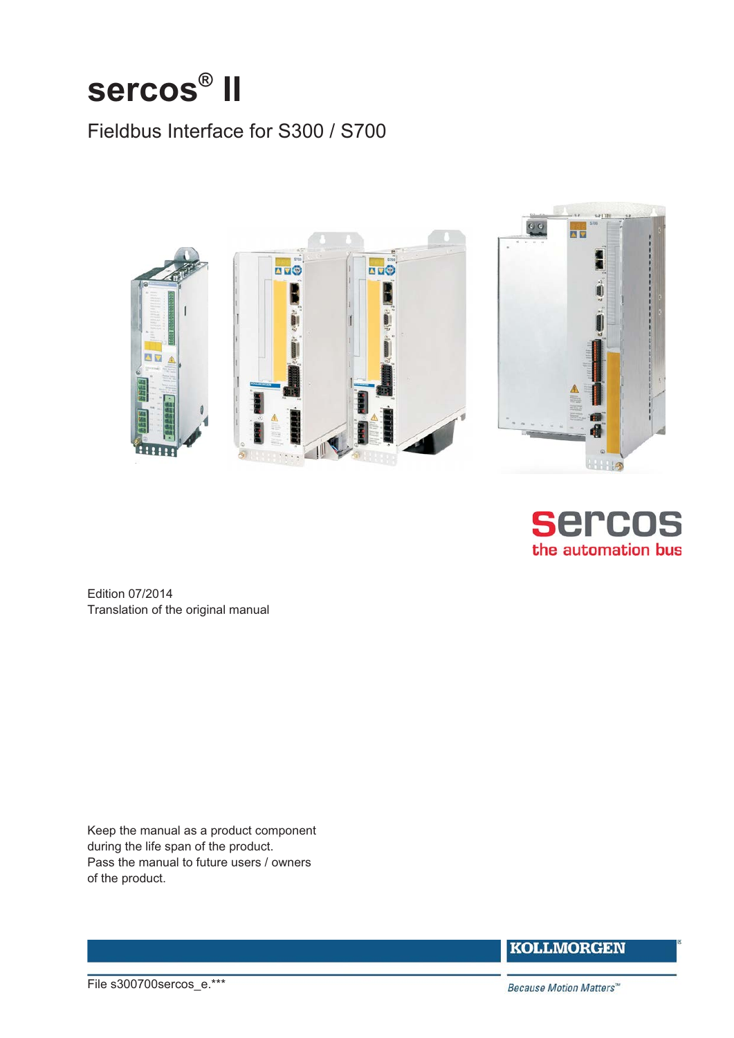# **sercos® II**

## Fieldbus Interface for S300 / S700





Edition 07/2014 Translation of the original manual

Keep the manual as a product component during the life span of the product. Pass the manual to future users / owners of the product.

**KOLLMORGEN** 

File s300700sercos\_e.\*\*\*

Because Motion Matters™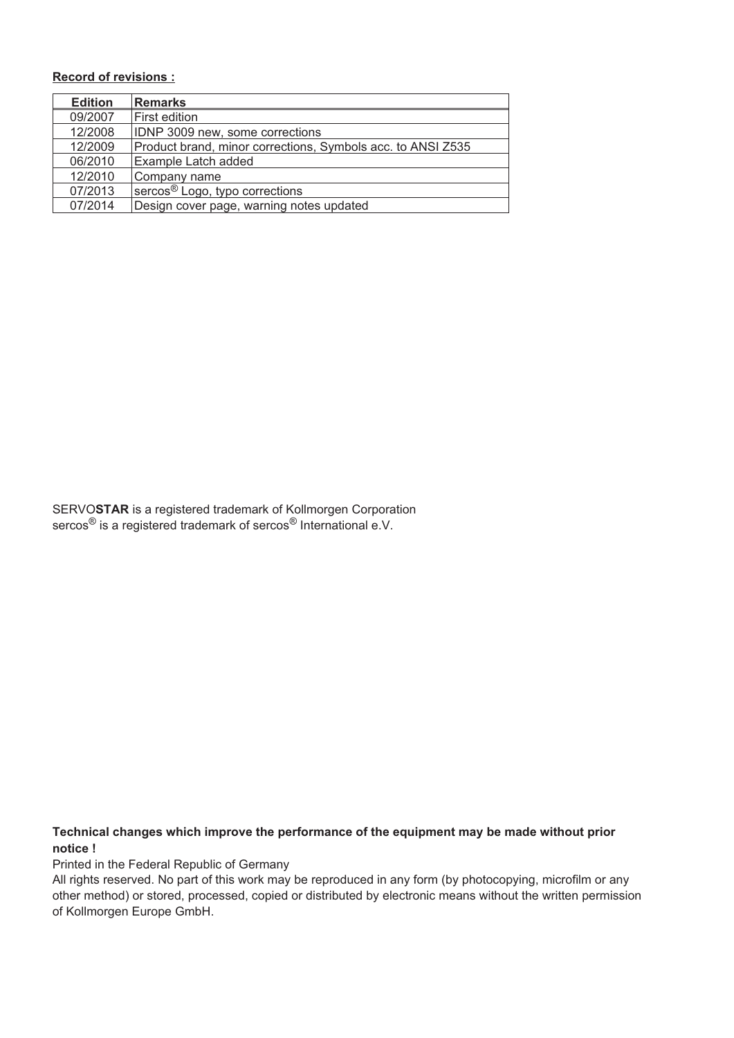### **Record of revisions :**

| <b>Edition</b> | <b>Remarks</b>                                              |  |
|----------------|-------------------------------------------------------------|--|
| 09/2007        | First edition                                               |  |
| 12/2008        | IDNP 3009 new, some corrections                             |  |
| 12/2009        | Product brand, minor corrections, Symbols acc. to ANSI Z535 |  |
| 06/2010        | Example Latch added                                         |  |
| 12/2010        | Company name                                                |  |
| 07/2013        | sercos <sup>®</sup> Logo, typo corrections                  |  |
| 07/2014        | Design cover page, warning notes updated                    |  |

SERVO**STAR** is a registered trademark of Kollmorgen Corporation sercos<sup>®</sup> is a registered trademark of sercos<sup>®</sup> International e.V.

**Technical changes which improve the performance of the equipment may be made without prior notice !**

Printed in the Federal Republic of Germany

All rights reserved. No part of this work may be reproduced in any form (by photocopying, microfilm or any other method) or stored, processed, copied or distributed by electronic means without the written permission of Kollmorgen Europe GmbH.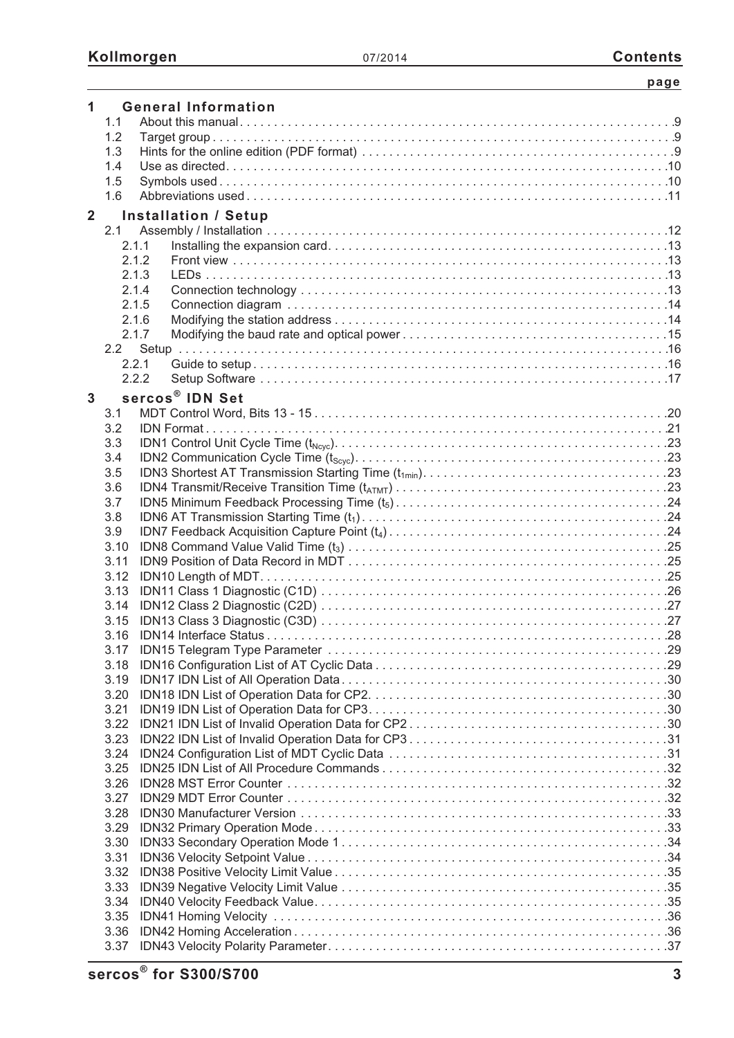|                |              |       |                             | page |
|----------------|--------------|-------|-----------------------------|------|
| 1              |              |       | <b>General Information</b>  |      |
|                | 1.1          |       |                             |      |
|                | 1.2          |       |                             |      |
|                | 1.3          |       |                             |      |
|                | 1.4          |       |                             |      |
|                | 1.5          |       |                             |      |
|                | 1.6          |       |                             |      |
|                |              |       |                             |      |
| $\overline{2}$ |              |       | <b>Installation / Setup</b> |      |
|                | 2.1          |       |                             |      |
|                |              | 2.1.1 |                             |      |
|                |              | 2.1.2 |                             |      |
|                |              | 2.1.3 |                             |      |
|                |              | 2.1.4 |                             |      |
|                |              | 2.1.5 |                             |      |
|                |              | 2.1.6 |                             |      |
|                |              | 2.1.7 |                             |      |
|                |              |       |                             |      |
|                |              | 2.2.1 |                             |      |
|                |              | 2.2.2 |                             |      |
| $\mathbf{3}$   |              |       | sercos <sup>®</sup> IDN Set |      |
|                | 3.1          |       |                             |      |
|                | 3.2          |       |                             |      |
|                | 3.3          |       |                             |      |
|                | 3.4          |       |                             |      |
|                | 3.5          |       |                             |      |
|                | 3.6          |       |                             |      |
|                | 3.7          |       |                             |      |
|                | 3.8          |       |                             |      |
|                | 3.9          |       |                             |      |
|                | 3.10         |       |                             |      |
|                | 3.11         |       |                             |      |
|                | 3.12         |       |                             |      |
|                |              |       |                             |      |
|                | 3.14         |       |                             |      |
|                |              |       |                             |      |
|                | 3.16         |       |                             |      |
|                | 3.17         |       |                             |      |
|                | 3.18         |       |                             |      |
|                |              |       |                             |      |
|                | 3.19<br>3.20 |       |                             |      |
|                | 3.21         |       |                             |      |
|                | 3.22         |       |                             |      |
|                | 3.23         |       |                             |      |
|                |              |       |                             |      |
|                | 3.24         |       |                             |      |
|                | 3.25         |       |                             |      |
|                | 3.26         |       |                             |      |
|                | 3.27         |       |                             |      |
|                | 3.28         |       |                             |      |
|                | 3.29         |       |                             |      |
|                | 3.30         |       |                             |      |
|                | 3.31         |       |                             |      |
|                | 3.32         |       |                             |      |
|                | 3.33         |       |                             |      |
|                | 3.34         |       |                             |      |
|                | 3.35         |       |                             |      |
|                | 3.36         |       |                             |      |
|                | 3.37         |       |                             |      |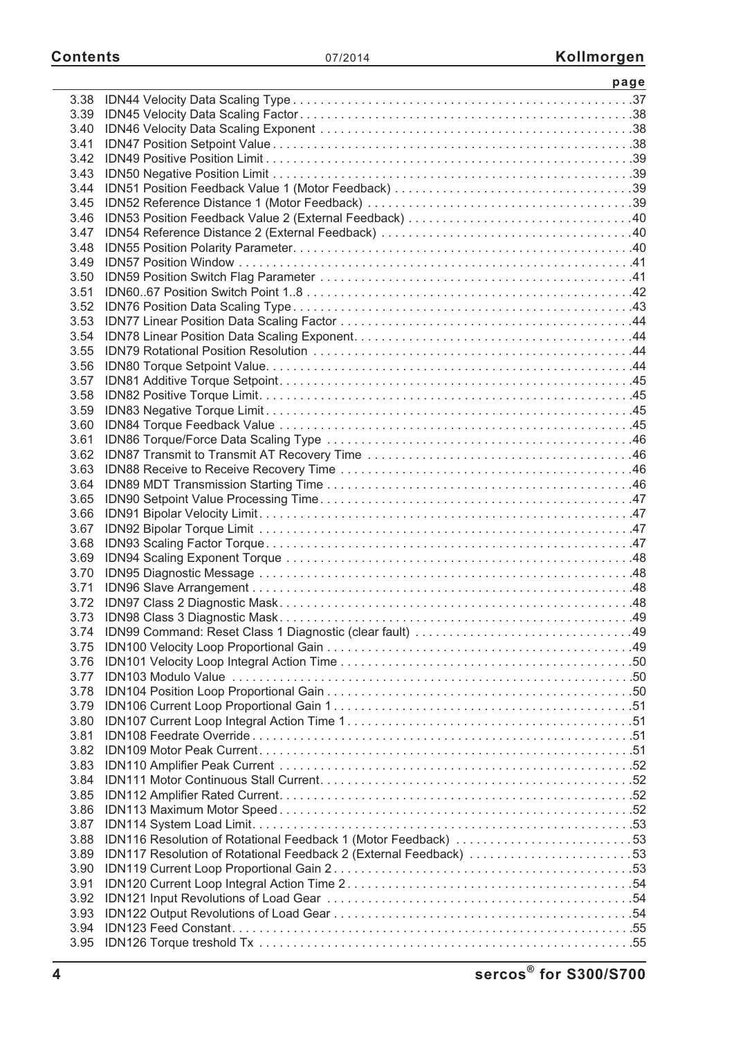|              | <u> 1989 - Johann Stein, mars an de Brasilia (b. 1989)</u>        | page |
|--------------|-------------------------------------------------------------------|------|
| 3.38         |                                                                   |      |
| 3.39         |                                                                   |      |
| 3.40         |                                                                   |      |
| 3.41         |                                                                   |      |
| 3.42         |                                                                   |      |
| 3.43         |                                                                   |      |
| 3.44         |                                                                   |      |
| 3.45         |                                                                   |      |
| 3.46         |                                                                   |      |
| 3.47         |                                                                   |      |
| 3.48         |                                                                   |      |
| 3.49         |                                                                   |      |
| 3.50         |                                                                   |      |
| 3.51         |                                                                   |      |
| 3.52         |                                                                   |      |
| 3.53         |                                                                   |      |
| 3.54         |                                                                   |      |
| 3.55         |                                                                   |      |
| 3.56         |                                                                   |      |
| 3.57         |                                                                   |      |
| 3.58         |                                                                   |      |
| 3.59         |                                                                   |      |
| 3.60         |                                                                   |      |
| 3.61         |                                                                   |      |
| 3.62         |                                                                   |      |
| 3.63         |                                                                   |      |
| 3.64         |                                                                   |      |
| 3.65         |                                                                   |      |
| 3.66         |                                                                   |      |
| 3.67         |                                                                   |      |
| 3.68         |                                                                   |      |
| 3.69         |                                                                   |      |
| 3.70         |                                                                   |      |
| 3.71         |                                                                   |      |
|              |                                                                   |      |
|              |                                                                   |      |
|              |                                                                   |      |
| 3.75         |                                                                   |      |
| 3.76         |                                                                   |      |
| 3.77         |                                                                   |      |
| 3.78         |                                                                   |      |
| 3.79         |                                                                   |      |
| 3.80         |                                                                   |      |
| 3.81         |                                                                   |      |
| 3.82         |                                                                   |      |
| 3.83         |                                                                   |      |
| 3.84         |                                                                   |      |
| 3.85         |                                                                   |      |
| 3.86         |                                                                   |      |
| 3.87         |                                                                   |      |
| 3.88         | IDN116 Resolution of Rotational Feedback 1 (Motor Feedback) 53    |      |
| 3.89         | IDN117 Resolution of Rotational Feedback 2 (External Feedback) 53 |      |
| 3.90         |                                                                   |      |
| 3.91<br>3.92 |                                                                   |      |
| 3.93         |                                                                   |      |
| 3.94         |                                                                   |      |
| 3.95         |                                                                   |      |
|              |                                                                   |      |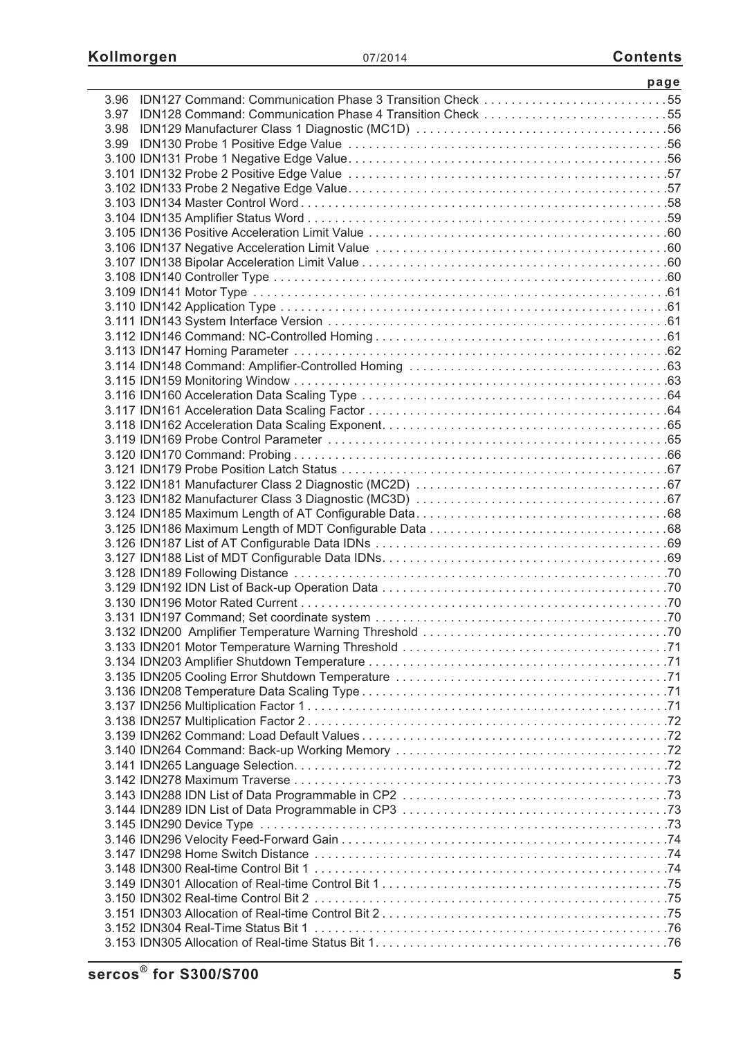| <u> 1989 - Johann Stein, mars an deus an deus Angelsen (</u>   | page |
|----------------------------------------------------------------|------|
| 3.96 IDN127 Command: Communication Phase 3 Transition Check 55 |      |
| 3.97 IDN128 Command: Communication Phase 4 Transition Check 55 |      |
|                                                                |      |
|                                                                |      |
|                                                                |      |
|                                                                |      |
|                                                                |      |
|                                                                |      |
|                                                                |      |
|                                                                |      |
|                                                                |      |
|                                                                |      |
|                                                                |      |
|                                                                |      |
|                                                                |      |
|                                                                |      |
|                                                                |      |
|                                                                |      |
|                                                                |      |
|                                                                |      |
|                                                                |      |
|                                                                |      |
|                                                                |      |
|                                                                |      |
|                                                                |      |
|                                                                |      |
|                                                                |      |
|                                                                |      |
|                                                                |      |
|                                                                |      |
|                                                                |      |
|                                                                |      |
|                                                                |      |
|                                                                |      |
|                                                                |      |
|                                                                |      |
|                                                                |      |
|                                                                |      |
|                                                                |      |
|                                                                |      |
|                                                                |      |
|                                                                |      |
|                                                                |      |
|                                                                |      |
|                                                                |      |
|                                                                |      |
|                                                                |      |
|                                                                |      |
|                                                                |      |
|                                                                |      |
|                                                                |      |
|                                                                |      |
|                                                                |      |
|                                                                |      |
|                                                                |      |
|                                                                |      |
|                                                                |      |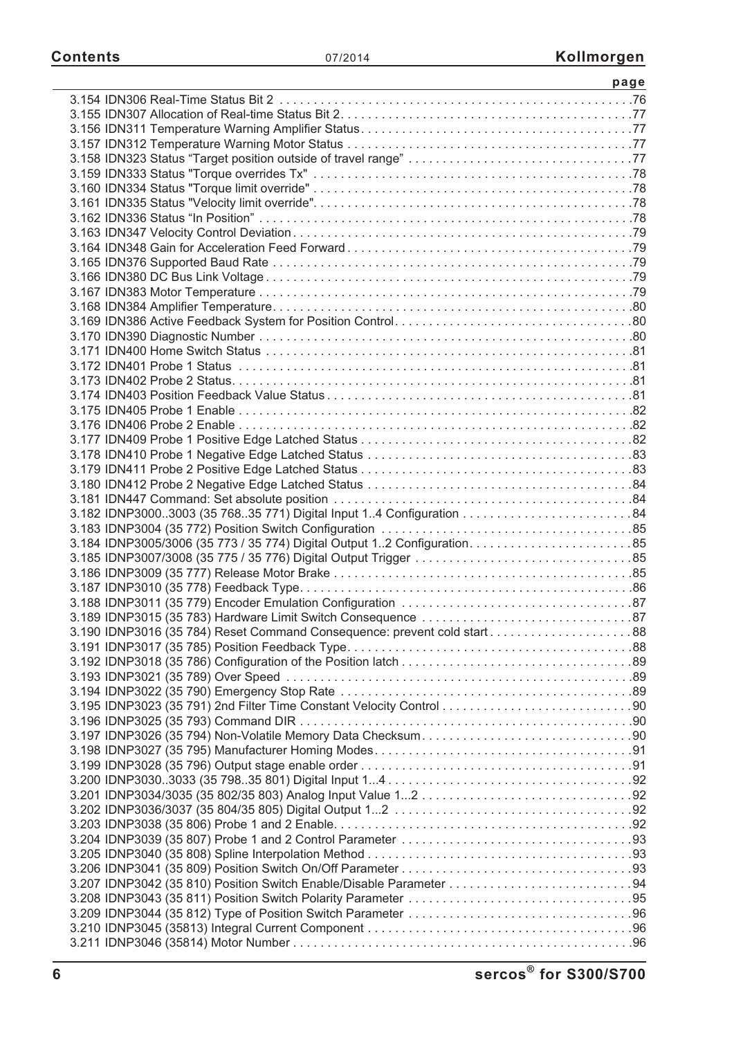| 3.190 IDNP3016 (35 784) Reset Command Consequence: prevent cold start88 |  |
|-------------------------------------------------------------------------|--|
|                                                                         |  |
|                                                                         |  |
|                                                                         |  |
|                                                                         |  |
|                                                                         |  |
|                                                                         |  |
|                                                                         |  |
|                                                                         |  |
|                                                                         |  |
|                                                                         |  |
|                                                                         |  |
|                                                                         |  |
|                                                                         |  |
|                                                                         |  |
|                                                                         |  |
|                                                                         |  |
| 3.207 IDNP3042 (35 810) Position Switch Enable/Disable Parameter 94     |  |
|                                                                         |  |
|                                                                         |  |
|                                                                         |  |
|                                                                         |  |
|                                                                         |  |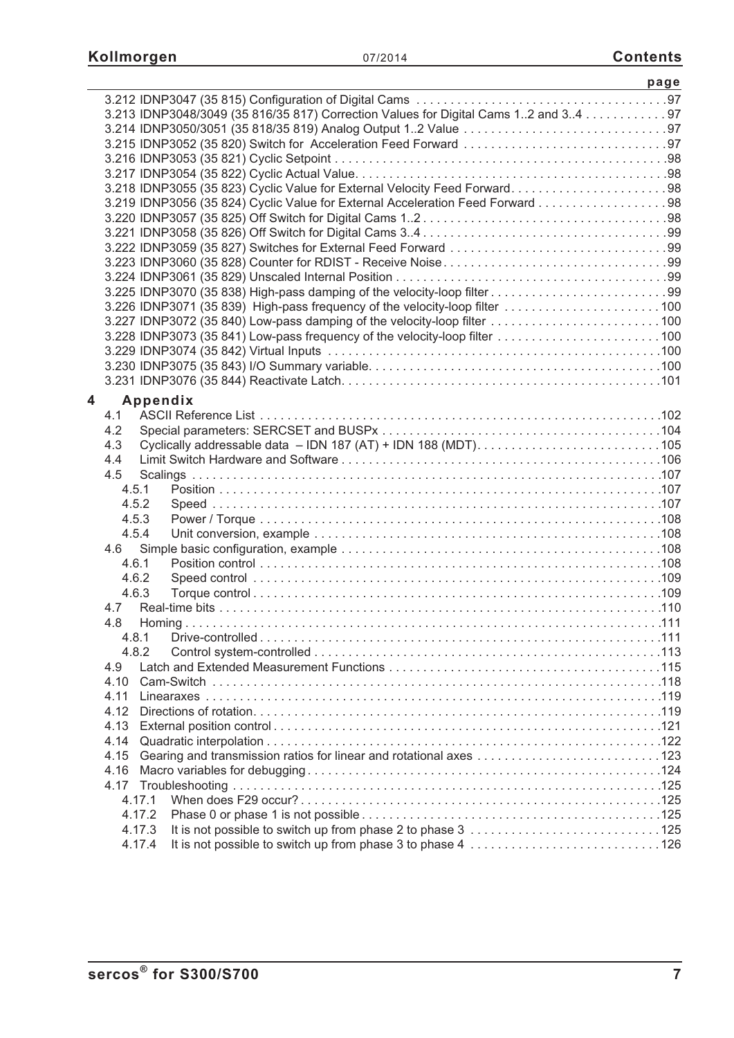|   |                                                                                     | page |
|---|-------------------------------------------------------------------------------------|------|
|   |                                                                                     |      |
|   | 3.213 IDNP3048/3049 (35 816/35 817) Correction Values for Digital Cams 12 and 34 97 |      |
|   |                                                                                     |      |
|   |                                                                                     |      |
|   |                                                                                     |      |
|   |                                                                                     |      |
|   |                                                                                     |      |
|   | 3.219 IDNP3056 (35 824) Cyclic Value for External Acceleration Feed Forward 98      |      |
|   |                                                                                     |      |
|   |                                                                                     |      |
|   |                                                                                     |      |
|   |                                                                                     |      |
|   |                                                                                     |      |
|   | 3.225 IDNP3070 (35 838) High-pass damping of the velocity-loop filter99             |      |
|   |                                                                                     |      |
|   | 3.227 IDNP3072 (35 840) Low-pass damping of the velocity-loop filter 100            |      |
|   | 3.228 IDNP3073 (35 841) Low-pass frequency of the velocity-loop filter 100          |      |
|   |                                                                                     |      |
|   |                                                                                     |      |
|   |                                                                                     |      |
| 4 | Appendix                                                                            |      |
|   | 4.1                                                                                 |      |
|   | 4.2                                                                                 |      |
|   | 4.3                                                                                 |      |
|   | 4.4                                                                                 |      |
|   | 4.5                                                                                 |      |
|   | 4.5.1                                                                               |      |
|   | 4.5.2                                                                               |      |
|   | 4.5.3                                                                               |      |
|   | 4.5.4                                                                               |      |
|   | 4.6                                                                                 |      |
|   | 4.6.1                                                                               |      |
|   | 4.6.2                                                                               |      |
|   | 4.6.3<br>4.7                                                                        |      |
|   | 4.8 Homina                                                                          |      |
|   | 4.8.1                                                                               |      |
|   | 4.8.2                                                                               |      |
|   | 4.9                                                                                 |      |
|   | 4.10                                                                                |      |
|   | 4.11                                                                                |      |
|   | 4.12                                                                                |      |
|   | 4.13                                                                                |      |
|   | 4.14                                                                                |      |
|   | 4.15                                                                                |      |
|   | 4.16                                                                                |      |
|   |                                                                                     |      |
|   | 4.17.1                                                                              |      |
|   | 4.17.2                                                                              |      |
|   | 4.17.3                                                                              |      |
|   | 4.17.4                                                                              |      |
|   |                                                                                     |      |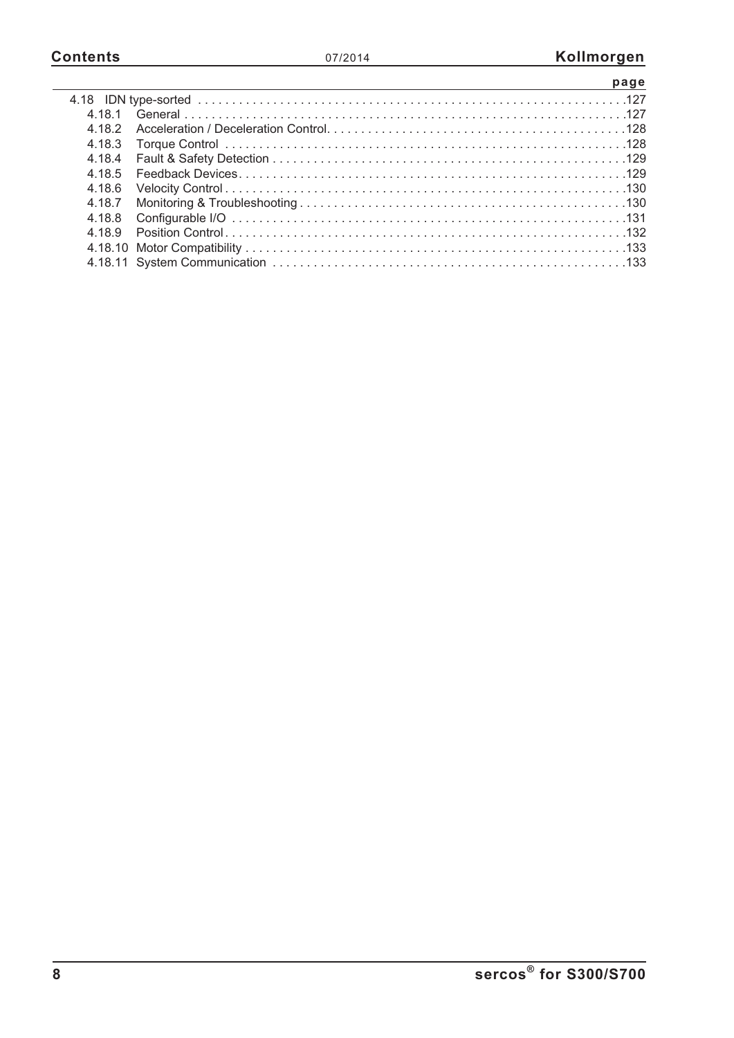|        | page |
|--------|------|
|        |      |
| 4 18 1 |      |
| 4 18 2 |      |
| 4.18.3 |      |
| 4.18.4 |      |
| 4 18 5 |      |
| 4.18.6 |      |
| 4.18.7 |      |
| 4.18.8 |      |
| 4 18 9 |      |
|        |      |
|        |      |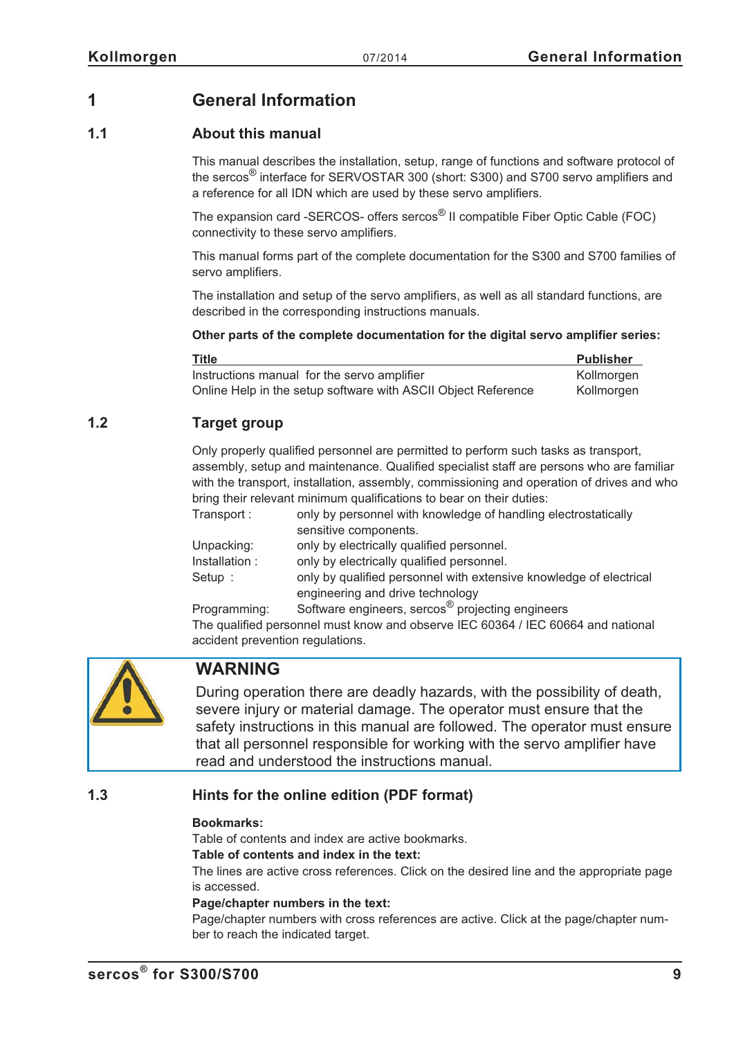## <span id="page-8-0"></span>**1 General Information**

## **1.1 About this manual**

This manual describes the installation, setup, range of functions and software protocol of the sercos® interface for SERVOSTAR 300 (short: S300) and S700 servo amplifiers and a reference for all IDN which are used by these servo amplifiers.

The expansion card -SERCOS- offers sercos® II compatible Fiber Optic Cable (FOC) connectivity to these servo amplifiers.

This manual forms part of the complete documentation for the S300 and S700 families of servo amplifiers.

The installation and setup of the servo amplifiers, as well as all standard functions, are described in the corresponding instructions manuals.

### **Other parts of the complete documentation for the digital servo amplifier series:**

| Title                                                         | <b>Publisher</b> |
|---------------------------------------------------------------|------------------|
| Instructions manual for the servo amplifier                   | Kollmorgen       |
| Online Help in the setup software with ASCII Object Reference | Kollmorgen       |

## **1.2 Target group**

Only properly qualified personnel are permitted to perform such tasks as transport, assembly, setup and maintenance. Qualified specialist staff are persons who are familiar with the transport, installation, assembly, commissioning and operation of drives and who bring their relevant minimum qualifications to bear on their duties: Transport : only by personnel with knowledge of handling electrostatically

| Tiansport.    | <u>UTILY DY DEISONITIEL WILLI KITOWIEUGE OF HANDITIIG EIECINOSIALICAILY</u> |
|---------------|-----------------------------------------------------------------------------|
|               | sensitive components.                                                       |
| Unpacking:    | only by electrically qualified personnel.                                   |
| Installation: | only by electrically qualified personnel.                                   |
| Setup:        | only by qualified personnel with extensive knowledge of electrical          |
|               | engineering and drive technology                                            |

Programming: Software engineers, sercos® projecting engineers The qualified personnel must know and observe IEC 60364 / IEC 60664 and national accident prevention regulations.



## **WARNING**

During operation there are deadly hazards, with the possibility of death, severe injury or material damage. The operator must ensure that the safety instructions in this manual are followed. The operator must ensure that all personnel responsible for working with the servo amplifier have read and understood the instructions manual.

## **1.3 Hints for the online edition (PDF format)**

### **Bookmarks:**

Table of contents and index are active bookmarks.

### **Table of contents and index in the text:**

The lines are active cross references. Click on the desired line and the appropriate page is accessed.

### **Page/chapter numbers in the text:**

Page/chapter numbers with cross references are active. Click at the page/chapter number to reach the indicated target.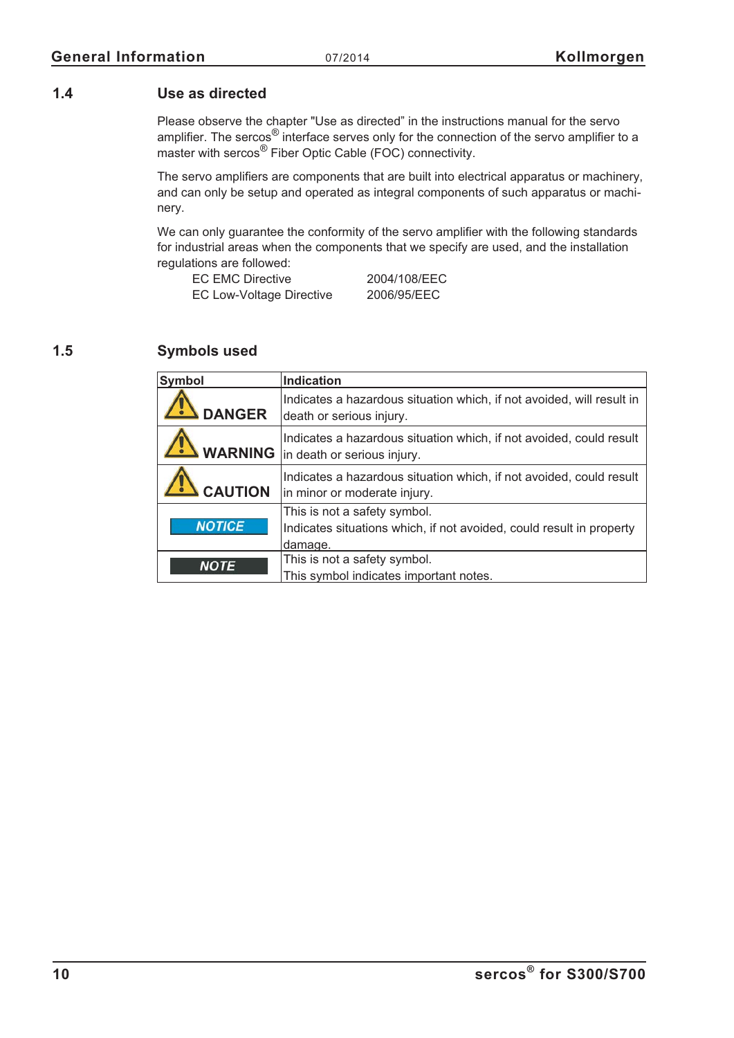## <span id="page-9-0"></span>**1.4 Use as directed**

Please observe the chapter "Use as directed" in the instructions manual for the servo amplifier. The sercos<sup>®</sup> interface serves only for the connection of the servo amplifier to a master with sercos<sup>®</sup> Fiber Optic Cable (FOC) connectivity.

The servo amplifiers are components that are built into electrical apparatus or machinery, and can only be setup and operated as integral components of such apparatus or machinery.

We can only guarantee the conformity of the servo amplifier with the following standards for industrial areas when the components that we specify are used, and the installation regulations are followed:

| EC EMC Directive                | 2004/108/EEC |
|---------------------------------|--------------|
| <b>EC Low-Voltage Directive</b> | 2006/95/EEC  |

## **1.5 Symbols used**

| <b>Symbol</b>  | <b>Indication</b>                                                                                                 |
|----------------|-------------------------------------------------------------------------------------------------------------------|
| <b>DANGER</b>  | Indicates a hazardous situation which, if not avoided, will result in<br>death or serious injury.                 |
|                | Indicates a hazardous situation which, if not avoided, could result<br><b>WARNING</b> in death or serious injury. |
| <b>CAUTION</b> | Indicates a hazardous situation which, if not avoided, could result<br>in minor or moderate injury.               |
| <b>NOTICE</b>  | This is not a safety symbol.<br>Indicates situations which, if not avoided, could result in property<br>damage.   |
| <b>NOTE</b>    | This is not a safety symbol.<br>This symbol indicates important notes.                                            |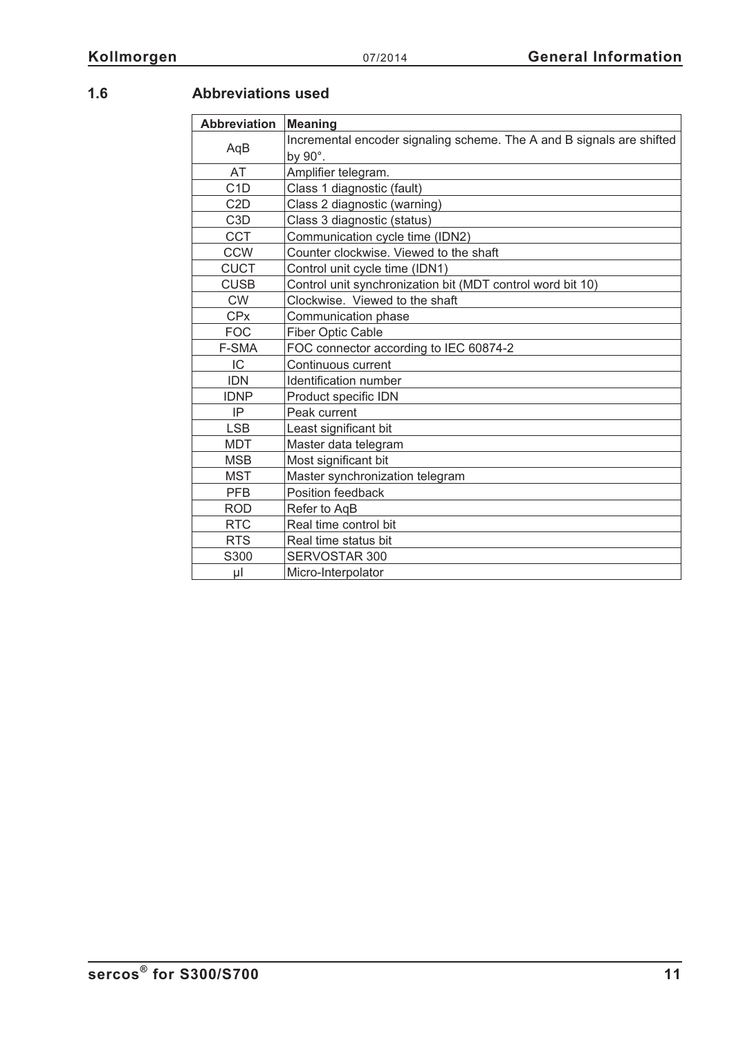## <span id="page-10-0"></span>**1.6**

|  | <b>Abbreviations used</b> |
|--|---------------------------|
|  |                           |

| <b>Abbreviation</b> | <b>Meaning</b>                                                                   |  |  |
|---------------------|----------------------------------------------------------------------------------|--|--|
| AqB                 | Incremental encoder signaling scheme. The A and B signals are shifted<br>by 90°. |  |  |
| AT                  | Amplifier telegram.                                                              |  |  |
| C <sub>1</sub> D    | Class 1 diagnostic (fault)                                                       |  |  |
| C <sub>2</sub> D    | Class 2 diagnostic (warning)                                                     |  |  |
| C <sub>3</sub> D    | Class 3 diagnostic (status)                                                      |  |  |
| <b>CCT</b>          | Communication cycle time (IDN2)                                                  |  |  |
| <b>CCW</b>          | Counter clockwise. Viewed to the shaft                                           |  |  |
| <b>CUCT</b>         | Control unit cycle time (IDN1)                                                   |  |  |
| <b>CUSB</b>         | Control unit synchronization bit (MDT control word bit 10)                       |  |  |
| <b>CW</b>           | Clockwise. Viewed to the shaft                                                   |  |  |
| <b>CPx</b>          | Communication phase                                                              |  |  |
| <b>FOC</b>          | <b>Fiber Optic Cable</b>                                                         |  |  |
| F-SMA               | FOC connector according to IEC 60874-2                                           |  |  |
| IC                  | Continuous current                                                               |  |  |
| <b>IDN</b>          | Identification number                                                            |  |  |
| <b>IDNP</b>         | Product specific IDN                                                             |  |  |
| IP                  | Peak current                                                                     |  |  |
| <b>LSB</b>          | Least significant bit                                                            |  |  |
| <b>MDT</b>          | Master data telegram                                                             |  |  |
| <b>MSB</b>          | Most significant bit                                                             |  |  |
| <b>MST</b>          | Master synchronization telegram                                                  |  |  |
| <b>PFB</b>          | Position feedback                                                                |  |  |
| <b>ROD</b>          | Refer to AqB                                                                     |  |  |
| <b>RTC</b>          | Real time control bit                                                            |  |  |
| <b>RTS</b>          | Real time status bit                                                             |  |  |
| S300                | SERVOSTAR 300                                                                    |  |  |
| μl                  | Micro-Interpolator                                                               |  |  |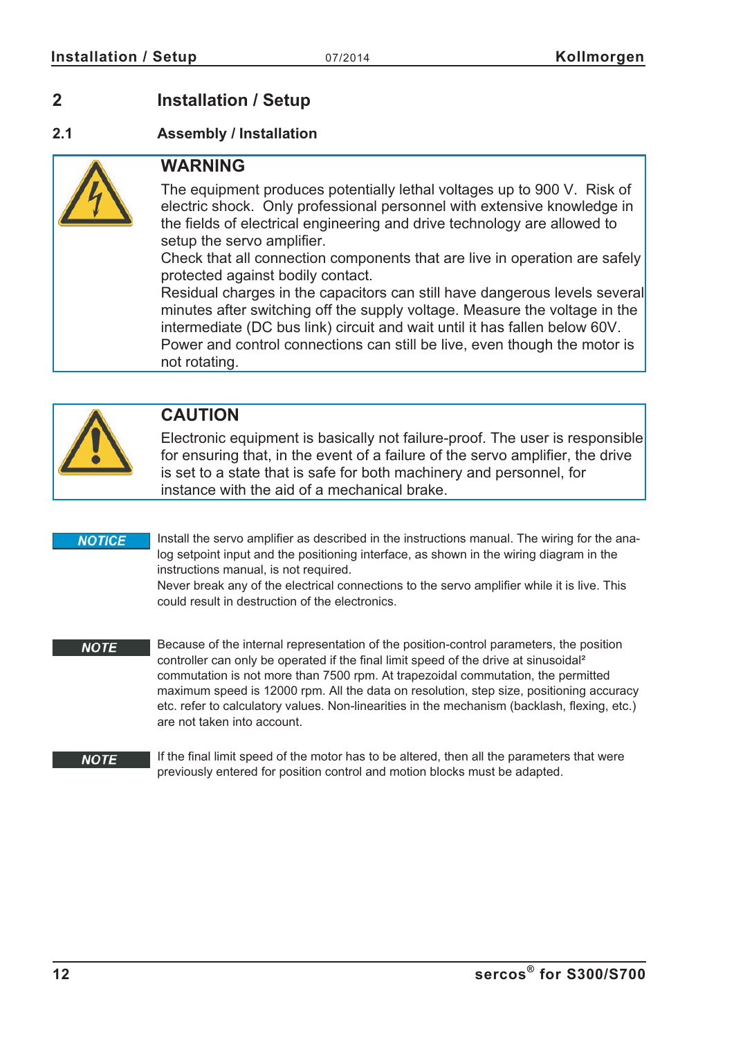## <span id="page-11-0"></span>**2 Installation / Setup**

## **2.1 Assembly / Installation**



## **WARNING**

The equipment produces potentially lethal voltages up to 900 V. Risk of electric shock. Only professional personnel with extensive knowledge in the fields of electrical engineering and drive technology are allowed to setup the servo amplifier.

Check that all connection components that are live in operation are safely protected against bodily contact.

Residual charges in the capacitors can still have dangerous levels several minutes after switching off the supply voltage. Measure the voltage in the intermediate (DC bus link) circuit and wait until it has fallen below 60V. Power and control connections can still be live, even though the motor is not rotating.



## **CAUTION**

Electronic equipment is basically not failure-proof. The user is responsible for ensuring that, in the event of a failure of the servo amplifier, the drive is set to a state that is safe for both machinery and personnel, for instance with the aid of a mechanical brake.

### **NOTICE**

Install the servo amplifier as described in the instructions manual. The wiring for the analog setpoint input and the positioning interface, as shown in the wiring diagram in the instructions manual, is not required.

Never break any of the electrical connections to the servo amplifier while it is live. This could result in destruction of the electronics.

Because of the internal representation of the position-control parameters, the position **NOTE** controller can only be operated if the final limit speed of the drive at sinusoidal<sup>2</sup> commutation is not more than 7500 rpm. At trapezoidal commutation, the permitted maximum speed is 12000 rpm. All the data on resolution, step size, positioning accuracy etc. refer to calculatory values. Non-linearities in the mechanism (backlash, flexing, etc.) are not taken into account.

#### If the final limit speed of the motor has to be altered, then all the parameters that were **NOTE** previously entered for position control and motion blocks must be adapted.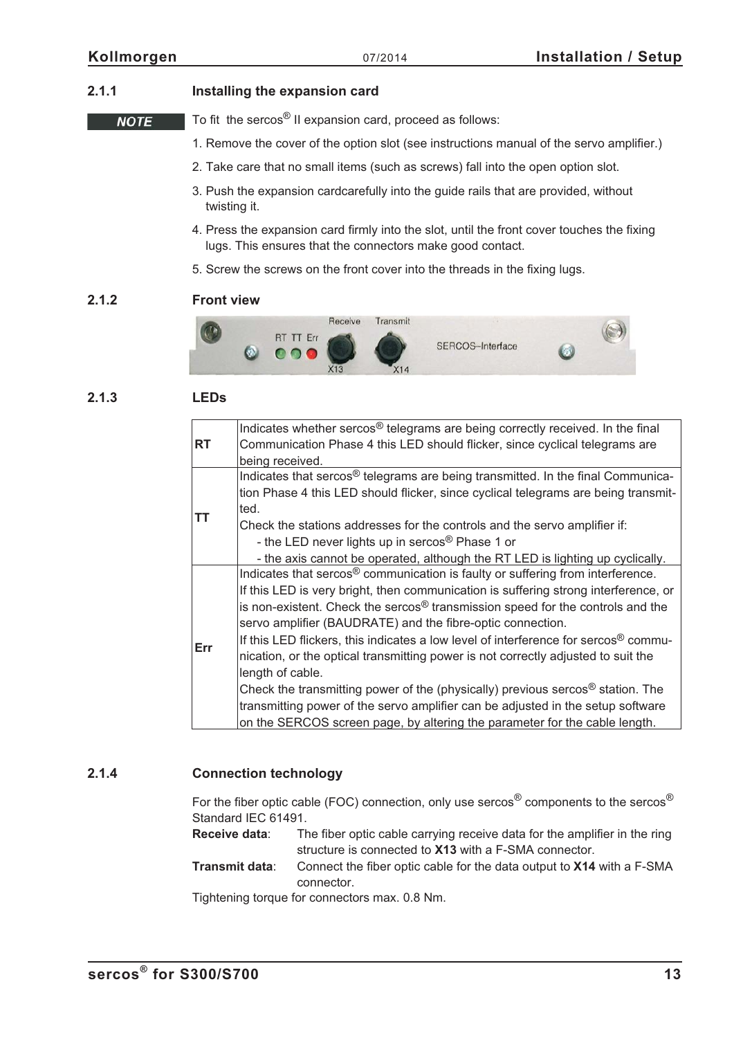**NOTE** 

## <span id="page-12-0"></span>**2.1.1 Installing the expansion card**

To fit the sercos® II expansion card, proceed as follows:

- 1. Remove the cover of the option slot (see instructions manual of the servo amplifier.)
- 2. Take care that no small items (such as screws) fall into the open option slot.
- 3. Push the expansion cardcarefully into the guide rails that are provided, without twisting it.
- 4. Press the expansion card firmly into the slot, until the front cover touches the fixing lugs. This ensures that the connectors make good contact.
- 5. Screw the screws on the front cover into the threads in the fixing lugs.

### **2.1.2 Front view**



## **2.1.3 LEDs**

| <b>RT</b> | Indicates whether sercos <sup>®</sup> telegrams are being correctly received. In the final<br>Communication Phase 4 this LED should flicker, since cyclical telegrams are<br>being received.                                                                                                                                                                                                                                                                                                                                                                                                                                                                                                                                                                                                     |
|-----------|--------------------------------------------------------------------------------------------------------------------------------------------------------------------------------------------------------------------------------------------------------------------------------------------------------------------------------------------------------------------------------------------------------------------------------------------------------------------------------------------------------------------------------------------------------------------------------------------------------------------------------------------------------------------------------------------------------------------------------------------------------------------------------------------------|
| ΤT        | Indicates that sercos <sup>®</sup> telegrams are being transmitted. In the final Communica-<br>tion Phase 4 this LED should flicker, since cyclical telegrams are being transmit-<br>ted.<br>Check the stations addresses for the controls and the servo amplifier if:<br>- the LED never lights up in sercos <sup>®</sup> Phase 1 or<br>- the axis cannot be operated, although the RT LED is lighting up cyclically.                                                                                                                                                                                                                                                                                                                                                                           |
| Err       | Indicates that sercos <sup>®</sup> communication is faulty or suffering from interference.<br>If this LED is very bright, then communication is suffering strong interference, or<br>is non-existent. Check the sercos® transmission speed for the controls and the<br>servo amplifier (BAUDRATE) and the fibre-optic connection.<br>If this LED flickers, this indicates a low level of interference for sercos® commu-<br>nication, or the optical transmitting power is not correctly adjusted to suit the<br>length of cable.<br>Check the transmitting power of the (physically) previous sercos <sup>®</sup> station. The<br>transmitting power of the servo amplifier can be adjusted in the setup software<br>on the SERCOS screen page, by altering the parameter for the cable length. |

## **2.1.4 Connection technology**

For the fiber optic cable (FOC) connection, only use sercos<sup>®</sup> components to the sercos<sup>®</sup> Standard IEC 61491.

**Receive data**: The fiber optic cable carrying receive data for the amplifier in the ring structure is connected to **X13** with a F-SMA connector.

**Transmit data**: Connect the fiber optic cable for the data output to **X14** with a F-SMA connector.

Tightening torque for connectors max. 0.8 Nm.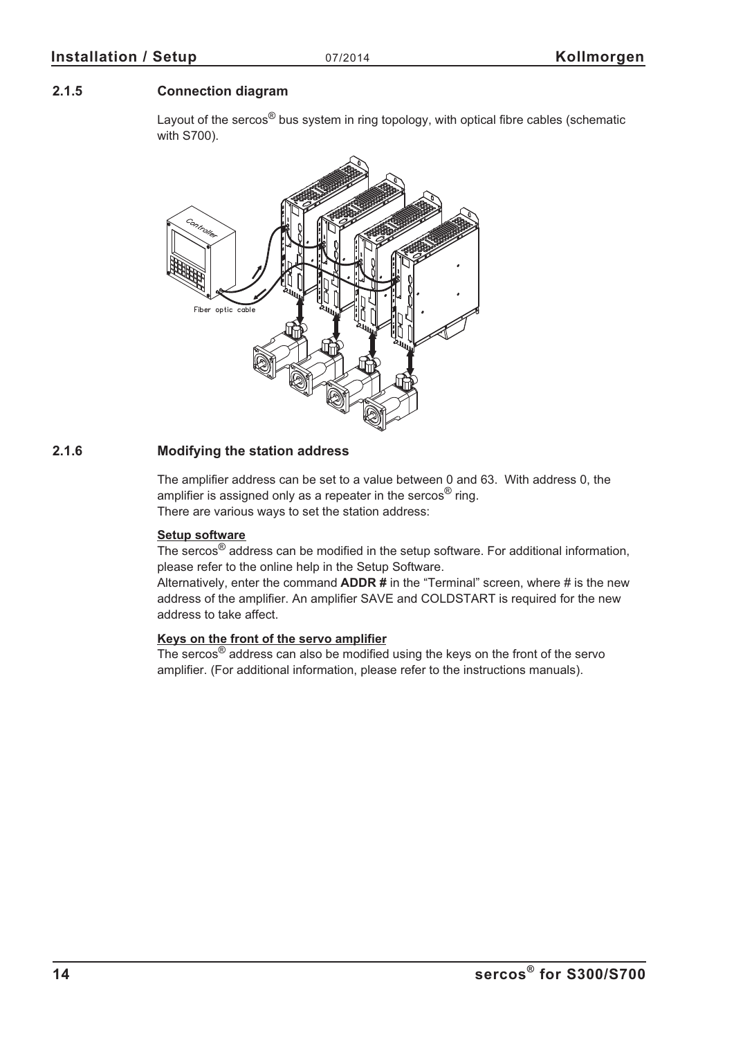## <span id="page-13-0"></span>**2.1.5 Connection diagram**

Layout of the sercos<sup>®</sup> bus system in ring topology, with optical fibre cables (schematic with S700).



## **2.1.6 Modifying the station address**

The amplifier address can be set to a value between 0 and 63. With address 0, the amplifier is assigned only as a repeater in the sercos<sup>®</sup> ring. There are various ways to set the station address:

### **Setup software**

The sercos® address can be modified in the setup software. For additional information, please refer to the online help in the Setup Software.

Alternatively, enter the command **ADDR #** in the "Terminal" screen, where # is the new address of the amplifier. An amplifier SAVE and COLDSTART is required for the new address to take affect.

### **Keys on the front of the servo amplifier**

The sercos® address can also be modified using the keys on the front of the servo amplifier. (For additional information, please refer to the instructions manuals).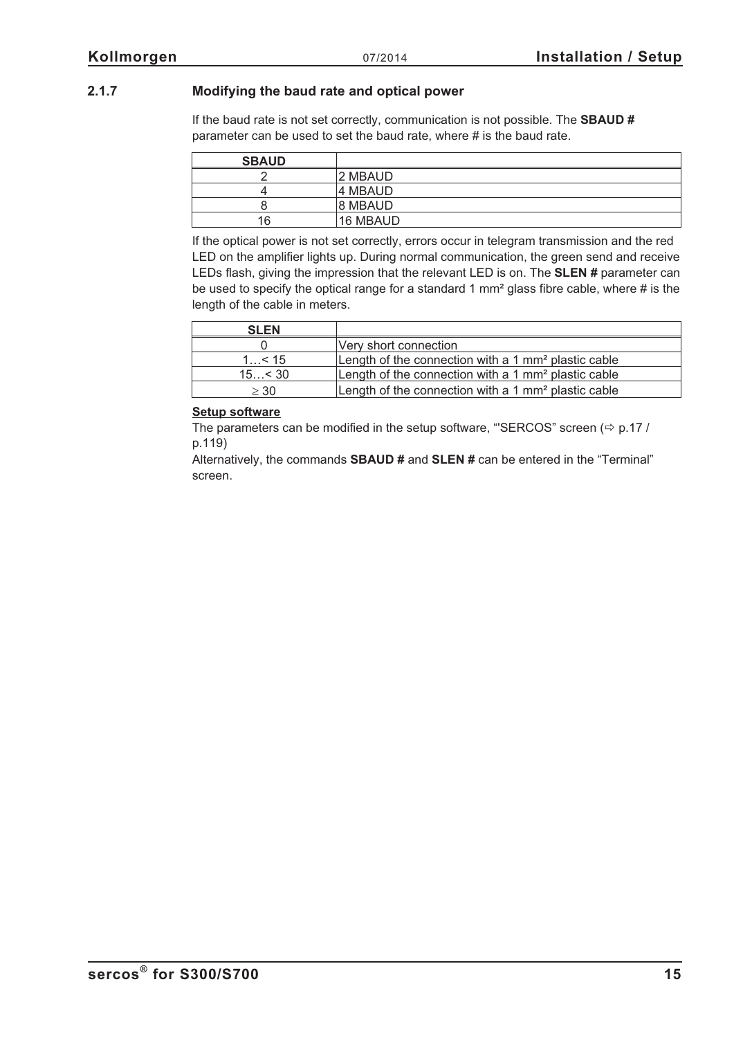## <span id="page-14-0"></span>**2.1.7 Modifying the baud rate and optical power**

If the baud rate is not set correctly, communication is not possible. The **SBAUD #** parameter can be used to set the baud rate, where # is the baud rate.

| <b>SBAUD</b> |          |
|--------------|----------|
|              | 2 MBAUD  |
|              | 14 MBAUD |
|              | 8 MBAUD  |
| 16           | 16 MBAUD |

If the optical power is not set correctly, errors occur in telegram transmission and the red LED on the amplifier lights up. During normal communication, the green send and receive LEDs flash, giving the impression that the relevant LED is on. The **SLEN #** parameter can be used to specify the optical range for a standard 1 mm² glass fibre cable, where # is the length of the cable in meters.

| <b>SLEN</b> |                                                                 |
|-------------|-----------------------------------------------------------------|
|             | Very short connection                                           |
| $1$ < 15    | Length of the connection with a 1 $mm2$ plastic cable           |
| 15 < 30     | Length of the connection with a 1 mm <sup>2</sup> plastic cable |
| $\geq 30$   | Length of the connection with a 1 mm <sup>2</sup> plastic cable |

### **Setup software**

The parameters can be modified in the setup software, "'SERCOS" screen  $(\Rightarrow p.17$  $(\Rightarrow p.17$  / p[.119\)](#page-118-0)

Alternatively, the commands **SBAUD #** and **SLEN #** can be entered in the "Terminal" screen.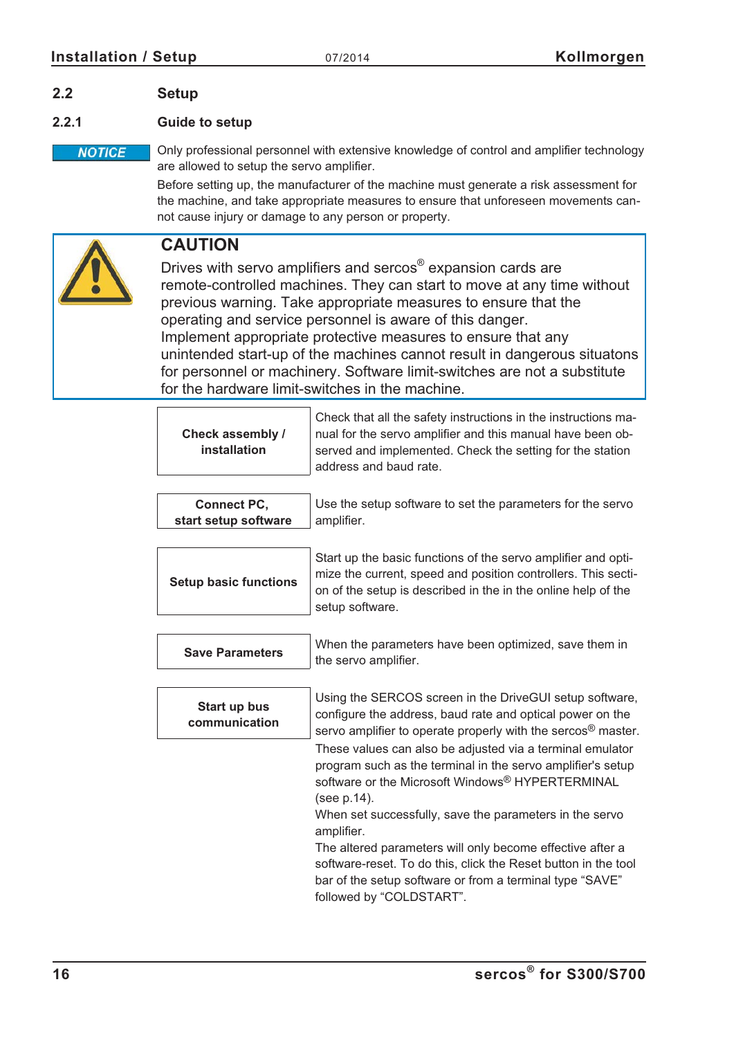## <span id="page-15-0"></span>**2.2 Setup**

## **2.2.1 Guide to setup**

Only professional personnel with extensive knowledge of control and amplifier technology **NOTICE** are allowed to setup the servo amplifier.

> Before setting up, the manufacturer of the machine must generate a risk assessment for the machine, and take appropriate measures to ensure that unforeseen movements cannot cause injury or damage to any person or property.



## **CAUTION**

Drives with servo amplifiers and sercos® expansion cards are remote-controlled machines. They can start to move at any time without previous warning. Take appropriate measures to ensure that the operating and service personnel is aware of this danger. Implement appropriate protective measures to ensure that any unintended start-up of the machines cannot result in dangerous situatons for personnel or machinery. Software limit-switches are not a substitute for the hardware limit-switches in the machine.

| Check assembly /<br><i>installation</i> | Check that all the safety instructions in the instructions ma-<br>nual for the servo amplifier and this manual have been ob-<br>served and implemented. Check the setting for the station<br>address and baud rate. |
|-----------------------------------------|---------------------------------------------------------------------------------------------------------------------------------------------------------------------------------------------------------------------|
|-----------------------------------------|---------------------------------------------------------------------------------------------------------------------------------------------------------------------------------------------------------------------|

| <b>Connect PC.</b>   | Use the setup software to set the parameters for the servo |
|----------------------|------------------------------------------------------------|
| start setup software | l amplifier.                                               |

| <b>Setup basic functions</b> |
|------------------------------|
|                              |

Start up the basic functions of the servo amplifier and optimize the current, speed and position controllers. This section of the setup is described in the in the online help of the setup software.

| <b>Save Parameters</b> | When the parameters have been optimized, save them in |
|------------------------|-------------------------------------------------------|
|                        | the servo amplifier.                                  |

| Start up bus<br>communication | Using the SERCOS screen in the DriveGUI setup software,<br>configure the address, baud rate and optical power on the<br>servo amplifier to operate properly with the sercos <sup>®</sup> master. |
|-------------------------------|--------------------------------------------------------------------------------------------------------------------------------------------------------------------------------------------------|
|                               | These values can also be adjusted via a terminal emulator<br>program such as the terminal in the servo amplifier's setup<br>software or the Microsoft Windows® HYPERTERMINAL<br>(see p.14).      |

When set successfully, save the parameters in the servo amplifier.

The altered parameters will only become effective after a software-reset. To do this, click the Reset button in the tool bar of the setup software or from a terminal type "SAVE" followed by "COLDSTART".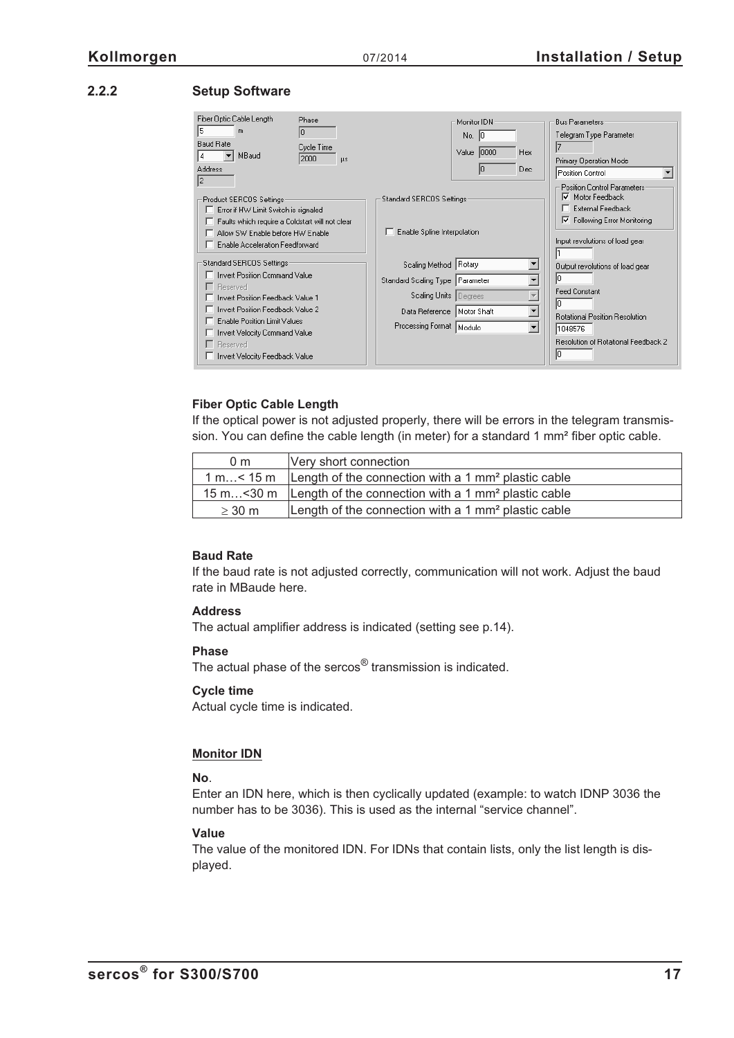## <span id="page-16-0"></span>**2.2.2 Setup Software**

| Fiber Optic Cable Length<br>Phase<br>15.<br>m<br>I٥<br><b>Baud Rate</b><br>Cycle Time<br>MBaud<br>4<br>2000<br>μs.<br>Address<br>12                                                                                                                                            | Monitor IDN<br>No. $ 0 $<br>Value   0000<br>Hex<br>Dec<br>10                                                                                                                                                  | <b>Bus Parameters</b><br>Telegram Type Parameter<br>Primary Operation Mode<br>Position Control<br>Position Control Parameters:                                        |
|--------------------------------------------------------------------------------------------------------------------------------------------------------------------------------------------------------------------------------------------------------------------------------|---------------------------------------------------------------------------------------------------------------------------------------------------------------------------------------------------------------|-----------------------------------------------------------------------------------------------------------------------------------------------------------------------|
| Product SERCOS Settings:<br>Error if HW Limit Switch is signaled<br>F Faults which require a Coldstart will not clear<br>Allow SW Enable before HW Enable<br>E Enable Acceleration Feedforward                                                                                 | Standard SERCOS Settings:<br>Enable Spline Interpolation                                                                                                                                                      | Motor Feedback<br>⊽<br>External Feedback<br>Following Error Monitoring<br>⊽<br>Input revolutions of load gear                                                         |
| Standard SERCOS Settings:<br>□ Invert Position Command Value<br>□ Reserved<br>Invert Position Feedback Value 1<br>□ Invert Position Feedback Value 2<br><b>Enable Position Limit Values</b><br>Invert Velocity Command Value<br>F Reserved<br>□ Invert Velocity Feedback Value | Scaling Method Rotary<br>$\blacktriangledown$<br>٠<br>Standard Scaling Type Parameter<br>Scaling Units Degrees<br>۰<br>Data Reference   Motor Shaft<br>Processing Format   Modulo<br>$\overline{\phantom{a}}$ | Output revolutions of load gear<br>In<br><b>Feed Constant</b><br>lo.<br><b>Rotational Position Resolution</b><br>1048576<br>Resolution of Rotational Feedback 2<br>I٥ |

### **Fiber Optic Cable Length**

If the optical power is not adjusted properly, there will be errors in the telegram transmission. You can define the cable length (in meter) for a standard 1 mm<sup>2</sup> fiber optic cable.

| 0 <sub>m</sub> | Very short connection                                                             |
|----------------|-----------------------------------------------------------------------------------|
|                | 1 m < 15 m $\,$   Length of the connection with a 1 mm <sup>2</sup> plastic cable |
|                | 15 m $\leq$ 30 m Length of the connection with a 1 mm <sup>2</sup> plastic cable  |
| $\geq$ 30 m    | Length of the connection with a 1 mm <sup>2</sup> plastic cable                   |

### **Baud Rate**

If the baud rate is not adjusted correctly, communication will not work. Adjust the baud rate in MBaude here.

### **Address**

The actual amplifier address is indicated (setting see p.[14](#page-13-0)).

### **Phase**

The actual phase of the sercos<sup>®</sup> transmission is indicated.

### **Cycle time**

Actual cycle time is indicated.

### **Monitor IDN**

### **No**.

Enter an IDN here, which is then cyclically updated (example: to watch IDNP 3036 the number has to be 3036). This is used as the internal "service channel".

### **Value**

The value of the monitored IDN. For IDNs that contain lists, only the list length is displayed.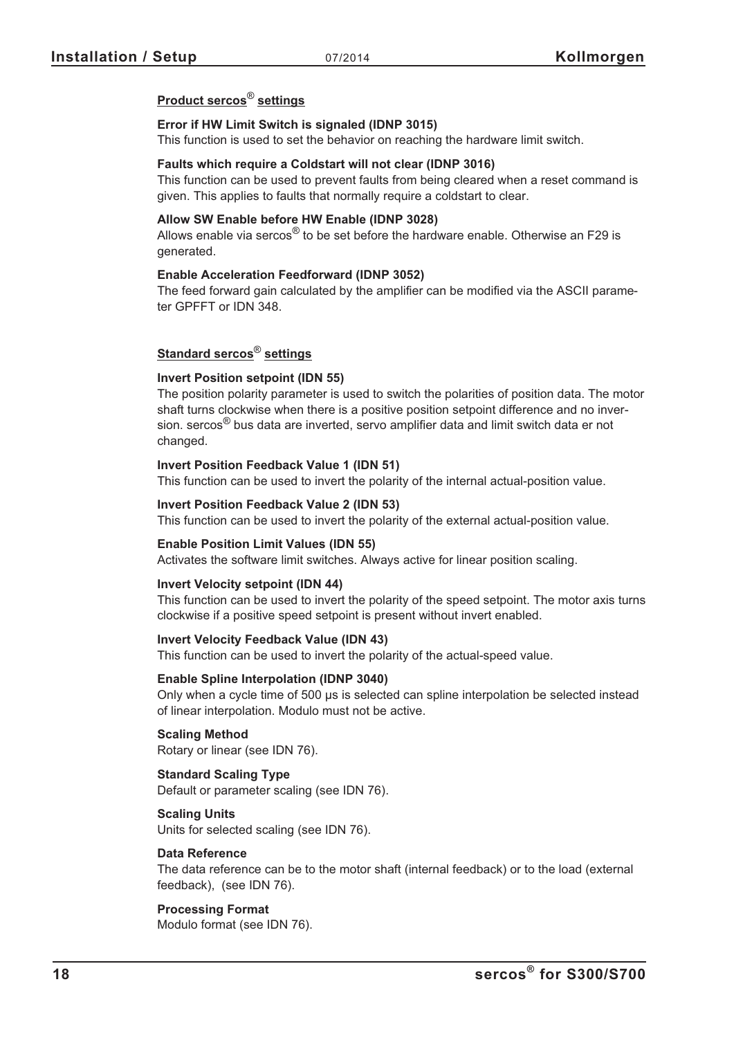### **Product sercos**® **settings**

### **Error if HW Limit Switch is signaled (IDNP 3015)**

This function is used to set the behavior on reaching the hardware limit switch.

### **Faults which require a Coldstart will not clear (IDNP 3016)**

This function can be used to prevent faults from being cleared when a reset command is given. This applies to faults that normally require a coldstart to clear.

### **Allow SW Enable before HW Enable (IDNP 3028)**

Allows enable via sercos<sup>®</sup> to be set before the hardware enable. Otherwise an F29 is generated.

### **Enable Acceleration Feedforward (IDNP 3052)**

The feed forward gain calculated by the amplifier can be modified via the ASCII parameter GPFFT or IDN 348.

## **Standard sercos**® **settings**

### **Invert Position setpoint (IDN 55)**

The position polarity parameter is used to switch the polarities of position data. The motor shaft turns clockwise when there is a positive position setpoint difference and no inversion. sercos<sup>®</sup> bus data are inverted, servo amplifier data and limit switch data er not changed.

### **Invert Position Feedback Value 1 (IDN 51)**

This function can be used to invert the polarity of the internal actual-position value.

### **Invert Position Feedback Value 2 (IDN 53)**

This function can be used to invert the polarity of the external actual-position value.

### **Enable Position Limit Values (IDN 55)**

Activates the software limit switches. Always active for linear position scaling.

#### **Invert Velocity setpoint (IDN 44)**

This function can be used to invert the polarity of the speed setpoint. The motor axis turns clockwise if a positive speed setpoint is present without invert enabled.

### **Invert Velocity Feedback Value (IDN 43)**

This function can be used to invert the polarity of the actual-speed value.

#### **Enable Spline Interpolation (IDNP 3040)**

Only when a cycle time of 500 µs is selected can spline interpolation be selected instead of linear interpolation. Modulo must not be active.

## **Scaling Method**

Rotary or linear (see IDN 76).

### **Standard Scaling Type**

Default or parameter scaling (see IDN 76).

### **Scaling Units**

Units for selected scaling (see IDN 76).

#### **Data Reference**

The data reference can be to the motor shaft (internal feedback) or to the load (external feedback), (see IDN 76).

### **Processing Format**

Modulo format (see IDN 76).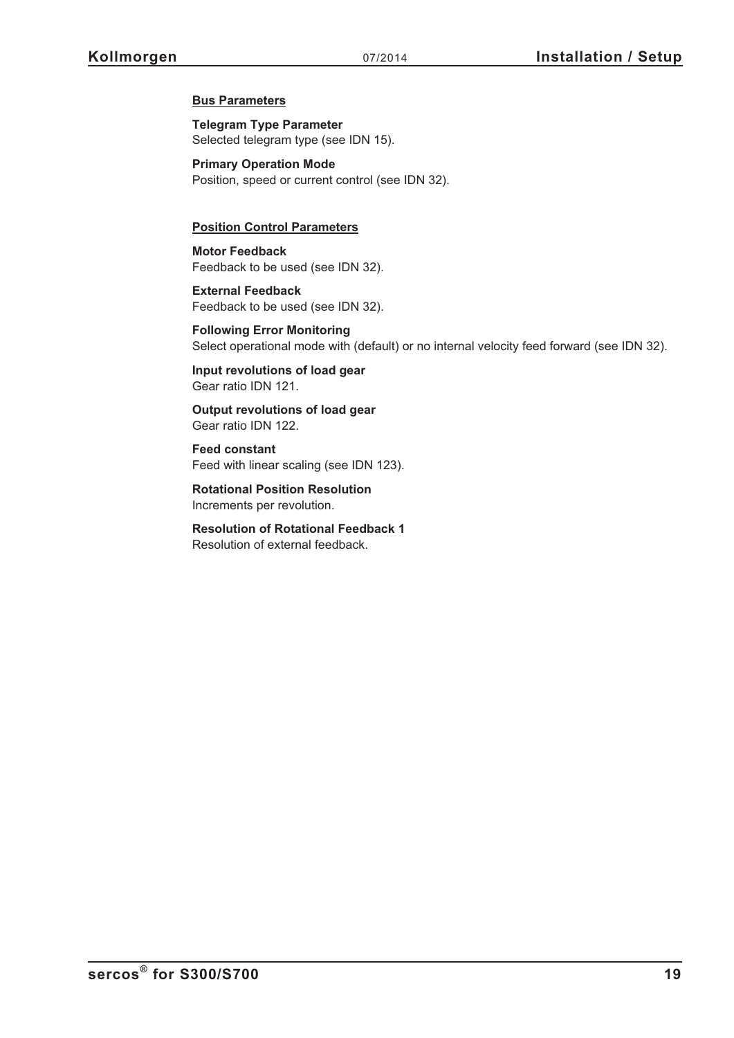### **Bus Parameters**

**Telegram Type Parameter** Selected telegram type (see IDN 15).

**Primary Operation Mode** Position, speed or current control (see IDN 32).

### **Position Control Parameters**

**Motor Feedback** Feedback to be used (see IDN 32).

**External Feedback** Feedback to be used (see IDN 32).

**Following Error Monitoring** Select operational mode with (default) or no internal velocity feed forward (see IDN 32).

**Input revolutions of load gear** Gear ratio IDN 121.

**Output revolutions of load gear** Gear ratio IDN 122.

**Feed constant** Feed with linear scaling (see IDN 123).

**Rotational Position Resolution** Increments per revolution.

**Resolution of Rotational Feedback 1** Resolution of external feedback.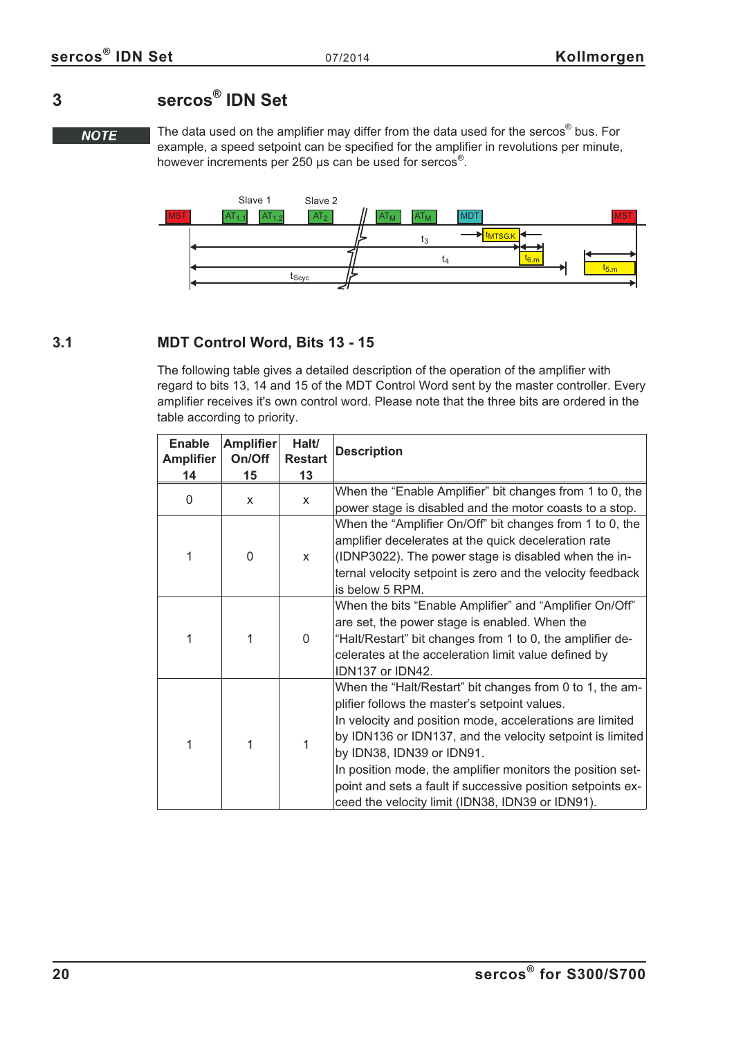## <span id="page-19-0"></span>**3 sercos® IDN Set**

**NOTE** 

The data used on the amplifier may differ from the data used for the sercos<sup>®</sup> bus. For example, a speed setpoint can be specified for the amplifier in revolutions per minute, however increments per 250 µs can be used for sercos®.



## **3.1 MDT Control Word, Bits 13 - 15**

The following table gives a detailed description of the operation of the amplifier with regard to bits 13, 14 and 15 of the MDT Control Word sent by the master controller. Every amplifier receives it's own control word. Please note that the three bits are ordered in the table according to priority.

| <b>Enable</b><br><b>Amplifier</b>   | <b>Amplifier</b><br>On/Off | Halt/<br><b>Restart</b>                                                                                                                                                                                                                                                                                                                                                                                             | <b>Description</b>                                                                                                                                                                                                                                        |  |
|-------------------------------------|----------------------------|---------------------------------------------------------------------------------------------------------------------------------------------------------------------------------------------------------------------------------------------------------------------------------------------------------------------------------------------------------------------------------------------------------------------|-----------------------------------------------------------------------------------------------------------------------------------------------------------------------------------------------------------------------------------------------------------|--|
| 14                                  | 15                         | 13                                                                                                                                                                                                                                                                                                                                                                                                                  |                                                                                                                                                                                                                                                           |  |
| 0                                   | X                          | X                                                                                                                                                                                                                                                                                                                                                                                                                   | When the "Enable Amplifier" bit changes from 1 to 0, the<br>power stage is disabled and the motor coasts to a stop.                                                                                                                                       |  |
| 1                                   | 0                          | $\mathsf{x}$                                                                                                                                                                                                                                                                                                                                                                                                        | When the "Amplifier On/Off" bit changes from 1 to 0, the<br>amplifier decelerates at the quick deceleration rate<br>(IDNP3022). The power stage is disabled when the in-<br>ternal velocity setpoint is zero and the velocity feedback<br>is below 5 RPM. |  |
| 1                                   |                            | $\Omega$                                                                                                                                                                                                                                                                                                                                                                                                            | When the bits "Enable Amplifier" and "Amplifier On/Off"<br>are set, the power stage is enabled. When the<br>"Halt/Restart" bit changes from 1 to 0, the amplifier de-<br>celerates at the acceleration limit value defined by<br>IDN137 or IDN42.         |  |
| 1<br>1<br>by IDN38, IDN39 or IDN91. |                            | When the "Halt/Restart" bit changes from 0 to 1, the am-<br>plifier follows the master's setpoint values.<br>In velocity and position mode, accelerations are limited<br>by IDN136 or IDN137, and the velocity setpoint is limited<br>In position mode, the amplifier monitors the position set-<br>point and sets a fault if successive position setpoints ex-<br>ceed the velocity limit (IDN38, IDN39 or IDN91). |                                                                                                                                                                                                                                                           |  |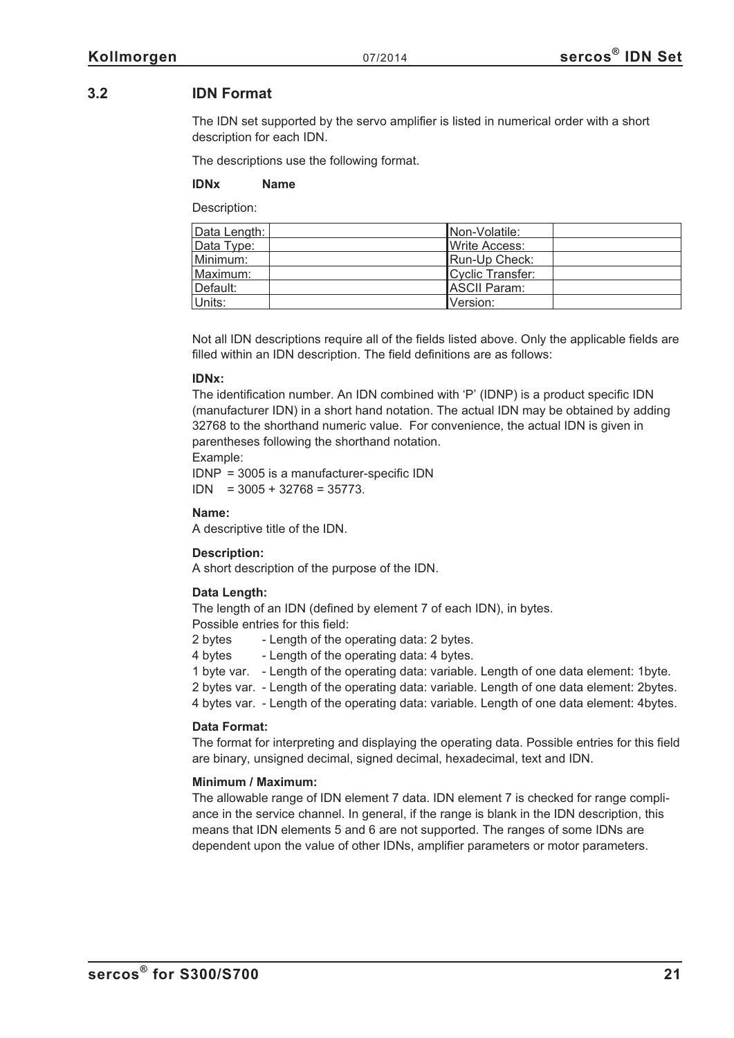## <span id="page-20-0"></span>**3.2 IDN Format**

The IDN set supported by the servo amplifier is listed in numerical order with a short description for each IDN.

The descriptions use the following format.

### **IDNx Name**

Description:

| Data Length: | INon-Volatile:         |
|--------------|------------------------|
| Data Type:   | <b>I</b> Write Access: |
| Minimum:     | Run-Up Check:          |
| Maximum:     | Cyclic Transfer:       |
| Default:     | <b>ASCII Param:</b>    |
| Units:       | Version:               |

Not all IDN descriptions require all of the fields listed above. Only the applicable fields are filled within an IDN description. The field definitions are as follows:

### **IDNx:**

The identification number. An IDN combined with 'P' (IDNP) is a product specific IDN (manufacturer IDN) in a short hand notation. The actual IDN may be obtained by adding 32768 to the shorthand numeric value. For convenience, the actual IDN is given in parentheses following the shorthand notation.

### Example:

IDNP = 3005 is a manufacturer-specific IDN  $IDN = 3005 + 32768 = 35773.$ 

### **Name:**

A descriptive title of the IDN.

### **Description:**

A short description of the purpose of the IDN.

### **Data Length:**

The length of an IDN (defined by element 7 of each IDN), in bytes. Possible entries for this field:

2 bytes - Length of the operating data: 2 bytes.

4 bytes - Length of the operating data: 4 bytes.

1 byte var. - Length of the operating data: variable. Length of one data element: 1byte.

2 bytes var. - Length of the operating data: variable. Length of one data element: 2bytes.

4 bytes var. - Length of the operating data: variable. Length of one data element: 4bytes.

### **Data Format:**

The format for interpreting and displaying the operating data. Possible entries for this field are binary, unsigned decimal, signed decimal, hexadecimal, text and IDN.

### **Minimum / Maximum:**

The allowable range of IDN element 7 data. IDN element 7 is checked for range compliance in the service channel. In general, if the range is blank in the IDN description, this means that IDN elements 5 and 6 are not supported. The ranges of some IDNs are dependent upon the value of other IDNs, amplifier parameters or motor parameters.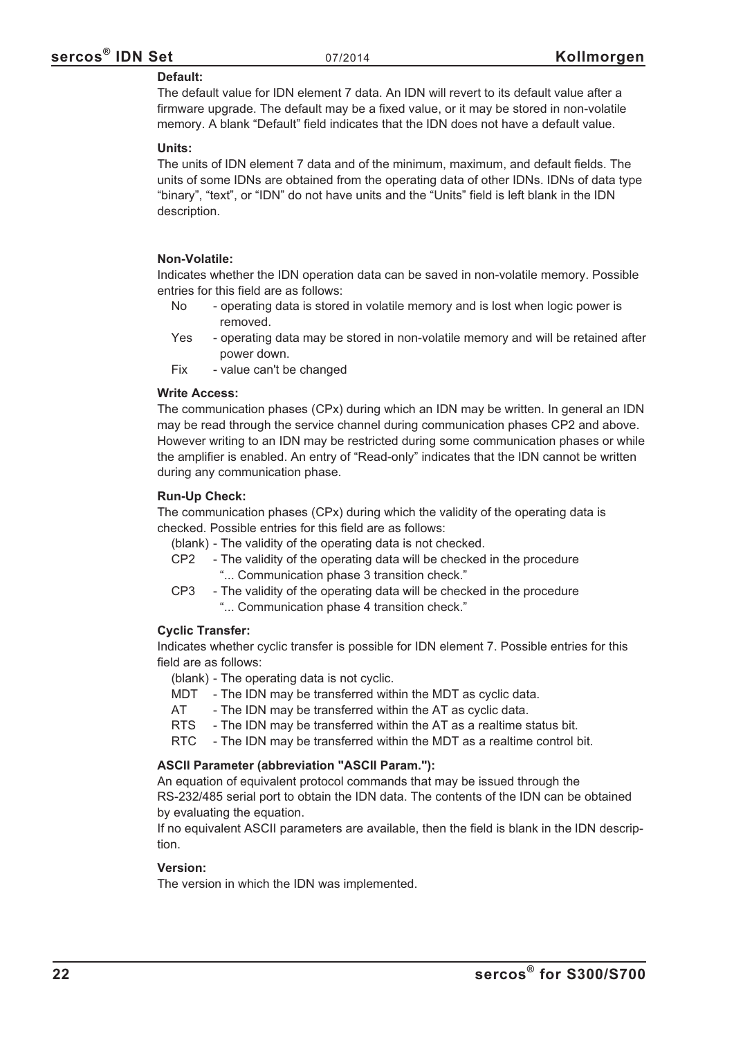### **Default:**

The default value for IDN element 7 data. An IDN will revert to its default value after a firmware upgrade. The default may be a fixed value, or it may be stored in non-volatile memory. A blank "Default" field indicates that the IDN does not have a default value.

### **Units:**

The units of IDN element 7 data and of the minimum, maximum, and default fields. The units of some IDNs are obtained from the operating data of other IDNs. IDNs of data type "binary", "text", or "IDN" do not have units and the "Units" field is left blank in the IDN description.

### **Non-Volatile:**

Indicates whether the IDN operation data can be saved in non-volatile memory. Possible entries for this field are as follows:

- No operating data is stored in volatile memory and is lost when logic power is removed.
- Yes operating data may be stored in non-volatile memory and will be retained after power down.
- Fix value can't be changed

### **Write Access:**

The communication phases (CPx) during which an IDN may be written. In general an IDN may be read through the service channel during communication phases CP2 and above. However writing to an IDN may be restricted during some communication phases or while the amplifier is enabled. An entry of "Read-only" indicates that the IDN cannot be written during any communication phase.

### **Run-Up Check:**

The communication phases (CPx) during which the validity of the operating data is checked. Possible entries for this field are as follows:

(blank) - The validity of the operating data is not checked.

- CP2 The validity of the operating data will be checked in the procedure "... Communication phase 3 transition check."
- CP3 The validity of the operating data will be checked in the procedure "... Communication phase 4 transition check."

### **Cyclic Transfer:**

Indicates whether cyclic transfer is possible for IDN element 7. Possible entries for this field are as follows:

(blank) - The operating data is not cyclic.

MDT - The IDN may be transferred within the MDT as cyclic data.

AT - The IDN may be transferred within the AT as cyclic data.

- RTS The IDN may be transferred within the AT as a realtime status bit.
- RTC The IDN may be transferred within the MDT as a realtime control bit.

### **ASCII Parameter (abbreviation "ASCII Param."):**

An equation of equivalent protocol commands that may be issued through the RS-232/485 serial port to obtain the IDN data. The contents of the IDN can be obtained by evaluating the equation.

If no equivalent ASCII parameters are available, then the field is blank in the IDN description.

### **Version:**

The version in which the IDN was implemented.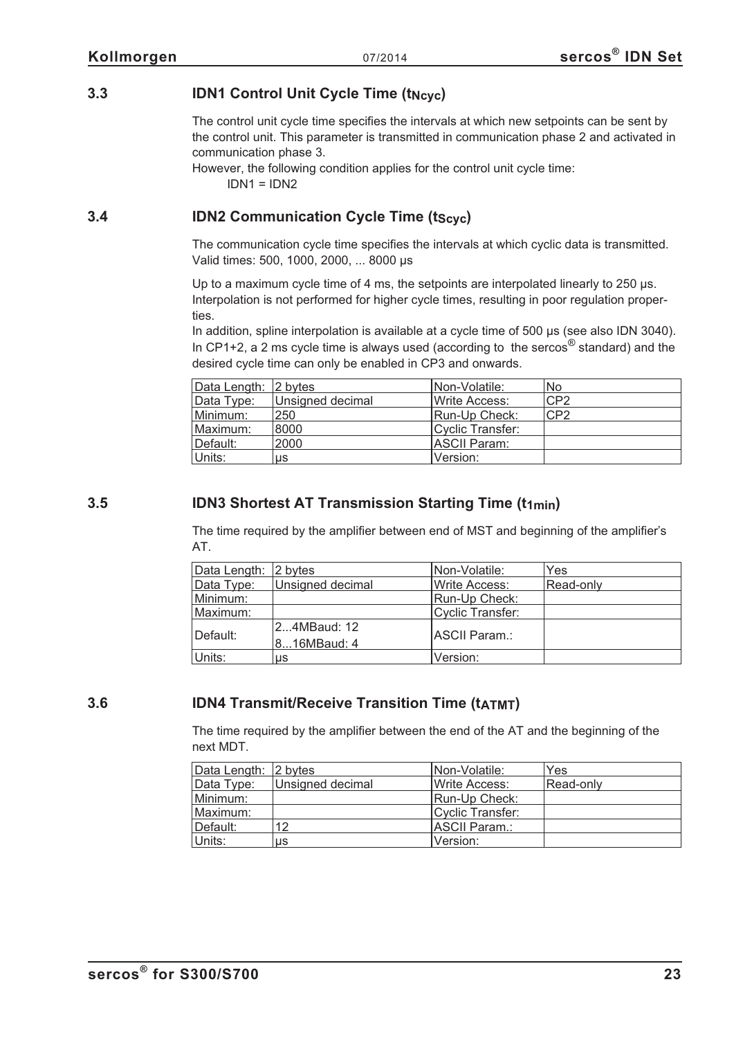## <span id="page-22-0"></span>**3.3 IDN1 Control Unit Cycle Time (t<sub>Ncyc</sub>)**

The control unit cycle time specifies the intervals at which new setpoints can be sent by the control unit. This parameter is transmitted in communication phase 2 and activated in communication phase 3.

However, the following condition applies for the control unit cycle time:  $IDN1 = IDN2$ 

## **3.4 IDN2 Communication Cycle Time (tscyc)**

The communication cycle time specifies the intervals at which cyclic data is transmitted. Valid times: 500, 1000, 2000, ... 8000 µs

Up to a maximum cycle time of 4 ms, the setpoints are interpolated linearly to 250 µs. Interpolation is not performed for higher cycle times, resulting in poor regulation properties.

In addition, spline interpolation is available at a cycle time of 500 us (see also IDN 3040). In CP1+2, a 2 ms cycle time is always used (according to the sercos<sup>®</sup> standard) and the desired cycle time can only be enabled in CP3 and onwards.

| Data Length: 2 bytes |                  | INon-Volatile:   | No.             |
|----------------------|------------------|------------------|-----------------|
| Data Type:           | Unsigned decimal | Write Access:    | CP <sub>2</sub> |
| Minimum:             | 250              | Run-Up Check:    | CP <sub>2</sub> |
| Maximum:             | 8000             | Cyclic Transfer: |                 |
| Default:             | 2000             | ASCII Param:     |                 |
| Units:               | μs               | Version:         |                 |

## **3.5 IDN3 Shortest AT Transmission Starting Time (t1min)**

The time required by the amplifier between end of MST and beginning of the amplifier's AT.

| Data Length: 2 bytes |                  | Non-Volatile:          | Yes       |
|----------------------|------------------|------------------------|-----------|
| Data Type:           | Unsigned decimal | <b>I</b> Write Access: | Read-only |
| Minimum:             |                  | Run-Up Check:          |           |
| Maximum:             |                  | Cyclic Transfer:       |           |
| Default:             | 24MBaud: 12      | <b>IASCII Param.:</b>  |           |
|                      | 816MBaud: 4      |                        |           |
| Units:               | us               | Version:               |           |

## **3.6 IDN4 Transmit/Receive Transition Time (t<sub>ATMT</sub>)**

The time required by the amplifier between the end of the AT and the beginning of the next MDT.

| Data Length: 2 bytes |                  | Non-Volatile:          | Yes       |
|----------------------|------------------|------------------------|-----------|
| Data Type:           | Unsigned decimal | <b>I</b> Write Access: | Read-only |
| Minimum:             |                  | Run-Up Check:          |           |
| Maximum:             |                  | Cyclic Transfer:       |           |
| Default:             | 12               | <b>IASCII Param.:</b>  |           |
| Units:               | us               | Version:               |           |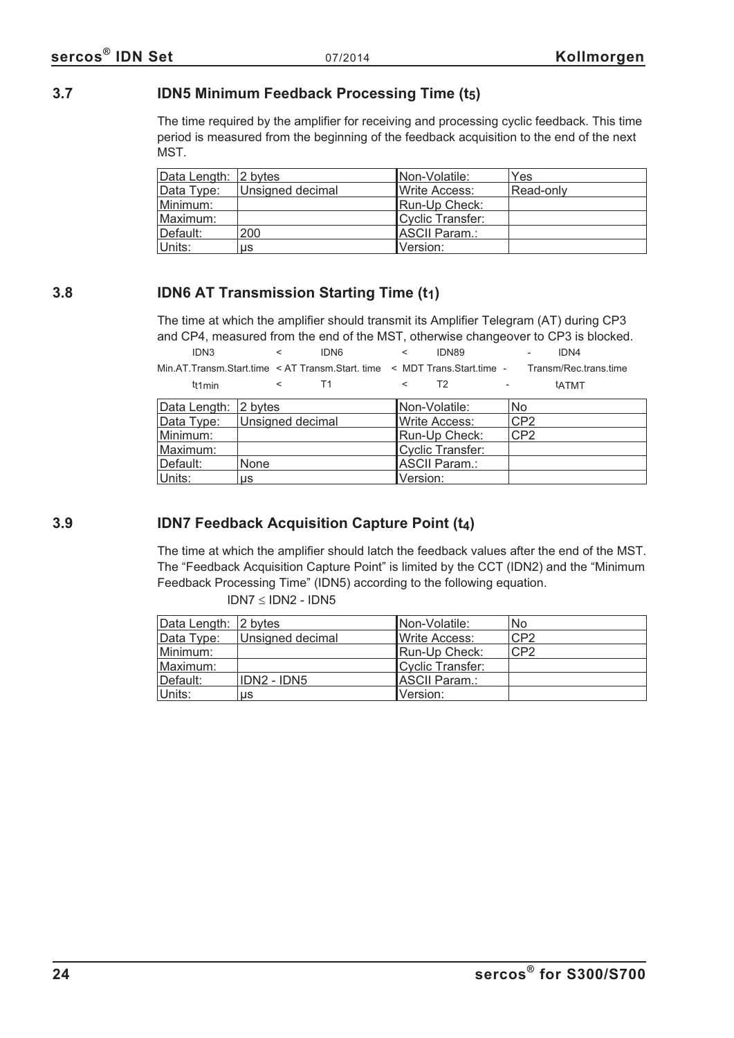## <span id="page-23-0"></span>**3.7 IDN5 Minimum Feedback Processing Time (t5)**

The time required by the amplifier for receiving and processing cyclic feedback. This time period is measured from the beginning of the feedback acquisition to the end of the next MST.

| Data Length: 2 bytes |                  | Non-Volatile:        | Yes       |
|----------------------|------------------|----------------------|-----------|
| Data Type:           | Unsigned decimal | Write Access:        | Read-only |
| Minimum:             |                  | Run-Up Check:        |           |
| Maximum:             |                  | Cyclic Transfer:     |           |
| Default:             | 200              | <b>ASCII Param.:</b> |           |
| Units:               | us               | Version:             |           |

## **3.8 IDN6 AT Transmission Starting Time (t1)**

The time at which the amplifier should transmit its Amplifier Telegram (AT) during CP3 and CP4, measured from the end of the MST, otherwise changeover to CP3 is blocked.

| IDN3                                                                      | IDN6 |  | <b>IDN89</b> |               | IDN4                  |  |
|---------------------------------------------------------------------------|------|--|--------------|---------------|-----------------------|--|
| Min.AT.Transm.Start.time < AT Transm.Start. time < MDT Trans.Start.time - |      |  |              |               | Transm/Rec.trans.time |  |
| tt1min                                                                    |      |  |              | $\sim$ $\sim$ | tatMT                 |  |

| Data Length: 2 bytes |                  | Non-Volatile:        | <b>No</b>       |
|----------------------|------------------|----------------------|-----------------|
| Data Type:           | Unsigned decimal | <b>Write Access:</b> | CP <sub>2</sub> |
| Minimum:             |                  | Run-Up Check:        | CP <sub>2</sub> |
| Maximum:             |                  | Cyclic Transfer:     |                 |
| Default:             | None             | ASCII Param.:        |                 |
| Units:               | us               | Version:             |                 |

## **3.9 IDN7 Feedback Acquisition Capture Point (t4)**

The time at which the amplifier should latch the feedback values after the end of the MST. The "Feedback Acquisition Capture Point" is limited by the CCT (IDN2) and the "Minimum Feedback Processing Time" (IDN5) according to the following equation.

| Data Length: 2 bytes |                  | INon-Volatile:         | No.             |
|----------------------|------------------|------------------------|-----------------|
| Data Type:           | Unsigned decimal | <b>I</b> Write Access: | CP2             |
| Minimum:             |                  | Run-Up Check:          | CP <sub>2</sub> |
| Maximum:             |                  | Cyclic Transfer:       |                 |
| Default:             | IDN2 - IDN5      | <b>ASCII Param.:</b>   |                 |
| Units:               | us               | Version:               |                 |

 $IDN7 \leq IDN2 - IDN5$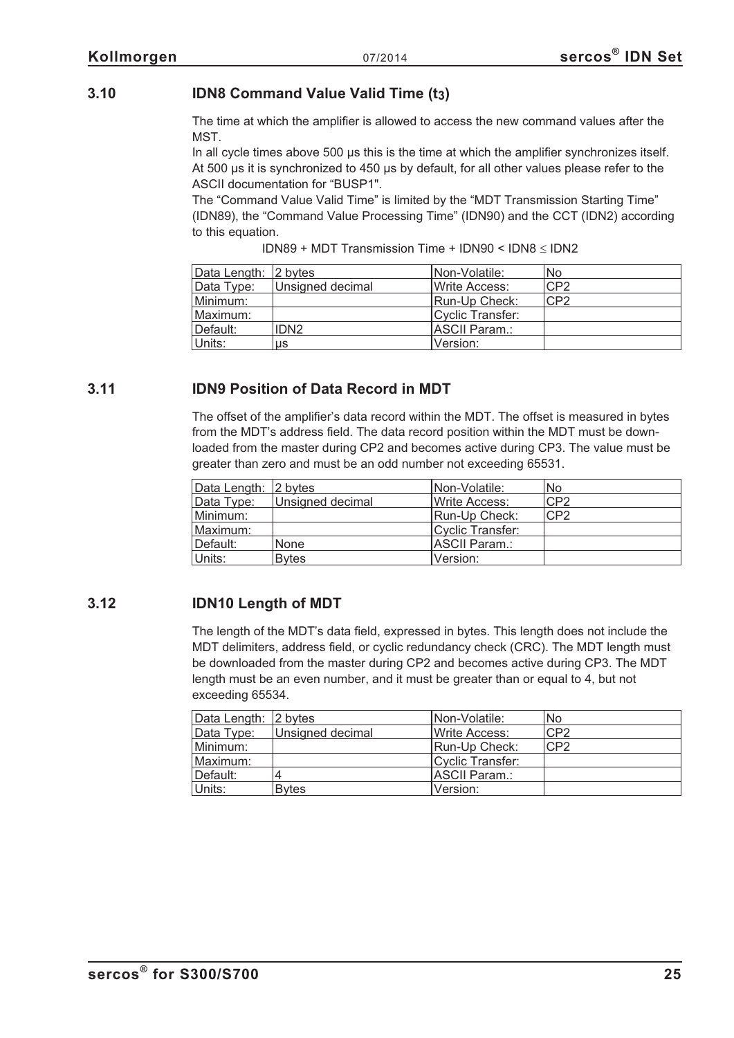## <span id="page-24-0"></span>**3.10 IDN8 Command Value Valid Time (t3)**

The time at which the amplifier is allowed to access the new command values after the MST.

In all cycle times above 500 µs this is the time at which the amplifier synchronizes itself. At 500 µs it is synchronized to 450 µs by default, for all other values please refer to the ASCII documentation for "BUSP1".

The "Command Value Valid Time" is limited by the "MDT Transmission Starting Time" (IDN89), the "Command Value Processing Time" (IDN90) and the CCT (IDN2) according to this equation.

 $IDN89 + MDT$  Transmission Time +  $IDN90 < IDN8 \leq IDN2$ 

| Data Length: 2 bytes |                  | Non-Volatile:    | No              |
|----------------------|------------------|------------------|-----------------|
| Data Type:           | Unsigned decimal | Write Access:    | CP <sub>2</sub> |
| Minimum:             |                  | Run-Up Check:    | CP2             |
| Maximum:             |                  | Cyclic Transfer: |                 |
| Default:             | IDN <sub>2</sub> | IASCII Param.:   |                 |
| Units:               | us               | Version:         |                 |

## **3.11 IDN9 Position of Data Record in MDT**

The offset of the amplifier's data record within the MDT. The offset is measured in bytes from the MDT's address field. The data record position within the MDT must be downloaded from the master during CP2 and becomes active during CP3. The value must be greater than zero and must be an odd number not exceeding 65531.

| Data Length: 2 bytes |                  | <b>I</b> Non-Volatile: | No              |
|----------------------|------------------|------------------------|-----------------|
| Data Type:           | Unsigned decimal | Write Access:          | CP <sub>2</sub> |
| Minimum:             |                  | Run-Up Check:          | CP <sub>2</sub> |
| : Maximum            |                  | Cyclic Transfer:       |                 |
| ∣Default:            | <b>None</b>      | ASCII Param.:          |                 |
| Units:               | <b>B</b> vtes    | Version:               |                 |

## **3.12 IDN10 Length of MDT**

The length of the MDT's data field, expressed in bytes. This length does not include the MDT delimiters, address field, or cyclic redundancy check (CRC). The MDT length must be downloaded from the master during CP2 and becomes active during CP3. The MDT length must be an even number, and it must be greater than or equal to 4, but not exceeding 65534.

| Data Length: 2 bytes |                  | INon-Volatile:   | No.             |
|----------------------|------------------|------------------|-----------------|
| Data Type:           | Unsigned decimal | Write Access:    | CP <sub>2</sub> |
| Minimum:             |                  | Run-Up Check:    | CP2             |
| Maximum:             |                  | Cyclic Transfer: |                 |
| Default:             |                  | ASCII Param.:    |                 |
| Units:               | <b>B</b> vtes    | Version:         |                 |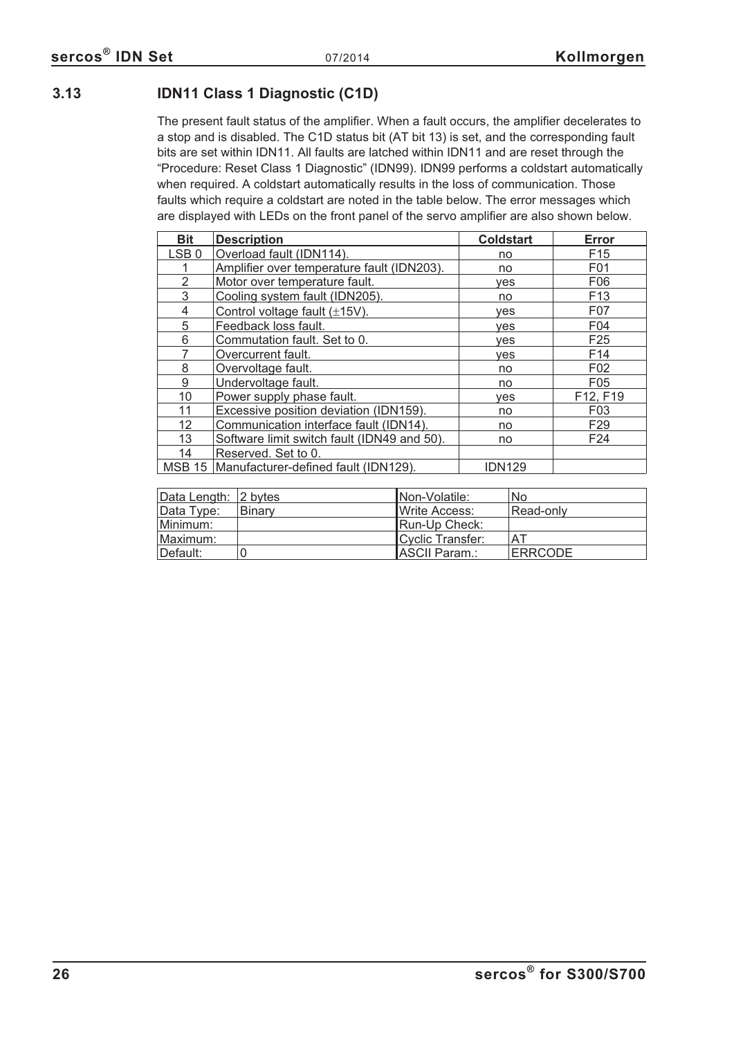## <span id="page-25-0"></span>**3.13 IDN11 Class 1 Diagnostic (C1D)**

The present fault status of the amplifier. When a fault occurs, the amplifier decelerates to a stop and is disabled. The C1D status bit (AT bit 13) is set, and the corresponding fault bits are set within IDN11. All faults are latched within IDN11 and are reset through the "Procedure: Reset Class 1 Diagnostic" (IDN99). IDN99 performs a coldstart automatically when required. A coldstart automatically results in the loss of communication. Those faults which require a coldstart are noted in the table below. The error messages which are displayed with LEDs on the front panel of the servo amplifier are also shown below.

| <b>Bit</b>       | <b>Description</b>                          | <b>Coldstart</b> | <b>Error</b>    |
|------------------|---------------------------------------------|------------------|-----------------|
| LSB <sub>0</sub> | Overload fault (IDN114).                    | no               | F <sub>15</sub> |
|                  | Amplifier over temperature fault (IDN203).  | no               | F01             |
| 2                | Motor over temperature fault.               | ves              | F <sub>06</sub> |
| 3                | Cooling system fault (IDN205).              | no               | F <sub>13</sub> |
| 4                | Control voltage fault $(\pm 15V)$ .         | yes              | F07             |
| 5                | Feedback loss fault.                        | ves              | F04             |
| 6                | Commutation fault. Set to 0.                | ves              | F <sub>25</sub> |
|                  | Overcurrent fault.                          | ves              | F <sub>14</sub> |
| 8                | Overvoltage fault.                          | no               | F02             |
| 9                | Undervoltage fault.                         | no               | F <sub>05</sub> |
| 10               | Power supply phase fault.                   | yes              | F12, F19        |
| 11               | Excessive position deviation (IDN159).      | no               | F <sub>03</sub> |
| 12               | Communication interface fault (IDN14).      | no               | F <sub>29</sub> |
| 13               | Software limit switch fault (IDN49 and 50). | no               | F <sub>24</sub> |
| 14               | Reserved. Set to 0.                         |                  |                 |
| <b>MSB 15</b>    | Manufacturer-defined fault (IDN129).        | <b>IDN129</b>    |                 |

| Data Length: 2 bytes |               | Non-Volatile:    | No             |
|----------------------|---------------|------------------|----------------|
| Data Type:           | <b>Binary</b> | IWrite Access:   | Read-only      |
| Minimum:             |               | Run-Up Check:    |                |
| Maximum:             |               | Cyclic Transfer: | ΑT             |
| ⊺Default:            |               | ASCII Param.:    | <b>ERRCODE</b> |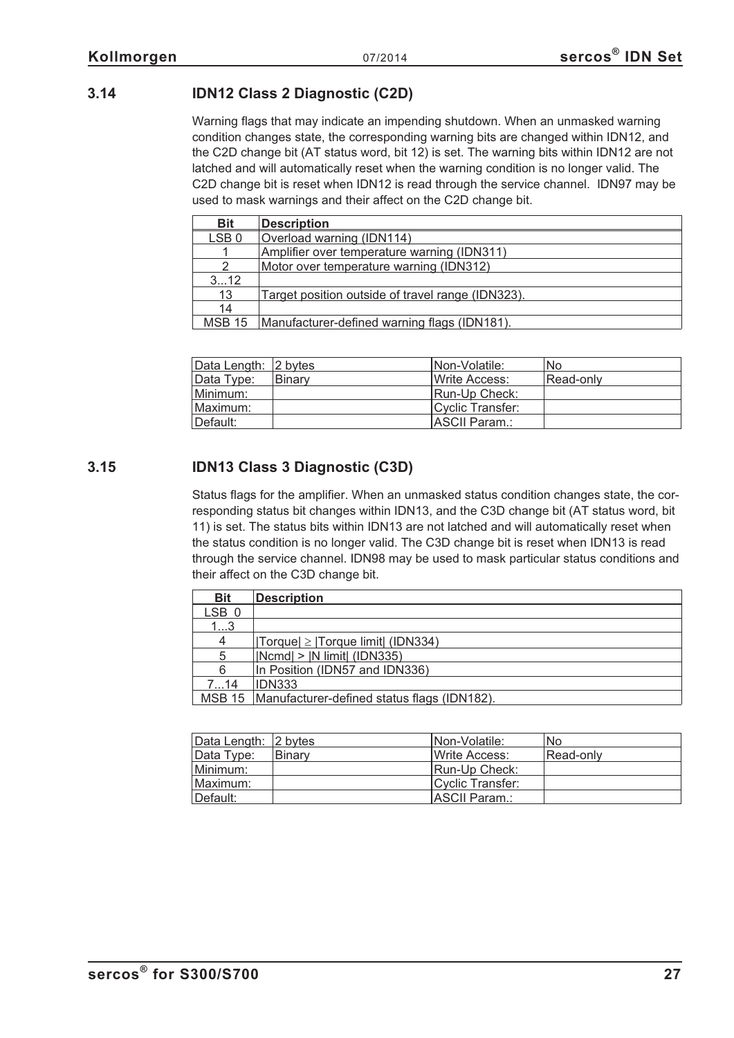## <span id="page-26-0"></span>**3.14 IDN12 Class 2 Diagnostic (C2D)**

Warning flags that may indicate an impending shutdown. When an unmasked warning condition changes state, the corresponding warning bits are changed within IDN12, and the C2D change bit (AT status word, bit 12) is set. The warning bits within IDN12 are not latched and will automatically reset when the warning condition is no longer valid. The C2D change bit is reset when IDN12 is read through the service channel. IDN97 may be used to mask warnings and their affect on the C2D change bit.

| <b>Bit</b>       | <b>Description</b>                                |
|------------------|---------------------------------------------------|
| LSB <sub>0</sub> | Overload warning (IDN114)                         |
|                  | Amplifier over temperature warning (IDN311)       |
|                  | Motor over temperature warning (IDN312)           |
| 312              |                                                   |
| 13               | Target position outside of travel range (IDN323). |
| 14               |                                                   |
| <b>MSB 15</b>    | Manufacturer-defined warning flags (IDN181).      |

Data Length: 2 bytes Non-Volatile: Non-Volatile: Non-Volatile: Non-Volatile: Non-Volatile: Non-Volatile: Non-Volatile: Non-Volatile: Non-Volatile: Non-Volatile: Non-Volatile: Non-Volatile: Non-Volatile: Non-Volatile: Non-V Data Type: Binary Number 2016 Number 2016 Minimum: | Run-Up Check: Maximum: | Cyclic Transfer: Default: ASCII Param.:

## **3.15 IDN13 Class 3 Diagnostic (C3D)**

Status flags for the amplifier. When an unmasked status condition changes state, the corresponding status bit changes within IDN13, and the C3D change bit (AT status word, bit 11) is set. The status bits within IDN13 are not latched and will automatically reset when the status condition is no longer valid. The C3D change bit is reset when IDN13 is read through the service channel. IDN98 may be used to mask particular status conditions and their affect on the C3D change bit.

| <b>Bit</b>       | <b>Description</b>                                   |
|------------------|------------------------------------------------------|
| LSB 0            |                                                      |
| 13               |                                                      |
| 4                | $ Torque  \ge  Torque limit $ (IDN334)               |
| 5                | $ Normal  >  N$ limit $  (IDN335)$                   |
| 6                | In Position (IDN57 and IDN336)                       |
| 7 <sub></sub> 14 | <b>IDN333</b>                                        |
|                  | MSB 15   Manufacturer-defined status flags (IDN182). |

| Data Length: 2 bytes |        | INon-Volatile:        | lNo       |
|----------------------|--------|-----------------------|-----------|
| Data Type:           | Binary | <b>IWrite Access:</b> | Read-only |
| Minimum:             |        | Run-Up Check:         |           |
| Maximum:             |        | Cyclic Transfer:      |           |
| Default:             |        | ASCII Param.:         |           |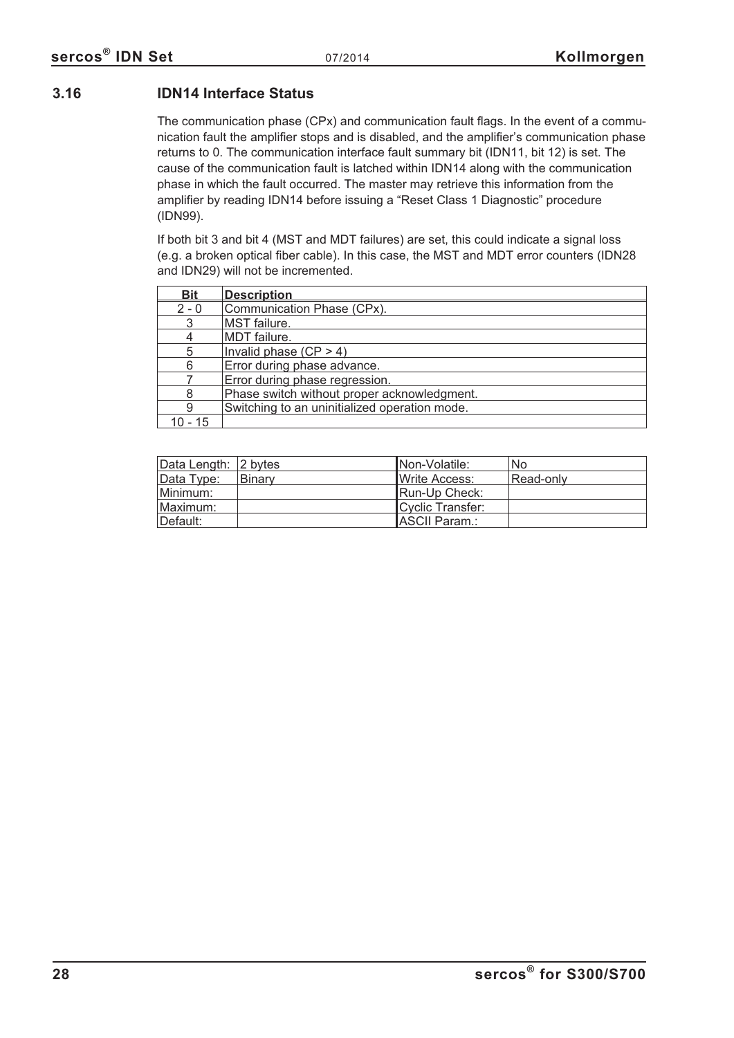## <span id="page-27-0"></span>**3.16 IDN14 Interface Status**

The communication phase (CPx) and communication fault flags. In the event of a communication fault the amplifier stops and is disabled, and the amplifier's communication phase returns to 0. The communication interface fault summary bit (IDN11, bit 12) is set. The cause of the communication fault is latched within IDN14 along with the communication phase in which the fault occurred. The master may retrieve this information from the amplifier by reading IDN14 before issuing a "Reset Class 1 Diagnostic" procedure (IDN99).

If both bit 3 and bit 4 (MST and MDT failures) are set, this could indicate a signal loss (e.g. a broken optical fiber cable). In this case, the MST and MDT error counters (IDN28 and IDN29) will not be incremented.

| <b>Bit</b> | <b>Description</b>                            |
|------------|-----------------------------------------------|
| $2 - 0$    | Communication Phase (CPx).                    |
| 3          | MST failure.                                  |
| 4          | <b>MDT</b> failure.                           |
| 5          | Invalid phase $(CP > 4)$                      |
| 6          | Error during phase advance.                   |
|            | Error during phase regression.                |
| 8          | Phase switch without proper acknowledgment.   |
| 9          | Switching to an uninitialized operation mode. |
| า - 15     |                                               |

| Data Length: 2 bytes |        | INon-Volatile:        | No        |
|----------------------|--------|-----------------------|-----------|
| Data Type:           | Binary | <b>IWrite Access:</b> | Read-only |
| Minimum:             |        | Run-Up Check:         |           |
| Maximum:             |        | Cyclic Transfer:      |           |
| Default:             |        | <b>IASCII Param.:</b> |           |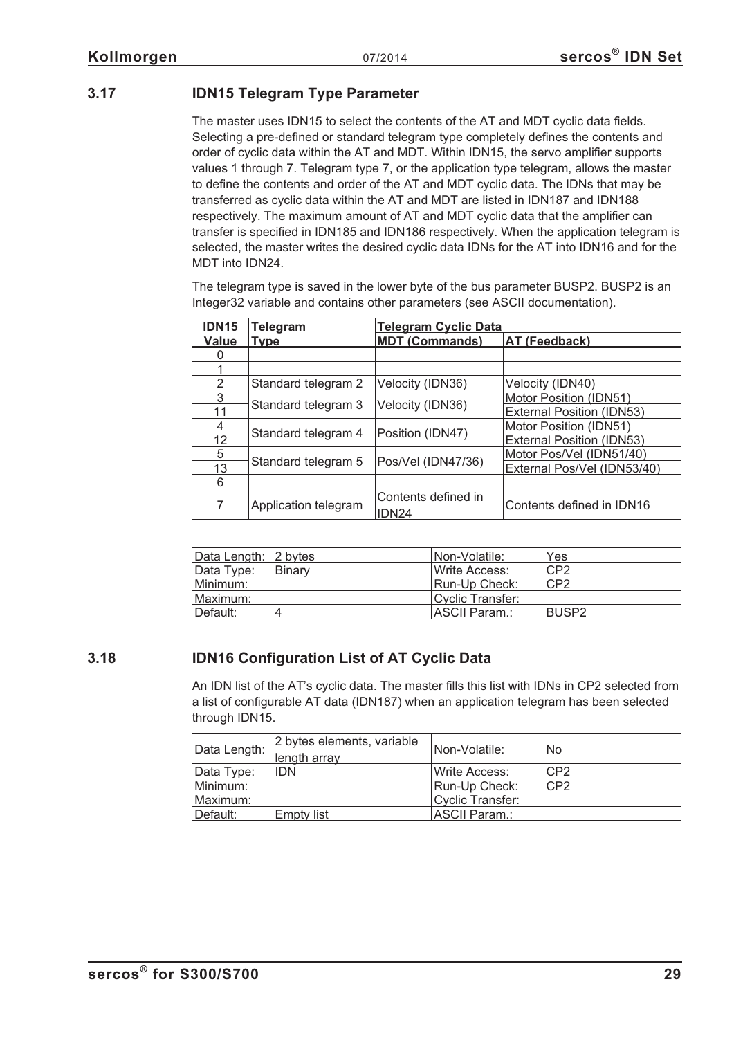## <span id="page-28-0"></span>**3.17 IDN15 Telegram Type Parameter**

The master uses IDN15 to select the contents of the AT and MDT cyclic data fields. Selecting a pre-defined or standard telegram type completely defines the contents and order of cyclic data within the AT and MDT. Within IDN15, the servo amplifier supports values 1 through 7. Telegram type 7, or the application type telegram, allows the master to define the contents and order of the AT and MDT cyclic data. The IDNs that may be transferred as cyclic data within the AT and MDT are listed in IDN187 and IDN188 respectively. The maximum amount of AT and MDT cyclic data that the amplifier can transfer is specified in IDN185 and IDN186 respectively. When the application telegram is selected, the master writes the desired cyclic data IDNs for the AT into IDN16 and for the MDT into IDN24.

The telegram type is saved in the lower byte of the bus parameter BUSP2. BUSP2 is an Integer32 variable and contains other parameters (see ASCII documentation).

| <b>IDN15</b> | Telegram             | <b>Telegram Cyclic Data</b>              |                                  |
|--------------|----------------------|------------------------------------------|----------------------------------|
| <b>Value</b> | <b>Type</b>          | <b>MDT (Commands)</b>                    | <b>AT (Feedback)</b>             |
|              |                      |                                          |                                  |
|              |                      |                                          |                                  |
| 2            | Standard telegram 2  | Velocity (IDN36)                         | Velocity (IDN40)                 |
| 3            |                      |                                          | Motor Position (IDN51)           |
| 11           | Standard telegram 3  | Velocity (IDN36)                         | <b>External Position (IDN53)</b> |
| 4            |                      |                                          | Motor Position (IDN51)           |
| 12           | Standard telegram 4  | Position (IDN47)                         | <b>External Position (IDN53)</b> |
| 5            |                      |                                          | Motor Pos/Vel (IDN51/40)         |
| 13           | Standard telegram 5  | Pos/Vel (IDN47/36)                       | External Pos/Vel (IDN53/40)      |
| 6            |                      |                                          |                                  |
| 7            | Application telegram | Contents defined in<br>IDN <sub>24</sub> | Contents defined in IDN16        |

| Data Length: 2 bytes |        | INon-Volatile:           | Yes             |
|----------------------|--------|--------------------------|-----------------|
| Data Type:           | Binary | <b>IWrite Access:</b>    | CP <sub>2</sub> |
| Minimum:             |        | <b>IRun-Up Check:</b>    | CP <sub>2</sub> |
| ⊺Maximum:            |        | <b>ICvclic Transfer:</b> |                 |
| ∥Default:            |        | <b>IASCII Param.:</b>    | BUSP2           |

## **3.18 IDN16 Configuration List of AT Cyclic Data**

An IDN list of the AT's cyclic data. The master fills this list with IDNs in CP2 selected from a list of configurable AT data (IDN187) when an application telegram has been selected through IDN15.

| Data Length: | 2 bytes elements, variable<br>length array | INon-Volatile:         | No.             |
|--------------|--------------------------------------------|------------------------|-----------------|
| Data Type:   | <b>IDN</b>                                 | <b>I</b> Write Access: | CP <sub>2</sub> |
| Minimum:     |                                            | Run-Up Check:          | CP <sub>2</sub> |
| Maximum:     |                                            | Cyclic Transfer:       |                 |
| Default:     | Empty list                                 | ASCII Param.:          |                 |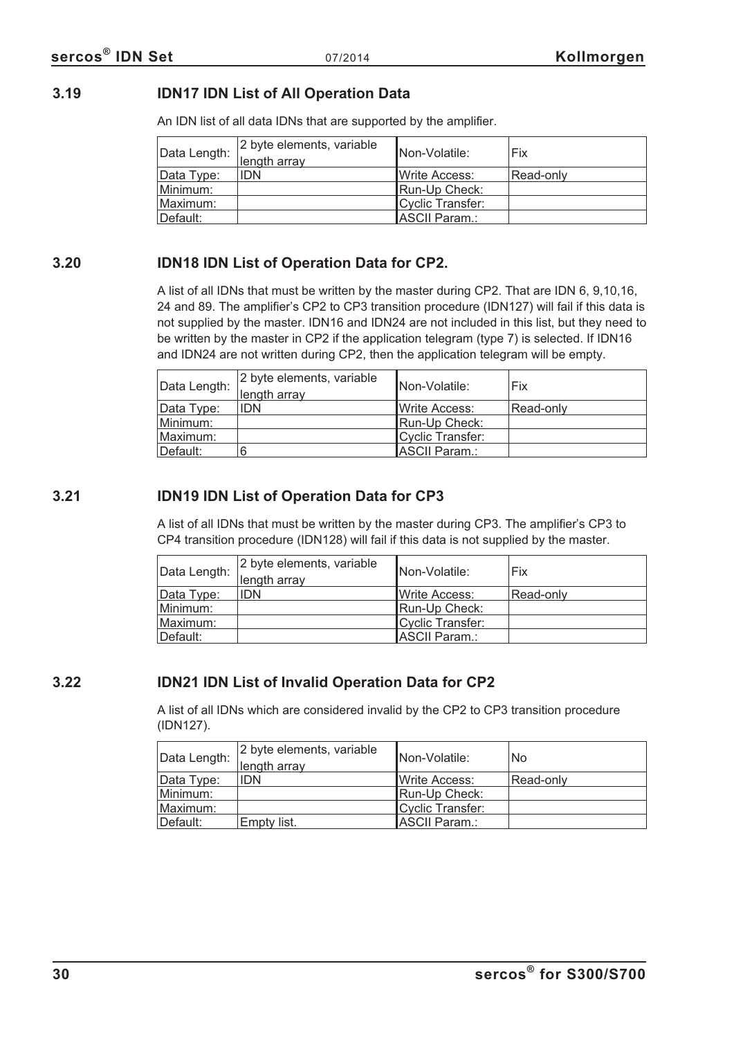## <span id="page-29-0"></span>**3.19 IDN17 IDN List of All Operation Data**

An IDN list of all data IDNs that are supported by the amplifier.

| Data Length: | 2 byte elements, variable<br>length array | INon-Volatile:        | Fix       |
|--------------|-------------------------------------------|-----------------------|-----------|
| Data Type:   | <b>IDN</b>                                | <b>IWrite Access:</b> | Read-only |
| Minimum:     |                                           | Run-Up Check:         |           |
| Maximum:     |                                           | Cyclic Transfer:      |           |
| Default:     |                                           | ASCII Param.:         |           |

## **3.20 IDN18 IDN List of Operation Data for CP2.**

A list of all IDNs that must be written by the master during CP2. That are IDN 6, 9,10,16, 24 and 89. The amplifier's CP2 to CP3 transition procedure (IDN127) will fail if this data is not supplied by the master. IDN16 and IDN24 are not included in this list, but they need to be written by the master in CP2 if the application telegram (type 7) is selected. If IDN16 and IDN24 are not written during CP2, then the application telegram will be empty.

| Data Length: | 2 byte elements, variable<br>length array | Non-Volatile:    | Fix       |
|--------------|-------------------------------------------|------------------|-----------|
| Data Type:   | <b>IDN</b>                                | IWrite Access:   | Read-only |
| Minimum:     |                                           | Run-Up Check:    |           |
| Maximum:     |                                           | Cyclic Transfer: |           |
| Default:     |                                           | ASCII Param.:    |           |

## **3.21 IDN19 IDN List of Operation Data for CP3**

A list of all IDNs that must be written by the master during CP3. The amplifier's CP3 to CP4 transition procedure (IDN128) will fail if this data is not supplied by the master.

| Data Length: | 2 byte elements, variable<br>length array | INon-Volatile:   | Fix       |
|--------------|-------------------------------------------|------------------|-----------|
| Data Type:   | <b>IDN</b>                                | lWrite Access:   | Read-only |
| Minimum:     |                                           | Run-Up Check:    |           |
| Maximum:     |                                           | Cyclic Transfer: |           |
| Default:     |                                           | ASCII Param.:    |           |

## **3.22 IDN21 IDN List of Invalid Operation Data for CP2**

A list of all IDNs which are considered invalid by the CP2 to CP3 transition procedure (IDN127).

| Data Length: | 2 byte elements, variable<br>length array | <b>Non-Volatile:</b>  | <b>No</b> |
|--------------|-------------------------------------------|-----------------------|-----------|
| Data Type:   | <b>IDN</b>                                | <b>IWrite Access:</b> | Read-only |
| Minimum:     |                                           | Run-Up Check:         |           |
| Maximum: l   |                                           | Cyclic Transfer:      |           |
| Default:     | <b>Empty list.</b>                        | ASCII Param.:         |           |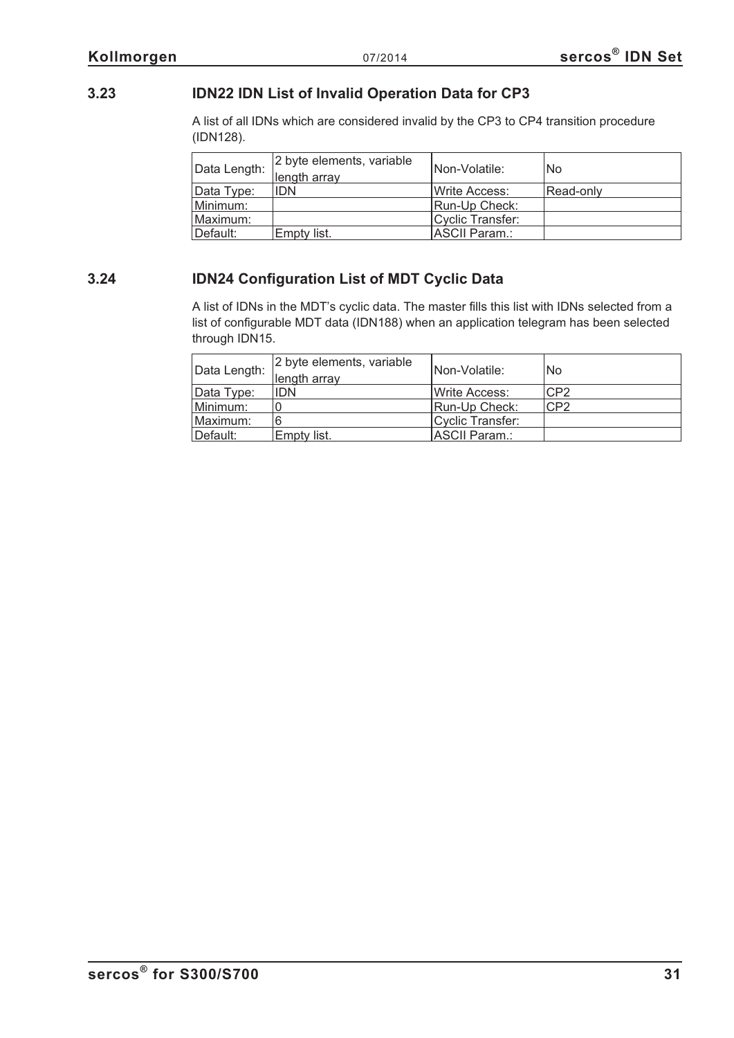## <span id="page-30-0"></span>**3.23 IDN22 IDN List of Invalid Operation Data for CP3**

A list of all IDNs which are considered invalid by the CP3 to CP4 transition procedure (IDN128).

| Data Length: | 2 byte elements, variable<br>length array | Non-Volatile:          | No.       |
|--------------|-------------------------------------------|------------------------|-----------|
| Data Type:   | <b>IDN</b>                                | <b>I</b> Write Access: | Read-only |
| Minimum:     |                                           | Run-Up Check:          |           |
| Maximum:     |                                           | Cyclic Transfer:       |           |
| Default:     | Empty list.                               | ASCII Param.:          |           |

## **3.24 IDN24 Configuration List of MDT Cyclic Data**

A list of IDNs in the MDT's cyclic data. The master fills this list with IDNs selected from a list of configurable MDT data (IDN188) when an application telegram has been selected through IDN15.

| Data Length: | 2 byte elements, variable<br>length array | INon-Volatile:         | No  |
|--------------|-------------------------------------------|------------------------|-----|
| Data Type:   | <b>IDN</b>                                | <b>I</b> Write Access: | CP2 |
| Minimum:     |                                           | Run-Up Check:          | CP2 |
| Maximum:     | 6                                         | Cyclic Transfer:       |     |
| Default:     | Empty list.                               | ASCII Param.:          |     |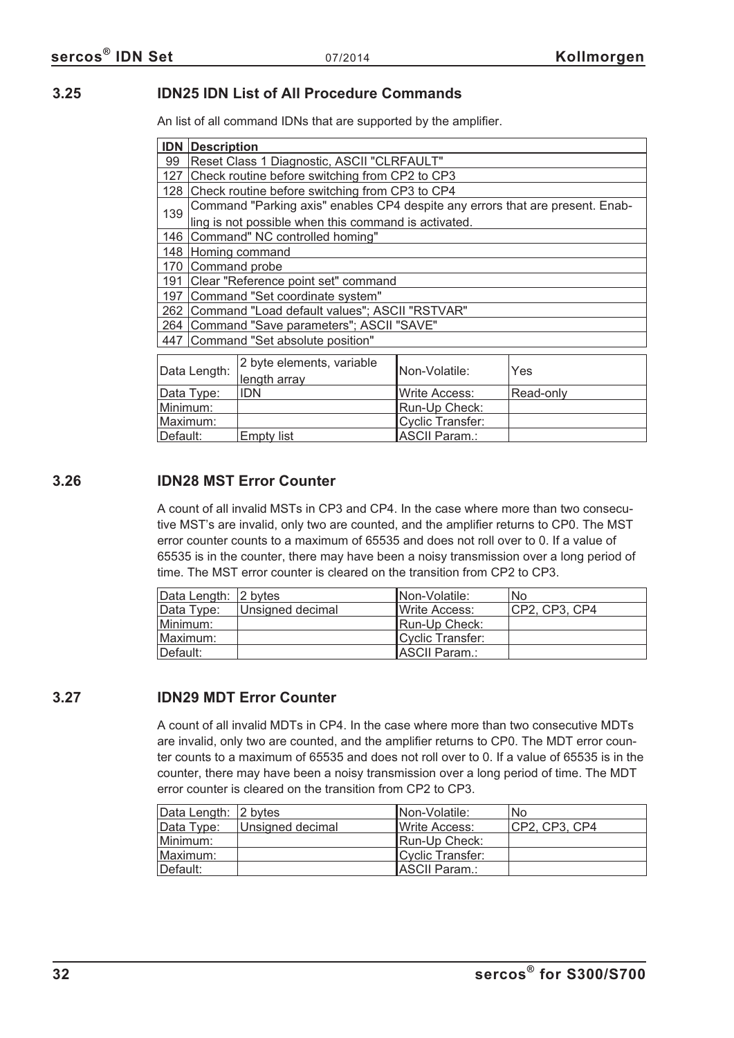## <span id="page-31-0"></span>**3.25 IDN25 IDN List of All Procedure Commands**

An list of all command IDNs that are supported by the amplifier.

Minimum: | Run-Up Check: Maximum: Cyclic Transfer:<br>
Default: Empty list ASCII Param.: |Default: Empty list | ASCII Param.:

|     | <b>IDN</b> Description                     |                                                                               |                      |           |  |
|-----|--------------------------------------------|-------------------------------------------------------------------------------|----------------------|-----------|--|
| 99  | Reset Class 1 Diagnostic, ASCII "CLRFAULT" |                                                                               |                      |           |  |
| 127 |                                            | Check routine before switching from CP2 to CP3                                |                      |           |  |
| 128 |                                            | Check routine before switching from CP3 to CP4                                |                      |           |  |
| 139 |                                            | Command "Parking axis" enables CP4 despite any errors that are present. Enab- |                      |           |  |
|     |                                            | ling is not possible when this command is activated.                          |                      |           |  |
|     |                                            | 146 Command" NC controlled homing"                                            |                      |           |  |
|     | 148 Homing command                         |                                                                               |                      |           |  |
| 170 | Command probe                              |                                                                               |                      |           |  |
| 191 |                                            | Clear "Reference point set" command                                           |                      |           |  |
| 197 |                                            | Command "Set coordinate system"                                               |                      |           |  |
| 262 |                                            | Command "Load default values"; ASCII "RSTVAR"                                 |                      |           |  |
| 264 |                                            | Command "Save parameters"; ASCII "SAVE"                                       |                      |           |  |
|     |                                            | 447 Command "Set absolute position"                                           |                      |           |  |
|     | Data Length:                               | 2 byte elements, variable<br>length array                                     | Non-Volatile:        | Yes       |  |
|     | Data Type:                                 | <b>IDN</b>                                                                    | <b>Write Access:</b> | Read-only |  |

## **3.26 IDN28 MST Error Counter**

A count of all invalid MSTs in CP3 and CP4. In the case where more than two consecutive MST's are invalid, only two are counted, and the amplifier returns to CP0. The MST error counter counts to a maximum of 65535 and does not roll over to 0. If a value of 65535 is in the counter, there may have been a noisy transmission over a long period of time. The MST error counter is cleared on the transition from CP2 to CP3.

| Data Length: 2 bytes |                  | INon-Volatile:        | No.           |
|----------------------|------------------|-----------------------|---------------|
| Data Type:           | Unsigned decimal | <b>IWrite Access:</b> | CP2, CP3, CP4 |
| Minimum:             |                  | Run-Up Check:         |               |
| Maximum:             |                  | Cyclic Transfer:      |               |
| ⊺Default:            |                  | ASCII Param.:         |               |

## **3.27 IDN29 MDT Error Counter**

A count of all invalid MDTs in CP4. In the case where more than two consecutive MDTs are invalid, only two are counted, and the amplifier returns to CP0. The MDT error counter counts to a maximum of 65535 and does not roll over to 0. If a value of 65535 is in the counter, there may have been a noisy transmission over a long period of time. The MDT error counter is cleared on the transition from CP2 to CP3.

| Data Length: 2 bytes |                  | INon-Volatile:        | No.           |
|----------------------|------------------|-----------------------|---------------|
| Data Type:           | Unsigned decimal | <b>IWrite Access:</b> | CP2, CP3, CP4 |
| Minimum:             |                  | Run-Up Check:         |               |
| Maximum:             |                  | Cyclic Transfer:      |               |
| ⊺Default:            |                  | <b>ASCII Param.:</b>  |               |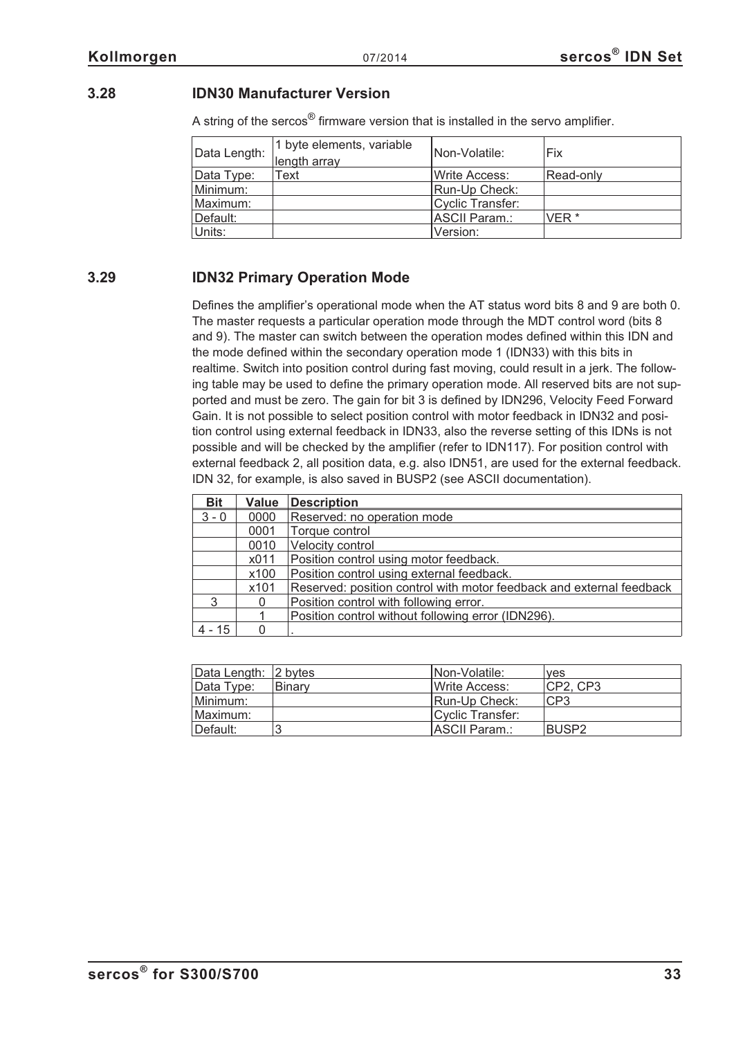## <span id="page-32-0"></span>**3.28 IDN30 Manufacturer Version**

A string of the sercos<sup>®</sup> firmware version that is installed in the servo amplifier.

| Data Length: | 1 byte elements, variable<br>length array | Non-Volatile:        | <b>Fix</b>       |
|--------------|-------------------------------------------|----------------------|------------------|
| Data Type:   | Text                                      | lWrite Access:       | Read-only        |
| Minimum:     |                                           | Run-Up Check:        |                  |
| Maximum:     |                                           | Cyclic Transfer:     |                  |
| Default:     |                                           | <b>ASCII Param.:</b> | VFR <sup>*</sup> |
| Units:       |                                           | Version:             |                  |

## **3.29 IDN32 Primary Operation Mode**

Defines the amplifier's operational mode when the AT status word bits 8 and 9 are both 0. The master requests a particular operation mode through the MDT control word (bits 8 and 9). The master can switch between the operation modes defined within this IDN and the mode defined within the secondary operation mode 1 (IDN33) with this bits in realtime. Switch into position control during fast moving, could result in a jerk. The following table may be used to define the primary operation mode. All reserved bits are not supported and must be zero. The gain for bit 3 is defined by IDN296, Velocity Feed Forward Gain. It is not possible to select position control with motor feedback in IDN32 and position control using external feedback in IDN33, also the reverse setting of this IDNs is not possible and will be checked by the amplifier (refer to IDN117). For position control with external feedback 2, all position data, e.g. also IDN51, are used for the external feedback. IDN 32, for example, is also saved in BUSP2 (see ASCII documentation).

| <b>Bit</b> | <b>Value</b> | <b>Description</b>                                                   |
|------------|--------------|----------------------------------------------------------------------|
| $3 - 0$    | 0000         | Reserved: no operation mode                                          |
|            | 0001         | Torque control                                                       |
|            | 0010         | Velocity control                                                     |
|            | x011         | Position control using motor feedback.                               |
|            | x100         | Position control using external feedback.                            |
|            | x101         | Reserved: position control with motor feedback and external feedback |
| ્ર         | 0            | Position control with following error.                               |
|            |              | Position control without following error (IDN296).                   |
| $-15$      | ∩            |                                                                      |

| Data Length: 2 bytes |        | INon-Volatile:   | ves             |
|----------------------|--------|------------------|-----------------|
| Data Type:           | Binary | Write Access:    | ICP2. CP3       |
| Minimum:             |        | Run-Up Check:    | CP <sub>3</sub> |
| Maximum:             |        | Cyclic Transfer: |                 |
| Default:             |        | ASCII Param.:    | <b>BUSP2</b>    |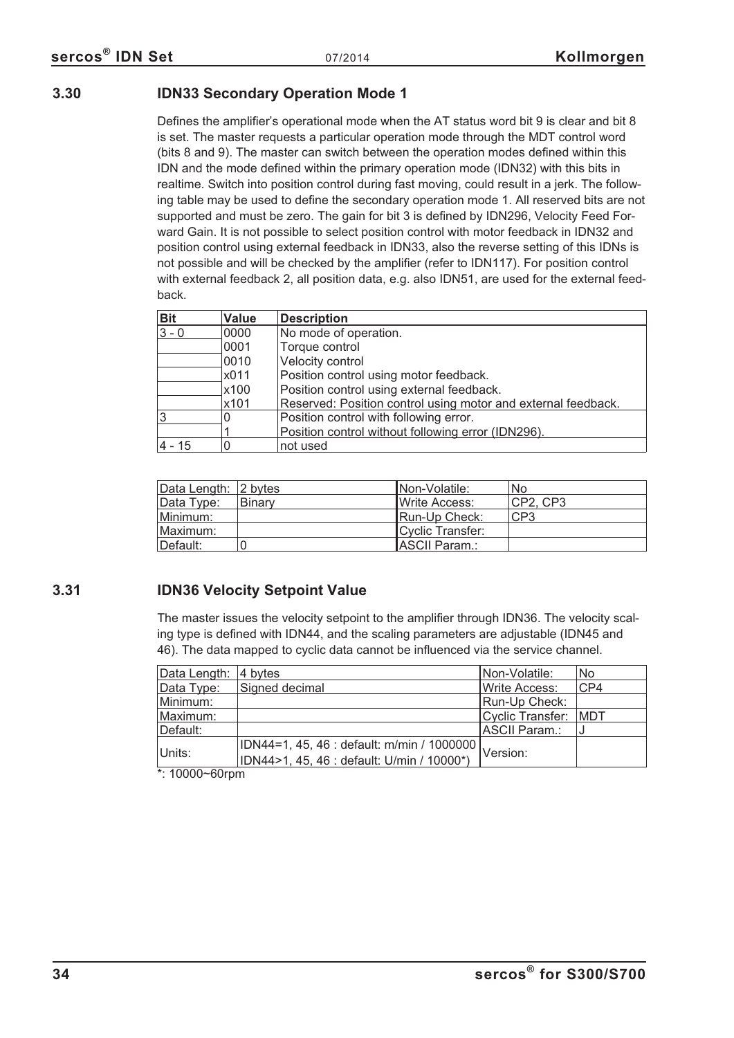## <span id="page-33-0"></span>**3.30 IDN33 Secondary Operation Mode 1**

Defines the amplifier's operational mode when the AT status word bit 9 is clear and bit 8 is set. The master requests a particular operation mode through the MDT control word (bits 8 and 9). The master can switch between the operation modes defined within this IDN and the mode defined within the primary operation mode (IDN32) with this bits in realtime. Switch into position control during fast moving, could result in a jerk. The following table may be used to define the secondary operation mode 1. All reserved bits are not supported and must be zero. The gain for bit 3 is defined by IDN296, Velocity Feed Forward Gain. It is not possible to select position control with motor feedback in IDN32 and position control using external feedback in IDN33, also the reverse setting of this IDNs is not possible and will be checked by the amplifier (refer to IDN117). For position control with external feedback 2, all position data, e.g. also IDN51, are used for the external feedback.

| <b>Bit</b> | <b>Value</b> | <b>Description</b>                                            |
|------------|--------------|---------------------------------------------------------------|
| $3 - 0$    | 0000         | No mode of operation.                                         |
|            | 0001         | Torque control                                                |
|            | 0010         | Velocity control                                              |
|            | x011         | Position control using motor feedback.                        |
|            | x100         | Position control using external feedback.                     |
|            | x101         | Reserved: Position control using motor and external feedback. |
| 3          | 0            | Position control with following error.                        |
|            |              | Position control without following error (IDN296).            |
| $4 - 15$   |              | not used                                                      |

| Data Length: 2 bytes |        | INon-Volatile:   | <b>No</b>       |
|----------------------|--------|------------------|-----------------|
| Data Type:           | Binary | IWrite Access:   | ICP2. CP3       |
| Minimum:             |        | Run-Up Check:    | CP <sub>3</sub> |
| Maximum:             |        | Cyclic Transfer: |                 |
| Default:             |        | ASCII Param.:    |                 |

## **3.31 IDN36 Velocity Setpoint Value**

The master issues the velocity setpoint to the amplifier through IDN36. The velocity scaling type is defined with IDN44, and the scaling parameters are adjustable (IDN45 and 46). The data mapped to cyclic data cannot be influenced via the service channel.

| Data Length: | 4 bytes                                             | INon-Volatile:       | No  |
|--------------|-----------------------------------------------------|----------------------|-----|
| Data Type:   | Signed decimal                                      | <b>Write Access:</b> | CP4 |
| Minimum:     |                                                     | Run-Up Check:        |     |
| Maximum:     |                                                     | Cyclic Transfer: MDT |     |
| Default:     |                                                     | ASCII Param.:        |     |
|              | ∏DN44=1, 45, 46 : default: m/min / 1000000 <u> </u> |                      |     |
| Units:       | IDN44>1, 45, 46 : default: U/min / 10000*)          | Version:             |     |

\*: 10000~60rpm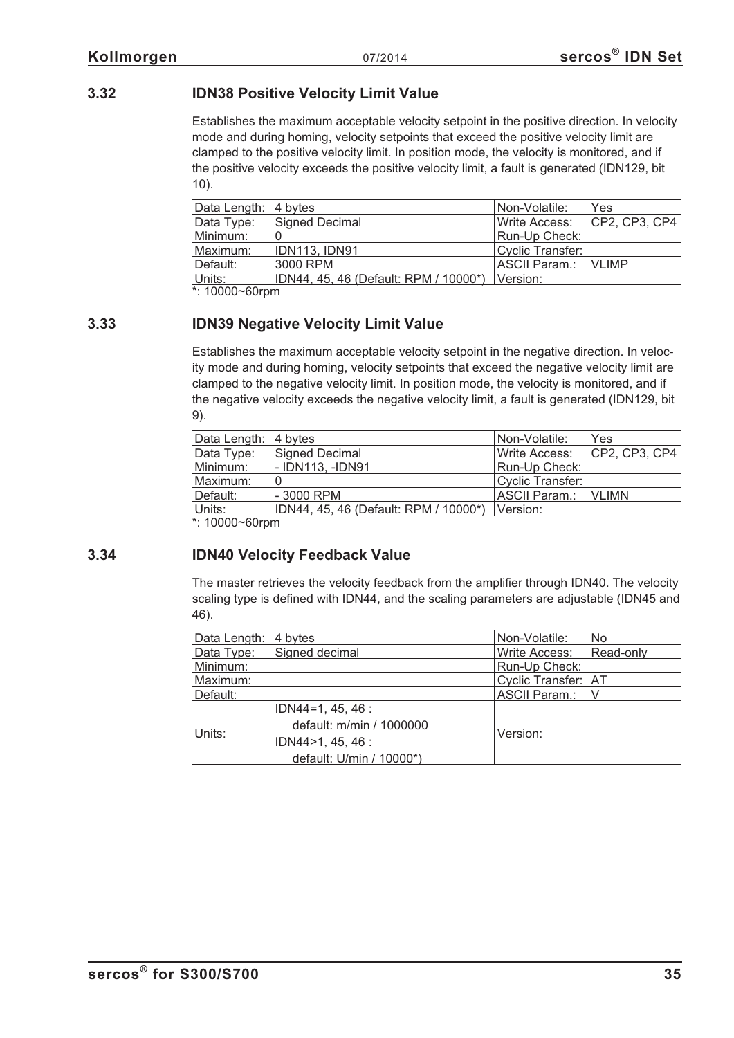## <span id="page-34-0"></span>**3.32 IDN38 Positive Velocity Limit Value**

Establishes the maximum acceptable velocity setpoint in the positive direction. In velocity mode and during homing, velocity setpoints that exceed the positive velocity limit are clamped to the positive velocity limit. In position mode, the velocity is monitored, and if the positive velocity exceeds the positive velocity limit, a fault is generated (IDN129, bit 10).

| Data Length: 4 bytes |                                       | INon-Volatile:        | <b>Yes</b>    |
|----------------------|---------------------------------------|-----------------------|---------------|
| Data Type:           | Signed Decimal                        | <b>IWrite Access:</b> | CP2, CP3, CP4 |
| Minimum:             |                                       | Run-Up Check:         |               |
| Maximum:             | IDN113, IDN91                         | Cyclic Transfer:      |               |
| Default:             | 3000 RPM                              | ASCII Param.:         | <b>VLIMP</b>  |
| Units:               | IDN44, 45, 46 (Default: RPM / 10000*) | <b>IVersion:</b>      |               |

 $*$ : 10000~60rpm

## **3.33 IDN39 Negative Velocity Limit Value**

Establishes the maximum acceptable velocity setpoint in the negative direction. In velocity mode and during homing, velocity setpoints that exceed the negative velocity limit are clamped to the negative velocity limit. In position mode, the velocity is monitored, and if the negative velocity exceeds the negative velocity limit, a fault is generated (IDN129, bit 9).

| Data Length:      | ∣4 b∨tes                              | Non-Volatile:    | Yes           |
|-------------------|---------------------------------------|------------------|---------------|
| Data Type:        | <b>Signed Decimal</b>                 | Write Access:    | CP2, CP3, CP4 |
| Minimum:          | - IDN113. -IDN91                      | Run-Up Check:    |               |
| Maximum:          |                                       | Cyclic Transfer: |               |
| Default:          | $-3000$ RPM                           | ASCII Param.:    | <b>VLIMN</b>  |
| Units:            | IDN44, 45, 46 (Default: RPM / 10000*) | <b>IVersion:</b> |               |
| $*$ 10000~60 $rm$ |                                       |                  |               |

\*: 10000~60rpm

## **3.34 IDN40 Velocity Feedback Value**

The master retrieves the velocity feedback from the amplifier through IDN40. The velocity scaling type is defined with IDN44, and the scaling parameters are adjustable (IDN45 and 46).

| Data Length: | 4 bytes                  | Non-Volatile:         | <b>No</b> |
|--------------|--------------------------|-----------------------|-----------|
| Data Type:   | Signed decimal           | <b>Write Access:</b>  | Read-only |
| Minimum:     |                          | Run-Up Check:         |           |
| Maximum:     |                          | Cyclic Transfer:   AT |           |
| Default:     |                          | ASCII Param.:         | V         |
| Units:       | $IDN44=1, 45, 46:$       |                       |           |
|              | default: m/min / 1000000 |                       |           |
|              | IDN44>1, 45, 46 :        | Version:              |           |
|              | default: U/min / 10000*) |                       |           |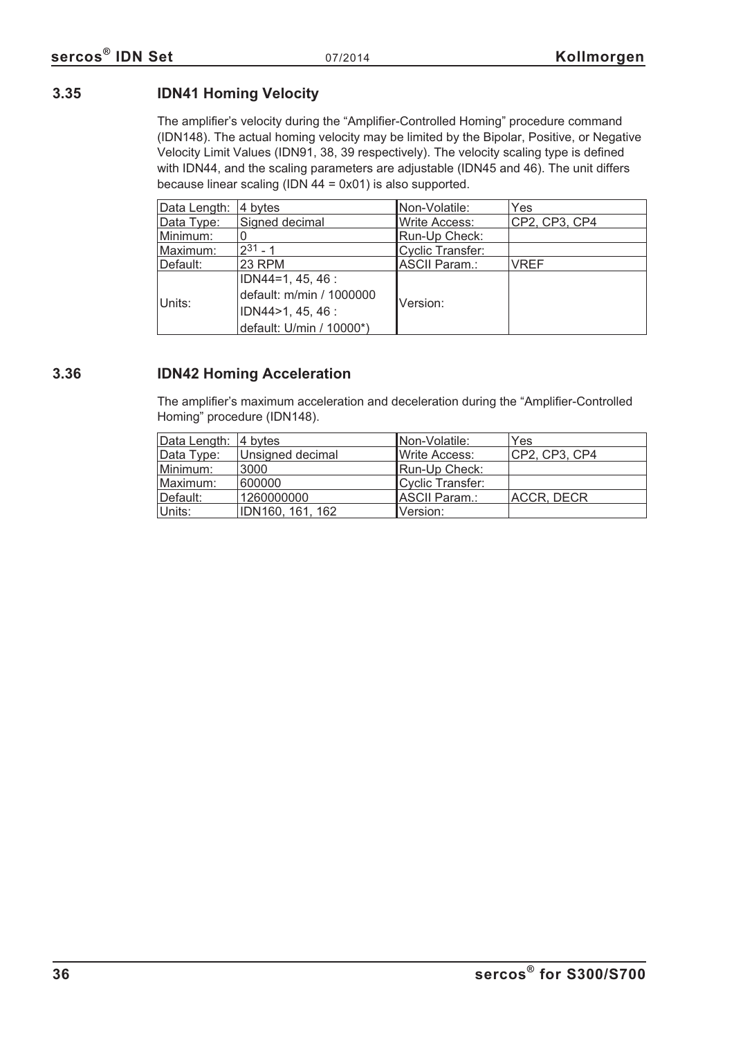## <span id="page-35-0"></span>**3.35 IDN41 Homing Velocity**

The amplifier's velocity during the "Amplifier-Controlled Homing" procedure command (IDN148). The actual homing velocity may be limited by the Bipolar, Positive, or Negative Velocity Limit Values (IDN91, 38, 39 respectively). The velocity scaling type is defined with IDN44, and the scaling parameters are adjustable (IDN45 and 46). The unit differs because linear scaling (IDN 44 = 0x01) is also supported.

| Data Length: | 4 bytes                  | Non-Volatile:        | Yes           |
|--------------|--------------------------|----------------------|---------------|
| Data Type:   | Signed decimal           | <b>Write Access:</b> | CP2, CP3, CP4 |
| Minimum:     |                          | Run-Up Check:        |               |
| Maximum:     | $2^{31} - 1$             | Cyclic Transfer:     |               |
| Default:     | 23 RPM                   | ASCII Param.:        | <b>VREF</b>   |
| Units:       | $IDN44=1, 45, 46:$       |                      |               |
|              | default: m/min / 1000000 | Version:             |               |
|              | IDN44>1, 45, 46:         |                      |               |
|              | default: U/min / 10000*) |                      |               |

## **3.36 IDN42 Homing Acceleration**

The amplifier's maximum acceleration and deceleration during the "Amplifier-Controlled Homing" procedure (IDN148).

| Data Length: 4 bytes |                  | Non-Volatile:    | Yes           |
|----------------------|------------------|------------------|---------------|
| Data Type:           | Unsigned decimal | Write Access:    | CP2, CP3, CP4 |
| Minimum:             | 3000             | Run-Up Check:    |               |
| Maximum:             | 600000           | Cyclic Transfer: |               |
| Default:             | 1260000000       | ASCII Param.:    | ACCR, DECR    |
| Units:               | IDN160, 161, 162 | Version:         |               |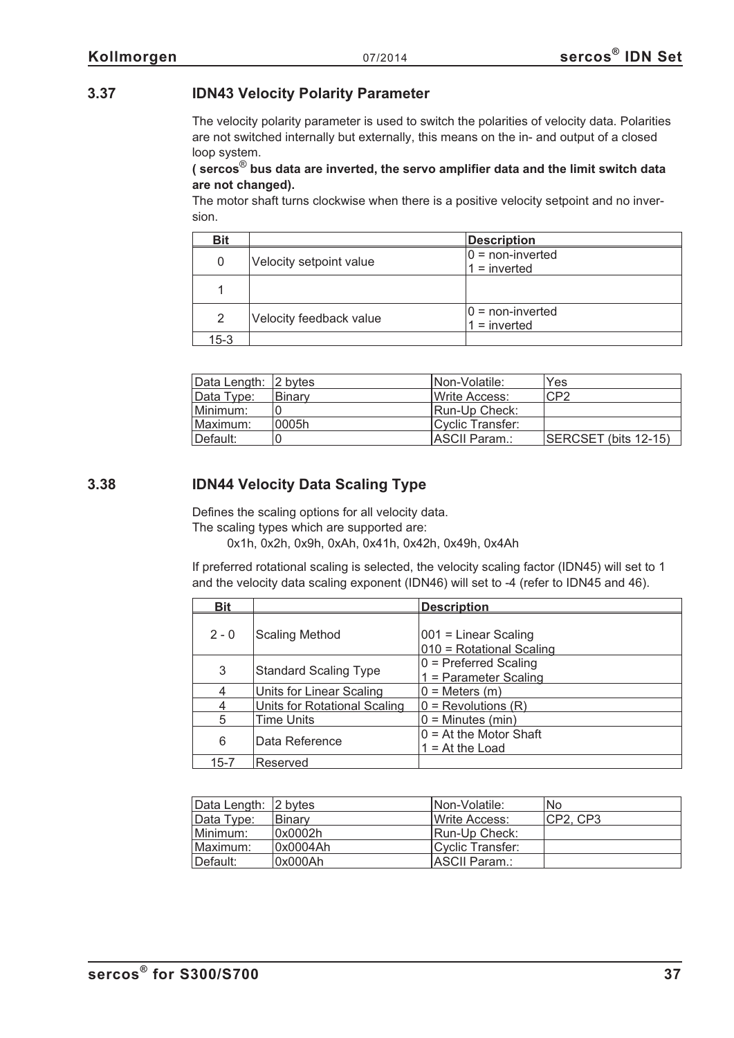## **3.37 IDN43 Velocity Polarity Parameter**

The velocity polarity parameter is used to switch the polarities of velocity data. Polarities are not switched internally but externally, this means on the in- and output of a closed loop system.

#### **( sercos**® **bus data are inverted, the servo amplifier data and the limit switch data are not changed).**

The motor shaft turns clockwise when there is a positive velocity setpoint and no inversion.

| <b>Bit</b>    |                         | <b>Description</b>                   |
|---------------|-------------------------|--------------------------------------|
| 0             | Velocity setpoint value | $0 =$ non-inverted<br>$1 =$ inverted |
|               |                         |                                      |
| $\mathcal{P}$ | Velocity feedback value | $0 =$ non-inverted<br>$1 =$ inverted |
| $15 - 3$      |                         |                                      |

| Data Length: 2 bytes |               | INon-Volatile:   | Yes                  |
|----------------------|---------------|------------------|----------------------|
| Data Type:           | <b>Binary</b> | Write Access:    | CP <sub>2</sub>      |
| Minimum:             |               | Run-Up Check:    |                      |
| Maximum:             | ∣0005h.       | Cyclic Transfer: |                      |
| Default:             |               | IASCII Param.:   | SERCSET (bits 12-15) |

## **3.38 IDN44 Velocity Data Scaling Type**

Defines the scaling options for all velocity data.

The scaling types which are supported are:

0x1h, 0x2h, 0x9h, 0xAh, 0x41h, 0x42h, 0x49h, 0x4Ah

If preferred rotational scaling is selected, the velocity scaling factor (IDN45) will set to 1 and the velocity data scaling exponent (IDN46) will set to -4 (refer to IDN45 and 46).

| <b>Bit</b> |                              | <b>Description</b>                                 |
|------------|------------------------------|----------------------------------------------------|
| $2 - 0$    | <b>Scaling Method</b>        | $001$ = Linear Scaling<br>010 = Rotational Scaling |
| 3          | <b>Standard Scaling Type</b> | $0$ = Preferred Scaling<br>1 = Parameter Scaling   |
| 4          | Units for Linear Scaling     | $0 =$ Meters $(m)$                                 |
| 4          | Units for Rotational Scaling | $0 =$ Revolutions $(R)$                            |
| 5          | <b>Time Units</b>            | $0 =$ Minutes (min)                                |
| 6          | Data Reference               | $0 = At$ the Motor Shaft<br>$1 = At$ the Load      |
| 15-7       | Reserved                     |                                                    |

| Data Length: 2 bytes |               | INon-Volatile:        | No        |
|----------------------|---------------|-----------------------|-----------|
| <b>Data Type:</b>    | <b>Binary</b> | <b>IWrite Access:</b> | ICP2. CP3 |
| Minimum:             | 0x0002h       | Run-Up Check:         |           |
| Maximum:             | 0x0004Ah      | Cyclic Transfer:      |           |
| Default:             | 0x000Ah       | <b>IASCII Param.:</b> |           |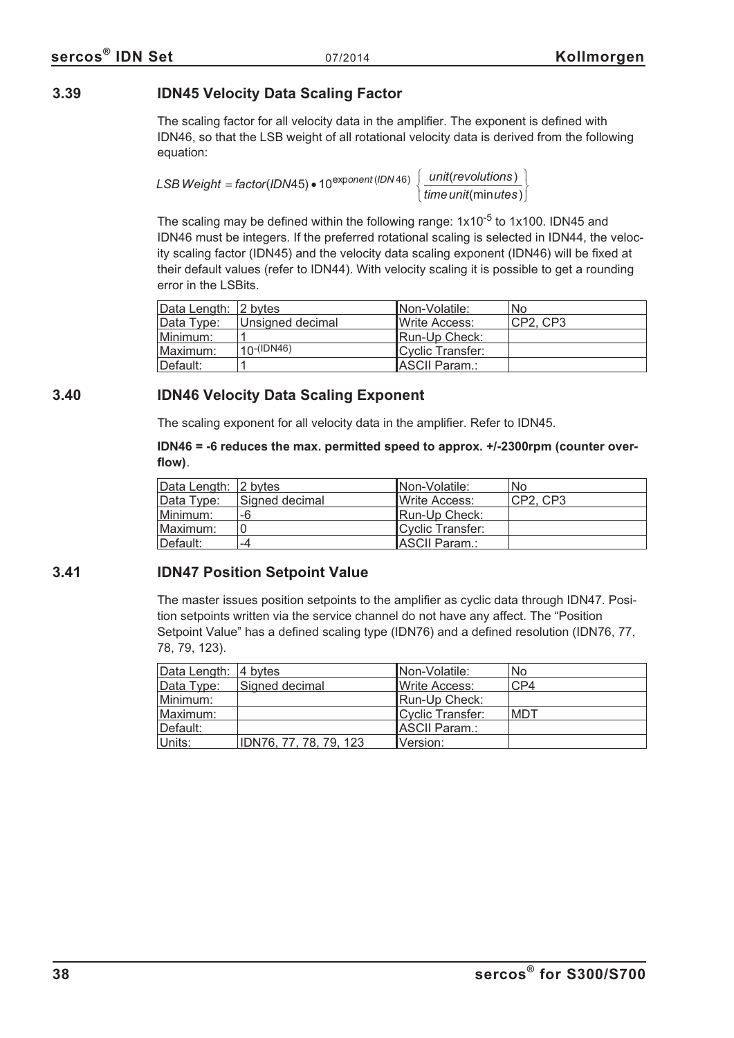## **3.39 IDN45 Velocity Data Scaling Factor**

The scaling factor for all velocity data in the amplifier. The exponent is defined with IDN46, so that the LSB weight of all rotational velocity data is derived from the following equation:

*LSB Weight = factor* (IDN45) • 10<sup>exponent (IDN 46)  $\frac{1}{2}$  unit (revolutions</sup> *time unit* (min*utes* ) '(min*utes* )  $\int$ ₹  $\overline{\mathfrak{c}}$  $\left\{ \right.$ J

The scaling may be defined within the following range:  $1x10^{-5}$  to  $1x100$ . IDN45 and IDN46 must be integers. If the preferred rotational scaling is selected in IDN44, the velocity scaling factor (IDN45) and the velocity data scaling exponent (IDN46) will be fixed at their default values (refer to IDN44). With velocity scaling it is possible to get a rounding error in the LSBits.

| Data Length: 2 bytes |                  | INon-Volatile:        | No        |
|----------------------|------------------|-----------------------|-----------|
| Data Type:           | Unsigned decimal | <b>IWrite Access:</b> | ICP2. CP3 |
| Minimum:             |                  | Run-Up Check:         |           |
| Maximum:             | $10-(IDN46)$     | Cyclic Transfer:      |           |
| Default:             |                  | ASCII Param.:         |           |

## **3.40 IDN46 Velocity Data Scaling Exponent**

The scaling exponent for all velocity data in the amplifier. Refer to IDN45.

**IDN46 = -6 reduces the max. permitted speed to approx. +/-2300rpm (counter overflow)**.

| Data Length: 2 bytes |                | INon-Volatile:        | No        |
|----------------------|----------------|-----------------------|-----------|
| Data Type:           | Signed decimal | <b>IWrite Access:</b> | ICP2. CP3 |
| Minimum:             | -6             | Run-Up Check:         |           |
| Maximum:             |                | Cyclic Transfer:      |           |
| Default:             | -4             | ASCII Param.:         |           |

# **3.41 IDN47 Position Setpoint Value**

The master issues position setpoints to the amplifier as cyclic data through IDN47. Position setpoints written via the service channel do not have any affect. The "Position Setpoint Value" has a defined scaling type (IDN76) and a defined resolution (IDN76, 77, 78, 79, 123).

| Data Length: 4 bytes |                        | Non-Volatile:    | No  |
|----------------------|------------------------|------------------|-----|
| Data Type:           | Signed decimal         | Write Access:    | CP4 |
| Minimum:             |                        | Run-Up Check:    |     |
| Maximum:             |                        | Cyclic Transfer: | MDT |
| Default:             |                        | ASCII Param.:    |     |
| Units:               | IDN76, 77, 78, 79, 123 | Version:         |     |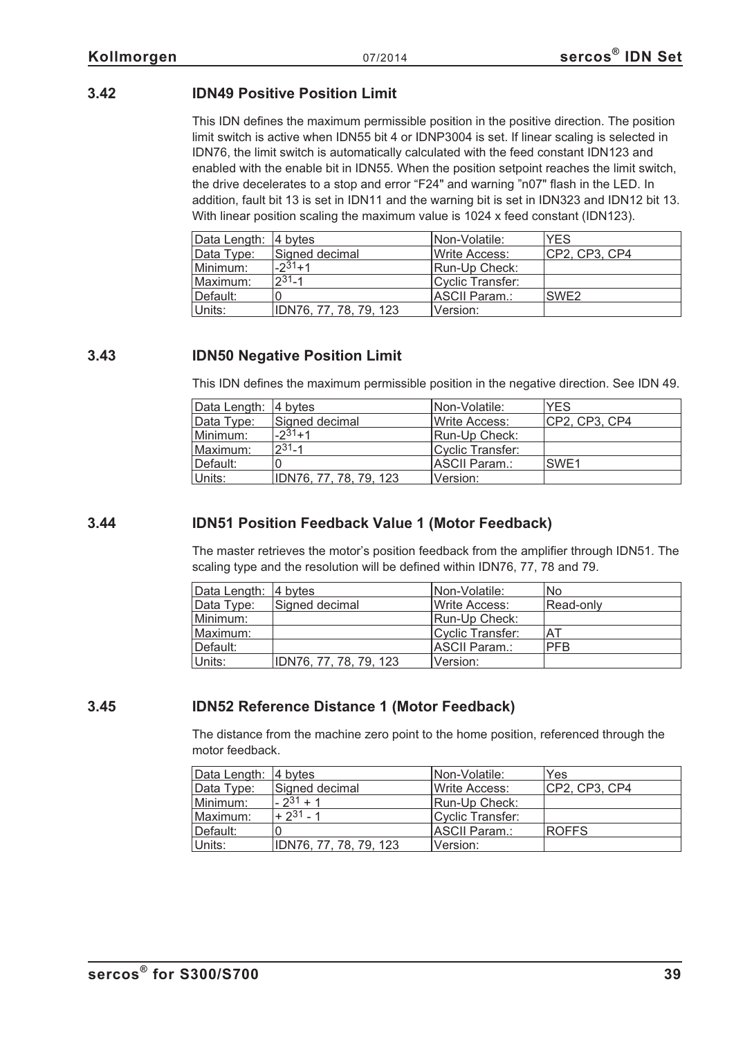# **3.42 IDN49 Positive Position Limit**

This IDN defines the maximum permissible position in the positive direction. The position limit switch is active when IDN55 bit 4 or IDNP3004 is set. If linear scaling is selected in IDN76, the limit switch is automatically calculated with the feed constant IDN123 and enabled with the enable bit in IDN55. When the position setpoint reaches the limit switch, the drive decelerates to a stop and error "F24" and warning "n07" flash in the LED. In addition, fault bit 13 is set in IDN11 and the warning bit is set in IDN323 and IDN12 bit 13. With linear position scaling the maximum value is 1024 x feed constant (IDN123).

| Data Length: 4 bytes |                        | INon-Volatile:        | <b>YES</b>       |
|----------------------|------------------------|-----------------------|------------------|
| Data Type:           | Signed decimal         | <b>IWrite Access:</b> | CP2, CP3, CP4    |
| Minimum:             | $-231+1$               | Run-Up Check:         |                  |
| Maximum:             | $2^{31} - 1$           | Cyclic Transfer:      |                  |
| Default:             |                        | ASCII Param.:         | SWE <sub>2</sub> |
| Units:               | IDN76, 77, 78, 79, 123 | Version:              |                  |

## **3.43 IDN50 Negative Position Limit**

This IDN defines the maximum permissible position in the negative direction. See IDN 49.

| Data Length: 4 bytes |                        | INon-Volatile:   | <b>YES</b>    |
|----------------------|------------------------|------------------|---------------|
| Data Type:           | Signed decimal         | Write Access:    | CP2, CP3, CP4 |
| Minimum:             | $-231+1$               | Run-Up Check:    |               |
| Maximum:             | $2^{31} - 1$           | Cyclic Transfer: |               |
| Default:             |                        | ASCII Param.:    | SWE1          |
| Units:               | IDN76, 77, 78, 79, 123 | Version:         |               |

# **3.44 IDN51 Position Feedback Value 1 (Motor Feedback)**

The master retrieves the motor's position feedback from the amplifier through IDN51. The scaling type and the resolution will be defined within IDN76, 77, 78 and 79.

| Data Length: 4 bytes |                        | <b>INon-Volatile:</b> | No         |
|----------------------|------------------------|-----------------------|------------|
| Data Type:           | Signed decimal         | <b>IWrite Access:</b> | Read-only  |
| Minimum:             |                        | Run-Up Check:         |            |
| Maximum:             |                        | Cyclic Transfer:      | AT         |
| Default:             |                        | ASCII Param.:         | <b>PFB</b> |
| Units:               | IDN76, 77, 78, 79, 123 | Version:              |            |

# **3.45 IDN52 Reference Distance 1 (Motor Feedback)**

The distance from the machine zero point to the home position, referenced through the motor feedback.

| Data Length: 4 bytes |                        | Non-Volatile:         | Yes           |
|----------------------|------------------------|-----------------------|---------------|
| Data Type:           | Signed decimal         | <b>IWrite Access:</b> | CP2, CP3, CP4 |
| Minimum:             | $-2^{31}+1$            | Run-Up Check:         |               |
| Maximum:             | $+2^{31} - 1$          | Cyclic Transfer:      |               |
| Default:             |                        | ASCII Param.:         | <b>ROFFS</b>  |
| Units:               | IDN76, 77, 78, 79, 123 | Version:              |               |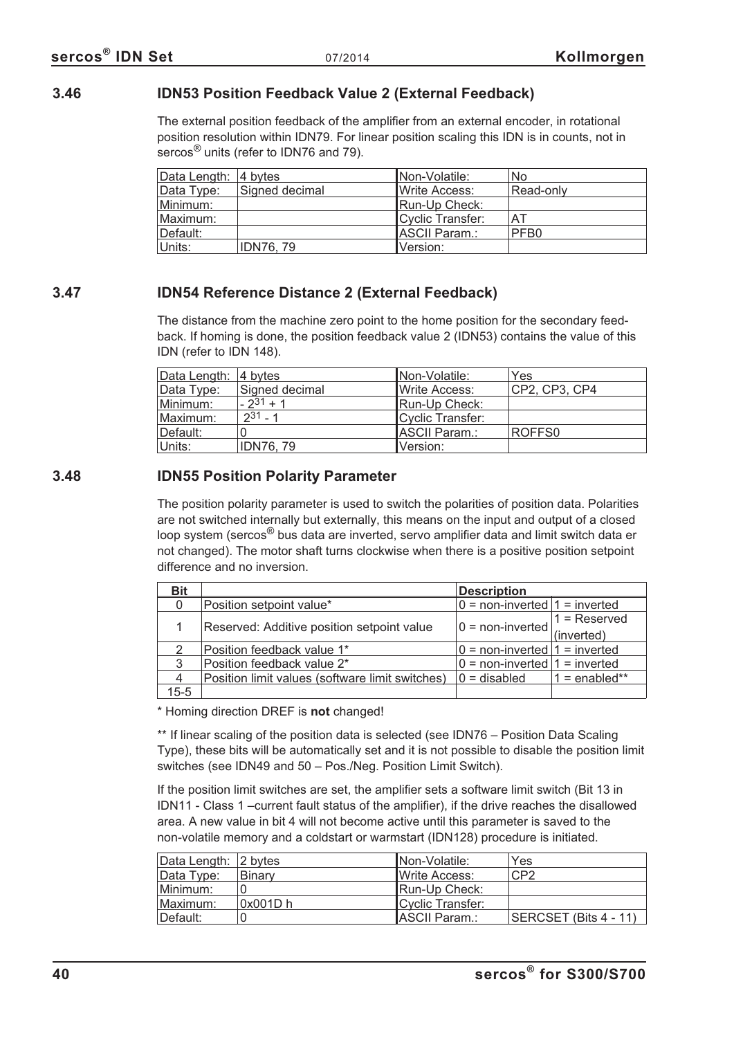## **3.46 IDN53 Position Feedback Value 2 (External Feedback)**

The external position feedback of the amplifier from an external encoder, in rotational position resolution within IDN79. For linear position scaling this IDN is in counts, not in sercos<sup>®</sup> units (refer to IDN76 and 79).

| Data Length: 4 bytes |                  | Non-Volatile:    | <b>No</b>        |
|----------------------|------------------|------------------|------------------|
| Data Type:           | Signed decimal   | Write Access:    | Read-only        |
| Minimum:             |                  | Run-Up Check:    |                  |
| Maximum:             |                  | Cyclic Transfer: | AT               |
| Default:             |                  | ASCII Param.:    | PFB <sub>0</sub> |
| Units:               | <b>IDN76, 79</b> | Version:         |                  |

# **3.47 IDN54 Reference Distance 2 (External Feedback)**

The distance from the machine zero point to the home position for the secondary feedback. If homing is done, the position feedback value 2 (IDN53) contains the value of this IDN (refer to IDN 148).

| Data Length: 4 bytes |                 | Non-Volatile:    | Yes           |
|----------------------|-----------------|------------------|---------------|
| Data Type:           | Signed decimal  | Write Access:    | CP2, CP3, CP4 |
| Minimum:             | $-2^{31}+1$     | Run-Up Check:    |               |
| Maximum:             | $2^{31} - 1$    | Cyclic Transfer: |               |
| Default:             |                 | ASCII Param.:    | ROFFS0        |
| Units:               | <b>IDN76.79</b> | Version:         |               |

## **3.48 IDN55 Position Polarity Parameter**

The position polarity parameter is used to switch the polarities of position data. Polarities are not switched internally but externally, this means on the input and output of a closed loop system (sercos® bus data are inverted, servo amplifier data and limit switch data er not changed). The motor shaft turns clockwise when there is a positive position setpoint difference and no inversion.

| <b>Bit</b> |                                                 | <b>Description</b>                                              |                 |
|------------|-------------------------------------------------|-----------------------------------------------------------------|-----------------|
|            | Position setpoint value*                        | $0 =$ non-inverted $1 =$ inverted                               |                 |
|            | Reserved: Additive position setpoint value      | $\boxed{0}$ = non-inverted $\boxed{1}$ = Reserved<br>(inverted) |                 |
|            |                                                 |                                                                 |                 |
|            | Position feedback value 1*                      | $0 =$ non-inverted $1 =$ inverted                               |                 |
| 3          | Position feedback value 2*                      | $0 =$ non-inverted $1 =$ inverted                               |                 |
|            | Position limit values (software limit switches) | $0 =$ disabled                                                  | $1 =$ enabled** |
| $15 - 5$   |                                                 |                                                                 |                 |

\* Homing direction DREF is **not** changed!

\*\* If linear scaling of the position data is selected (see IDN76 – Position Data Scaling Type), these bits will be automatically set and it is not possible to disable the position limit switches (see IDN49 and 50 – Pos./Neg. Position Limit Switch).

If the position limit switches are set, the amplifier sets a software limit switch (Bit 13 in IDN11 - Class 1 –current fault status of the amplifier), if the drive reaches the disallowed area. A new value in bit 4 will not become active until this parameter is saved to the non-volatile memory and a coldstart or warmstart (IDN128) procedure is initiated.

| Data Length: 2 bytes |            | INon-Volatile:        | Yes                   |
|----------------------|------------|-----------------------|-----------------------|
| Data Type:           | Binary     | <b>IWrite Access:</b> | CP2                   |
| Minimum:             |            | Run-Up Check:         |                       |
| Maximum:             | $0x001D$ h | Cyclic Transfer:      |                       |
| ⊺Default:            |            | ASCII Param.:         | SERCSET (Bits 4 - 11) |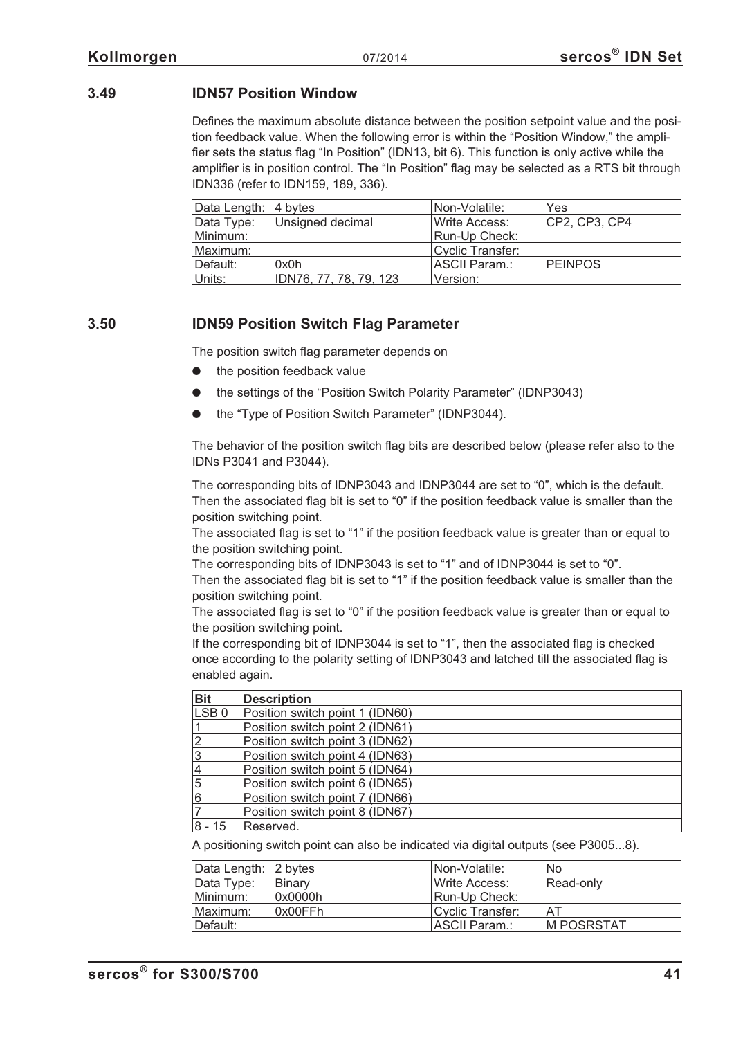## **3.49 IDN57 Position Window**

Defines the maximum absolute distance between the position setpoint value and the position feedback value. When the following error is within the "Position Window," the amplifier sets the status flag "In Position" (IDN13, bit 6). This function is only active while the amplifier is in position control. The "In Position" flag may be selected as a RTS bit through IDN336 (refer to IDN159, 189, 336).

| Data Length: 4 bytes |                        | INon-Volatile:   | Yes            |
|----------------------|------------------------|------------------|----------------|
| Data Type:           | Unsigned decimal       | Write Access:    | CP2, CP3, CP4  |
| Minimum:             |                        | Run-Up Check:    |                |
| Maximum:             |                        | Cyclic Transfer: |                |
| Default:             | 0x0h                   | ASCII Param.:    | <b>PEINPOS</b> |
| Units:               | IDN76, 77, 78, 79, 123 | Version:         |                |

## **3.50 IDN59 Position Switch Flag Parameter**

The position switch flag parameter depends on

- $\bullet$ the position feedback value
- $\bullet$ the settings of the "Position Switch Polarity Parameter" (IDNP3043)
- $\bullet$ the "Type of Position Switch Parameter" (IDNP3044).

The behavior of the position switch flag bits are described below (please refer also to the IDNs P3041 and P3044).

The corresponding bits of IDNP3043 and IDNP3044 are set to "0", which is the default. Then the associated flag bit is set to "0" if the position feedback value is smaller than the position switching point.

The associated flag is set to "1" if the position feedback value is greater than or equal to the position switching point.

The corresponding bits of IDNP3043 is set to "1" and of IDNP3044 is set to "0".

Then the associated flag bit is set to "1" if the position feedback value is smaller than the position switching point.

The associated flag is set to "0" if the position feedback value is greater than or equal to the position switching point.

If the corresponding bit of IDNP3044 is set to "1", then the associated flag is checked once according to the polarity setting of IDNP3043 and latched till the associated flag is enabled again.

| <b>Bit</b>       | <b>Description</b>              |
|------------------|---------------------------------|
| LSB <sub>0</sub> | Position switch point 1 (IDN60) |
|                  | Position switch point 2 (IDN61) |
| $\overline{2}$   | Position switch point 3 (IDN62) |
| 3                | Position switch point 4 (IDN63) |
| $\overline{4}$   | Position switch point 5 (IDN64) |
| 5                | Position switch point 6 (IDN65) |
| 6                | Position switch point 7 (IDN66) |
|                  | Position switch point 8 (IDN67) |
| 8 - 15           | Reserved.                       |

A positioning switch point can also be indicated via digital outputs (see P3005...8).

| Data Length: 2 bytes |               | Non-Volatile:    | No.         |
|----------------------|---------------|------------------|-------------|
| Data Type:           | <b>Binary</b> | Write Access:    | Read-only   |
| Minimum:             | 0x0000h       | Run-Up Check:    |             |
| Maximum:             | 0x00FFh       | Cyclic Transfer: | AT          |
| Default:             |               | ASCII Param.:    | IM POSRSTAT |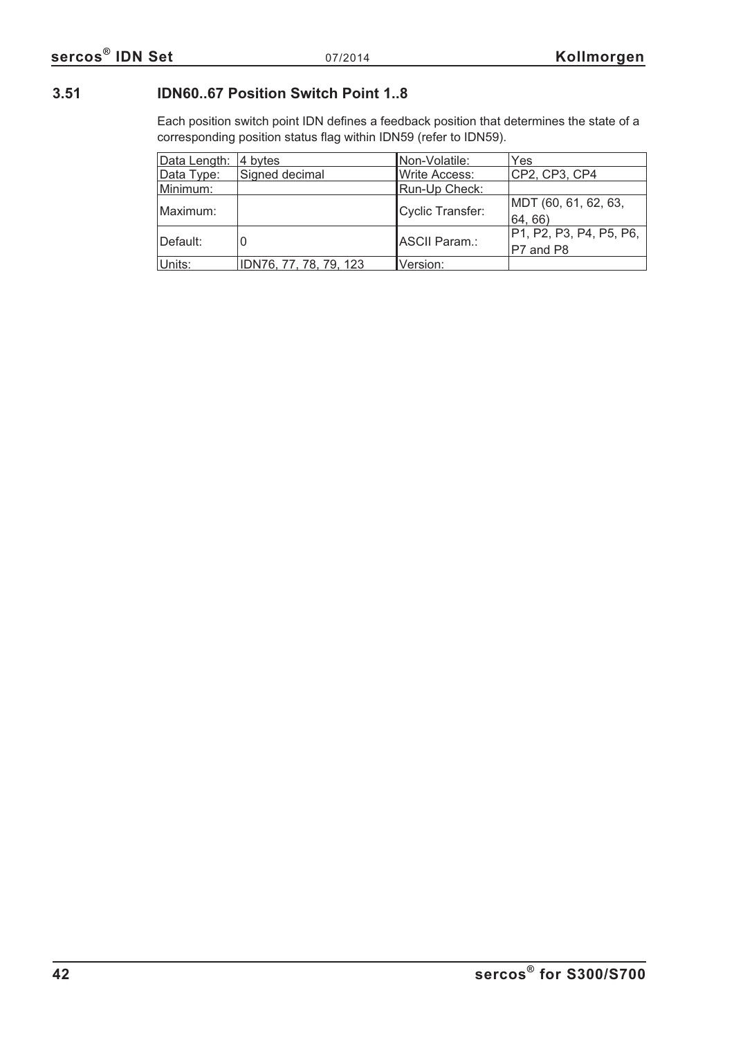# **3.51 IDN60..67 Position Switch Point 1..8**

Each position switch point IDN defines a feedback position that determines the state of a corresponding position status flag within IDN59 (refer to IDN59).

| Data Length: | 4 bytes                | Non-Volatile:    | Yes                                    |
|--------------|------------------------|------------------|----------------------------------------|
| Data Type:   | Signed decimal         | Write Access:    | CP2, CP3, CP4                          |
| Minimum:     |                        | Run-Up Check:    |                                        |
| Maximum:     |                        | Cyclic Transfer: | MDT (60, 61, 62, 63,<br>64, 66)        |
| Default:     |                        | ASCII Param.:    | P1, P2, P3, P4, P5, P6,  <br>P7 and P8 |
| Units:       | IDN76, 77, 78, 79, 123 | Version:         |                                        |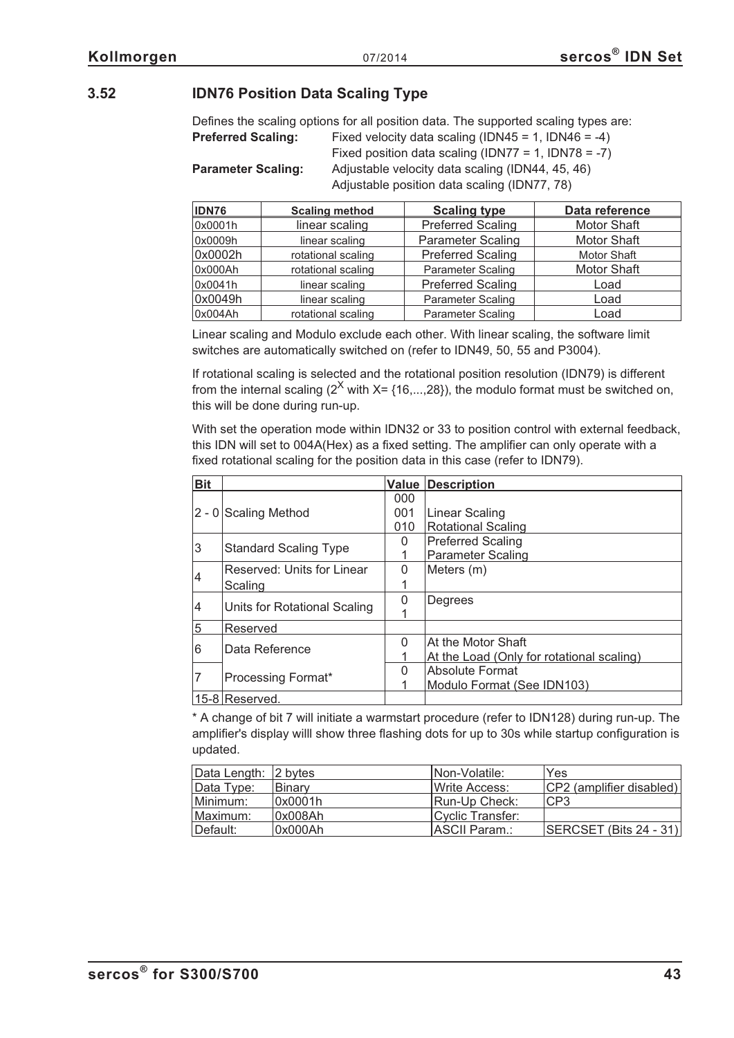## **3.52 IDN76 Position Data Scaling Type**

|                                                                                  | Defines the scaling options for all position data. The supported scaling types are: |  |  |  |
|----------------------------------------------------------------------------------|-------------------------------------------------------------------------------------|--|--|--|
| Fixed velocity data scaling (IDN45 = 1, IDN46 = -4)<br><b>Preferred Scaling:</b> |                                                                                     |  |  |  |
|                                                                                  | Fixed position data scaling (IDN77 = 1, IDN78 = -7)                                 |  |  |  |
| <b>Parameter Scaling:</b>                                                        | Adjustable velocity data scaling (IDN44, 45, 46)                                    |  |  |  |
|                                                                                  | Adjustable position data scaling (IDN77, 78)                                        |  |  |  |

| <b>IDN76</b> | <b>Scaling method</b> | <b>Scaling type</b>      | Data reference     |
|--------------|-----------------------|--------------------------|--------------------|
| 0x0001h      | linear scaling        | <b>Preferred Scaling</b> | <b>Motor Shaft</b> |
| 0x0009h      | linear scaling        | <b>Parameter Scaling</b> | <b>Motor Shaft</b> |
| 0x0002h      | rotational scaling    | <b>Preferred Scaling</b> | <b>Motor Shaft</b> |
| 0x000Ah      | rotational scaling    | <b>Parameter Scaling</b> | <b>Motor Shaft</b> |
| 0x0041h      | linear scaling        | <b>Preferred Scaling</b> | Load               |
| 0x0049h      | linear scaling        | <b>Parameter Scaling</b> | Load               |
| 0x004Ah      | rotational scaling    | <b>Parameter Scaling</b> | Load               |

Linear scaling and Modulo exclude each other. With linear scaling, the software limit switches are automatically switched on (refer to IDN49, 50, 55 and P3004).

If rotational scaling is selected and the rotational position resolution (IDN79) is different from the internal scaling  $(2^X \text{ with } X = \{16,...,28\})$ , the modulo format must be switched on, this will be done during run-up.

With set the operation mode within IDN32 or 33 to position control with external feedback, this IDN will set to 004A(Hex) as a fixed setting. The amplifier can only operate with a fixed rotational scaling for the position data in this case (refer to IDN79).

| <b>Bit</b>     |                              |          | <b>Value Description</b>                  |
|----------------|------------------------------|----------|-------------------------------------------|
|                |                              | 000      |                                           |
|                | $2 - 0$ Scaling Method       | 001      | <b>Linear Scaling</b>                     |
|                |                              | 010      | <b>Rotational Scaling</b>                 |
| 3              | <b>Standard Scaling Type</b> | 0        | <b>Preferred Scaling</b>                  |
|                |                              |          | <b>Parameter Scaling</b>                  |
| $\overline{4}$ | Reserved: Units for Linear   | $\Omega$ | Meters (m)                                |
|                | Scaling                      |          |                                           |
|                |                              | O        | Degrees                                   |
| 4              | Units for Rotational Scaling |          |                                           |
| 5              | Reserved                     |          |                                           |
|                |                              | O        | At the Motor Shaft                        |
| 6              | Data Reference               |          | At the Load (Only for rotational scaling) |
|                |                              | U        | <b>Absolute Format</b>                    |
|                | Processing Format*           |          | Modulo Format (See IDN103)                |
|                | $15-8$ Reserved.             |          |                                           |

\* A change of bit 7 will initiate a warmstart procedure (refer to IDN128) during run-up. The amplifier's display willl show three flashing dots for up to 30s while startup configuration is updated.

| Data Length: 2 bytes |         | INon-Volatile:        | Yes                       |
|----------------------|---------|-----------------------|---------------------------|
| Data Type:           | Binary  | <b>IWrite Access:</b> | CP2 (amplifier disabled)  |
| Minimum:             | 0x0001h | Run-Up Check:         | CP3                       |
| IMaximum:            | 0x008Ah | Cyclic Transfer:      |                           |
| ∥Default:            | 0x000Ah | ASCII Param.:         | $ SERCSET$ (Bits 24 - 31) |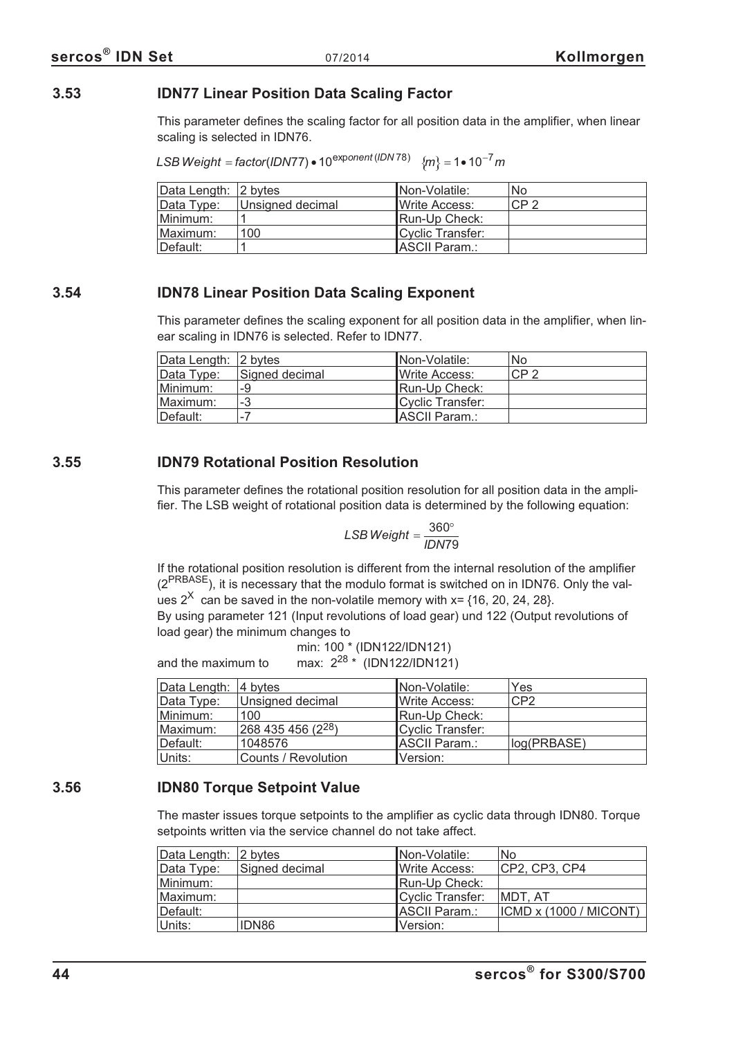## **3.53 IDN77 Linear Position Data Scaling Factor**

This parameter defines the scaling factor for all position data in the amplifier, when linear scaling is selected in IDN76.

*LSB Weight = factor (IDN77*) • 10<sup>exponent (IDN 78)  ${m \nvert 2} = 1 \cdot 10^{-7}$  m</sup>

| Data Length: 2 bytes |                  | INon-Volatile:   | No              |
|----------------------|------------------|------------------|-----------------|
| Data Type:           | Unsigned decimal | IWrite Access:   | CP <sub>2</sub> |
| Minimum:             |                  | Run-Up Check:    |                 |
| Maximum:             | 100              | Cyclic Transfer: |                 |
| ⊺Default:            |                  | ASCII Param.:    |                 |

## **3.54 IDN78 Linear Position Data Scaling Exponent**

This parameter defines the scaling exponent for all position data in the amplifier, when linear scaling in IDN76 is selected. Refer to IDN77.

| Data Length: 2 bytes |                | INon-Volatile:        | <b>No</b>       |
|----------------------|----------------|-----------------------|-----------------|
| Data Type:           | Signed decimal | <b>IWrite Access:</b> | CP <sub>2</sub> |
| Minimum:             | -9             | Run-Up Check:         |                 |
| Maximum:             | -3             | Cyclic Transfer:      |                 |
| ⊺Default:            | $\sim$         | ASCII Param.:         |                 |

## **3.55 IDN79 Rotational Position Resolution**

This parameter defines the rotational position resolution for all position data in the amplifier. The LSB weight of rotational position data is determined by the following equation:

$$
LSB Weight = \frac{360^{\circ}}{IDN79}
$$

If the rotational position resolution is different from the internal resolution of the amplifier  $(2^{PRBASE})$ , it is necessary that the modulo format is switched on in IDN76. Only the values  $2^{\chi}$  can be saved in the non-volatile memory with x= {16, 20, 24, 28}.

By using parameter 121 (Input revolutions of load gear) und 122 (Output revolutions of load gear) the minimum changes to

$$
min: 100 * (IDN122/IDN121)
$$
  
and the maximum to max:  $2^{28} * (IDN122/IDN121)$ 

| Data Length: 4 bytes |                     | Non-Volatile:         | Yes         |
|----------------------|---------------------|-----------------------|-------------|
| Data Type:           | Unsigned decimal    | <b>IWrite Access:</b> | CP2         |
| Minimum:             | 100                 | Run-Up Check:         |             |
| Maximum:             | $268435456(2^{28})$ | Cyclic Transfer:      |             |
| ⊺Default:            | 1048576             | <b>IASCII Param.:</b> | log(PRBASE) |
| ∣Units:              | Counts / Revolution | Version:              |             |

## **3.56 IDN80 Torque Setpoint Value**

The master issues torque setpoints to the amplifier as cyclic data through IDN80. Torque setpoints written via the service channel do not take affect.

| Data Length: 2 bytes |                | Non-Volatile:         | No                     |
|----------------------|----------------|-----------------------|------------------------|
| Data Type:           | Signed decimal | <b>IWrite Access:</b> | CP2, CP3, CP4          |
| Minimum:             |                | Run-Up Check:         |                        |
| Maximum:             |                | Cyclic Transfer:      | IMDT. AT               |
| Default:             |                | ASCII Param.:         | ICMD x (1000 / MICONT) |
| Units:               | IDN86          | IVersion:             |                        |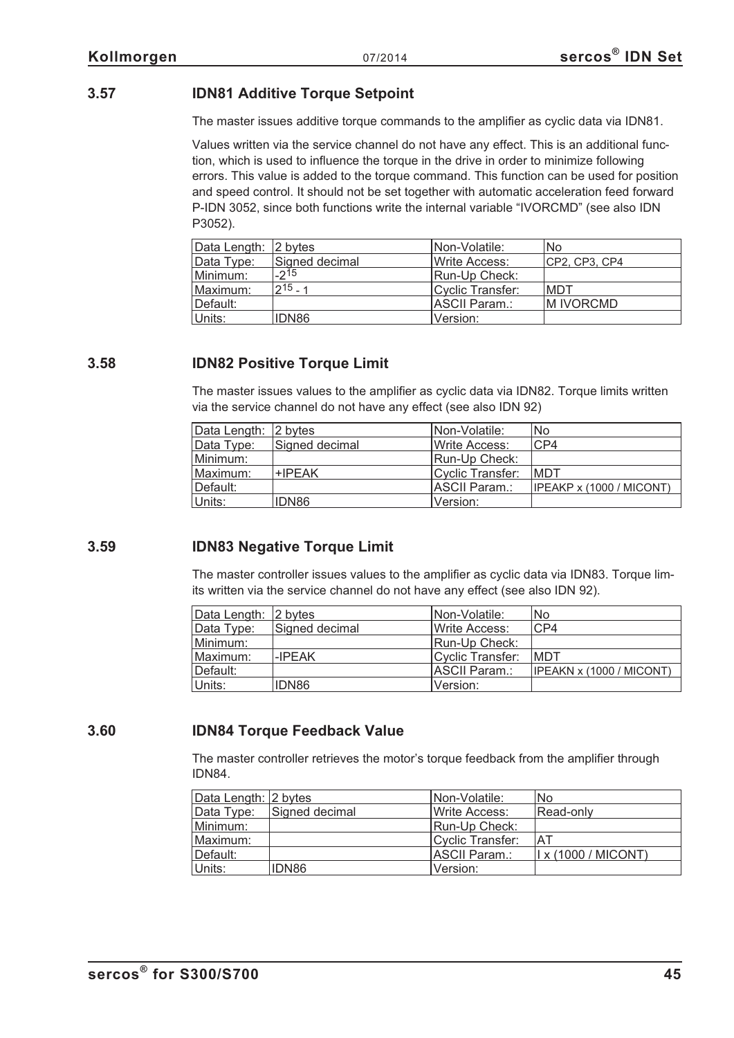# **3.57 IDN81 Additive Torque Setpoint**

The master issues additive torque commands to the amplifier as cyclic data via IDN81.

Values written via the service channel do not have any effect. This is an additional function, which is used to influence the torque in the drive in order to minimize following errors. This value is added to the torque command. This function can be used for position and speed control. It should not be set together with automatic acceleration feed forward P-IDN 3052, since both functions write the internal variable "IVORCMD" (see also IDN P3052).

| Data Length: 2 bytes |                | INon-Volatile:   | No.           |
|----------------------|----------------|------------------|---------------|
| Data Type:           | Signed decimal | Write Access:    | CP2, CP3, CP4 |
| Minimum:             | $-2^{15}$      | Run-Up Check:    |               |
| Maximum:             | $2^{15} - 1$   | Cyclic Transfer: | IMDT          |
| Default:             |                | ASCII Param.:    | IM IVORCMD    |
| Units:               | IDN86          | Version:         |               |

## **3.58 IDN82 Positive Torque Limit**

The master issues values to the amplifier as cyclic data via IDN82. Torque limits written via the service channel do not have any effect (see also IDN 92)

| Data Length: 2 bytes |                | Non-Volatile:    | No                       |
|----------------------|----------------|------------------|--------------------------|
| Data Type:           | Signed decimal | Write Access:    | CP4                      |
| Minimum:             |                | Run-Up Check:    |                          |
| Maximum:             | +IPEAK         | Cyclic Transfer: | <b>MDT</b>               |
| Default:             |                | ASCII Param.:    | IPEAKP x (1000 / MICONT) |
| Units:               | IDN86          | Version:         |                          |

## **3.59 IDN83 Negative Torque Limit**

The master controller issues values to the amplifier as cyclic data via IDN83. Torque limits written via the service channel do not have any effect (see also IDN 92).

| Data Length: 2 bytes |                | <b>INon-Volatile:</b> | No                       |
|----------------------|----------------|-----------------------|--------------------------|
| Data Type:           | Signed decimal | Write Access:         | CP4                      |
| Minimum:             |                | Run-Up Check:         |                          |
| Maximum:             | -IPEAK         | Cyclic Transfer:      | <b>MDT</b>               |
| Default:             |                | ASCII Param.:         | IPEAKN x (1000 / MICONT) |
| Units:               | IDN86          | Version:              |                          |

## **3.60 IDN84 Torque Feedback Value**

The master controller retrieves the motor's torque feedback from the amplifier through IDN84.

| Data Length: 2 bytes |                | INon-Volatile:   | No                        |
|----------------------|----------------|------------------|---------------------------|
| Data Type:           | Signed decimal | Write Access:    | Read-only                 |
| Minimum:             |                | Run-Up Check:    |                           |
| Maximum:             |                | Cyclic Transfer: | 'AT                       |
| Default:             |                | ASCII Param.:    | $\vert$ x (1000 / MICONT) |
| Units:               | IDN86          | Version:         |                           |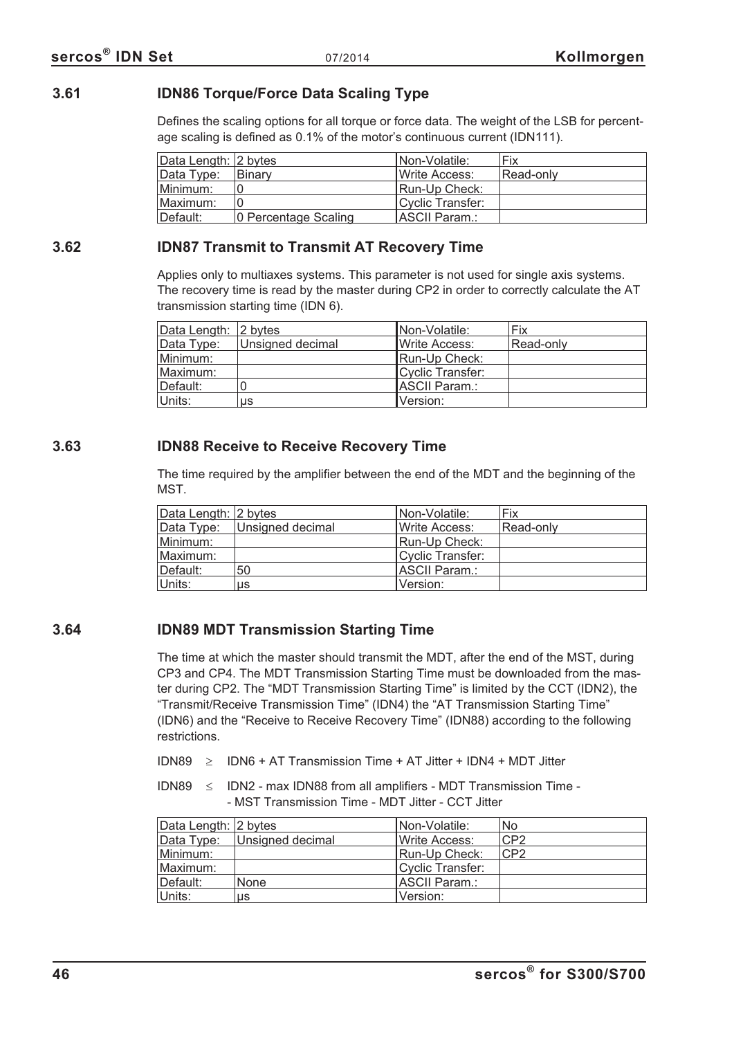## **3.61 IDN86 Torque/Force Data Scaling Type**

Defines the scaling options for all torque or force data. The weight of the LSB for percentage scaling is defined as 0.1% of the motor's continuous current (IDN111).

| Data Length: 2 bytes |                      | INon-Volatile:        | Fix       |
|----------------------|----------------------|-----------------------|-----------|
| Data Type:           | ⊺Binarv              | <b>IWrite Access:</b> | Read-only |
| Minimum:             |                      | Run-Up Check:         |           |
| Maximum:             |                      | Cyclic Transfer:      |           |
| Default:             | 0 Percentage Scaling | ASCII Param.:         |           |

## **3.62 IDN87 Transmit to Transmit AT Recovery Time**

Applies only to multiaxes systems. This parameter is not used for single axis systems. The recovery time is read by the master during CP2 in order to correctly calculate the AT transmission starting time (IDN 6).

| Data Length: 2 bytes |                  | Non-Volatile:          | Fix       |
|----------------------|------------------|------------------------|-----------|
| Data Type:           | Unsigned decimal | <b>I</b> Write Access: | Read-only |
| Minimum:             |                  | Run-Up Check:          |           |
| Maximum:             |                  | Cyclic Transfer:       |           |
| Default:             |                  | <b>IASCII Param.:</b>  |           |
| Units:               | us               | Version:               |           |

## **3.63 IDN88 Receive to Receive Recovery Time**

The time required by the amplifier between the end of the MDT and the beginning of the MST.

| Data Length: 2 bytes |                  | INon-Volatile:   | Fix       |
|----------------------|------------------|------------------|-----------|
| Data Type:           | Unsigned decimal | Write Access:    | Read-only |
| Minimum:             |                  | Run-Up Check:    |           |
| Maximum:             |                  | Cyclic Transfer: |           |
| Default:             | 50               | ASCII Param.:    |           |
| Units:               | us               | Version:         |           |

# **3.64 IDN89 MDT Transmission Starting Time**

The time at which the master should transmit the MDT, after the end of the MST, during CP3 and CP4. The MDT Transmission Starting Time must be downloaded from the master during CP2. The "MDT Transmission Starting Time" is limited by the CCT (IDN2), the "Transmit/Receive Transmission Time" (IDN4) the "AT Transmission Starting Time" (IDN6) and the "Receive to Receive Recovery Time" (IDN88) according to the following restrictions.

IDN89  $\geq$  IDN6 + AT Transmission Time + AT Jitter + IDN4 + MDT Jitter

IDN89  $\leq$  IDN2 - max IDN88 from all amplifiers - MDT Transmission Time -- MST Transmission Time - MDT Jitter - CCT Jitter

| Data Length: 2 bytes |                  | Non-Volatile:         | No             |
|----------------------|------------------|-----------------------|----------------|
| Data Type:           | Unsigned decimal | <b>IWrite Access:</b> | CP2            |
| Minimum:             |                  | Run-Up Check:         | $\mathsf{CP}2$ |
| Maximum:             |                  | Cyclic Transfer:      |                |
| Default:             | <b>None</b>      | ASCII Param.:         |                |
| Units:               | us               | Version:              |                |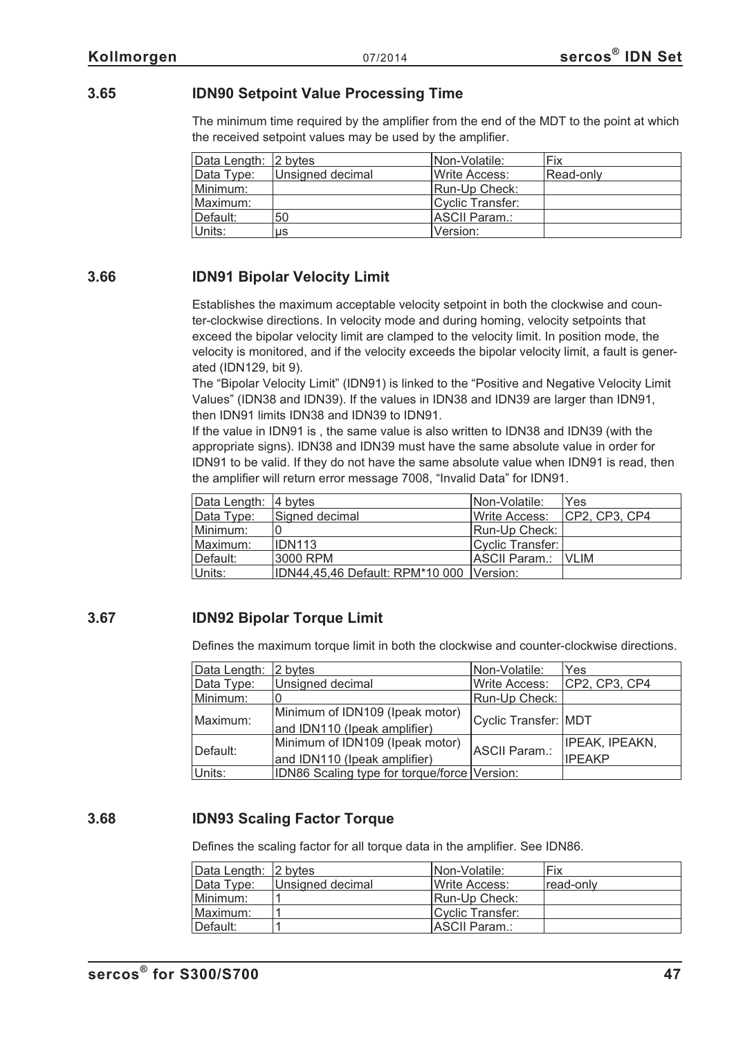## **3.65 IDN90 Setpoint Value Processing Time**

The minimum time required by the amplifier from the end of the MDT to the point at which the received setpoint values may be used by the amplifier.

| Data Length: 2 bytes |                  | Non-Volatile:    | Fix       |
|----------------------|------------------|------------------|-----------|
| Data Type:           | Unsigned decimal | Write Access:    | Read-only |
| Minimum:             |                  | Run-Up Check:    |           |
| Maximum:             |                  | Cyclic Transfer: |           |
| Default:             | 50               | ASCII Param.:    |           |
| Units:               | us               | Version:         |           |

## **3.66 IDN91 Bipolar Velocity Limit**

Establishes the maximum acceptable velocity setpoint in both the clockwise and counter-clockwise directions. In velocity mode and during homing, velocity setpoints that exceed the bipolar velocity limit are clamped to the velocity limit. In position mode, the velocity is monitored, and if the velocity exceeds the bipolar velocity limit, a fault is generated (IDN129, bit 9).

The "Bipolar Velocity Limit" (IDN91) is linked to the "Positive and Negative Velocity Limit Values" (IDN38 and IDN39). If the values in IDN38 and IDN39 are larger than IDN91, then IDN91 limits IDN38 and IDN39 to IDN91.

If the value in IDN91 is , the same value is also written to IDN38 and IDN39 (with the appropriate signs). IDN38 and IDN39 must have the same absolute value in order for IDN91 to be valid. If they do not have the same absolute value when IDN91 is read, then the amplifier will return error message 7008, "Invalid Data" for IDN91.

| Data Length: $ 4 \text{ bytes} $ |                                          | INon-Volatile:   | Yes           |
|----------------------------------|------------------------------------------|------------------|---------------|
| Data Type:                       | Signed decimal                           | Write Access:    | CP2, CP3, CP4 |
| Minimum:                         |                                          | Run-Up Check:    |               |
| Maximum:                         | <b>IDN113</b>                            | Cyclic Transfer: |               |
| Default:                         | 3000 RPM                                 | ASCII Param.:    | <b>NLIM</b>   |
| Units:                           | IDN44,45,46 Default: RPM*10 000 Version: |                  |               |

## **3.67 IDN92 Bipolar Torque Limit**

Defines the maximum torque limit in both the clockwise and counter-clockwise directions.

| Data Length: | 2 bytes                                      | Non-Volatile:        | Yes                   |
|--------------|----------------------------------------------|----------------------|-----------------------|
| Data Type:   | Unsigned decimal                             | <b>Write Access:</b> | CP2, CP3, CP4         |
| Minimum:     |                                              | Run-Up Check:        |                       |
| Maximum:     | Minimum of IDN109 (Ipeak motor)              |                      |                       |
|              | and IDN110 (Ipeak amplifier)                 | Cyclic Transfer: MDT |                       |
| Default:     | Minimum of IDN109 (Ipeak motor)              |                      | <b>IPEAK, IPEAKN,</b> |
|              | and IDN110 (Ipeak amplifier)                 | ASCII Param.:        | <b>IPEAKP</b>         |
| Units:       | IDN86 Scaling type for torque/force Version: |                      |                       |

## **3.68 IDN93 Scaling Factor Torque**

Defines the scaling factor for all torque data in the amplifier. See IDN86.

| Data Length: 2 bytes |                  | INon-Volatile:        | Fix        |
|----------------------|------------------|-----------------------|------------|
| Data Type:           | Unsigned decimal | <b>IWrite Access:</b> | ⊺read-onlv |
| Minimum:             |                  | Run-Up Check:         |            |
| Maximum:             |                  | Cyclic Transfer:      |            |
| ⊺Default:            |                  | ASCII Param.:         |            |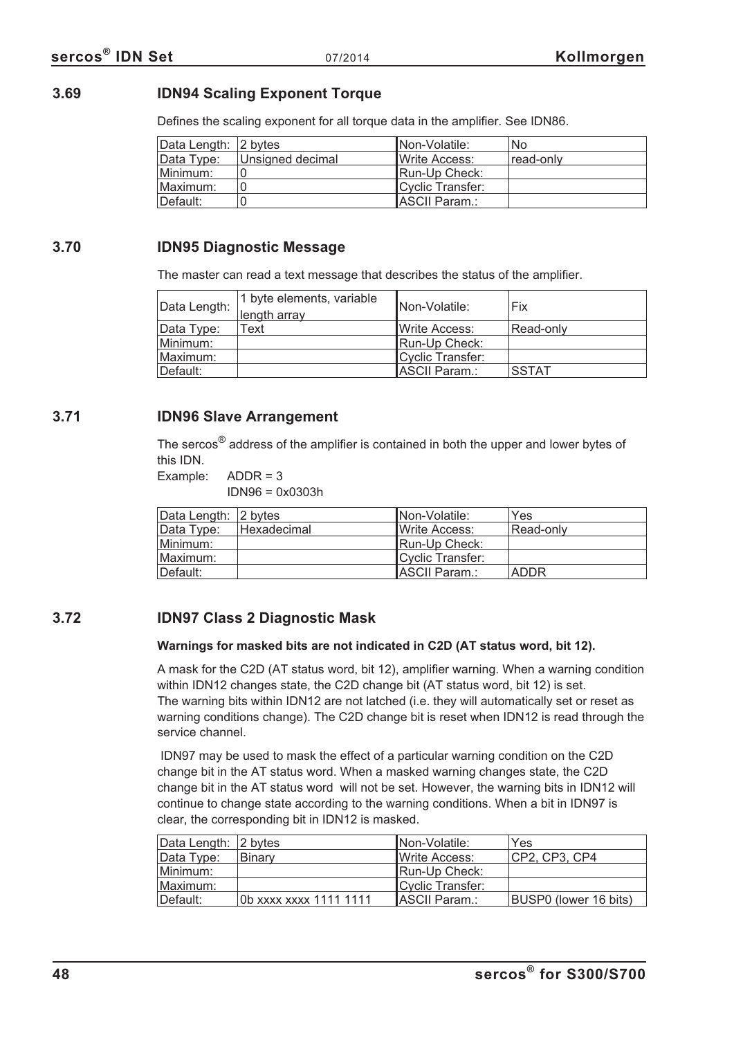## **3.69 IDN94 Scaling Exponent Torque**

Defines the scaling exponent for all torque data in the amplifier. See IDN86.

| Data Length: 2 bytes |                  | Non-Volatile:         | No        |
|----------------------|------------------|-----------------------|-----------|
| Data Type:           | Unsigned decimal | <b>IWrite Access:</b> | read-only |
| Minimum:             |                  | Run-Up Check:         |           |
| Maximum:             |                  | Cyclic Transfer:      |           |
| ⊺Default:            |                  | <b>ASCII Param.:</b>  |           |

## **3.70 IDN95 Diagnostic Message**

The master can read a text message that describes the status of the amplifier.

| Data Length: | 1 byte elements, variable<br>length array | <b>Non-Volatile:</b> | Fix          |
|--------------|-------------------------------------------|----------------------|--------------|
| Data Type:   | Text                                      | Write Access:        | Read-only    |
| Minimum:     |                                           | Run-Up Check:        |              |
| Maximum:     |                                           | Cyclic Transfer:     |              |
| Default:     |                                           | ASCII Param.:        | <b>SSTAT</b> |

## **3.71 IDN96 Slave Arrangement**

The sercos® address of the amplifier is contained in both the upper and lower bytes of this IDN.

Example: ADDR = 3

IDN96 = 0x0303h

| Data Length: 2 bytes |             | INon-Volatile:        | Yes         |
|----------------------|-------------|-----------------------|-------------|
| Data Type:           | Hexadecimal | <b>IWrite Access:</b> | Read-only   |
| Minimum:             |             | Run-Up Check:         |             |
| Maximum:             |             | Cyclic Transfer:      |             |
| Default:             |             | <b>IASCII Param.:</b> | <b>ADDR</b> |

## **3.72 IDN97 Class 2 Diagnostic Mask**

#### **Warnings for masked bits are not indicated in C2D (AT status word, bit 12).**

A mask for the C2D (AT status word, bit 12), amplifier warning. When a warning condition within IDN12 changes state, the C2D change bit (AT status word, bit 12) is set. The warning bits within IDN12 are not latched (i.e. they will automatically set or reset as warning conditions change). The C2D change bit is reset when IDN12 is read through the service channel.

IDN97 may be used to mask the effect of a particular warning condition on the C2D change bit in the AT status word. When a masked warning changes state, the C2D change bit in the AT status word will not be set. However, the warning bits in IDN12 will continue to change state according to the warning conditions. When a bit in IDN97 is clear, the corresponding bit in IDN12 is masked.

| Data Length: 2 bytes |                        | INon-Volatile:         | Yes                   |
|----------------------|------------------------|------------------------|-----------------------|
| Data Type:           | ⊪Binarv                | <b>I</b> Write Access: | CP2, CP3, CP4         |
| Minimum: l           |                        | Run-Up Check:          |                       |
| Maximum:             |                        | Cyclic Transfer:       |                       |
| ⊺Default:            | 0b xxxx xxxx 1111 1111 | ASCII Param.:          | BUSP0 (lower 16 bits) |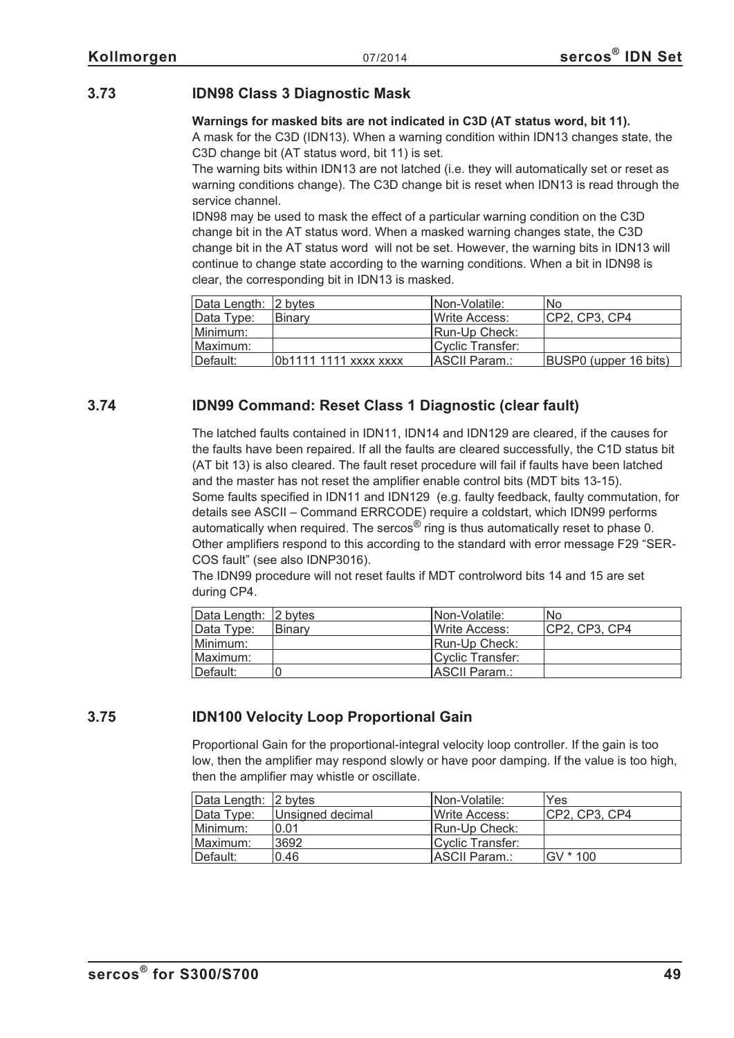# **3.73 IDN98 Class 3 Diagnostic Mask**

#### **Warnings for masked bits are not indicated in C3D (AT status word, bit 11).**

A mask for the C3D (IDN13). When a warning condition within IDN13 changes state, the C3D change bit (AT status word, bit 11) is set.

The warning bits within IDN13 are not latched (i.e. they will automatically set or reset as warning conditions change). The C3D change bit is reset when IDN13 is read through the service channel.

IDN98 may be used to mask the effect of a particular warning condition on the C3D change bit in the AT status word. When a masked warning changes state, the C3D change bit in the AT status word will not be set. However, the warning bits in IDN13 will continue to change state according to the warning conditions. When a bit in IDN98 is clear, the corresponding bit in IDN13 is masked.

| Data Length: 2 bytes |                       | Non-Volatile:    | No.                   |
|----------------------|-----------------------|------------------|-----------------------|
| Data Type:           | Binary                | Write Access:    | ICP2. CP3. CP4        |
| Minimum:             |                       | Run-Up Check:    |                       |
| Maximum:             |                       | Cyclic Transfer: |                       |
| Default:             | 0b1111 1111 xxxx xxxx | ASCII Param.:    | BUSP0 (upper 16 bits) |

# **3.74 IDN99 Command: Reset Class 1 Diagnostic (clear fault)**

The latched faults contained in IDN11, IDN14 and IDN129 are cleared, if the causes for the faults have been repaired. If all the faults are cleared successfully, the C1D status bit (AT bit 13) is also cleared. The fault reset procedure will fail if faults have been latched and the master has not reset the amplifier enable control bits (MDT bits 13-15). Some faults specified in IDN11 and IDN129 (e.g. faulty feedback, faulty commutation, for details see ASCII – Command ERRCODE) require a coldstart, which IDN99 performs automatically when required. The sercos $^{\circledR}$  ring is thus automatically reset to phase 0. Other amplifiers respond to this according to the standard with error message F29 "SER-COS fault" (see also IDNP3016).

The IDN99 procedure will not reset faults if MDT controlword bits 14 and 15 are set during CP4.

| Data Length: 2 bytes |               | Non-Volatile:         | No            |
|----------------------|---------------|-----------------------|---------------|
| Data Type:           | <b>Binary</b> | <b>IWrite Access:</b> | CP2, CP3, CP4 |
| Minimum:             |               | Run-Up Check:         |               |
| Maximum:             |               | Cyclic Transfer:      |               |
| ∥Default:            |               | ASCII Param.:         |               |

# **3.75 IDN100 Velocity Loop Proportional Gain**

Proportional Gain for the proportional-integral velocity loop controller. If the gain is too low, then the amplifier may respond slowly or have poor damping. If the value is too high, then the amplifier may whistle or oscillate.

| Data Length: 2 bytes |                  | INon-Volatile:   | Yes           |
|----------------------|------------------|------------------|---------------|
| Data Type:           | Unsigned decimal | Write Access:    | CP2, CP3, CP4 |
| Minimum:             | 0.01             | Run-Up Check:    |               |
| IMaximum:            | 3692             | Cyclic Transfer: |               |
| Default:             | 0.46             | IASCII Param.:   | IGV * 100     |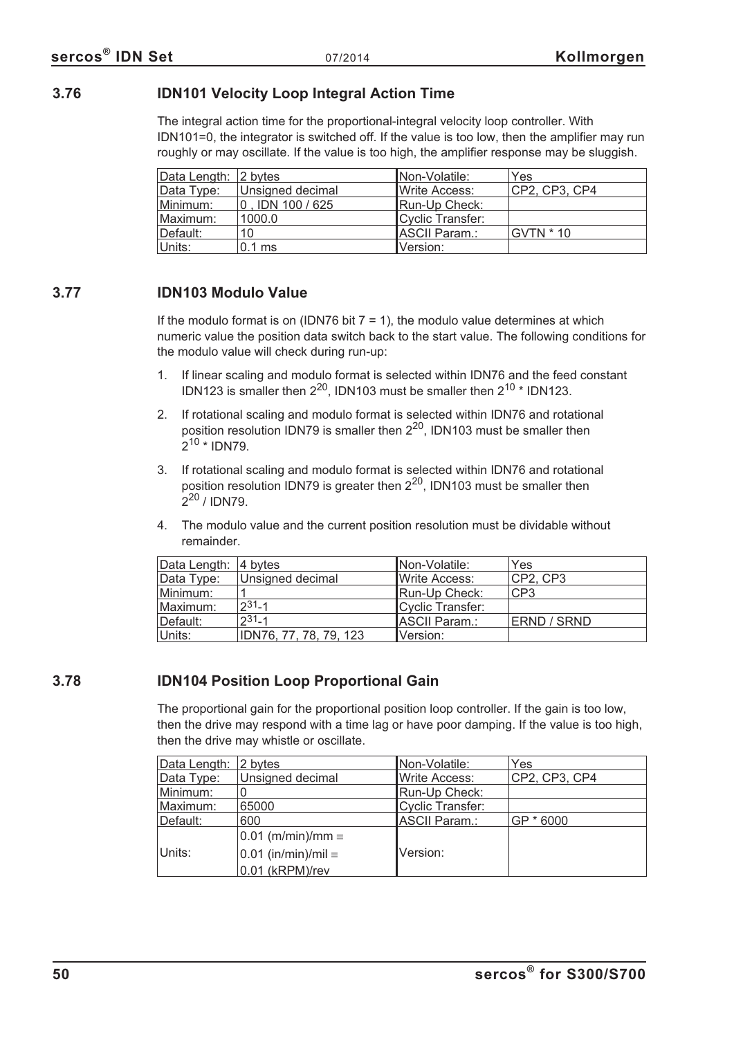## **3.76 IDN101 Velocity Loop Integral Action Time**

The integral action time for the proportional-integral velocity loop controller. With IDN101=0, the integrator is switched off. If the value is too low, then the amplifier may run roughly or may oscillate. If the value is too high, the amplifier response may be sluggish.

| Data Length: 2 bytes |                  | Non-Volatile:    | Yes           |
|----------------------|------------------|------------------|---------------|
| Data Type:           | Unsigned decimal | Write Access:    | CP2, CP3, CP4 |
| Minimum:             | 0, IDN 100 / 625 | Run-Up Check:    |               |
| Maximum:             | 1000.0           | Cyclic Transfer: |               |
| Default:             | 10               | ASCII Param.:    | $GVTN * 10$   |
| Units:               | $0.1$ ms         | Version:         |               |

## **3.77 IDN103 Modulo Value**

If the modulo format is on (IDN76 bit  $7 = 1$ ), the modulo value determines at which numeric value the position data switch back to the start value. The following conditions for the modulo value will check during run-up:

- 1. If linear scaling and modulo format is selected within IDN76 and the feed constant IDN123 is smaller then  $2^{20}$ , IDN103 must be smaller then  $2^{10}$  \* IDN123.
- 2. If rotational scaling and modulo format is selected within IDN76 and rotational position resolution IDN79 is smaller then  $2^{20}$ , IDN103 must be smaller then  $2^{10}$  \* IDN79.
- 3. If rotational scaling and modulo format is selected within IDN76 and rotational position resolution IDN79 is greater then  $2^{20}$ , IDN103 must be smaller then  $2^{20}$  / IDN79.
- 4. The modulo value and the current position resolution must be dividable without remainder.

| Data Length: 4 bytes |                        | INon-Volatile:   | Yes             |
|----------------------|------------------------|------------------|-----------------|
| Data Type:           | Unsigned decimal       | Write Access:    | CP2. CP3        |
| Minimum:             |                        | Run-Up Check:    | CP <sub>3</sub> |
| Maximum:             | $231 - 1$              | Cyclic Transfer: |                 |
| Default:             | $231 - 1$              | ASCII Param.:    | ERND / SRND     |
| Units:               | IDN76, 77, 78, 79, 123 | Version:         |                 |

## **3.78 IDN104 Position Loop Proportional Gain**

The proportional gain for the proportional position loop controller. If the gain is too low, then the drive may respond with a time lag or have poor damping. If the value is too high, then the drive may whistle or oscillate.

| Data Length: 2 bytes |                              | Non-Volatile:           | Yes           |
|----------------------|------------------------------|-------------------------|---------------|
| Data Type:           | Unsigned decimal             | Write Access:           | CP2, CP3, CP4 |
| Minimum:             |                              | Run-Up Check:           |               |
| Maximum:             | 65000                        | <b>Cyclic Transfer:</b> |               |
| Default:             | 600                          | ASCII Param.:           | GP * 6000     |
|                      | $0.01$ (m/min)/mm $\equiv$   |                         |               |
| Units:               | $0.01$ (in/min)/mil $\equiv$ | Version:                |               |
|                      | 0.01 (kRPM)/rev              |                         |               |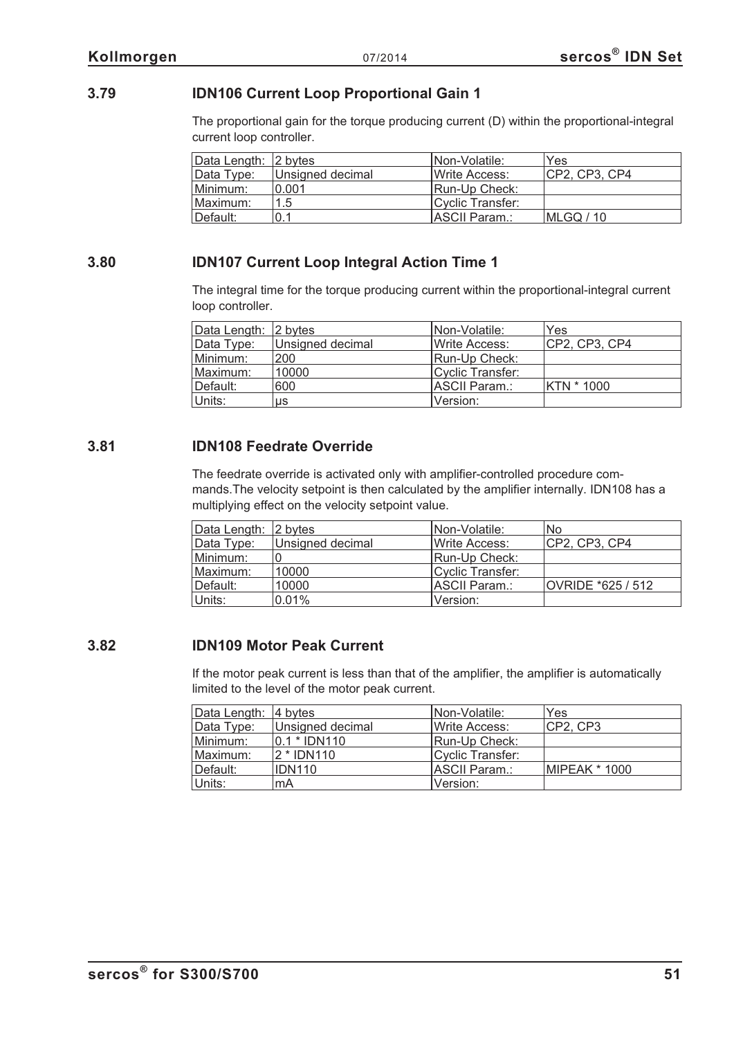## **3.79 IDN106 Current Loop Proportional Gain 1**

The proportional gain for the torque producing current (D) within the proportional-integral current loop controller.

| Data Length: 2 bytes |                  | INon-Volatile:   | Yes              |
|----------------------|------------------|------------------|------------------|
| Data Type:           | Unsigned decimal | Write Access:    | CP2, CP3, CP4    |
| Minimum:             | 0.001            | Run-Up Check:    |                  |
| Maximum:             | 1.5              | Cyclic Transfer: |                  |
| Default:             | 0.1              | ASCII Param.:    | <b>MLGO</b> / 10 |

## **3.80 IDN107 Current Loop Integral Action Time 1**

The integral time for the torque producing current within the proportional-integral current loop controller.

| Data Length: 2 bytes |                  | INon-Volatile:         | Yes           |
|----------------------|------------------|------------------------|---------------|
| Data Type:           | Unsigned decimal | <b>I</b> Write Access: | CP2, CP3, CP4 |
| Minimum:             | 200              | Run-Up Check:          |               |
| Maximum:             | 10000            | Cyclic Transfer:       |               |
| Default:             | 600              | <b>IASCII Param.:</b>  | KTN * 1000    |
| Units:               | us               | lVersion:              |               |

## **3.81 IDN108 Feedrate Override**

The feedrate override is activated only with amplifier-controlled procedure commands.The velocity setpoint is then calculated by the amplifier internally. IDN108 has a multiplying effect on the velocity setpoint value.

| Data Length: 2 bytes |                  | INon-Volatile:        | No.               |
|----------------------|------------------|-----------------------|-------------------|
| Data Type:           | Unsigned decimal | <b>IWrite Access:</b> | CP2, CP3, CP4     |
| Minimum:             |                  | Run-Up Check:         |                   |
| Maximum:             | 10000            | Cyclic Transfer:      |                   |
| Default:             | 10000            | ASCII Param.:         | OVRIDE *625 / 512 |
| Units:               | 0.01%            | Version:              |                   |

## **3.82 IDN109 Motor Peak Current**

If the motor peak current is less than that of the amplifier, the amplifier is automatically limited to the level of the motor peak current.

| Data Length: 4 bytes |                  | INon-Volatile:         | Yes           |
|----------------------|------------------|------------------------|---------------|
| Data Type:           | Unsigned decimal | <b>I</b> Write Access: | CP2, CP3      |
| Minimum:             | $ 0.1 *  $ DN110 | Run-Up Check:          |               |
| Maximum:             | 2 * IDN110       | Cyclic Transfer:       |               |
| ⊺Default:            | <b>IDN110</b>    | IASCII Param.:         | MIPEAK * 1000 |
| Units:               | mA               | lVersion:              |               |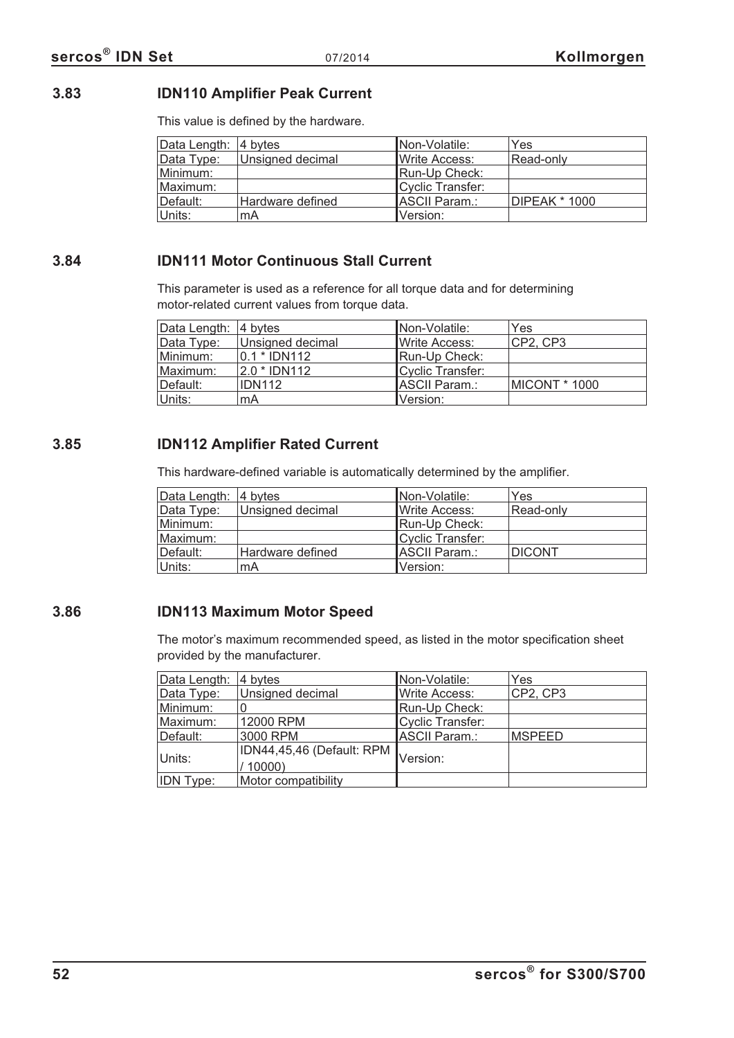# **3.83 IDN110 Amplifier Peak Current**

This value is defined by the hardware.

| Data Length: 4 bytes |                  | Non-Volatile:         | Yes                  |
|----------------------|------------------|-----------------------|----------------------|
| Data Type:           | Unsigned decimal | <b>IWrite Access:</b> | Read-only            |
| Minimum:             |                  | Run-Up Check:         |                      |
| Maximum:             |                  | Cyclic Transfer:      |                      |
| Default:             | Hardware defined | <b>IASCII Param.:</b> | <b>DIPEAK</b> * 1000 |
| Units:               | mA               | Version:              |                      |

## **3.84 IDN111 Motor Continuous Stall Current**

This parameter is used as a reference for all torque data and for determining motor-related current values from torque data.

| Data Length: 4 bytes |                  | INon-Volatile:         | Yes                   |
|----------------------|------------------|------------------------|-----------------------|
| Data Type:           | Unsigned decimal | <b>I</b> Write Access: | CP2, CP3              |
| Minimum:             | $0.1 * IDN112$   | Run-Up Check:          |                       |
| Maximum:             | 2.0 * IDN112     | Cyclic Transfer:       |                       |
| Default:             | <b>IDN112</b>    | ASCII Param.:          | <b>IMICONT * 1000</b> |
| Units:               | mA               | Version:               |                       |

## **3.85 IDN112 Amplifier Rated Current**

This hardware-defined variable is automatically determined by the amplifier.

| Data Length: 4 bytes |                  | INon-Volatile:        | Yes           |
|----------------------|------------------|-----------------------|---------------|
| Data Type:           | Unsigned decimal | <b>IWrite Access:</b> | Read-only     |
| Minimum:             |                  | Run-Up Check:         |               |
| Maximum:             |                  | Cyclic Transfer:      |               |
| Default:             | Hardware defined | ASCII Param.:         | <b>DICONT</b> |
| Units:               | mA               | Version:              |               |

## **3.86 IDN113 Maximum Motor Speed**

The motor's maximum recommended speed, as listed in the motor specification sheet provided by the manufacturer.

| Data Length:     | 4 bytes                            | Non-Volatile:    | Yes           |
|------------------|------------------------------------|------------------|---------------|
| Data Type:       | Unsigned decimal                   | Write Access:    | CP2, CP3      |
| Minimum:         |                                    | Run-Up Check:    |               |
| Maximum:         | 12000 RPM                          | Cyclic Transfer: |               |
| Default:         | 3000 RPM                           | ASCII Param.:    | <b>MSPEED</b> |
| Units:           | IDN44,45,46 (Default: RPM<br>10000 | <b>IVersion:</b> |               |
| <b>IDN Type:</b> | Motor compatibility                |                  |               |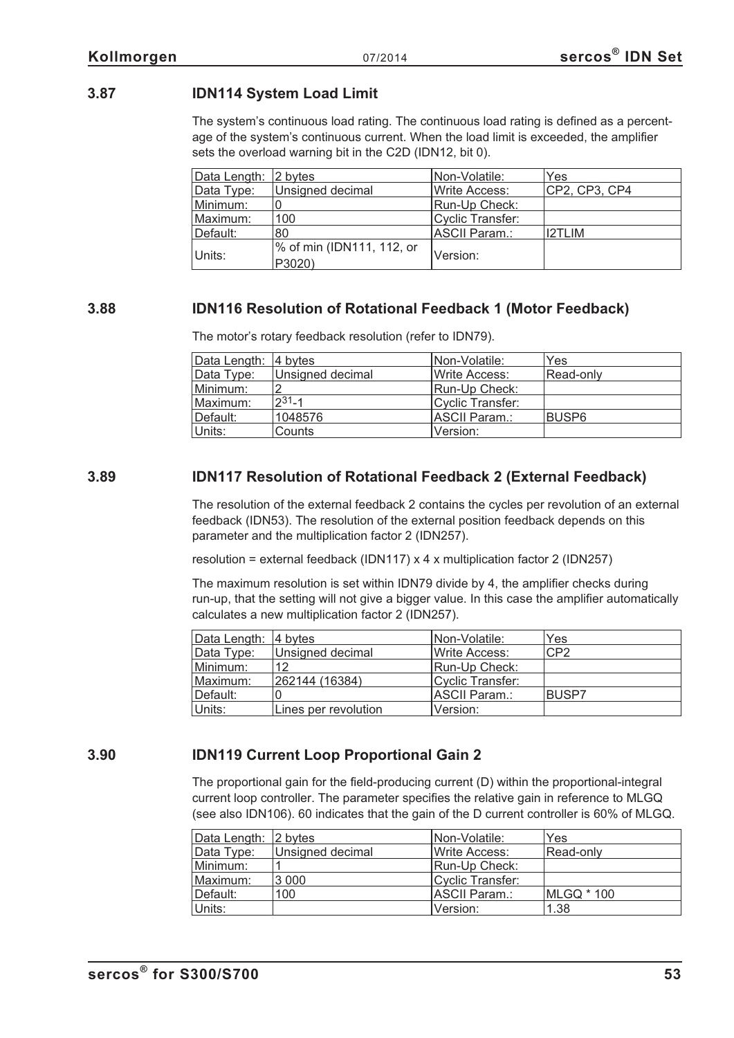## **3.87 IDN114 System Load Limit**

The system's continuous load rating. The continuous load rating is defined as a percentage of the system's continuous current. When the load limit is exceeded, the amplifier sets the overload warning bit in the C2D (IDN12, bit 0).

| Data Length: | $ 2 \text{ bytes} $                 | INon-Volatile:        | Yes           |
|--------------|-------------------------------------|-----------------------|---------------|
| Data Type:   | Unsigned decimal                    | <b>IWrite Access:</b> | CP2, CP3, CP4 |
| Minimum:     |                                     | Run-Up Check:         |               |
| Maximum:     | 100                                 | Cyclic Transfer:      |               |
| Default:     | 80                                  | IASCII Param.:        | <b>I2TLIM</b> |
| Units:       | % of min (IDN111, 112, or<br>P3020) | Version:              |               |

## **3.88 IDN116 Resolution of Rotational Feedback 1 (Motor Feedback)**

The motor's rotary feedback resolution (refer to IDN79).

| Data Length: 4 bytes |                  | INon-Volatile:   | Yes          |
|----------------------|------------------|------------------|--------------|
| Data Type:           | Unsigned decimal | Write Access:    | Read-only    |
| Minimum:             |                  | Run-Up Check:    |              |
| Maximum:             | $231 - 1$        | Cyclic Transfer: |              |
| Default:             | 1048576          | ASCII Param.:    | <b>BUSP6</b> |
| Units:               | Counts           | Version:         |              |

## **3.89 IDN117 Resolution of Rotational Feedback 2 (External Feedback)**

The resolution of the external feedback 2 contains the cycles per revolution of an external feedback (IDN53). The resolution of the external position feedback depends on this parameter and the multiplication factor 2 (IDN257).

resolution = external feedback (IDN117) x 4 x multiplication factor 2 (IDN257)

The maximum resolution is set within IDN79 divide by 4, the amplifier checks during run-up, that the setting will not give a bigger value. In this case the amplifier automatically calculates a new multiplication factor 2 (IDN257).

| Data Length:  4 bytes |                      | Non-Volatile:         | Yes          |
|-----------------------|----------------------|-----------------------|--------------|
| Data Type:            | Unsigned decimal     | <b>IWrite Access:</b> | CP2          |
| Minimum:              | 12                   | Run-Up Check:         |              |
| Maximum:              | 262144 (16384)       | Cyclic Transfer:      |              |
| Default:              |                      | <b>IASCII Param.:</b> | <b>BUSP7</b> |
| Units:                | Lines per revolution | Version:              |              |

## **3.90 IDN119 Current Loop Proportional Gain 2**

The proportional gain for the field-producing current (D) within the proportional-integral current loop controller. The parameter specifies the relative gain in reference to MLGQ (see also IDN106). 60 indicates that the gain of the D current controller is 60% of MLGQ.

| Data Length: 2 bytes |                  | INon-Volatile:   | Yes        |
|----------------------|------------------|------------------|------------|
| Data Type:           | Unsigned decimal | Write Access:    | Read-only  |
| Minimum:             |                  | Run-Up Check:    |            |
| Maximum:             | 3 0 0 0          | Cyclic Transfer: |            |
| Default:             | 100              | ASCII Param.:    | MLGQ * 100 |
| Units:               |                  | Version:         | 1.38       |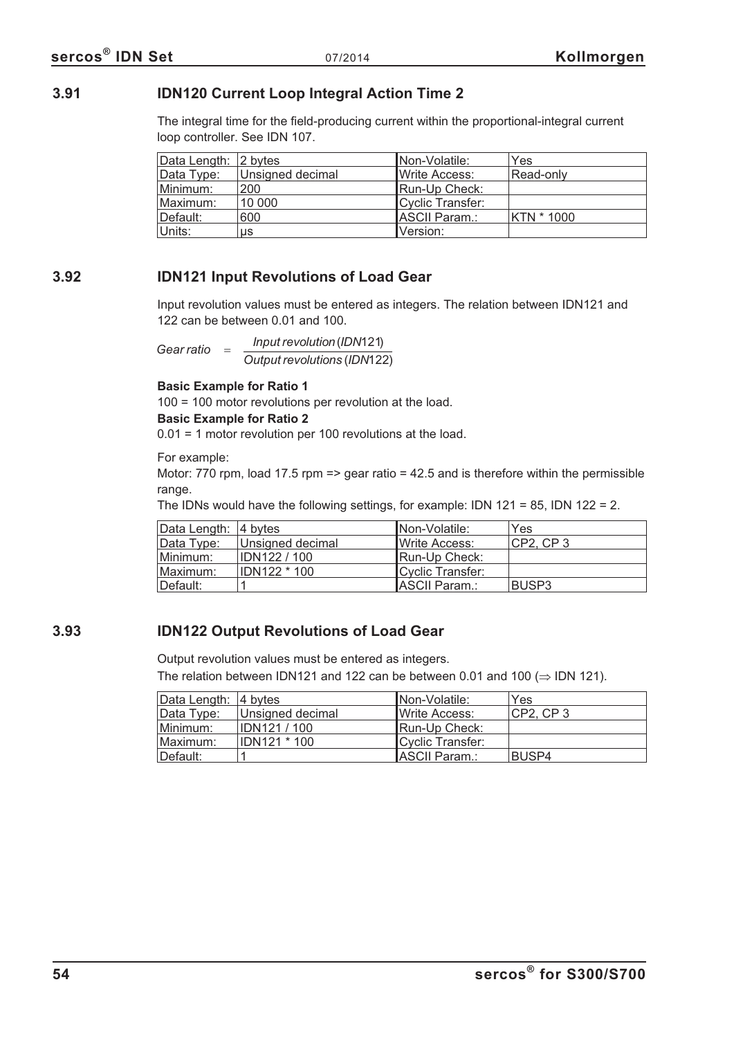## **3.91 IDN120 Current Loop Integral Action Time 2**

The integral time for the field-producing current within the proportional-integral current loop controller. See IDN 107.

| Data Length: 2 bytes |                  | INon-Volatile:        | Yes        |
|----------------------|------------------|-----------------------|------------|
| Data Type:           | Unsigned decimal | <b>IWrite Access:</b> | Read-only  |
| Minimum:             | 200              | Run-Up Check:         |            |
| Maximum:             | 10 000           | Cyclic Transfer:      |            |
| Default:             | 600              | <b>IASCII Param.:</b> | KTN * 1000 |
| Units:               | us               | Version:              |            |

## **3.92 IDN121 Input Revolutions of Load Gear**

Input revolution values must be entered as integers. The relation between IDN121 and 122 can be between 0.01 and 100.

*Gear ratio* =  $\frac{Input \, revolution (IDN121)}{}$ *Output revolutions* ( ) <sup>121</sup> ( ) *IDN*122

#### **Basic Example for Ratio 1**

100 = 100 motor revolutions per revolution at the load.

#### **Basic Example for Ratio 2**

0.01 = 1 motor revolution per 100 revolutions at the load.

For example:

Motor: 770 rpm, load 17.5 rpm => gear ratio =  $42.5$  and is therefore within the permissible range.

The IDNs would have the following settings, for example: IDN 121 = 85, IDN 122 = 2.

| Data Length: 4 bytes |                     | INon-Volatile:        | Yes          |
|----------------------|---------------------|-----------------------|--------------|
| Data Type:           | Unsigned decimal    | <b>IWrite Access:</b> | CP2, CP3     |
| Minimum:             | <b>IDN122 / 100</b> | Run-Up Check:         |              |
| Maximum:             | <b>IDN122 * 100</b> | Cyclic Transfer:      |              |
| Default:             |                     | ASCII Param.:         | <b>BUSP3</b> |

# **3.93 IDN122 Output Revolutions of Load Gear**

Output revolution values must be entered as integers.

The relation between IDN121 and 122 can be between 0.01 and 100  $(\Rightarrow$  IDN 121).

| Data Length: 4 bytes |                     | INon-Volatile:       | Yes      |
|----------------------|---------------------|----------------------|----------|
| Data Type:           | Unsigned decimal    | <b>Write Access:</b> | CP2. CP3 |
| Minimum:             | <b>IDN121/100</b>   | Run-Up Check:        |          |
| Maximum:             | <b>IDN121 * 100</b> | Cyclic Transfer:     |          |
| ⊺Default:            |                     | ASCII Param.:        | BUSP4    |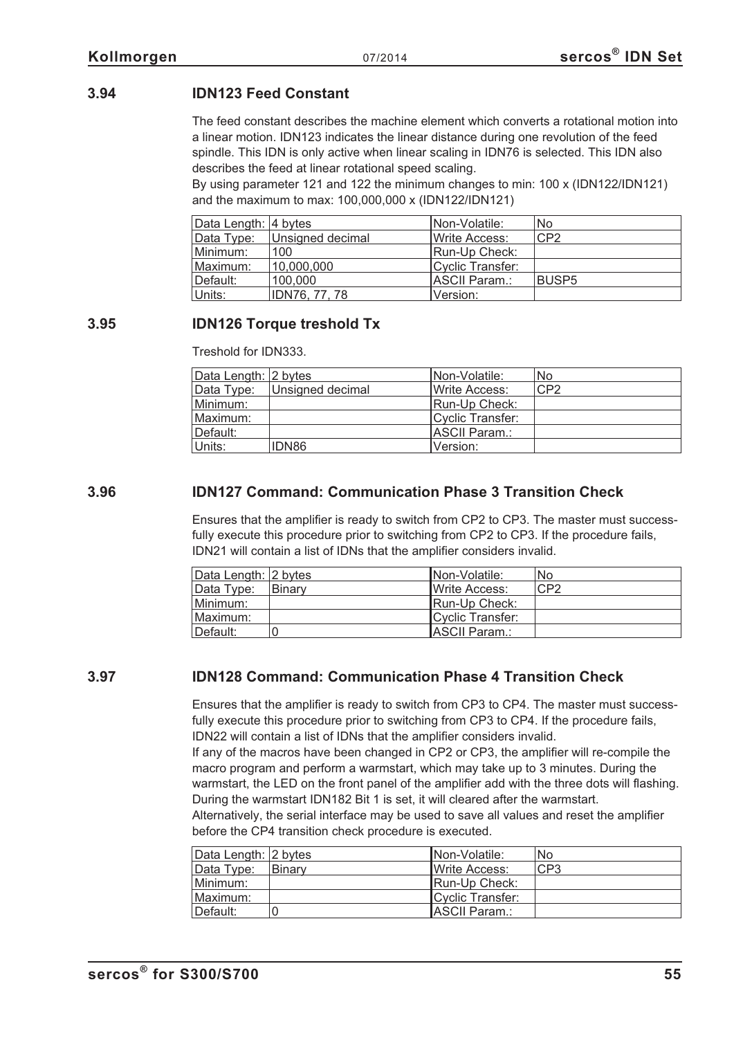# **3.94 IDN123 Feed Constant**

The feed constant describes the machine element which converts a rotational motion into a linear motion. IDN123 indicates the linear distance during one revolution of the feed spindle. This IDN is only active when linear scaling in IDN76 is selected. This IDN also describes the feed at linear rotational speed scaling.

By using parameter 121 and 122 the minimum changes to min: 100 x (IDN122/IDN121) and the maximum to max: 100,000,000 x (IDN122/IDN121)

| Data Length: 4 bytes |                  | INon-Volatile:   | No.          |
|----------------------|------------------|------------------|--------------|
| Data Type:           | Unsigned decimal | Write Access:    | CP2          |
| Minimum:             | 100              | Run-Up Check:    |              |
| Maximum:             | 10,000,000       | Cyclic Transfer: |              |
| Default:             | 100,000          | ASCII Param.:    | <b>BUSP5</b> |
| Units:               | IDN76, 77, 78    | Version:         |              |

## **3.95 IDN126 Torque treshold Tx**

Treshold for IDN333.

| Data Length: 2 bytes |                  | INon-Volatile:        | No  |
|----------------------|------------------|-----------------------|-----|
| Data Type:           | Unsigned decimal | <b>IWrite Access:</b> | CP2 |
| Minimum:             |                  | Run-Up Check:         |     |
| Maximum:             |                  | Cyclic Transfer:      |     |
| Default:             |                  | ASCII Param.:         |     |
| Units:               | IDN86            | Version:              |     |

## **3.96 IDN127 Command: Communication Phase 3 Transition Check**

Ensures that the amplifier is ready to switch from CP2 to CP3. The master must successfully execute this procedure prior to switching from CP2 to CP3. If the procedure fails, IDN21 will contain a list of IDNs that the amplifier considers invalid.

| Data Length: 2 bytes |               | INon-Volatile:        | No  |
|----------------------|---------------|-----------------------|-----|
| Data Type:           | <b>Binary</b> | <b>IWrite Access:</b> | CP2 |
| Minimum:             |               | Run-Up Check:         |     |
| Maximum:             |               | Cyclic Transfer:      |     |
| Default:             |               | ASCII Param.:         |     |

## **3.97 IDN128 Command: Communication Phase 4 Transition Check**

Ensures that the amplifier is ready to switch from CP3 to CP4. The master must successfully execute this procedure prior to switching from CP3 to CP4. If the procedure fails, IDN22 will contain a list of IDNs that the amplifier considers invalid.

If any of the macros have been changed in CP2 or CP3, the amplifier will re-compile the macro program and perform a warmstart, which may take up to 3 minutes. During the warmstart, the LED on the front panel of the amplifier add with the three dots will flashing. During the warmstart IDN182 Bit 1 is set, it will cleared after the warmstart.

Alternatively, the serial interface may be used to save all values and reset the amplifier before the CP4 transition check procedure is executed.

| Data Length: 2 bytes |               | INon-Volatile:        | No  |
|----------------------|---------------|-----------------------|-----|
| Data Type:           | <b>Binary</b> | <b>IWrite Access:</b> | CP3 |
| Minimum:             |               | <b>Run-Up Check:</b>  |     |
| Maximum:             |               | Cyclic Transfer:      |     |
| Default:             | 0             | ASCII Param.:         |     |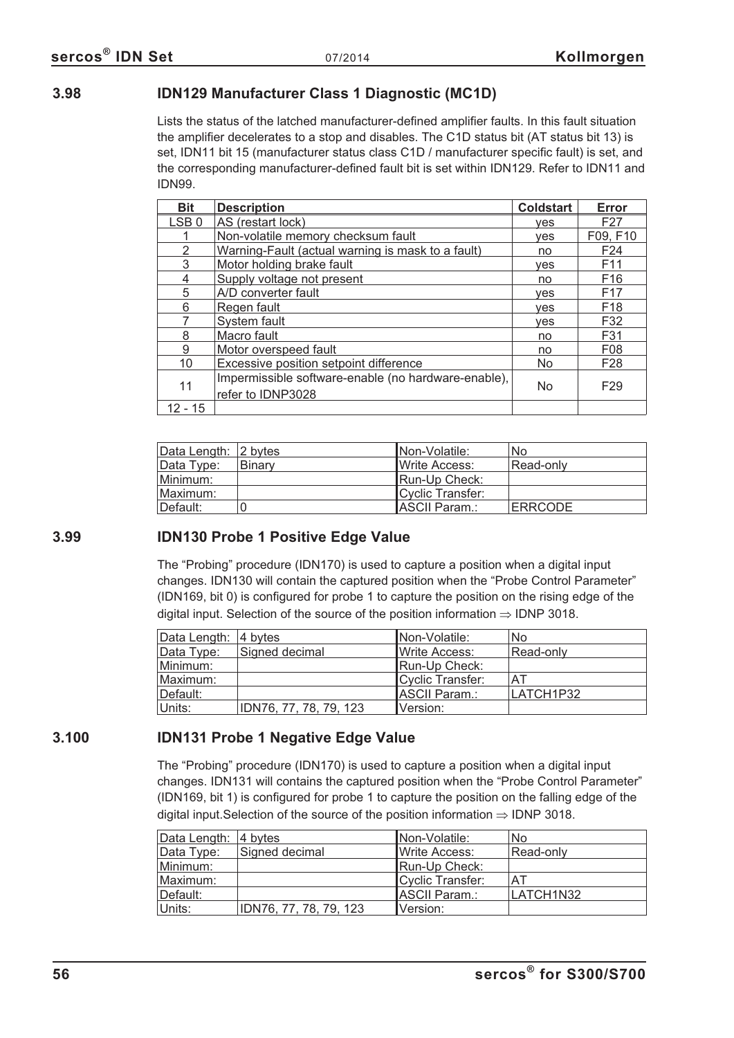## **3.98 IDN129 Manufacturer Class 1 Diagnostic (MC1D)**

Lists the status of the latched manufacturer-defined amplifier faults. In this fault situation the amplifier decelerates to a stop and disables. The C1D status bit (AT status bit 13) is set, IDN11 bit 15 (manufacturer status class C1D / manufacturer specific fault) is set, and the corresponding manufacturer-defined fault bit is set within IDN129. Refer to IDN11 and IDN99.

| <b>Bit</b>       | <b>Description</b>                                  | <b>Coldstart</b> | Error           |
|------------------|-----------------------------------------------------|------------------|-----------------|
| LSB <sub>0</sub> | AS (restart lock)                                   | ves              | F <sub>27</sub> |
|                  | Non-volatile memory checksum fault                  | <b>ves</b>       | F09, F10        |
| 2                | Warning-Fault (actual warning is mask to a fault)   | no               | F <sub>24</sub> |
| 3                | Motor holding brake fault                           | yes              | F <sub>11</sub> |
| 4                | Supply voltage not present                          | no               | F16             |
| 5                | A/D converter fault                                 | <b>ves</b>       | F <sub>17</sub> |
| 6                | Regen fault                                         | <b>ves</b>       | F <sub>18</sub> |
|                  | System fault                                        | yes              | F32             |
| 8                | Macro fault                                         | no               | F31             |
| 9                | Motor overspeed fault                               | no               | F <sub>08</sub> |
| 10               | Excessive position setpoint difference              | <b>No</b>        | F <sub>28</sub> |
| 11               | Impermissible software-enable (no hardware-enable), | <b>No</b>        | F <sub>29</sub> |
|                  | refer to IDNP3028                                   |                  |                 |
| $12 - 15$        |                                                     |                  |                 |

| Data Length: 2 bytes |        | INon-Volatile:   | No             |
|----------------------|--------|------------------|----------------|
| Data Type:           | Binary | Write Access:    | Read-only      |
| Minimum:             |        | Run-Up Check:    |                |
| Maximum:             |        | Cyclic Transfer: |                |
| ⊺Default:            |        | IASCII Param.:   | <b>ERRCODE</b> |

# **3.99 IDN130 Probe 1 Positive Edge Value**

The "Probing" procedure (IDN170) is used to capture a position when a digital input changes. IDN130 will contain the captured position when the "Probe Control Parameter" (IDN169, bit 0) is configured for probe 1 to capture the position on the rising edge of the digital input. Selection of the source of the position information  $\Rightarrow$  IDNP 3018.

| Data Length: 4 bytes |                        | INon-Volatile:        | No        |
|----------------------|------------------------|-----------------------|-----------|
| Data Type:           | Signed decimal         | <b>IWrite Access:</b> | Read-only |
| Minimum:             |                        | Run-Up Check:         |           |
| Maximum:             |                        | Cyclic Transfer:      | AT        |
| ⊺Default:            |                        | ASCII Param.:         | LATCH1P32 |
| Units:               | IDN76, 77, 78, 79, 123 | Version:              |           |

# **3.100 IDN131 Probe 1 Negative Edge Value**

The "Probing" procedure (IDN170) is used to capture a position when a digital input changes. IDN131 will contains the captured position when the "Probe Control Parameter" (IDN169, bit 1) is configured for probe 1 to capture the position on the falling edge of the digital input. Selection of the source of the position information  $\Rightarrow$  IDNP 3018.

| Data Length: 4 bytes |                        | INon-Volatile:        | No        |
|----------------------|------------------------|-----------------------|-----------|
| Data Type:           | Signed decimal         | <b>IWrite Access:</b> | Read-only |
| Minimum:             |                        | Run-Up Check:         |           |
| Maximum:             |                        | Cyclic Transfer:      | AT        |
| Default:             |                        | <b>ASCII Param.:</b>  | LATCH1N32 |
| Units:               | IDN76, 77, 78, 79, 123 | Version:              |           |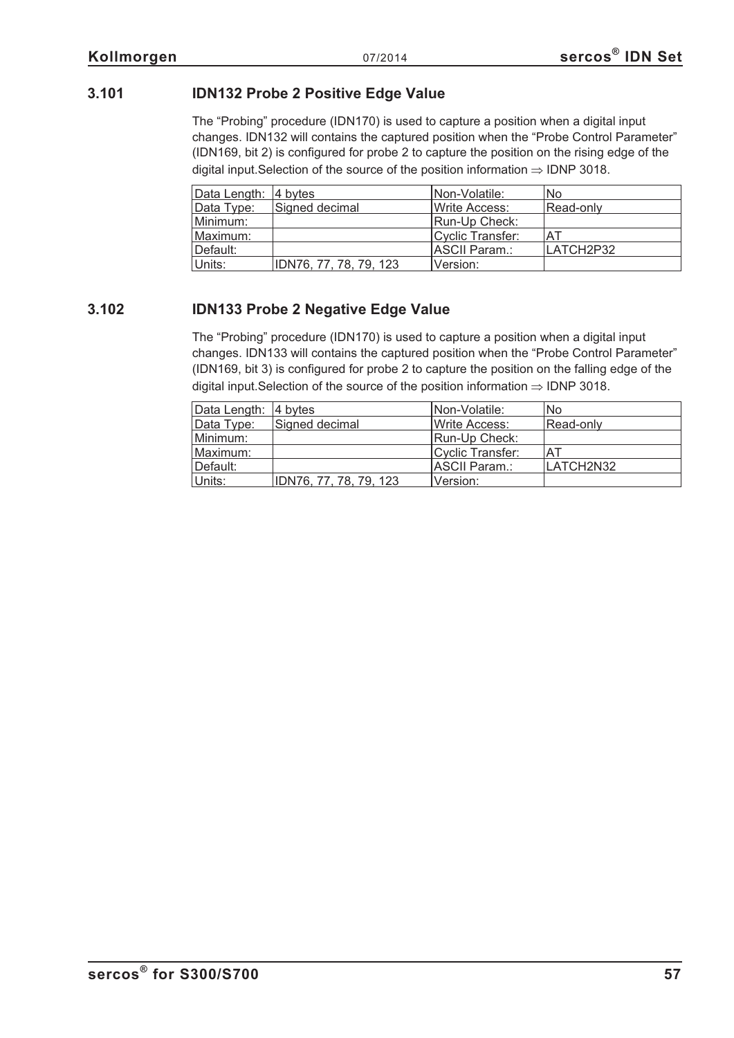# **3.101 IDN132 Probe 2 Positive Edge Value**

The "Probing" procedure (IDN170) is used to capture a position when a digital input changes. IDN132 will contains the captured position when the "Probe Control Parameter" (IDN169, bit 2) is configured for probe 2 to capture the position on the rising edge of the digital input. Selection of the source of the position information  $\Rightarrow$  IDNP 3018.

| Data Length: 4 bytes |                        | Non-Volatile:         | No        |
|----------------------|------------------------|-----------------------|-----------|
| Data Type:           | Signed decimal         | <b>IWrite Access:</b> | Read-only |
| Minimum:             |                        | Run-Up Check:         |           |
| Maximum:             |                        | Cyclic Transfer:      | AT        |
| Default:             |                        | ASCII Param.:         | LATCH2P32 |
| Units:               | IDN76, 77, 78, 79, 123 | Version:              |           |

## **3.102 IDN133 Probe 2 Negative Edge Value**

The "Probing" procedure (IDN170) is used to capture a position when a digital input changes. IDN133 will contains the captured position when the "Probe Control Parameter" (IDN169, bit 3) is configured for probe 2 to capture the position on the falling edge of the digital input. Selection of the source of the position information  $\Rightarrow$  IDNP 3018.

| Data Length: 4 bytes |                        | INon-Volatile:   | No.       |
|----------------------|------------------------|------------------|-----------|
| Data Type:           | Signed decimal         | Write Access:    | Read-only |
| Minimum:             |                        | Run-Up Check:    |           |
| Maximum:             |                        | Cyclic Transfer: | .AT       |
| Default:             |                        | IASCII Param.:   | LATCH2N32 |
| Units:               | IDN76, 77, 78, 79, 123 | Version:         |           |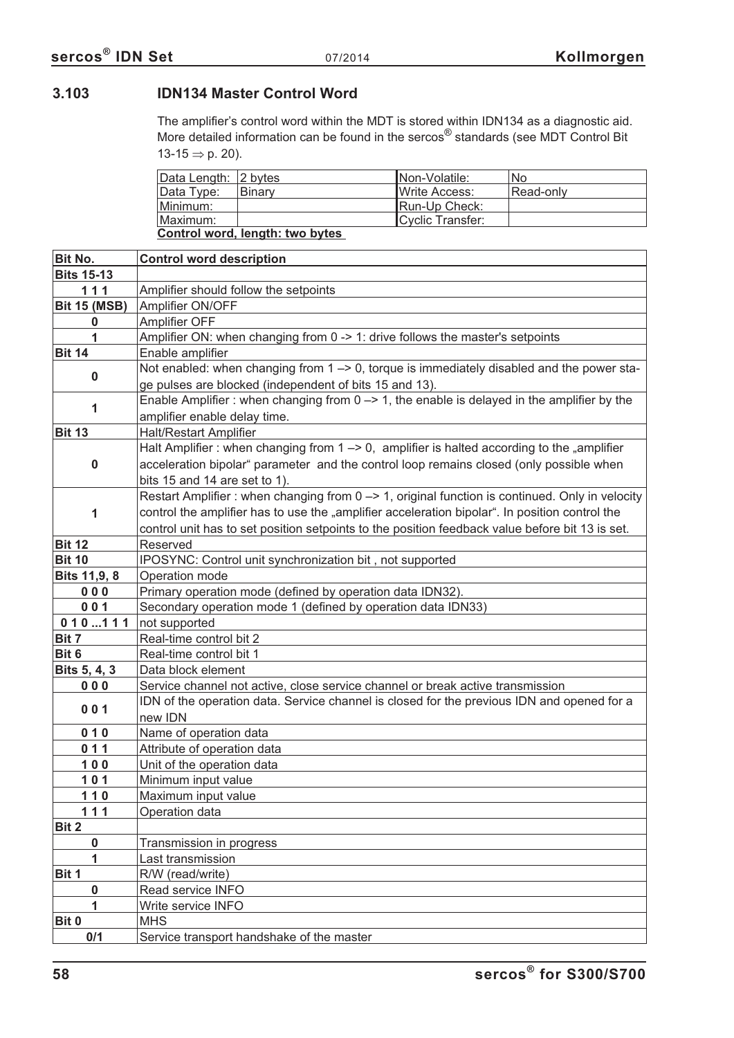# **3.103 IDN134 Master Control Word**

The amplifier's control word within the MDT is stored within IDN134 as a diagnostic aid. More detailed information can be found in the sercos<sup>®</sup> standards (see MDT Control Bit 13-15  $\Rightarrow$  p. [20\)](#page-19-0).

| Data Length: 2 bytes            |               | INon-Volatile:        | No        |  |
|---------------------------------|---------------|-----------------------|-----------|--|
| Data Type:                      | <b>Binary</b> | <b>IWrite Access:</b> | Read-only |  |
| Minimum:                        |               | Run-Up Check:         |           |  |
| Maximum:                        |               | Cyclic Transfer:      |           |  |
| Control word, length: two bytes |               |                       |           |  |

| Bit No.                           | <b>Control word description</b>                                                                                                                                 |
|-----------------------------------|-----------------------------------------------------------------------------------------------------------------------------------------------------------------|
| <b>Bits 15-13</b>                 |                                                                                                                                                                 |
| 111                               | Amplifier should follow the setpoints                                                                                                                           |
| <b>Bit 15 (MSB)</b>               | Amplifier ON/OFF                                                                                                                                                |
| 0                                 | Amplifier OFF                                                                                                                                                   |
| 1                                 | Amplifier ON: when changing from 0 -> 1: drive follows the master's setpoints                                                                                   |
| <b>Bit 14</b>                     | Enable amplifier                                                                                                                                                |
| 0                                 | Not enabled: when changing from $1 \rightarrow 0$ , torque is immediately disabled and the power sta-<br>ge pulses are blocked (independent of bits 15 and 13). |
|                                   | Enable Amplifier: when changing from $0 \rightarrow 1$ , the enable is delayed in the amplifier by the                                                          |
| 1<br>amplifier enable delay time. |                                                                                                                                                                 |
| <b>Bit 13</b>                     | <b>Halt/Restart Amplifier</b>                                                                                                                                   |
|                                   | Halt Amplifier : when changing from $1 \rightarrow 0$ , amplifier is halted according to the "amplifier                                                         |
| $\bf{0}$                          | acceleration bipolar" parameter and the control loop remains closed (only possible when                                                                         |
|                                   |                                                                                                                                                                 |
|                                   | bits 15 and 14 are set to 1).                                                                                                                                   |
|                                   | Restart Amplifier: when changing from 0 -> 1, original function is continued. Only in velocity                                                                  |
| 1                                 | control the amplifier has to use the "amplifier acceleration bipolar". In position control the                                                                  |
|                                   | control unit has to set position setpoints to the position feedback value before bit 13 is set.                                                                 |
| <b>Bit 12</b>                     | Reserved                                                                                                                                                        |
| <b>Bit 10</b>                     | IPOSYNC: Control unit synchronization bit, not supported                                                                                                        |
| Bits 11,9, 8                      | Operation mode                                                                                                                                                  |
| 000                               | Primary operation mode (defined by operation data IDN32).                                                                                                       |
| 001                               | Secondary operation mode 1 (defined by operation data IDN33)                                                                                                    |
| 010111                            | not supported                                                                                                                                                   |
| Bit 7                             | Real-time control bit 2                                                                                                                                         |
| Bit 6                             | Real-time control bit 1                                                                                                                                         |
| Bits 5, 4, 3                      | Data block element                                                                                                                                              |
| 000                               | Service channel not active, close service channel or break active transmission                                                                                  |
| 001                               | IDN of the operation data. Service channel is closed for the previous IDN and opened for a<br>new IDN                                                           |
| 010                               | Name of operation data                                                                                                                                          |
| 011                               | Attribute of operation data                                                                                                                                     |
| $100$                             | Unit of the operation data                                                                                                                                      |
| 101                               | Minimum input value                                                                                                                                             |
| $110$                             | Maximum input value                                                                                                                                             |
| 111                               | Operation data                                                                                                                                                  |
| Bit 2                             |                                                                                                                                                                 |
| 0                                 | Transmission in progress                                                                                                                                        |
| 1                                 | Last transmission                                                                                                                                               |
| Bit 1                             | R/W (read/write)                                                                                                                                                |
| 0                                 | Read service INFO                                                                                                                                               |
| 1                                 | Write service INFO                                                                                                                                              |
| Bit 0                             | <b>MHS</b>                                                                                                                                                      |
| 0/1                               | Service transport handshake of the master                                                                                                                       |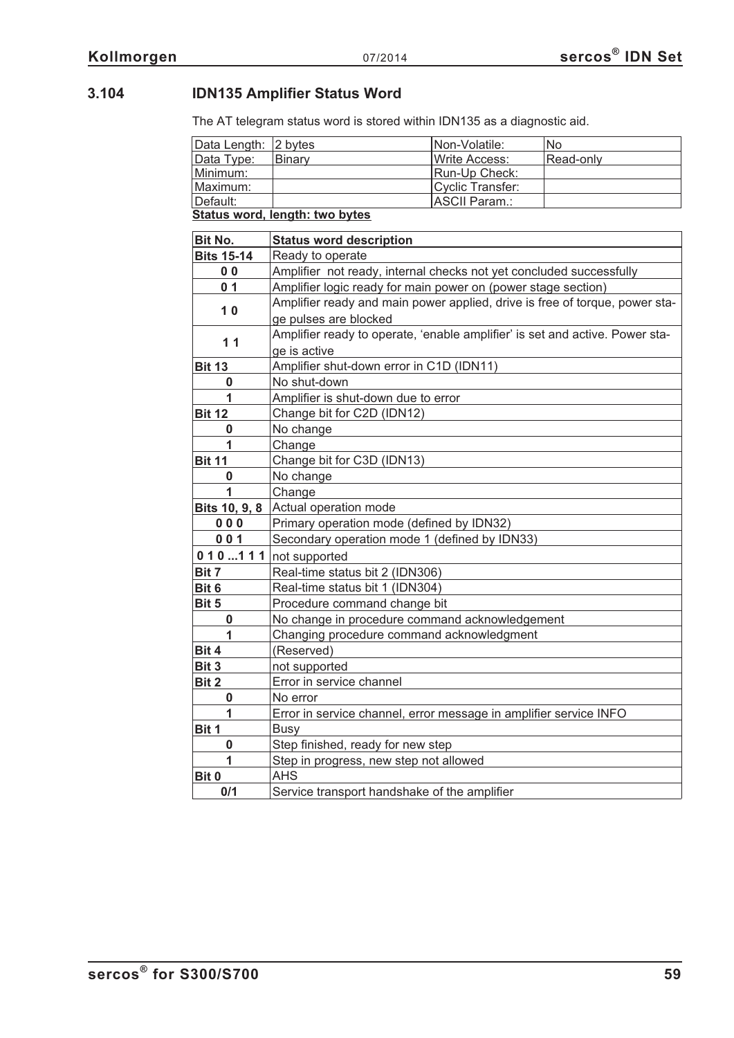# **3.104 IDN135 Amplifier Status Word**

The AT telegram status word is stored within IDN135 as a diagnostic aid.

| Data Length: 2 bytes           |               | Non-Volatile:          | No.       |
|--------------------------------|---------------|------------------------|-----------|
| Data Type:                     | <b>Binary</b> | <b>I</b> Write Access: | Read-only |
| Minimum:                       |               | Run-Up Check:          |           |
| Maximum:                       |               | Cyclic Transfer:       |           |
| ∥Default:                      |               | ASCII Param.:          |           |
| Status word, length: two bytes |               |                        |           |

| Bit No.           | <b>Status word description</b>                                               |
|-------------------|------------------------------------------------------------------------------|
| <b>Bits 15-14</b> | Ready to operate                                                             |
| 0 <sub>0</sub>    | Amplifier not ready, internal checks not yet concluded successfully          |
| 0 <sub>1</sub>    | Amplifier logic ready for main power on (power stage section)                |
| 10                | Amplifier ready and main power applied, drive is free of torque, power sta-  |
|                   | ge pulses are blocked                                                        |
| 11                | Amplifier ready to operate, 'enable amplifier' is set and active. Power sta- |
|                   | ge is active                                                                 |
| <b>Bit 13</b>     | Amplifier shut-down error in C1D (IDN11)                                     |
| 0                 | No shut-down                                                                 |
| 1                 | Amplifier is shut-down due to error                                          |
| <b>Bit 12</b>     | Change bit for C2D (IDN12)                                                   |
| 0                 | No change                                                                    |
| 1                 | Change                                                                       |
| <b>Bit 11</b>     | Change bit for C3D (IDN13)                                                   |
| 0                 | No change                                                                    |
| 1                 | Change                                                                       |
| Bits 10, 9, 8     | Actual operation mode                                                        |
| 000               | Primary operation mode (defined by IDN32)                                    |
| 001               | Secondary operation mode 1 (defined by IDN33)                                |
| 010111            | not supported                                                                |
| Bit 7             | Real-time status bit 2 (IDN306)                                              |
| Bit 6             | Real-time status bit 1 (IDN304)                                              |
| Bit 5             | Procedure command change bit                                                 |
| 0                 | No change in procedure command acknowledgement                               |
| 1                 | Changing procedure command acknowledgment                                    |
| Bit 4             | (Reserved)                                                                   |
| Bit 3             | not supported                                                                |
| Bit 2             | Error in service channel                                                     |
| 0                 | No error                                                                     |
| 1                 | Error in service channel, error message in amplifier service INFO            |
| Bit 1             | <b>Busy</b>                                                                  |
| $\bf{0}$          | Step finished, ready for new step                                            |
| 1                 | Step in progress, new step not allowed                                       |
| Bit 0             | <b>AHS</b>                                                                   |
| 0/1               | Service transport handshake of the amplifier                                 |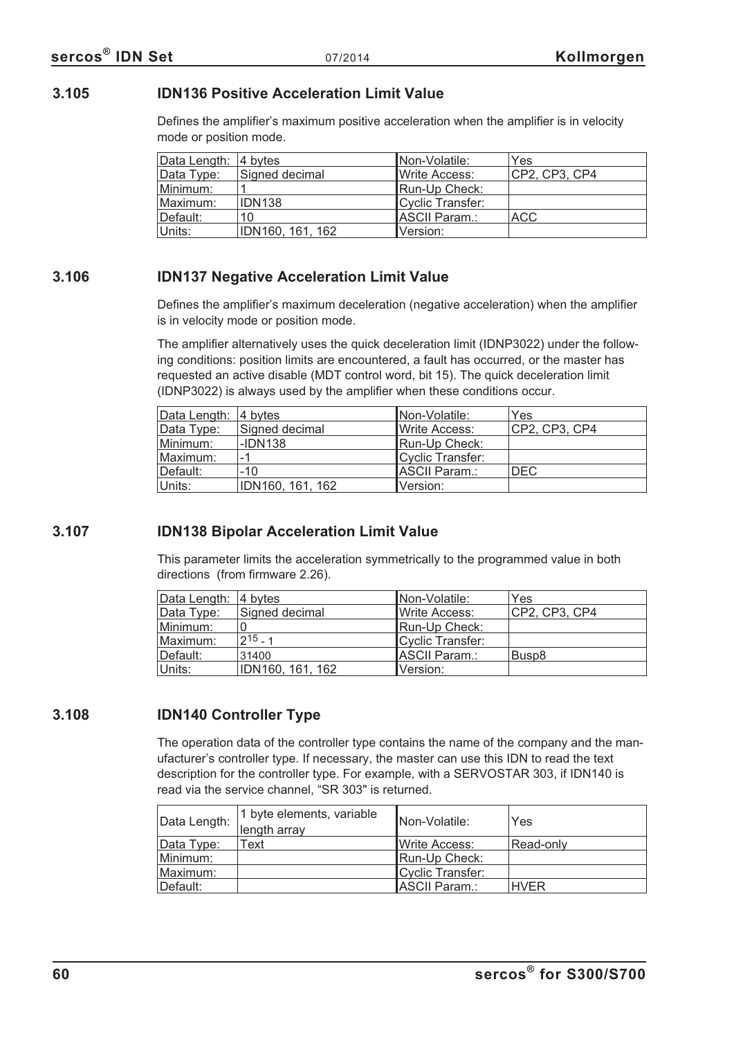## **3.105 IDN136 Positive Acceleration Limit Value**

Defines the amplifier's maximum positive acceleration when the amplifier is in velocity mode or position mode.

| Data Length: 4 bytes |                    | Non-Volatile:         | Yes           |
|----------------------|--------------------|-----------------------|---------------|
| Data Type:           | Signed decimal     | <b>IWrite Access:</b> | CP2, CP3, CP4 |
| Minimum:             |                    | Run-Up Check:         |               |
| Maximum:             | IDN <sub>138</sub> | Cyclic Transfer:      |               |
| Default:             | 10                 | ASCII Param.:         | <b>ACC</b>    |
| Units:               | IDN160, 161, 162   | Version:              |               |

## **3.106 IDN137 Negative Acceleration Limit Value**

Defines the amplifier's maximum deceleration (negative acceleration) when the amplifier is in velocity mode or position mode.

The amplifier alternatively uses the quick deceleration limit (IDNP3022) under the following conditions: position limits are encountered, a fault has occurred, or the master has requested an active disable (MDT control word, bit 15). The quick deceleration limit (IDNP3022) is always used by the amplifier when these conditions occur.

| Data Length: 4 bytes |                  | Non-Volatile:    | Yes           |
|----------------------|------------------|------------------|---------------|
| Data Type:           | Signed decimal   | Write Access:    | CP2, CP3, CP4 |
| Minimum:             | -IDN138          | Run-Up Check:    |               |
| Maximum:             | $-1$             | Cyclic Transfer: |               |
| Default:             | $-10$            | ASCII Param.:    | <b>DEC</b>    |
| Units:               | IDN160, 161, 162 | Version:         |               |

# **3.107 IDN138 Bipolar Acceleration Limit Value**

This parameter limits the acceleration symmetrically to the programmed value in both directions (from firmware 2.26).

| Data Length: 4 bytes |                  | INon-Volatile:   | Yes           |
|----------------------|------------------|------------------|---------------|
| Data Type:           | Signed decimal   | Write Access:    | CP2, CP3, CP4 |
| Minimum:             |                  | Run-Up Check:    |               |
| Maximum:             | $2^{15} - 1$     | Cyclic Transfer: |               |
| Default:             | 31400            | ASCII Param.:    | Busp8         |
| Units:               | IDN160, 161, 162 | Version:         |               |

# **3.108 IDN140 Controller Type**

The operation data of the controller type contains the name of the company and the manufacturer's controller type. If necessary, the master can use this IDN to read the text description for the controller type. For example, with a SERVOSTAR 303, if IDN140 is read via the service channel, "SR 303" is returned.

| Data Length: | 1 byte elements, variable<br>length array | Non-Volatile:         | Yes         |
|--------------|-------------------------------------------|-----------------------|-------------|
| Data Type:   | Text                                      | <b>IWrite Access:</b> | Read-only   |
| Minimum:     |                                           | Run-Up Check:         |             |
| Maximum:     |                                           | Cyclic Transfer:      |             |
| ⊺Default:    |                                           | ASCII Param.:         | <b>HVER</b> |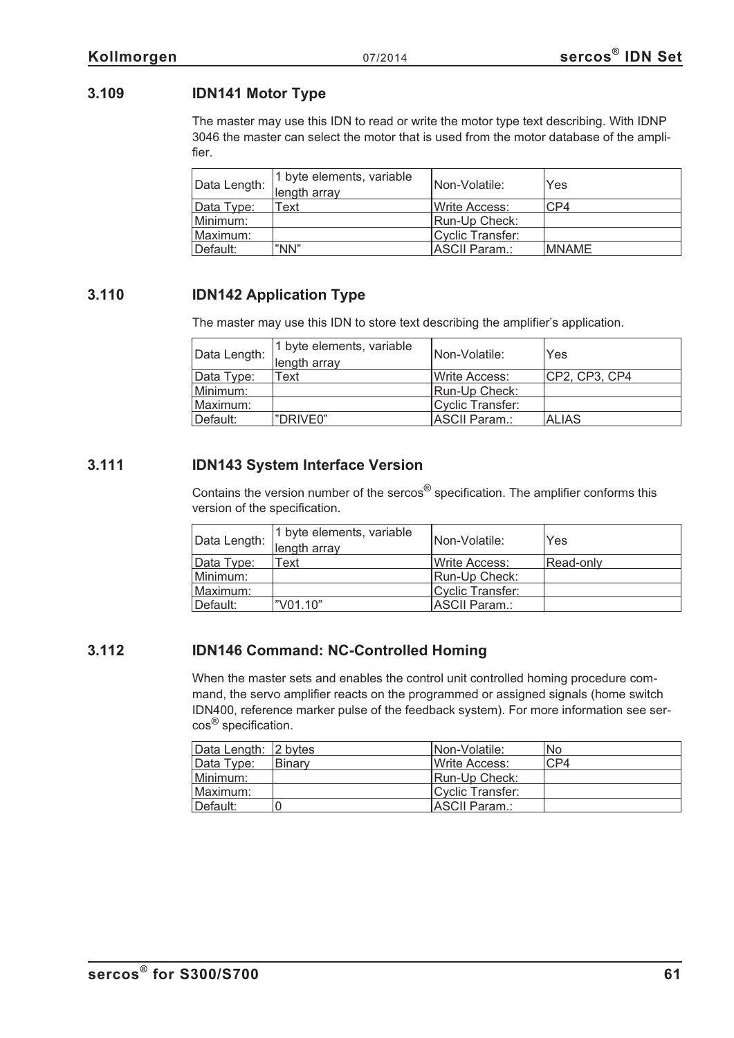# **3.109 IDN141 Motor Type**

The master may use this IDN to read or write the motor type text describing. With IDNP 3046 the master can select the motor that is used from the motor database of the amplifier.

| Data Length: | 1 byte elements, variable<br>length array | INon-Volatile:        | Yes          |
|--------------|-------------------------------------------|-----------------------|--------------|
| Data Type:   | Text                                      | <b>IWrite Access:</b> | CP4          |
| Minimum:     |                                           | Run-Up Check:         |              |
| Maximum:     |                                           | Cyclic Transfer:      |              |
| Default:     | "NN"                                      | ASCII Param.:         | <b>MNAME</b> |

## **3.110 IDN142 Application Type**

The master may use this IDN to store text describing the amplifier's application.

| Data Length: | 1 byte elements, variable<br>length array | INon-Volatile:         | Yes           |
|--------------|-------------------------------------------|------------------------|---------------|
| Data Type:   | Text                                      | <b>I</b> Write Access: | CP2, CP3, CP4 |
| Minimum:     |                                           | Run-Up Check:          |               |
| Maximum:     |                                           | Cyclic Transfer:       |               |
| Default:     | "DRIVE0"                                  | <b>ASCII Param.:</b>   | <b>ALIAS</b>  |

## **3.111 IDN143 System Interface Version**

Contains the version number of the sercos® specification. The amplifier conforms this version of the specification.

| Data Length: | 1 byte elements, variable<br>length array | Non-Volatile:          | Yes       |
|--------------|-------------------------------------------|------------------------|-----------|
| Data Type:   | Text                                      | <b>I</b> Write Access: | Read-only |
| Minimum:     |                                           | Run-Up Check:          |           |
| Maximum:     |                                           | Cyclic Transfer:       |           |
| Default:     | l"V01.10"                                 | ASCII Param.:          |           |

# **3.112 IDN146 Command: NC-Controlled Homing**

When the master sets and enables the control unit controlled homing procedure command, the servo amplifier reacts on the programmed or assigned signals (home switch IDN400, reference marker pulse of the feedback system). For more information see sercos® specification.

| Data Length: 2 bytes |               | <b>INon-Volatile:</b> | No  |
|----------------------|---------------|-----------------------|-----|
| Data Type:           | <b>Binary</b> | <b>IWrite Access:</b> | CP4 |
| Minimum:             |               | Run-Up Check:         |     |
| Maximum:             |               | Cyclic Transfer:      |     |
| Default:             |               | ASCII Param.:         |     |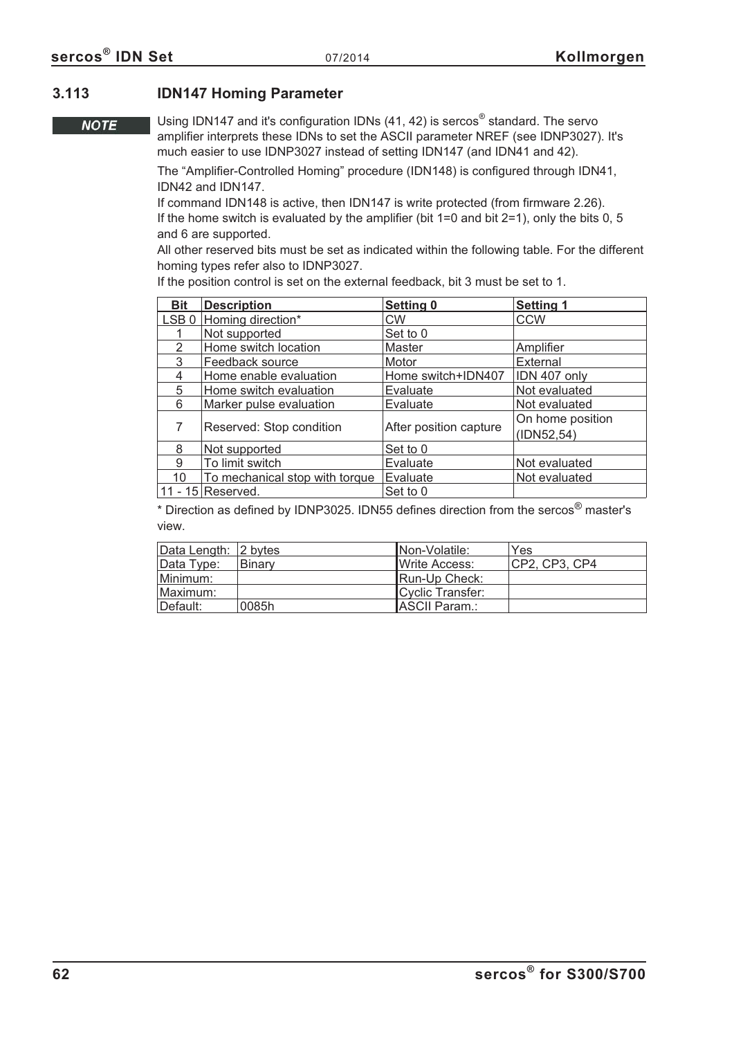## **3.113 IDN147 Homing Parameter**

**NOTE** 

Using IDN147 and it's configuration IDNs (41, 42) is sercos® standard. The servo amplifier interprets these IDNs to set the ASCII parameter NREF (see IDNP3027). It's much easier to use IDNP3027 instead of setting IDN147 (and IDN41 and 42).

The "Amplifier-Controlled Homing" procedure (IDN148) is configured through IDN41, IDN42 and IDN147.

If command IDN148 is active, then IDN147 is write protected (from firmware 2.26). If the home switch is evaluated by the amplifier (bit  $1=0$  and bit  $2=1$ ), only the bits 0, 5 and 6 are supported.

All other reserved bits must be set as indicated within the following table. For the different homing types refer also to IDNP3027.

If the position control is set on the external feedback, bit 3 must be set to 1.

| <b>Bit</b>       | <b>Description</b>             | <b>Setting 0</b>       | <b>Setting 1</b> |
|------------------|--------------------------------|------------------------|------------------|
| LSB <sub>0</sub> | Homing direction*              | <b>CW</b>              | <b>CCW</b>       |
|                  | Not supported                  | Set to 0               |                  |
| $\overline{2}$   | Home switch location           | Master                 | Amplifier        |
| 3                | Feedback source                | Motor                  | External         |
| 4                | Home enable evaluation         | Home switch+IDN407     | IDN 407 only     |
| 5                | Home switch evaluation         | Evaluate               | Not evaluated    |
| 6                | Marker pulse evaluation        | Evaluate               | Not evaluated    |
|                  |                                |                        | On home position |
|                  | Reserved: Stop condition       | After position capture | (ID52,54)        |
| 8                | Not supported                  | Set to 0               |                  |
| 9                | To limit switch                | Evaluate               | Not evaluated    |
| 10               | To mechanical stop with torque | Evaluate               | Not evaluated    |
|                  | 11 - 15 Reserved.              | Set to 0               |                  |

\* Direction as defined by IDNP3025. IDN55 defines direction from the sercos® master's view.

| Data Length: 2 bytes |        | Non-Volatile:    | Yes            |
|----------------------|--------|------------------|----------------|
| Data Type:           | Binary | Write Access:    | ICP2. CP3. CP4 |
| Minimum:             |        | Run-Up Check:    |                |
| ⊥Maximum:            |        | Cyclic Transfer: |                |
| Default:             | 0085h  | ASCII Param.:    |                |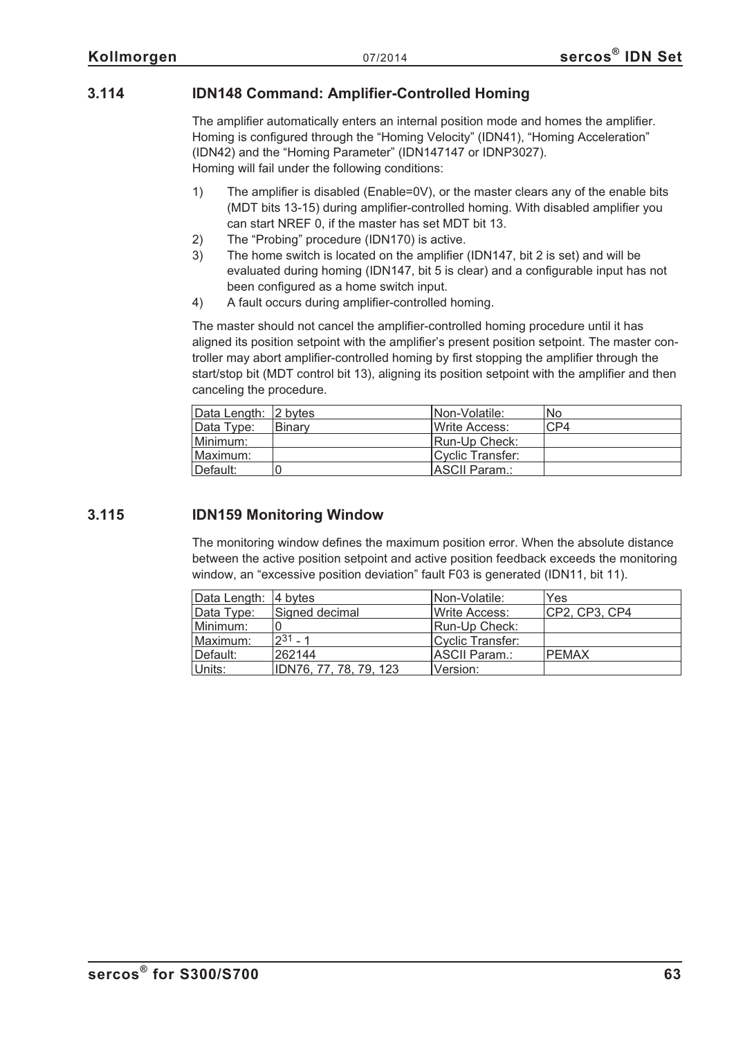## **3.114 IDN148 Command: Amplifier-Controlled Homing**

The amplifier automatically enters an internal position mode and homes the amplifier. Homing is configured through the "Homing Velocity" (IDN41), "Homing Acceleration" (IDN42) and the "Homing Parameter" (IDN147147 or IDNP3027). Homing will fail under the following conditions:

- 1) The amplifier is disabled (Enable=0V), or the master clears any of the enable bits (MDT bits 13-15) during amplifier-controlled homing. With disabled amplifier you can start NREF 0, if the master has set MDT bit 13.
- 2) The "Probing" procedure (IDN170) is active.
- 3) The home switch is located on the amplifier (IDN147, bit 2 is set) and will be evaluated during homing (IDN147, bit 5 is clear) and a configurable input has not been configured as a home switch input.
- 4) A fault occurs during amplifier-controlled homing.

The master should not cancel the amplifier-controlled homing procedure until it has aligned its position setpoint with the amplifier's present position setpoint. The master controller may abort amplifier-controlled homing by first stopping the amplifier through the start/stop bit (MDT control bit 13), aligning its position setpoint with the amplifier and then canceling the procedure.

| Data Length: 2 bytes |        | INon-Volatile:         | <b>No</b> |
|----------------------|--------|------------------------|-----------|
| Data Type:           | Binarv | <b>I</b> Write Access: | CP4       |
| Minimum:             |        | Run-Up Check:          |           |
| Maximum:             |        | Cyclic Transfer:       |           |
| ∥Default:            |        | IASCII Param.:         |           |

## **3.115 IDN159 Monitoring Window**

The monitoring window defines the maximum position error. When the absolute distance between the active position setpoint and active position feedback exceeds the monitoring window, an "excessive position deviation" fault F03 is generated (IDN11, bit 11).

| Data Length: 4 bytes |                        | Non-Volatile:         | Yes           |
|----------------------|------------------------|-----------------------|---------------|
| Data Type:           | Signed decimal         | Write Access:         | CP2, CP3, CP4 |
| Minimum:             |                        | Run-Up Check:         |               |
| Maximum:             | $2^{31} - 1$           | Cyclic Transfer:      |               |
| Default:             | 262144                 | <b>IASCII Param.:</b> | <b>PEMAX</b>  |
| Units:               | IDN76, 77, 78, 79, 123 | lVersion:             |               |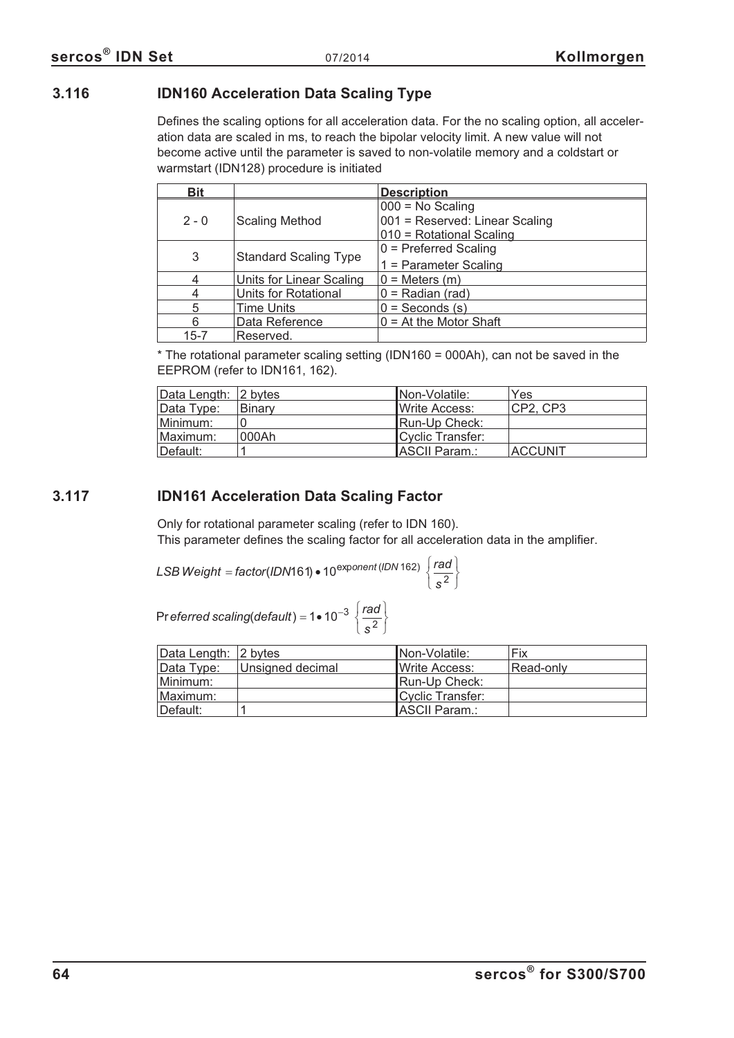## **3.116 IDN160 Acceleration Data Scaling Type**

Defines the scaling options for all acceleration data. For the no scaling option, all acceleration data are scaled in ms, to reach the bipolar velocity limit. A new value will not become active until the parameter is saved to non-volatile memory and a coldstart or warmstart (IDN128) procedure is initiated

| <b>Bit</b> |                              | <b>Description</b>             |
|------------|------------------------------|--------------------------------|
|            |                              | $000 = No$ Scaling             |
| $2 - 0$    | <b>Scaling Method</b>        | 001 = Reserved: Linear Scaling |
|            |                              | 010 = Rotational Scaling       |
|            |                              | $0$ = Preferred Scaling        |
| 3          | <b>Standard Scaling Type</b> | 1 = Parameter Scaling          |
|            | Units for Linear Scaling     | $0 =$ Meters $(m)$             |
|            | Units for Rotational         | $0 =$ Radian (rad)             |
|            | Time Units                   | $0 =$ Seconds $(s)$            |
| 6          | Data Reference               | $0 = At$ the Motor Shaft       |
| $15 - 7$   | Reserved.                    |                                |

\* The rotational parameter scaling setting (IDN160 = 000Ah), can not be saved in the EEPROM (refer to IDN161, 162).

| Data Length: 2 bytes |        | INon-Volatile:        | Yes            |
|----------------------|--------|-----------------------|----------------|
| Data Type:           | Binary | <b>IWrite Access:</b> | CP2, CP3       |
| Minimum:             |        | <b>IRun-Up Check:</b> |                |
| Maximum:             | 1000Ah | Cyclic Transfer:      |                |
| Default:             |        | ASCII Param.:         | <b>ACCUNIT</b> |

## **3.117 IDN161 Acceleration Data Scaling Factor**

Only for rotational parameter scaling (refer to IDN 160). This parameter defines the scaling factor for all acceleration data in the amplifier.

*s*

 $\left\{ \right.$ J

*LSB Weight = factor (IDN161)* • 10<sup>exponent (IDN 162)  $\sqrt{\frac{rad}{2}}$ </sup> *s*  $=$  *factor*(IDN161)  $\bullet$  10<sup>exponent (IDN 162)  $\Big\}$ </sup>  $\lfloor s^2 \rfloor$  $\left\{ \right.$ J

Pr*eferred scaling(default*) = 1 • 10<sup>-3</sup>  $\frac{rad}{2}$  $=1 \cdot 10^{-3}$  $\overline{\mathfrak{c}}$ 1• 10<sup>-3</sup>  $\frac{ra}{s^2}$ 

| Data Length: 2 bytes |                  | INon-Volatile:        | Fix       |
|----------------------|------------------|-----------------------|-----------|
| Data Type:           | Unsigned decimal | <b>IWrite Access:</b> | Read-only |
| Minimum:             |                  | Run-Up Check:         |           |
| Maximum:             |                  | Cyclic Transfer:      |           |
| ⊺Default:            |                  | <b>ASCII Param.:</b>  |           |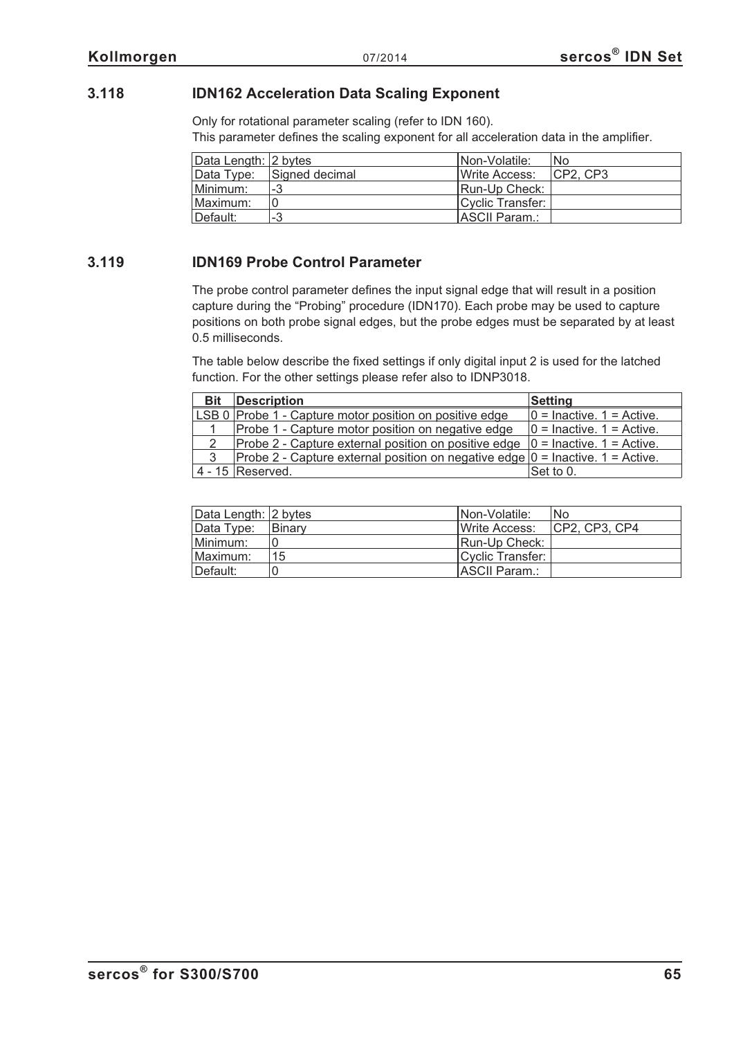## **3.118 IDN162 Acceleration Data Scaling Exponent**

Only for rotational parameter scaling (refer to IDN 160). This parameter defines the scaling exponent for all acceleration data in the amplifier.

| Data Length: 2 bytes |                           | INon-Volatile:         | 'No     |
|----------------------|---------------------------|------------------------|---------|
|                      | Data Type: Signed decimal | <b>I</b> Write Access: | CP2.CP3 |
| Minimum:             | -3                        | <b>IRun-Up Check:</b>  |         |
| Maximum:             |                           | Cyclic Transfer:       |         |
| Default:             | ാ<br>-3                   | ASCII Param.:          |         |

### **3.119 IDN169 Probe Control Parameter**

The probe control parameter defines the input signal edge that will result in a position capture during the "Probing" procedure (IDN170). Each probe may be used to capture positions on both probe signal edges, but the probe edges must be separated by at least 0.5 milliseconds.

The table below describe the fixed settings if only digital input 2 is used for the latched function. For the other settings please refer also to IDNP3018.

| <b>Bit</b>    | <b>Description</b>                                                                | <b>Setting</b>                |
|---------------|-----------------------------------------------------------------------------------|-------------------------------|
|               | LSB 0 Probe 1 - Capture motor position on positive edge                           | $0 =$ Inactive. $1 =$ Active. |
|               | Probe 1 - Capture motor position on negative edge                                 | $0 =$ Inactive. 1 = Active.   |
| $\mathcal{P}$ | Probe 2 - Capture external position on positive edge $ 0 =$ Inactive. 1 = Active. |                               |
| 3             | Probe 2 - Capture external position on negative edge $ 0 =$ Inactive. 1 = Active. |                               |
|               | 4 - 15 Reserved.                                                                  | Set to 0.                     |

| Data Length: 2 bytes |               | Non-Volatile:            | <b>No</b>      |
|----------------------|---------------|--------------------------|----------------|
| Data Type:           | <b>Binary</b> | <b>IWrite Access:</b>    | ICP2. CP3. CP4 |
| Minimum:             |               | Run-Up Check:            |                |
| Maximum:             | 15            | <b>ICvclic Transfer:</b> |                |
| Default:             |               | <b>IASCII Param.:</b>    |                |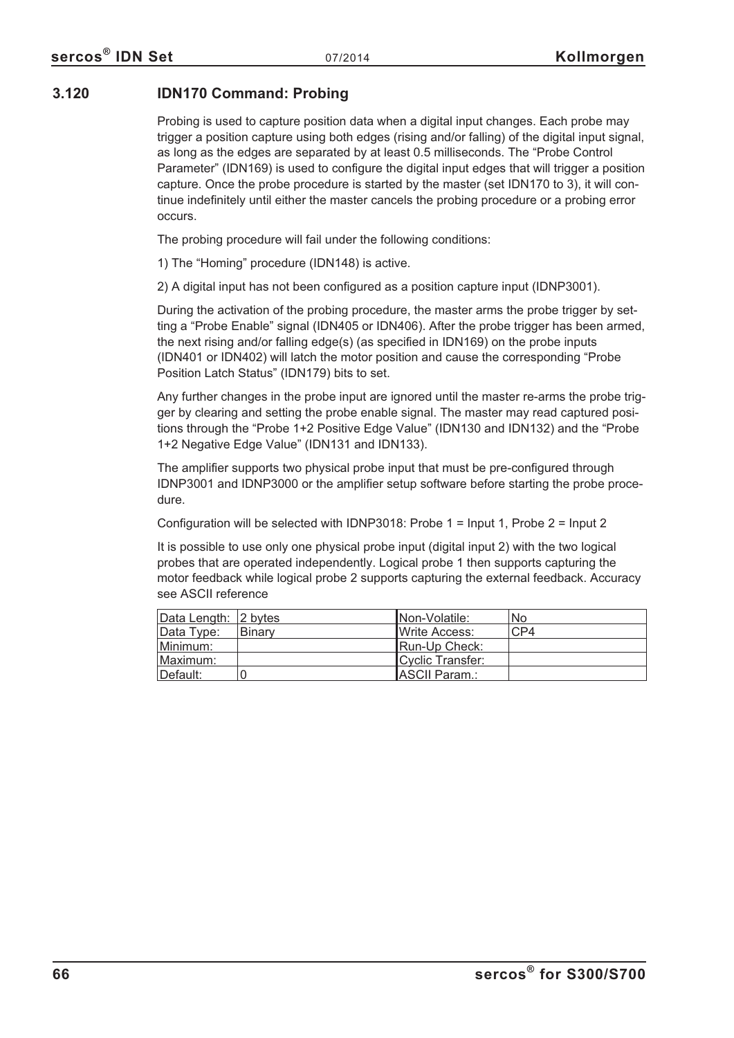## **3.120 IDN170 Command: Probing**

Probing is used to capture position data when a digital input changes. Each probe may trigger a position capture using both edges (rising and/or falling) of the digital input signal, as long as the edges are separated by at least 0.5 milliseconds. The "Probe Control Parameter" (IDN169) is used to configure the digital input edges that will trigger a position capture. Once the probe procedure is started by the master (set IDN170 to 3), it will continue indefinitely until either the master cancels the probing procedure or a probing error occurs.

The probing procedure will fail under the following conditions:

1) The "Homing" procedure (IDN148) is active.

2) A digital input has not been configured as a position capture input (IDNP3001).

During the activation of the probing procedure, the master arms the probe trigger by setting a "Probe Enable" signal (IDN405 or IDN406). After the probe trigger has been armed, the next rising and/or falling edge(s) (as specified in IDN169) on the probe inputs (IDN401 or IDN402) will latch the motor position and cause the corresponding "Probe Position Latch Status" (IDN179) bits to set.

Any further changes in the probe input are ignored until the master re-arms the probe trigger by clearing and setting the probe enable signal. The master may read captured positions through the "Probe 1+2 Positive Edge Value" (IDN130 and IDN132) and the "Probe 1+2 Negative Edge Value" (IDN131 and IDN133).

The amplifier supports two physical probe input that must be pre-configured through IDNP3001 and IDNP3000 or the amplifier setup software before starting the probe procedure.

Configuration will be selected with IDNP3018: Probe 1 = Input 1, Probe 2 = Input 2

It is possible to use only one physical probe input (digital input 2) with the two logical probes that are operated independently. Logical probe 1 then supports capturing the motor feedback while logical probe 2 supports capturing the external feedback. Accuracy see ASCII reference

| Data Length: 2 bytes |        | INon-Volatile:        | No  |
|----------------------|--------|-----------------------|-----|
| Data Type:           | Binary | <b>IWrite Access:</b> | CP4 |
| Minimum:             |        | Run-Up Check:         |     |
| Maximum:             |        | Cyclic Transfer:      |     |
| Default:             |        | ASCII Param.:         |     |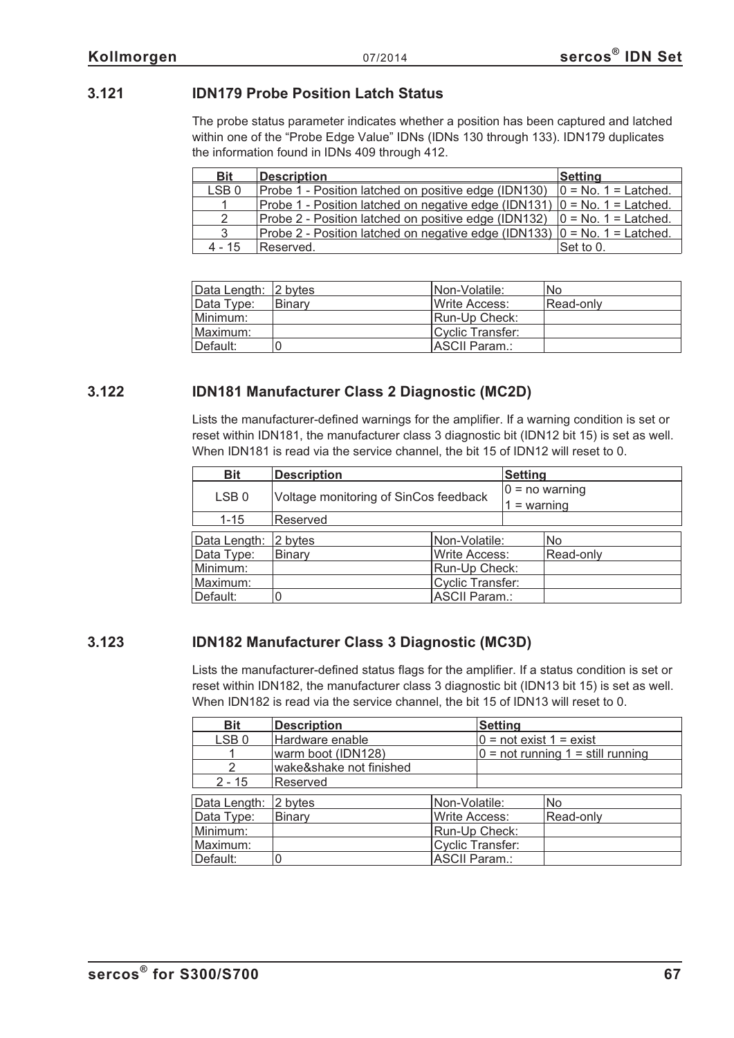# **3.121 IDN179 Probe Position Latch Status**

The probe status parameter indicates whether a position has been captured and latched within one of the "Probe Edge Value" IDNs (IDNs 130 through 133). IDN179 duplicates the information found in IDNs 409 through 412.

| <b>Bit</b>       | <b>Description</b>                                                            | <b>Setting</b>         |
|------------------|-------------------------------------------------------------------------------|------------------------|
| LSB <sub>0</sub> | Probe 1 - Position latched on positive edge (IDN130)                          | $0 = No. 1 = Latched.$ |
|                  | Probe 1 - Position latched on negative edge (IDN131) $ 0 = No. 1 = Latched.$  |                        |
| $\mathcal{P}$    | Probe 2 - Position latched on positive edge (IDN132)                          | $0 = No. 1 = Latched.$ |
| 3                | Probe 2 - Position latched on negative edge (IDN133) $ 0 = No$ . 1 = Latched. |                        |
| $4 - 15$         | Reserved.                                                                     | Set to 0.              |

| Data Length: 2 bytes |         | <b>INon-Volatile:</b> | No.       |
|----------------------|---------|-----------------------|-----------|
| Data Type:           | ∣Binarv | <b>IWrite Access:</b> | Read-only |
| Minimum:             |         | Run-Up Check:         |           |
| Maximum:             |         | Cyclic Transfer:      |           |
| Default:             |         | ASCII Param.:         |           |

# **3.122 IDN181 Manufacturer Class 2 Diagnostic (MC2D)**

Lists the manufacturer-defined warnings for the amplifier. If a warning condition is set or reset within IDN181, the manufacturer class 3 diagnostic bit (IDN12 bit 15) is set as well. When IDN181 is read via the service channel, the bit 15 of IDN12 will reset to 0.

| <b>Bit</b>       | <b>Description</b>                    |                      |  | <b>Setting</b>   |  |
|------------------|---------------------------------------|----------------------|--|------------------|--|
| LSB <sub>0</sub> | Voltage monitoring of SinCos feedback |                      |  | $0 = no warning$ |  |
|                  |                                       |                      |  | $1 = warning$    |  |
| $1 - 15$         | Reserved                              |                      |  |                  |  |
| Data Length:     | 2 bytes<br>Non-Volatile:              |                      |  | No               |  |
| Data Type:       | <b>Write Access:</b><br><b>Binary</b> |                      |  | Read-only        |  |
| Minimum:         | Run-Up Check:                         |                      |  |                  |  |
| Maximum:         |                                       | Cyclic Transfer:     |  |                  |  |
| Default:         |                                       | <b>ASCII Param.:</b> |  |                  |  |

# **3.123 IDN182 Manufacturer Class 3 Diagnostic (MC3D)**

Lists the manufacturer-defined status flags for the amplifier. If a status condition is set or reset within IDN182, the manufacturer class 3 diagnostic bit (IDN13 bit 15) is set as well. When IDN182 is read via the service channel, the bit 15 of IDN13 will reset to 0.

| <b>Bit</b>       | <b>Description</b>      |                      | <b>Setting</b>            |                                     |
|------------------|-------------------------|----------------------|---------------------------|-------------------------------------|
| LSB <sub>0</sub> | Hardware enable         |                      | $0 = not exist 1 = exist$ |                                     |
|                  | warm boot (IDN128)      |                      |                           | $0 = not running 1 = still running$ |
| $\mathcal{P}$    | wake&shake not finished |                      |                           |                                     |
| $2 - 15$         | Reserved                |                      |                           |                                     |
| Data Length:     | 2 bytes                 | Non-Volatile:        |                           | <b>No</b>                           |
| Data Type:       | Binary                  | <b>Write Access:</b> |                           | Read-only                           |
| Minimum:         |                         |                      | Run-Up Check:             |                                     |
| Maximum:         |                         |                      | <b>Cyclic Transfer:</b>   |                                     |
| Default:         | 0                       | <b>ASCII Param.:</b> |                           |                                     |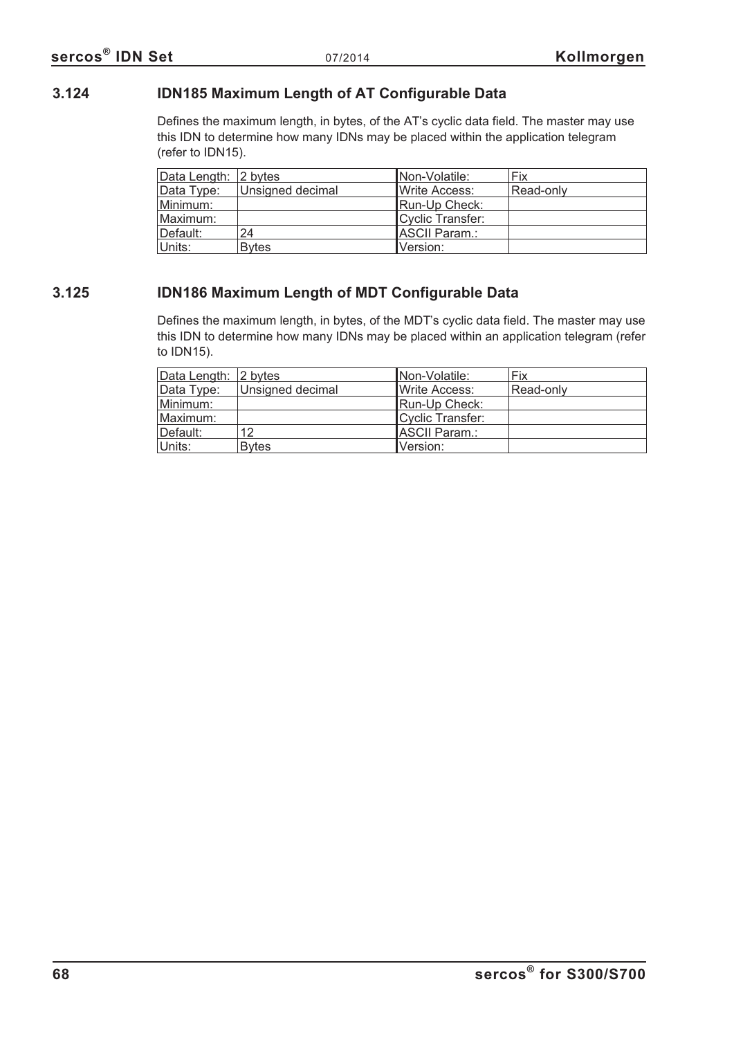# **3.124 IDN185 Maximum Length of AT Configurable Data**

Defines the maximum length, in bytes, of the AT's cyclic data field. The master may use this IDN to determine how many IDNs may be placed within the application telegram (refer to IDN15).

| Data Length: 2 bytes |                  | Non-Volatile:    | Fix       |
|----------------------|------------------|------------------|-----------|
| Data Type:           | Unsigned decimal | Write Access:    | Read-only |
| Minimum:             |                  | Run-Up Check:    |           |
| Maximum:             |                  | Cyclic Transfer: |           |
| Default:             | 24               | ASCII Param.:    |           |
| Units:               | <b>Bytes</b>     | Version:         |           |

# **3.125 IDN186 Maximum Length of MDT Configurable Data**

Defines the maximum length, in bytes, of the MDT's cyclic data field. The master may use this IDN to determine how many IDNs may be placed within an application telegram (refer to IDN15).

| Data Length: 2 bytes |                  | Non-Volatile:    | Fix       |
|----------------------|------------------|------------------|-----------|
| Data Type:           | Unsigned decimal | Write Access:    | Read-only |
| Minimum:             |                  | Run-Up Check:    |           |
| Maximum:             |                  | Cyclic Transfer: |           |
| ⊺Default:            | 12               | ASCII Param.:    |           |
| Units:               | <b>B</b> vtes    | Version:         |           |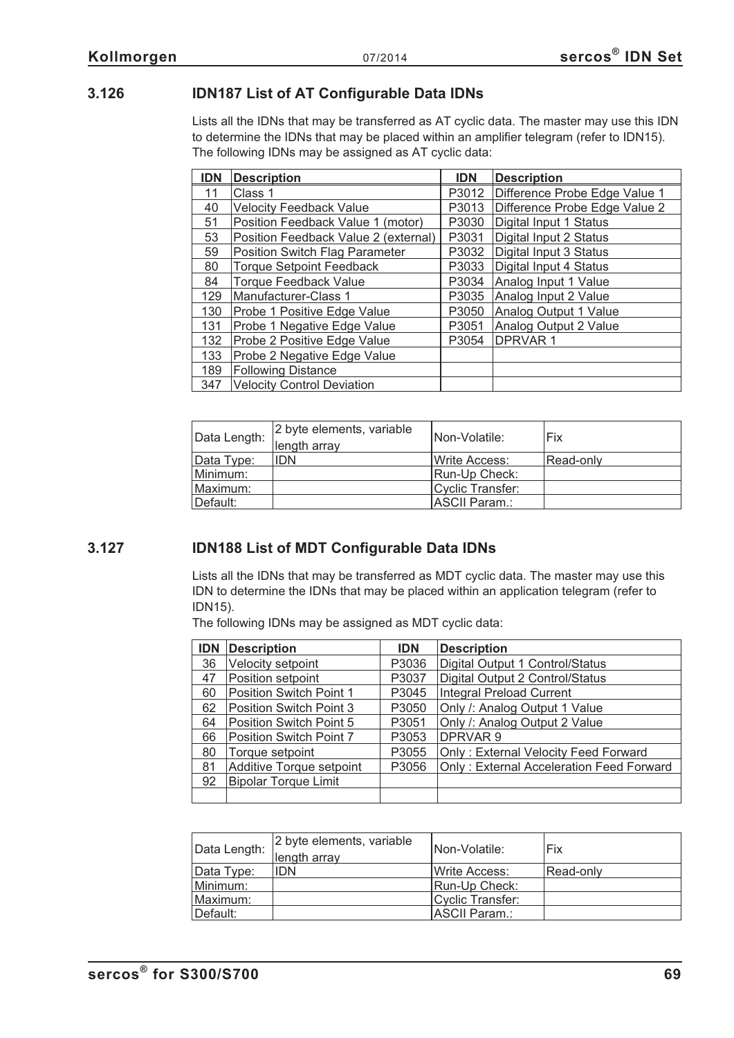# **3.126 IDN187 List of AT Configurable Data IDNs**

Lists all the IDNs that may be transferred as AT cyclic data. The master may use this IDN to determine the IDNs that may be placed within an amplifier telegram (refer to IDN15). The following IDNs may be assigned as AT cyclic data:

| <b>IDN</b> | <b>Description</b>                    | <b>IDN</b> | <b>Description</b>            |
|------------|---------------------------------------|------------|-------------------------------|
| 11         | Class 1                               | P3012      | Difference Probe Edge Value 1 |
| 40         | <b>Velocity Feedback Value</b>        | P3013      | Difference Probe Edge Value 2 |
| 51         | Position Feedback Value 1 (motor)     | P3030      | Digital Input 1 Status        |
| 53         | Position Feedback Value 2 (external)  | P3031      | Digital Input 2 Status        |
| 59         | <b>Position Switch Flag Parameter</b> | P3032      | Digital Input 3 Status        |
| 80         | <b>Torque Setpoint Feedback</b>       | P3033      | Digital Input 4 Status        |
| 84         | <b>Torque Feedback Value</b>          | P3034      | Analog Input 1 Value          |
| 129        | Manufacturer-Class 1                  | P3035      | Analog Input 2 Value          |
| 130        | Probe 1 Positive Edge Value           | P3050      | Analog Output 1 Value         |
| 131        | Probe 1 Negative Edge Value           | P3051      | Analog Output 2 Value         |
| 132        | Probe 2 Positive Edge Value           | P3054      | <b>DPRVAR1</b>                |
| 133        | Probe 2 Negative Edge Value           |            |                               |
| 189        | <b>Following Distance</b>             |            |                               |
| 347        | <b>Velocity Control Deviation</b>     |            |                               |

| Data Length: | 2 byte elements, variable<br>length array | INon-Volatile:        | Fix       |
|--------------|-------------------------------------------|-----------------------|-----------|
| Data Type:   | <b>IDN</b>                                | <b>IWrite Access:</b> | Read-only |
| Minimum:     |                                           | Run-Up Check:         |           |
| Maximum:     |                                           | Cyclic Transfer:      |           |
| Default:     |                                           | ASCII Param.:         |           |

# **3.127 IDN188 List of MDT Configurable Data IDNs**

Lists all the IDNs that may be transferred as MDT cyclic data. The master may use this IDN to determine the IDNs that may be placed within an application telegram (refer to IDN15).

The following IDNs may be assigned as MDT cyclic data:

| <b>IDN</b> | <b>Description</b>          | <b>IDN</b> | <b>Description</b>                       |
|------------|-----------------------------|------------|------------------------------------------|
| 36         | Velocity setpoint           | P3036      | Digital Output 1 Control/Status          |
| 47         | Position setpoint           | P3037      | Digital Output 2 Control/Status          |
| 60         | Position Switch Point 1     | P3045      | Integral Preload Current                 |
| 62         | Position Switch Point 3     | P3050      | Only /: Analog Output 1 Value            |
| 64         | Position Switch Point 5     | P3051      | Only /: Analog Output 2 Value            |
| 66         | Position Switch Point 7     | P3053      | <b>DPRVAR9</b>                           |
| 80         | Torque setpoint             | P3055      | Only: External Velocity Feed Forward     |
| 81         | Additive Torque setpoint    | P3056      | Only: External Acceleration Feed Forward |
| 92         | <b>Bipolar Torque Limit</b> |            |                                          |
|            |                             |            |                                          |

| Data Length: | 2 byte elements, variable<br>length array | INon-Volatile:        | Fix       |
|--------------|-------------------------------------------|-----------------------|-----------|
| Data Type:   | <b>IDN</b>                                | <b>IWrite Access:</b> | Read-only |
| Minimum:     |                                           | Run-Up Check:         |           |
| Maximum:     |                                           | Cyclic Transfer:      |           |
| Default:     |                                           | ASCII Param.:         |           |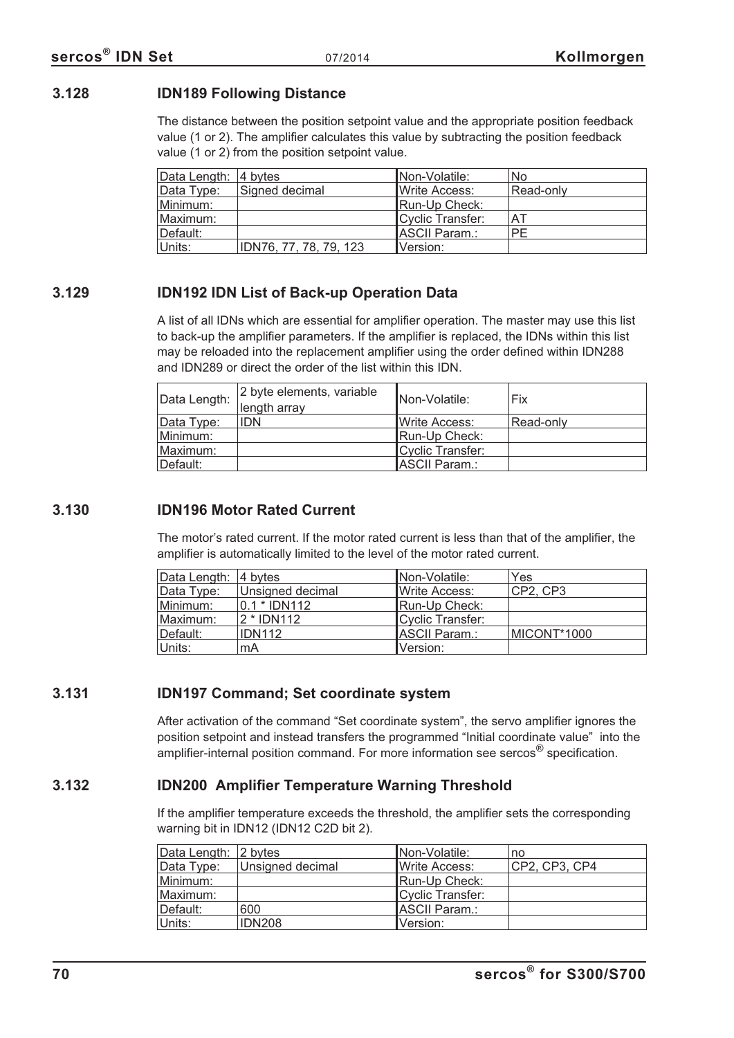## **3.128 IDN189 Following Distance**

The distance between the position setpoint value and the appropriate position feedback value (1 or 2). The amplifier calculates this value by subtracting the position feedback value (1 or 2) from the position setpoint value.

| Data Length: 4 bytes |                        | Non-Volatile:    | <b>No</b> |
|----------------------|------------------------|------------------|-----------|
| Data Type:           | Signed decimal         | Write Access:    | Read-only |
| Minimum:             |                        | Run-Up Check:    |           |
| Maximum:             |                        | Cyclic Transfer: | AT        |
| Default:             |                        | ASCII Param.:    | PE        |
| Units:               | IDN76, 77, 78, 79, 123 | Version:         |           |

# **3.129 IDN192 IDN List of Back-up Operation Data**

A list of all IDNs which are essential for amplifier operation. The master may use this list to back-up the amplifier parameters. If the amplifier is replaced, the IDNs within this list may be reloaded into the replacement amplifier using the order defined within IDN288 and IDN289 or direct the order of the list within this IDN.

| Data Length: | 2 byte elements, variable<br>length array | <b>Non-Volatile:</b> | Fix       |
|--------------|-------------------------------------------|----------------------|-----------|
| Data Type:   | <b>IDN</b>                                | IWrite Access:       | Read-only |
| Minimum:     |                                           | Run-Up Check:        |           |
| Maximum:     |                                           | Cyclic Transfer:     |           |
| Default:     |                                           | ASCII Param.:        |           |

## **3.130 IDN196 Motor Rated Current**

The motor's rated current. If the motor rated current is less than that of the amplifier, the amplifier is automatically limited to the level of the motor rated current.

| Data Length: 4 bytes |                  | INon-Volatile:        | Yes         |
|----------------------|------------------|-----------------------|-------------|
| Data Type:           | Unsigned decimal | Write Access:         | CP2, CP3    |
| Minimum:             | $0.1 * IDN112$   | Run-Up Check:         |             |
| Maximum:             | 2 * IDN112       | Cyclic Transfer:      |             |
| Default:             | <b>IDN112</b>    | <b>IASCII Param.:</b> | MICONT*1000 |
| Units:               | mA               | Version:              |             |

# **3.131 IDN197 Command; Set coordinate system**

After activation of the command "Set coordinate system", the servo amplifier ignores the position setpoint and instead transfers the programmed "Initial coordinate value" into the amplifier-internal position command. For more information see sercos<sup>®</sup> specification.

# **3.132 IDN200 Amplifier Temperature Warning Threshold**

If the amplifier temperature exceeds the threshold, the amplifier sets the corresponding warning bit in IDN12 (IDN12 C2D bit 2).

| Data Length: 2 bytes |                  | Non-Volatile:         | no            |
|----------------------|------------------|-----------------------|---------------|
| Data Type:           | Unsigned decimal | <b>IWrite Access:</b> | CP2, CP3, CP4 |
| Minimum:             |                  | Run-Up Check:         |               |
| Maximum:             |                  | Cyclic Transfer:      |               |
| Default:             | 600              | ASCII Param.:         |               |
| ∣Units:              | <b>IDN208</b>    | Version:              |               |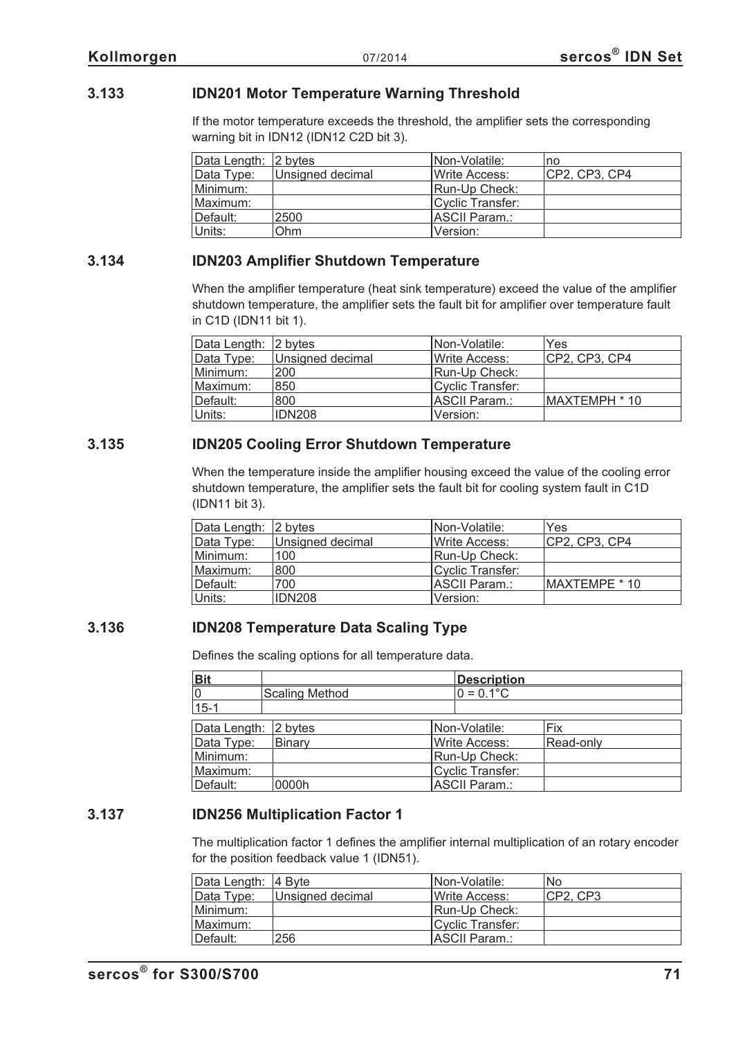## **3.133 IDN201 Motor Temperature Warning Threshold**

If the motor temperature exceeds the threshold, the amplifier sets the corresponding warning bit in IDN12 (IDN12 C2D bit 3).

| Data Length: 2 bytes |                  | Non-Volatile:    | no            |
|----------------------|------------------|------------------|---------------|
| Data Type:           | Unsigned decimal | Write Access:    | CP2, CP3, CP4 |
| Minimum:             |                  | Run-Up Check:    |               |
| Maximum:             |                  | Cyclic Transfer: |               |
| Default:             | 2500             | ASCII Param.:    |               |
| Units:               | Ohm              | Version:         |               |

## **3.134 IDN203 Amplifier Shutdown Temperature**

When the amplifier temperature (heat sink temperature) exceed the value of the amplifier shutdown temperature, the amplifier sets the fault bit for amplifier over temperature fault in C1D (IDN11 bit 1).

| Data Length: 2 bytes |                  | INon-Volatile:        | Yes           |
|----------------------|------------------|-----------------------|---------------|
| Data Type:           | Unsigned decimal | <b>IWrite Access:</b> | CP2, CP3, CP4 |
| Minimum:             | 200              | Run-Up Check:         |               |
| Maximum:             | 850              | Cyclic Transfer:      |               |
| Default:             | 800              | <b>IASCII Param.:</b> | MAXTEMPH * 10 |
| Units:               | IDN208           | Version:              |               |

## **3.135 IDN205 Cooling Error Shutdown Temperature**

When the temperature inside the amplifier housing exceed the value of the cooling error shutdown temperature, the amplifier sets the fault bit for cooling system fault in C1D (IDN11 bit 3).

| Data Length: 2 bytes |                  | INon-Volatile:        | Yes           |
|----------------------|------------------|-----------------------|---------------|
| Data Type:           | Unsigned decimal | Write Access:         | CP2, CP3, CP4 |
| Minimum:             | 100              | Run-Up Check:         |               |
| Maximum:             | 800              | Cyclic Transfer:      |               |
| Default:             | 700              | <b>IASCII Param.:</b> | MAXTEMPE * 10 |
| Units:               | <b>IDN208</b>    | Version:              |               |

## **3.136 IDN208 Temperature Data Scaling Type**

Defines the scaling options for all temperature data.

| <b>Bit</b>           |                       | <b>Description</b>      |           |
|----------------------|-----------------------|-------------------------|-----------|
| 0                    | <b>Scaling Method</b> | $0 = 0.1$ °C            |           |
| $15 - 1$             |                       |                         |           |
|                      |                       |                         |           |
| Data Length: 2 bytes |                       | Non-Volatile:           | Fix       |
| Data Type:           | Binary                | <b>Write Access:</b>    | Read-only |
| Minimum:             |                       | Run-Up Check:           |           |
| Maximum:             |                       | <b>Cyclic Transfer:</b> |           |
| Default:             | 0000h                 | ASCII Param.:           |           |

## **3.137 IDN256 Multiplication Factor 1**

The multiplication factor 1 defines the amplifier internal multiplication of an rotary encoder for the position feedback value 1 (IDN51).

| Data Length: 4 Byte |                  | Non-Volatile:         | No        |
|---------------------|------------------|-----------------------|-----------|
| Data Type:          | Unsigned decimal | <b>IWrite Access:</b> | ICP2. CP3 |
| Minimum:            |                  | Run-Up Check:         |           |
| Maximum:            |                  | Cyclic Transfer:      |           |
| ∥Default:           | 256              | ASCII Param.:         |           |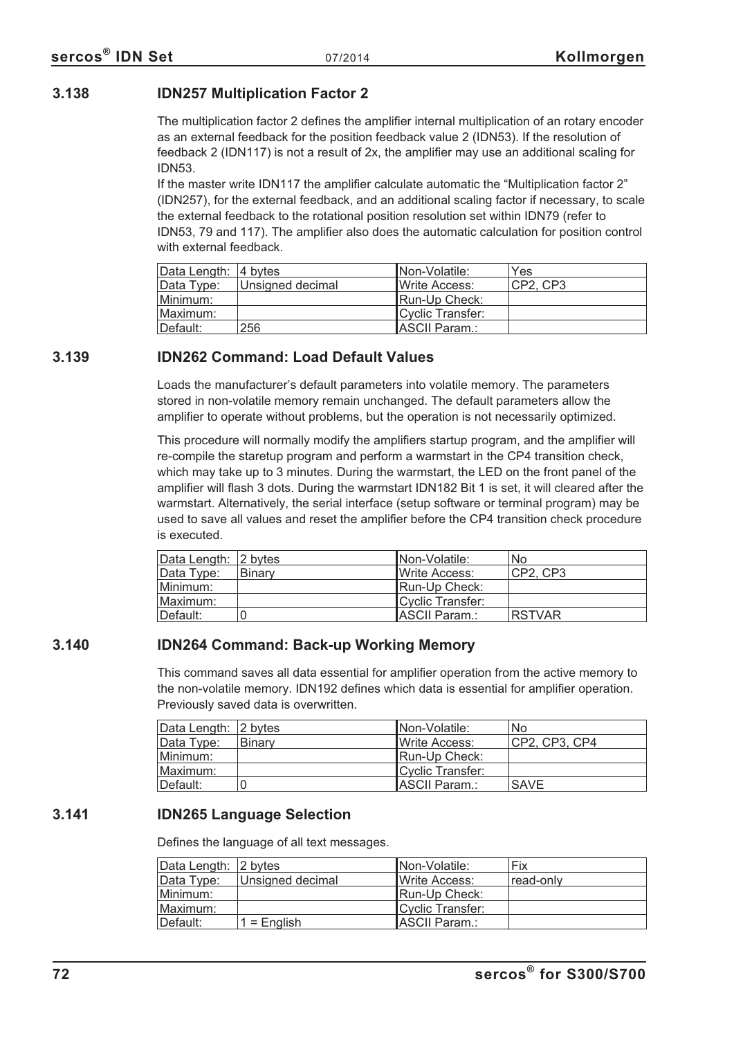## **3.138 IDN257 Multiplication Factor 2**

The multiplication factor 2 defines the amplifier internal multiplication of an rotary encoder as an external feedback for the position feedback value 2 (IDN53). If the resolution of feedback 2 (IDN117) is not a result of 2x, the amplifier may use an additional scaling for IDN53.

If the master write IDN117 the amplifier calculate automatic the "Multiplication factor 2" (IDN257), for the external feedback, and an additional scaling factor if necessary, to scale the external feedback to the rotational position resolution set within IDN79 (refer to IDN53, 79 and 117). The amplifier also does the automatic calculation for position control with external feedback.

| Data Length:  4 bytes |                  | Non-Volatile:    | Yes      |
|-----------------------|------------------|------------------|----------|
| Data Type:            | Unsigned decimal | Write Access:    | CP2, CP3 |
| Minimum:              |                  | Run-Up Check:    |          |
| Maximum:              |                  | Cyclic Transfer: |          |
| ⊺Default:             | 256              | ASCII Param.:    |          |

## **3.139 IDN262 Command: Load Default Values**

Loads the manufacturer's default parameters into volatile memory. The parameters stored in non-volatile memory remain unchanged. The default parameters allow the amplifier to operate without problems, but the operation is not necessarily optimized.

This procedure will normally modify the amplifiers startup program, and the amplifier will re-compile the staretup program and perform a warmstart in the CP4 transition check, which may take up to 3 minutes. During the warmstart, the LED on the front panel of the amplifier will flash 3 dots. During the warmstart IDN182 Bit 1 is set, it will cleared after the warmstart. Alternatively, the serial interface (setup software or terminal program) may be used to save all values and reset the amplifier before the CP4 transition check procedure is executed.

| Data Length: 2 bytes |        | INon-Volatile:        | No.           |
|----------------------|--------|-----------------------|---------------|
| Data Type:           | Binary | <b>IWrite Access:</b> | ICP2. CP3     |
| Minimum:             |        | <b>IRun-Up Check:</b> |               |
| IMaximum:            |        | Cyclic Transfer:      |               |
| Default:             |        | ASCII Param.:         | <b>RSTVAR</b> |

# **3.140 IDN264 Command: Back-up Working Memory**

This command saves all data essential for amplifier operation from the active memory to the non-volatile memory. IDN192 defines which data is essential for amplifier operation. Previously saved data is overwritten.

| Data Length: 2 bytes |        | Non-Volatile:         | No            |
|----------------------|--------|-----------------------|---------------|
| Data Type:           | Binary | Write Access:         | CP2, CP3, CP4 |
| Minimum:             |        | Run-Up Check:         |               |
| Maximum:             |        | Cyclic Transfer:      |               |
| ∣Default:            |        | <b>IASCII Param.:</b> | <b>SAVE</b>   |

# **3.141 IDN265 Language Selection**

Defines the language of all text messages.

| Data Length: 2 bytes |                  | Non-Volatile:         | Fix       |
|----------------------|------------------|-----------------------|-----------|
| Data Type:           | Unsigned decimal | Write Access:         | read-only |
| Minimum:             |                  | Run-Up Check:         |           |
| Maximum:             |                  | Cyclic Transfer:      |           |
| ⊺Default:            | $1 =$ English    | <b>IASCII Param.:</b> |           |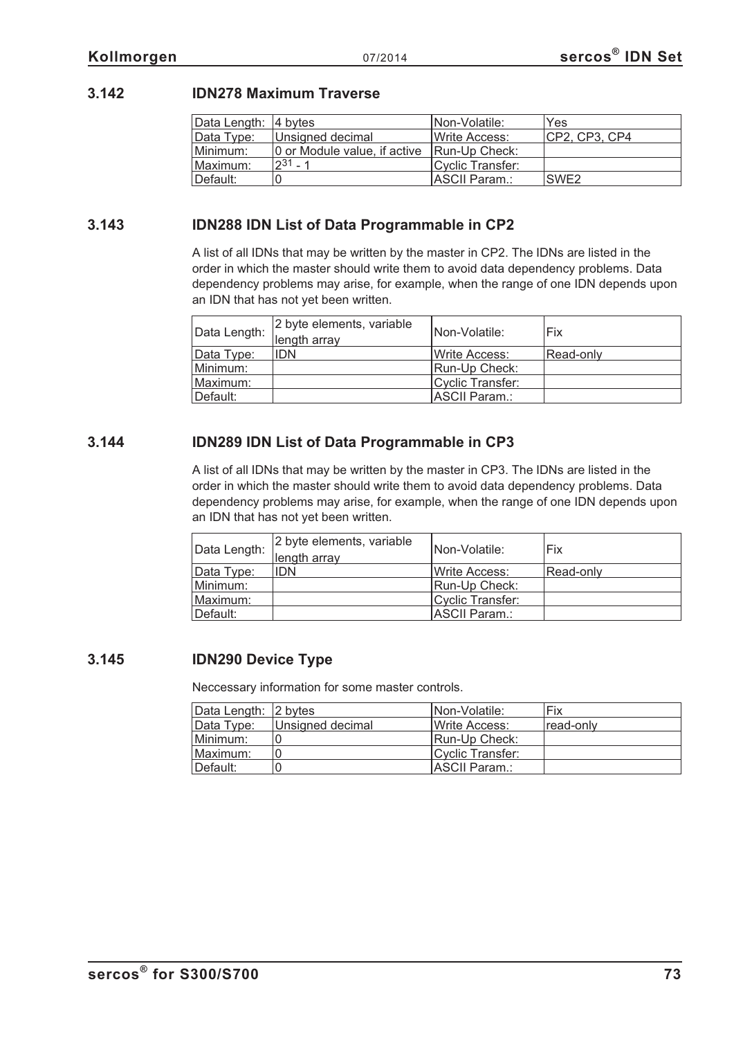#### **3.142 IDN278 Maximum Traverse**

| Data Length:   4 bytes |                                             | Non-Volatile:    | Yes              |
|------------------------|---------------------------------------------|------------------|------------------|
| Data Type:             | Unsigned decimal                            | Write Access:    | CP2, CP3, CP4    |
| Minimum:               | 0 or Module value, if active [Run-Up Check: |                  |                  |
| Maximum:               | $231 - 1$                                   | Cyclic Transfer: |                  |
| Default:               |                                             | ASCII Param.:    | SWE <sub>2</sub> |

#### **3.143 IDN288 IDN List of Data Programmable in CP2**

A list of all IDNs that may be written by the master in CP2. The IDNs are listed in the order in which the master should write them to avoid data dependency problems. Data dependency problems may arise, for example, when the range of one IDN depends upon an IDN that has not yet been written.

| Data Length: | 2 byte elements, variable<br>length array | INon-Volatile:         | Fix       |
|--------------|-------------------------------------------|------------------------|-----------|
| Data Type:   | <b>IDN</b>                                | <b>I</b> Write Access: | Read-only |
| Minimum:     |                                           | Run-Up Check:          |           |
| Maximum:     |                                           | Cyclic Transfer:       |           |
| Default:     |                                           | ASCII Param.:          |           |

#### **3.144 IDN289 IDN List of Data Programmable in CP3**

A list of all IDNs that may be written by the master in CP3. The IDNs are listed in the order in which the master should write them to avoid data dependency problems. Data dependency problems may arise, for example, when the range of one IDN depends upon an IDN that has not yet been written.

| Data Length: | 2 byte elements, variable<br>length array | INon-Volatile:         | Fix       |
|--------------|-------------------------------------------|------------------------|-----------|
| Data Type:   | <b>IDN</b>                                | <b>I</b> Write Access: | Read-only |
| Minimum:     |                                           | Run-Up Check:          |           |
| Maximum:     |                                           | Cyclic Transfer:       |           |
| Default:     |                                           | ASCII Param.:          |           |

#### **3.145 IDN290 Device Type**

Neccessary information for some master controls.

| Data Length: 2 bytes |                  | INon-Volatile:        | Fix       |
|----------------------|------------------|-----------------------|-----------|
| Data Type:           | Unsigned decimal | <b>IWrite Access:</b> | read-only |
| Minimum:             |                  | <b>IRun-Up Check:</b> |           |
| Maximum:             |                  | Cyclic Transfer:      |           |
| Default:             |                  | IASCII Param.:        |           |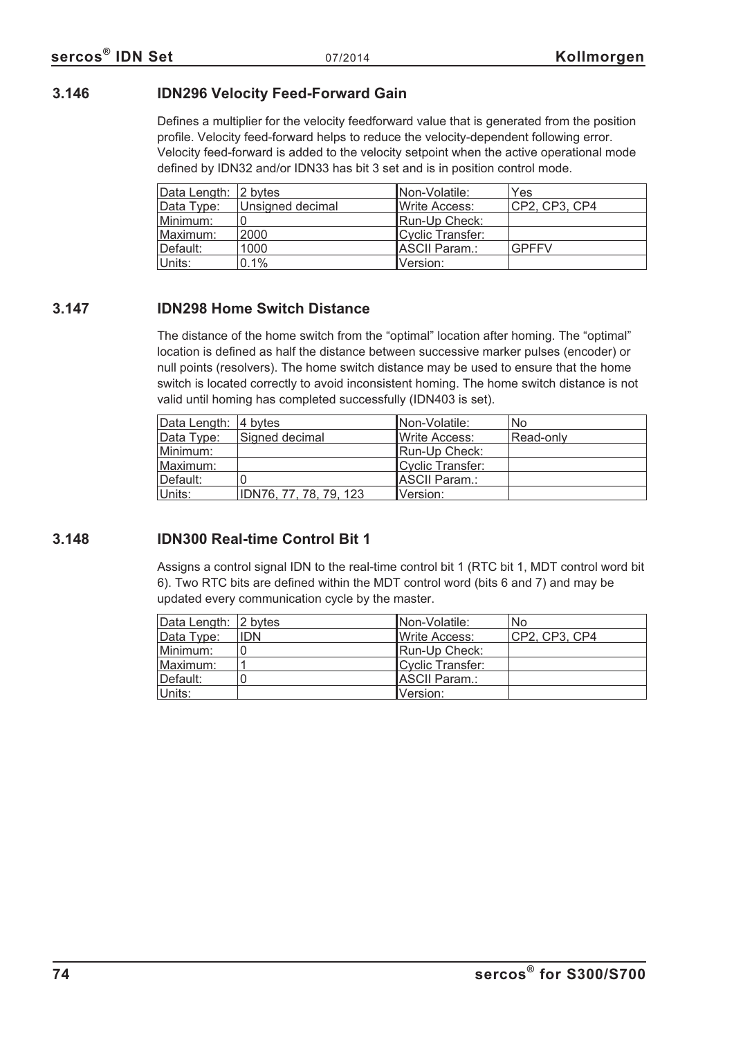#### **3.146 IDN296 Velocity Feed-Forward Gain**

Defines a multiplier for the velocity feedforward value that is generated from the position profile. Velocity feed-forward helps to reduce the velocity-dependent following error. Velocity feed-forward is added to the velocity setpoint when the active operational mode defined by IDN32 and/or IDN33 has bit 3 set and is in position control mode.

| Data Length: 2 bytes |                  | INon-Volatile:        | Yes           |
|----------------------|------------------|-----------------------|---------------|
| Data Type:           | Unsigned decimal | <b>IWrite Access:</b> | CP2, CP3, CP4 |
| Minimum:             |                  | Run-Up Check:         |               |
| Maximum:             | 2000             | Cyclic Transfer:      |               |
| ⊺Default:            | 1000             | IASCII Param.:        | <b>GPFFV</b>  |
| Units:               | 0.1%             | Version:              |               |

#### **3.147 IDN298 Home Switch Distance**

The distance of the home switch from the "optimal" location after homing. The "optimal" location is defined as half the distance between successive marker pulses (encoder) or null points (resolvers). The home switch distance may be used to ensure that the home switch is located correctly to avoid inconsistent homing. The home switch distance is not valid until homing has completed successfully (IDN403 is set).

| Data Length: 4 bytes |                        | INon-Volatile:        | No        |
|----------------------|------------------------|-----------------------|-----------|
| Data Type:           | Signed decimal         | <b>IWrite Access:</b> | Read-only |
| Minimum:             |                        | Run-Up Check:         |           |
| Maximum:             |                        | Cyclic Transfer:      |           |
| ⊺Default:            |                        | <b>ASCII Param.:</b>  |           |
| Units:               | IDN76, 77, 78, 79, 123 | Version:              |           |

#### **3.148 IDN300 Real-time Control Bit 1**

Assigns a control signal IDN to the real-time control bit 1 (RTC bit 1, MDT control word bit 6). Two RTC bits are defined within the MDT control word (bits 6 and 7) and may be updated every communication cycle by the master.

| Data Length: 2 bytes |            | Non-Volatile:         | <b>No</b>     |
|----------------------|------------|-----------------------|---------------|
| Data Type:           | <b>IDN</b> | <b>IWrite Access:</b> | CP2, CP3, CP4 |
| Minimum:             |            | Run-Up Check:         |               |
| Maximum:             |            | Cyclic Transfer:      |               |
| Default:             |            | IASCII Param.∶        |               |
| Units:               |            | Version:              |               |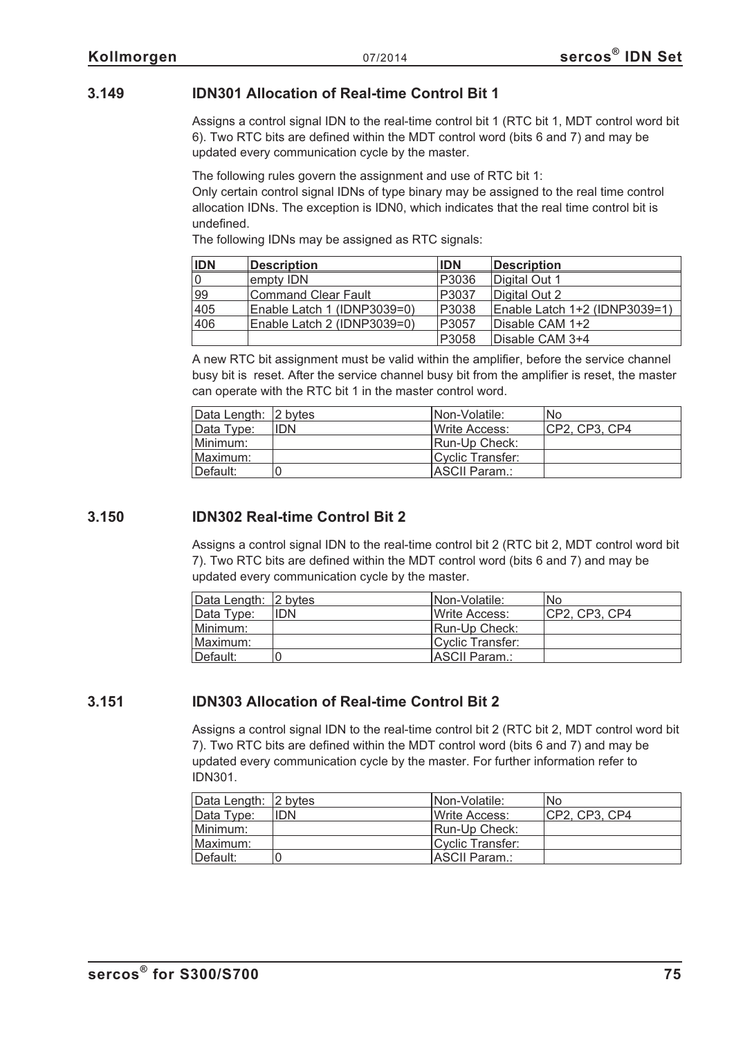#### **3.149 IDN301 Allocation of Real-time Control Bit 1**

Assigns a control signal IDN to the real-time control bit 1 (RTC bit 1, MDT control word bit 6). Two RTC bits are defined within the MDT control word (bits 6 and 7) and may be updated every communication cycle by the master.

The following rules govern the assignment and use of RTC bit 1:

Only certain control signal IDNs of type binary may be assigned to the real time control allocation IDNs. The exception is IDN0, which indicates that the real time control bit is undefined.

The following IDNs may be assigned as RTC signals:

| <b>IDN</b> | <b>Description</b>          | <b>IDN</b> | <b>Description</b>            |
|------------|-----------------------------|------------|-------------------------------|
|            | empty IDN                   | P3036      | Digital Out 1                 |
| 99         | Command Clear Fault         | P3037      | Digital Out 2                 |
| 405        | Enable Latch 1 (IDNP3039=0) | P3038      | Enable Latch 1+2 (IDNP3039=1) |
| 406        | Enable Latch 2 (IDNP3039=0) | P3057      | Disable CAM 1+2               |
|            |                             | P3058      | Disable CAM 3+4               |

A new RTC bit assignment must be valid within the amplifier, before the service channel busy bit is reset. After the service channel busy bit from the amplifier is reset, the master can operate with the RTC bit 1 in the master control word.

| Data Length: 2 bytes |            | INon-Volatile:       | l No          |
|----------------------|------------|----------------------|---------------|
| Data Type:           | <b>IDN</b> | <b>Write Access:</b> | CP2, CP3, CP4 |
| Minimum:             |            | Run-Up Check:        |               |
| Maximum:             |            | Cyclic Transfer:     |               |
| Default:             |            | IASCII Param.:       |               |

#### **3.150 IDN302 Real-time Control Bit 2**

Assigns a control signal IDN to the real-time control bit 2 (RTC bit 2, MDT control word bit 7). Two RTC bits are defined within the MDT control word (bits 6 and 7) and may be updated every communication cycle by the master.

| Data Length: 2 bytes |            | INon-Volatile:        | No            |
|----------------------|------------|-----------------------|---------------|
| Data Type:           | <b>IDN</b> | Write Access:         | CP2, CP3, CP4 |
| Minimum:             |            | <b>IRun-Up Check:</b> |               |
| Maximum:             |            | Cyclic Transfer:      |               |
| Default:             |            | <b>IASCII Param.:</b> |               |

#### **3.151 IDN303 Allocation of Real-time Control Bit 2**

Assigns a control signal IDN to the real-time control bit 2 (RTC bit 2, MDT control word bit 7). Two RTC bits are defined within the MDT control word (bits 6 and 7) and may be updated every communication cycle by the master. For further information refer to IDN301.

| Data Length: 2 bytes |            | INon-Volatile:        | lNo           |
|----------------------|------------|-----------------------|---------------|
| Data Type:           | <b>IDN</b> | <b>IWrite Access:</b> | CP2, CP3, CP4 |
| Minimum:             |            | Run-Up Check:         |               |
| Maximum:             |            | Cyclic Transfer:      |               |
| Default:             |            | ASCII Param.:         |               |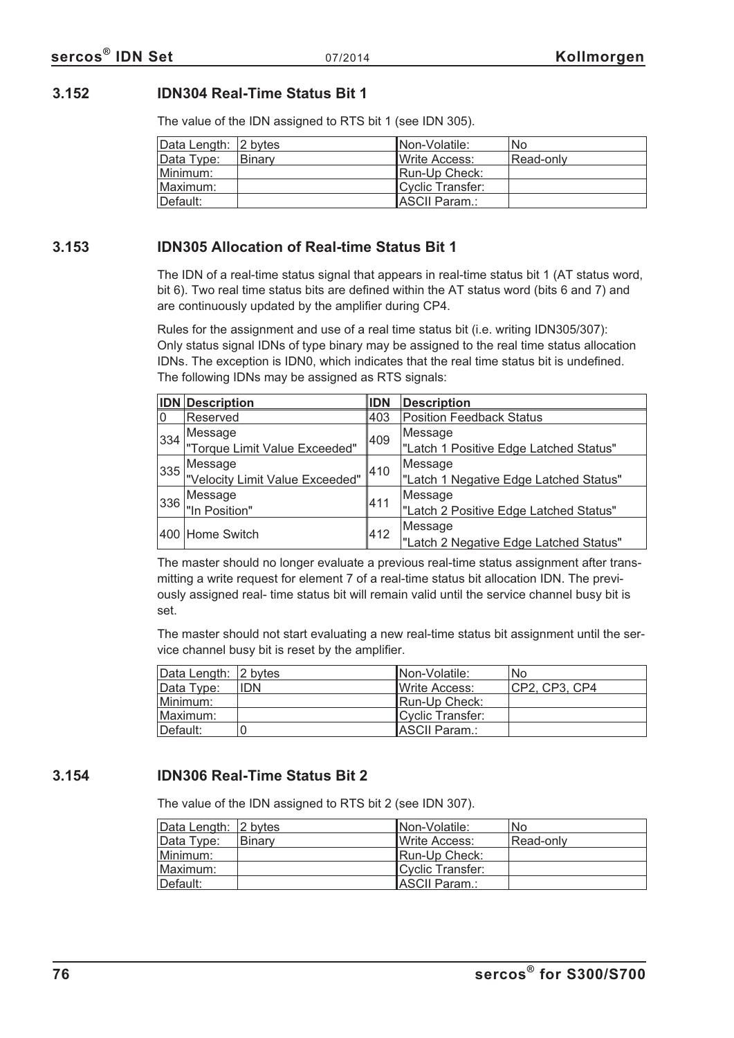#### **3.152 IDN304 Real-Time Status Bit 1**

The value of the IDN assigned to RTS bit 1 (see IDN 305).

| Data Length: 2 bytes |               | INon-Volatile:        | <b>No</b> |
|----------------------|---------------|-----------------------|-----------|
| Data Type:           | <b>Binary</b> | <b>IWrite Access:</b> | Read-only |
| Minimum:             |               | Run-Up Check:         |           |
| ⊺Maximum:            |               | Cyclic Transfer:      |           |
| ⊺Default:            |               | <b>IASCII Param.:</b> |           |

#### **3.153 IDN305 Allocation of Real-time Status Bit 1**

The IDN of a real-time status signal that appears in real-time status bit 1 (AT status word, bit 6). Two real time status bits are defined within the AT status word (bits 6 and 7) and are continuously updated by the amplifier during CP4.

Rules for the assignment and use of a real time status bit (i.e. writing IDN305/307): Only status signal IDNs of type binary may be assigned to the real time status allocation IDNs. The exception is IDN0, which indicates that the real time status bit is undefined. The following IDNs may be assigned as RTS signals:

|                | <b>IDN</b> Description          | <b>IDN</b> | <b>Description</b>                     |
|----------------|---------------------------------|------------|----------------------------------------|
| 10             | Reserved                        | 403        | <b>Position Feedback Status</b>        |
| 334            | Message<br>409                  |            | Message                                |
|                | "Torque Limit Value Exceeded"   |            | "Latch 1 Positive Edge Latched Status" |
| Message<br>335 |                                 |            | Message                                |
|                | "Velocity Limit Value Exceeded" | 410        | "Latch 1 Negative Edge Latched Status" |
|                |                                 |            | Message                                |
| 336            | Message<br>"In Position"        | 411        | "Latch 2 Positive Edge Latched Status" |
|                |                                 | 412        | Message                                |
|                | 400 Home Switch                 |            | "Latch 2 Negative Edge Latched Status" |

The master should no longer evaluate a previous real-time status assignment after transmitting a write request for element 7 of a real-time status bit allocation IDN. The previously assigned real- time status bit will remain valid until the service channel busy bit is set.

The master should not start evaluating a new real-time status bit assignment until the service channel busy bit is reset by the amplifier.

| Data Length: 2 bytes |     | INon-Volatile:   | No             |
|----------------------|-----|------------------|----------------|
| Data Type:           | IDN | IWrite Access:   | ICP2. CP3. CP4 |
| Minimum:             |     | Run-Up Check:    |                |
| Maximum:             |     | Cyclic Transfer: |                |
| Default:             |     | ASCII Param.:    |                |

#### **3.154 IDN306 Real-Time Status Bit 2**

The value of the IDN assigned to RTS bit 2 (see IDN 307).

| Data Length: 2 bytes |        | INon-Volatile:        | No        |
|----------------------|--------|-----------------------|-----------|
| Data Type:           | Binary | <b>IWrite Access:</b> | Read-only |
| Minimum:             |        | Run-Up Check:         |           |
| Maximum:             |        | Cyclic Transfer:      |           |
| ⊺Default:            |        | ASCII Param.:         |           |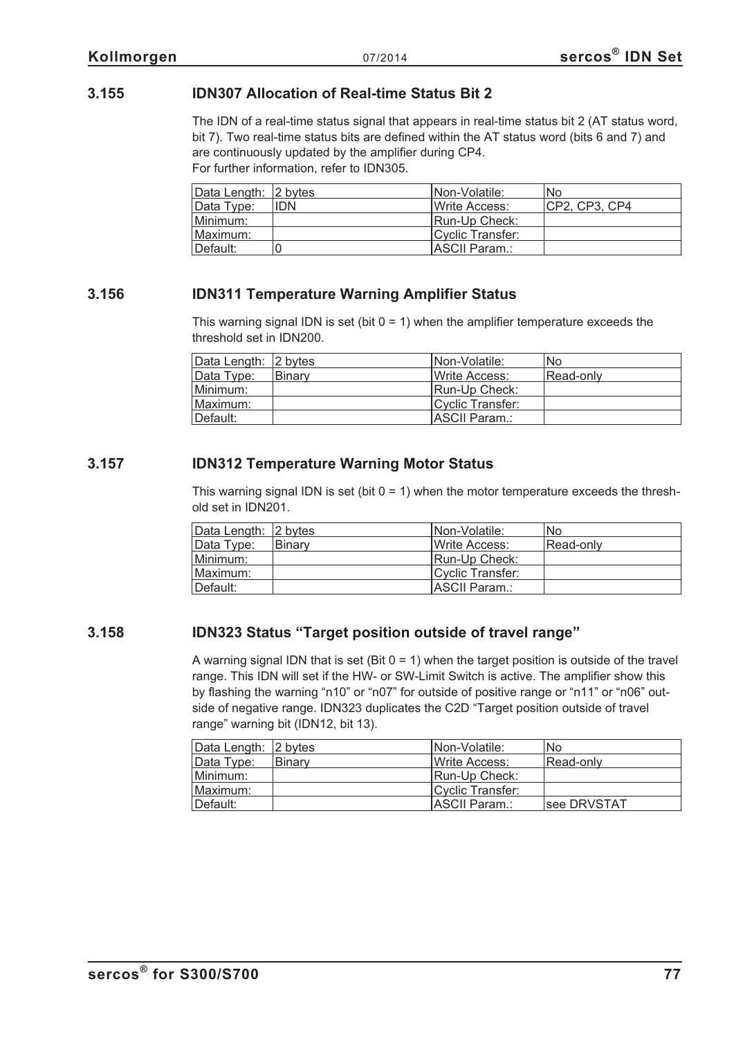#### **3.155 IDN307 Allocation of Real-time Status Bit 2**

The IDN of a real-time status signal that appears in real-time status bit 2 (AT status word, bit 7). Two real-time status bits are defined within the AT status word (bits 6 and 7) and are continuously updated by the amplifier during CP4. For further information, refer to IDN305.

| Data Length: 2 bytes |            | <b>INon-Volatile:</b> | No            |
|----------------------|------------|-----------------------|---------------|
| Data Type:           | <b>IDN</b> | Write Access:         | CP2. CP3. CP4 |
| Minimum:             |            | Run-Up Check:         |               |
| Maximum:             |            | Cyclic Transfer:      |               |
| Default:             |            | <b>IASCII Param.:</b> |               |

#### **3.156 IDN311 Temperature Warning Amplifier Status**

This warning signal IDN is set (bit  $0 = 1$ ) when the amplifier temperature exceeds the threshold set in IDN200.

| Data Length: 2 bytes |        | INon-Volatile:           | No        |
|----------------------|--------|--------------------------|-----------|
| Data Type:           | Binary | Write Access:            | Read-only |
| Minimum:             |        | Run-Up Check:            |           |
| Maximum:             |        | <b>ICvclic Transfer:</b> |           |
| ∥Default:            |        | ASCII Param.:            |           |

#### **3.157 IDN312 Temperature Warning Motor Status**

This warning signal IDN is set (bit  $0 = 1$ ) when the motor temperature exceeds the threshold set in IDN201.

| Data Length: 2 bytes |               | Non-Volatile:         | No        |
|----------------------|---------------|-----------------------|-----------|
| Data Type:           | <b>Binarv</b> | <b>IWrite Access:</b> | Read-only |
| Minimum:             |               | Run-Up Check:         |           |
| Maximum:             |               | Cyclic Transfer:      |           |
| Default:             |               | ASCII Param.:         |           |

#### **3.158 IDN323 Status "Target position outside of travel range"**

A warning signal IDN that is set (Bit  $0 = 1$ ) when the target position is outside of the travel range. This IDN will set if the HW- or SW-Limit Switch is active. The amplifier show this by flashing the warning "n10" or "n07" for outside of positive range or "n11" or "n06" outside of negative range. IDN323 duplicates the C2D "Target position outside of travel range" warning bit (IDN12, bit 13).

| Data Length: 2 bytes |               | INon-Volatile:   | No          |
|----------------------|---------------|------------------|-------------|
| Data Type:           | <b>Binary</b> | Write Access:    | Read-only   |
| Minimum:             |               | Run-Up Check:    |             |
| Maximum:             |               | Cyclic Transfer: |             |
| Default:             |               | ASCII Param.:    | see DRVSTAT |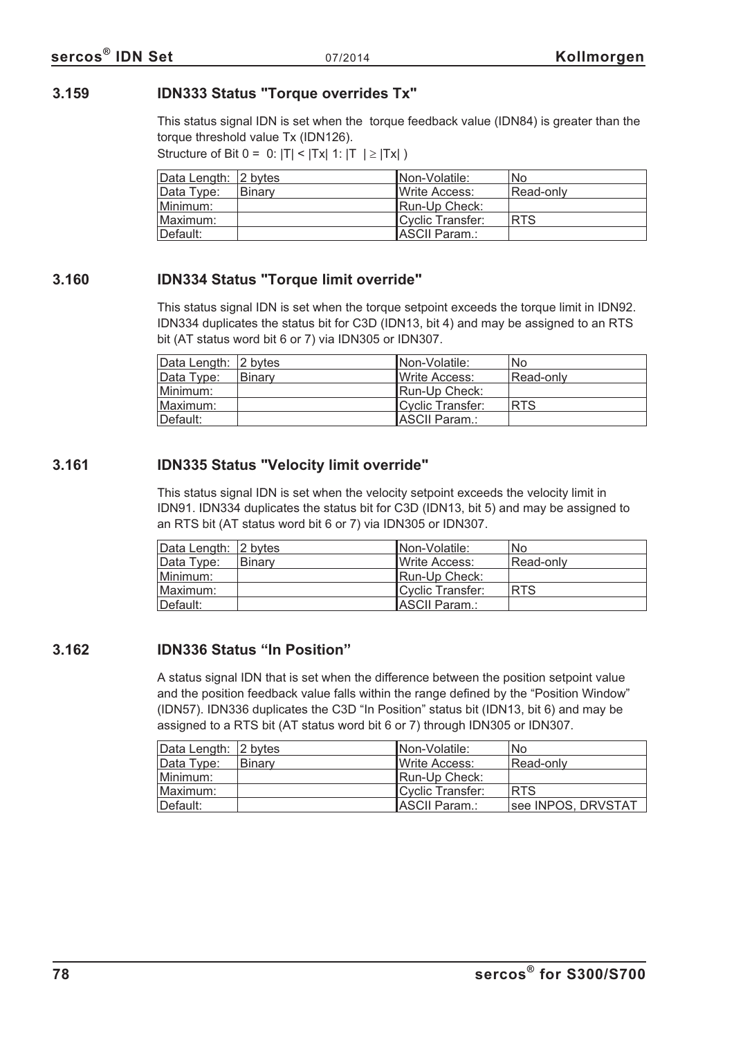#### **3.159 IDN333 Status "Torque overrides Tx"**

This status signal IDN is set when the torque feedback value (IDN84) is greater than the torque threshold value Tx (IDN126).

Structure of Bit  $0 = 0$ :  $|T| < |Tx|$  1:  $|T| \ge |Tx|$ 

| Data Length: 2 bytes |        | INon-Volatile:   | <b>No</b>  |
|----------------------|--------|------------------|------------|
| Data Type:           | Binary | Write Access:    | Read-only  |
| Minimum:             |        | IRun-Up Check:   |            |
| Maximum:             |        | Cyclic Transfer: | <b>RTS</b> |
| Default:             |        | ASCII Param.:    |            |

#### **3.160 IDN334 Status "Torque limit override"**

This status signal IDN is set when the torque setpoint exceeds the torque limit in IDN92. IDN334 duplicates the status bit for C3D (IDN13, bit 4) and may be assigned to an RTS bit (AT status word bit 6 or 7) via IDN305 or IDN307.

| Data Length: 2 bytes |        | INon-Volatile:        | <b>No</b>  |
|----------------------|--------|-----------------------|------------|
| Data Type:           | Binary | <b>IWrite Access:</b> | Read-only  |
| Minimum:             |        | Run-Up Check:         |            |
| Maximum: l           |        | Cyclic Transfer:      | <b>RTS</b> |
| Default:             |        | ASCII Param.:         |            |

#### **3.161 IDN335 Status "Velocity limit override"**

This status signal IDN is set when the velocity setpoint exceeds the velocity limit in IDN91. IDN334 duplicates the status bit for C3D (IDN13, bit 5) and may be assigned to an RTS bit (AT status word bit 6 or 7) via IDN305 or IDN307.

| Data Length: 2 bytes |        | INon-Volatile:   | <b>No</b>  |
|----------------------|--------|------------------|------------|
| Data Type:           | Binary | Write Access:    | Read-only  |
| Minimum:             |        | Run-Up Check:    |            |
| Maximum:             |        | Cyclic Transfer: | <b>RTS</b> |
| Default:             |        | ASCII Param.:    |            |

#### **3.162 IDN336 Status "In Position"**

A status signal IDN that is set when the difference between the position setpoint value and the position feedback value falls within the range defined by the "Position Window" (IDN57). IDN336 duplicates the C3D "In Position" status bit (IDN13, bit 6) and may be assigned to a RTS bit (AT status word bit 6 or 7) through IDN305 or IDN307.

| Data Length: 2 bytes |               | INon-Volatile:        | <b>No</b>          |
|----------------------|---------------|-----------------------|--------------------|
| Data Type:           | <b>Binary</b> | <b>IWrite Access:</b> | Read-only          |
| Minimum: l           |               | Run-Up Check:         |                    |
| Maximum:             |               | Cyclic Transfer:      | <b>RTS</b>         |
| ⊺Default:            |               | ASCII Param.:         | see INPOS, DRVSTAT |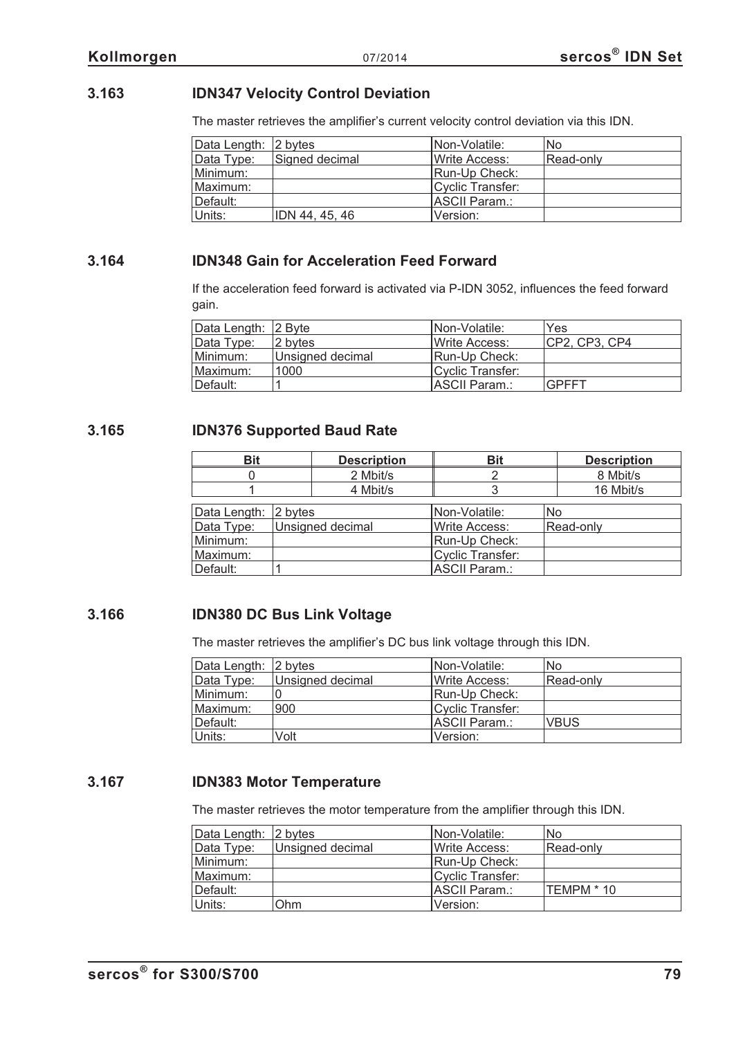#### **3.163 IDN347 Velocity Control Deviation**

The master retrieves the amplifier's current velocity control deviation via this IDN.

| Data Length: 2 bytes |                | Non-Volatile:         | No        |
|----------------------|----------------|-----------------------|-----------|
| Data Type:           | Signed decimal | <b>IWrite Access:</b> | Read-only |
| Minimum:             |                | Run-Up Check:         |           |
| Maximum:             |                | Cyclic Transfer:      |           |
| Default:             |                | ASCII Param.:         |           |
| Units:               | IDN 44, 45, 46 | lVersion:             |           |

#### **3.164 IDN348 Gain for Acceleration Feed Forward**

If the acceleration feed forward is activated via P-IDN 3052, influences the feed forward gain.

| Data Length: 2 Byte |                  | INon-Volatile:        | Yes           |
|---------------------|------------------|-----------------------|---------------|
| Data Type:          | 2 bytes          | <b>IWrite Access:</b> | CP2, CP3, CP4 |
| Minimum:            | Unsigned decimal | <b>Run-Up Check:</b>  |               |
| Maximum:            | 1000             | Cyclic Transfer:      |               |
| ⊺Default:           |                  | IASCII Param.:        | <b>GPFFT</b>  |

#### **3.165 IDN376 Supported Baud Rate**

| <b>Bit</b>   |         | <b>Description</b> | <b>Bit</b>              | <b>Description</b> |
|--------------|---------|--------------------|-------------------------|--------------------|
|              |         | 2 Mbit/s           |                         | 8 Mbit/s           |
|              |         | 4 Mbit/s           |                         | 16 Mbit/s          |
| Data Length: | 2 bytes |                    | Non-Volatile:           | <b>No</b>          |
| Data Type:   |         | Unsigned decimal   | <b>Write Access:</b>    | Read-only          |
| Minimum:     |         |                    | Run-Up Check:           |                    |
| Maximum:     |         |                    | <b>Cyclic Transfer:</b> |                    |
| Default:     |         |                    | <b>ASCII Param.:</b>    |                    |

#### **3.166 IDN380 DC Bus Link Voltage**

The master retrieves the amplifier's DC bus link voltage through this IDN.

| Data Length: 2 bytes |                  | Non-Volatile:    | <b>No</b>   |
|----------------------|------------------|------------------|-------------|
| Data Type:           | Unsigned decimal | Write Access:    | Read-only   |
| Minimum:             |                  | Run-Up Check:    |             |
| Maximum:             | 900              | Cyclic Transfer: |             |
| Default:             |                  | ASCII Param.:    | <b>VBUS</b> |
| Units:               | Volt             | Version:         |             |

#### **3.167 IDN383 Motor Temperature**

The master retrieves the motor temperature from the amplifier through this IDN.

| Data Length: 2 bytes |                  | Non-Volatile:    | No         |
|----------------------|------------------|------------------|------------|
| Data Type:           | Unsigned decimal | Write Access:    | Read-only  |
| Minimum:             |                  | Run-Up Check:    |            |
| Maximum:             |                  | Cyclic Transfer: |            |
| Default:             |                  | ASCII Param.:    | TEMPM * 10 |
| Units:               | Ohm              | Version:         |            |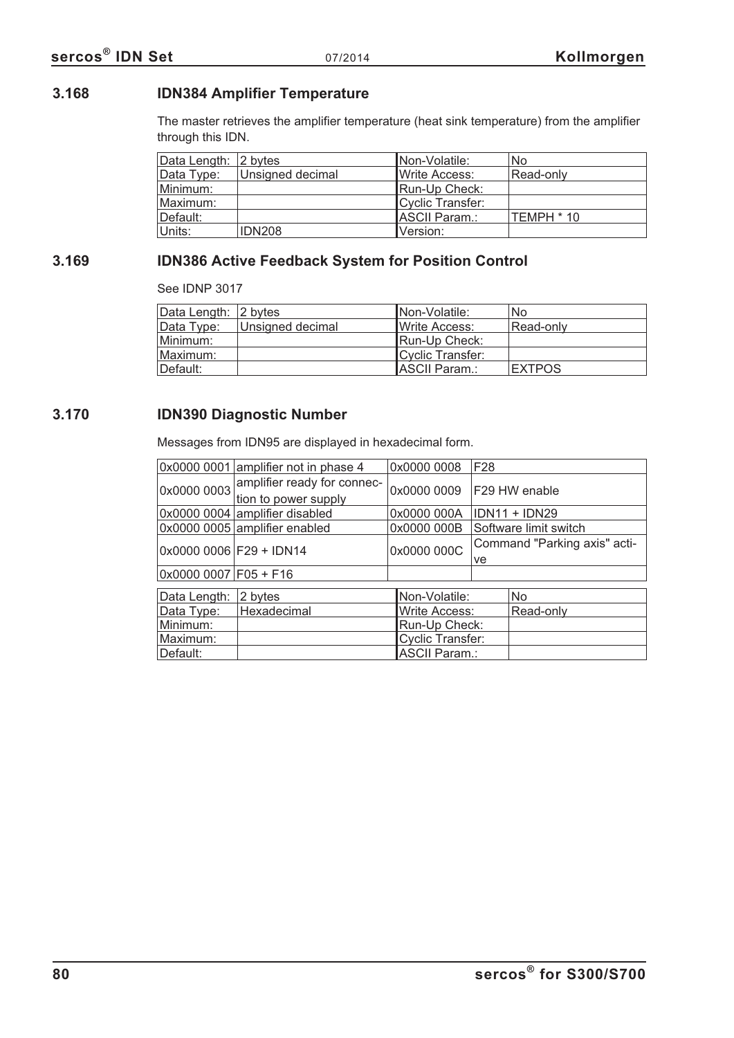#### **3.168 IDN384 Amplifier Temperature**

The master retrieves the amplifier temperature (heat sink temperature) from the amplifier through this IDN.

| Data Length: 2 bytes |                         | <b>INon-Volatile:</b> | <b>No</b>  |
|----------------------|-------------------------|-----------------------|------------|
| Data Type:           | <b>Unsigned decimal</b> | Write Access:         | Read-only  |
| Minimum:             |                         | Run-Up Check:         |            |
| Maximum:             |                         | Cyclic Transfer:      |            |
| Default:             |                         | ASCII Param.:         | TEMPH * 10 |
| Units:               | <b>IDN208</b>           | Version:              |            |

# **3.169 IDN386 Active Feedback System for Position Control**

See IDNP 3017

| Data Length: 2 bytes |                  | Non-Volatile:        | No            |
|----------------------|------------------|----------------------|---------------|
| Data Type:           | Unsigned decimal | Write Access:        | Read-only     |
| Minimum:             |                  | Run-Up Check:        |               |
| Maximum:             |                  | Cyclic Transfer:     |               |
| Default:             |                  | <b>ASCII Param.:</b> | <b>EXTPOS</b> |

#### **3.170 IDN390 Diagnostic Number**

Messages from IDN95 are displayed in hexadecimal form.

|                           | 0x0000 0001 amplifier not in phase 4                | 0x0000 0008             | F <sub>28</sub>                    |                      |
|---------------------------|-----------------------------------------------------|-------------------------|------------------------------------|----------------------|
| 0x0000 0003               | amplifier ready for connec-<br>tion to power supply | 0x0000 0009             |                                    | F29 HW enable        |
|                           | 0x0000 0004 amplifier disabled                      | 0x0000 000A             |                                    | <b>IDN11 + IDN29</b> |
|                           | 0x0000 0005 amplifier enabled                       | 0x0000 000B             | Software limit switch              |                      |
| $0x000000006$ F29 + IDN14 |                                                     | 0x0000 000C             | Command "Parking axis" acti-<br>ve |                      |
| $0x00000007$ F05 + F16    |                                                     |                         |                                    |                      |
|                           |                                                     |                         |                                    |                      |
| Data Length:              | 2 bytes                                             | Non-Volatile:           |                                    | No.                  |
| Data Type:                | Hexadecimal                                         | <b>Write Access:</b>    |                                    | Read-only            |
| Minimum:                  |                                                     | Run-Up Check:           |                                    |                      |
| Maximum:                  |                                                     | <b>Cyclic Transfer:</b> |                                    |                      |
| Default:                  |                                                     | <b>ASCII Param.:</b>    |                                    |                      |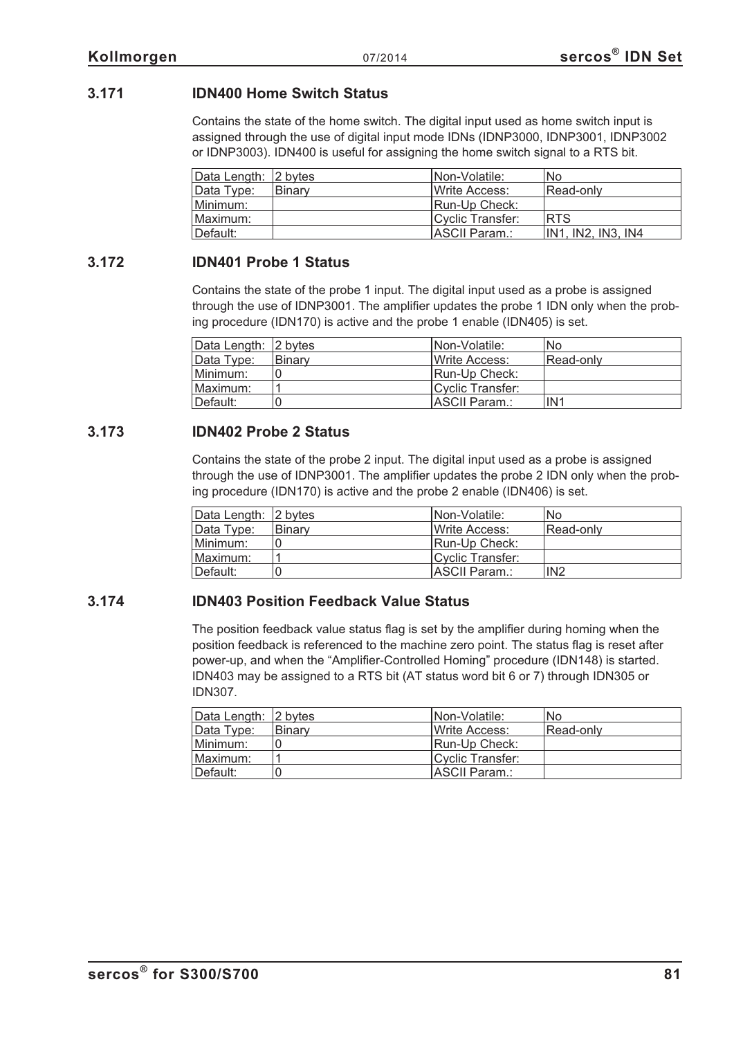#### **3.171 IDN400 Home Switch Status**

Contains the state of the home switch. The digital input used as home switch input is assigned through the use of digital input mode IDNs (IDNP3000, IDNP3001, IDNP3002 or IDNP3003). IDN400 is useful for assigning the home switch signal to a RTS bit.

| Data Length: 2 bytes |         | Non-Volatile:         | No                 |
|----------------------|---------|-----------------------|--------------------|
| Data Type:           | ∣Binarv | Write Access:         | Read-only          |
| Minimum:             |         | Run-Up Check:         |                    |
| Maximum:             |         | Cyclic Transfer:      | <b>RTS</b>         |
| Default:             |         | <b>IASCII Param.:</b> | IN1. IN2. IN3. IN4 |

#### **3.172 IDN401 Probe 1 Status**

Contains the state of the probe 1 input. The digital input used as a probe is assigned through the use of IDNP3001. The amplifier updates the probe 1 IDN only when the probing procedure (IDN170) is active and the probe 1 enable (IDN405) is set.

| Data Length: 2 bytes |        | INon-Volatile:        | No.             |
|----------------------|--------|-----------------------|-----------------|
| Data Type:           | Binary | <b>IWrite Access:</b> | Read-only       |
| Minimum:             |        | <b>Run-Up Check:</b>  |                 |
| Maximum:             |        | Cyclic Transfer:      |                 |
| Default:             |        | ASCII Param.:         | IN <sub>1</sub> |

#### **3.173 IDN402 Probe 2 Status**

Contains the state of the probe 2 input. The digital input used as a probe is assigned through the use of IDNP3001. The amplifier updates the probe 2 IDN only when the probing procedure (IDN170) is active and the probe 2 enable (IDN406) is set.

| Data Length: 2 bytes |        | INon-Volatile:        | No              |
|----------------------|--------|-----------------------|-----------------|
| Data Type:           | Binary | <b>IWrite Access:</b> | Read-only       |
| Minimum:             |        | Run-Up Check:         |                 |
| Maximum:             |        | Cyclic Transfer:      |                 |
| Default:             |        | ASCII Param.:         | IN <sub>2</sub> |

#### **3.174 IDN403 Position Feedback Value Status**

The position feedback value status flag is set by the amplifier during homing when the position feedback is referenced to the machine zero point. The status flag is reset after power-up, and when the "Amplifier-Controlled Homing" procedure (IDN148) is started. IDN403 may be assigned to a RTS bit (AT status word bit 6 or 7) through IDN305 or IDN307.

| Data Length: 2 bytes |        | INon-Volatile:        | No        |
|----------------------|--------|-----------------------|-----------|
| Data Type:           | Binary | <b>IWrite Access:</b> | Read-only |
| Minimum:             |        | Run-Up Check:         |           |
| Maximum:             |        | Cyclic Transfer:      |           |
| ∣Default:            |        | IASCII Param.:        |           |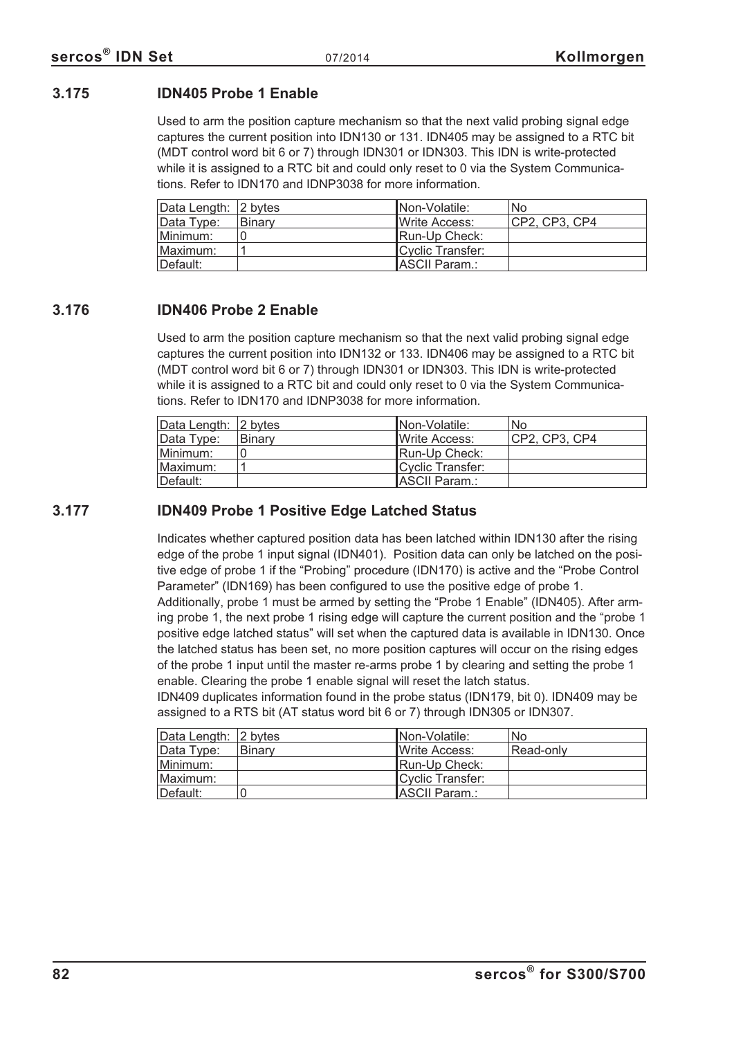#### **3.175 IDN405 Probe 1 Enable**

Used to arm the position capture mechanism so that the next valid probing signal edge captures the current position into IDN130 or 131. IDN405 may be assigned to a RTC bit (MDT control word bit 6 or 7) through IDN301 or IDN303. This IDN is write-protected while it is assigned to a RTC bit and could only reset to 0 via the System Communications. Refer to IDN170 and IDNP3038 for more information.

| Data Length: 2 bytes |        | INon-Volatile:        | <b>No</b>      |
|----------------------|--------|-----------------------|----------------|
| Data Type:           | Binary | <b>IWrite Access:</b> | ICP2. CP3. CP4 |
| Minimum:             |        | Run-Up Check:         |                |
| ⊺Maximum:            |        | Cyclic Transfer:      |                |
| ⊺Default:            |        | ASCII Param.:         |                |

#### **3.176 IDN406 Probe 2 Enable**

Used to arm the position capture mechanism so that the next valid probing signal edge captures the current position into IDN132 or 133. IDN406 may be assigned to a RTC bit (MDT control word bit 6 or 7) through IDN301 or IDN303. This IDN is write-protected while it is assigned to a RTC bit and could only reset to 0 via the System Communications. Refer to IDN170 and IDNP3038 for more information.

| Data Length: 2 bytes |        | INon-Volatile:        | No             |
|----------------------|--------|-----------------------|----------------|
| Data Type:           | Binary | <b>IWrite Access:</b> | ICP2. CP3. CP4 |
| Minimum:             |        | Run-Up Check:         |                |
| Maximum:             |        | Cyclic Transfer:      |                |
| Default:             |        | ASCII Param.:         |                |

#### **3.177 IDN409 Probe 1 Positive Edge Latched Status**

Indicates whether captured position data has been latched within IDN130 after the rising edge of the probe 1 input signal (IDN401). Position data can only be latched on the positive edge of probe 1 if the "Probing" procedure (IDN170) is active and the "Probe Control Parameter" (IDN169) has been configured to use the positive edge of probe 1.

Additionally, probe 1 must be armed by setting the "Probe 1 Enable" (IDN405). After arming probe 1, the next probe 1 rising edge will capture the current position and the "probe 1 positive edge latched status" will set when the captured data is available in IDN130. Once the latched status has been set, no more position captures will occur on the rising edges of the probe 1 input until the master re-arms probe 1 by clearing and setting the probe 1 enable. Clearing the probe 1 enable signal will reset the latch status.

IDN409 duplicates information found in the probe status (IDN179, bit 0). IDN409 may be assigned to a RTS bit (AT status word bit 6 or 7) through IDN305 or IDN307.

| Data Length: 12 bytes |        | Non-Volatile:         | <b>No</b> |
|-----------------------|--------|-----------------------|-----------|
| Data Type:            | Binary | Write Access:         | Read-only |
| Minimum:              |        | Run-Up Check:         |           |
| Maximum:              |        | Cyclic Transfer:      |           |
| ⊺Default:             |        | <b>IASCII Param.:</b> |           |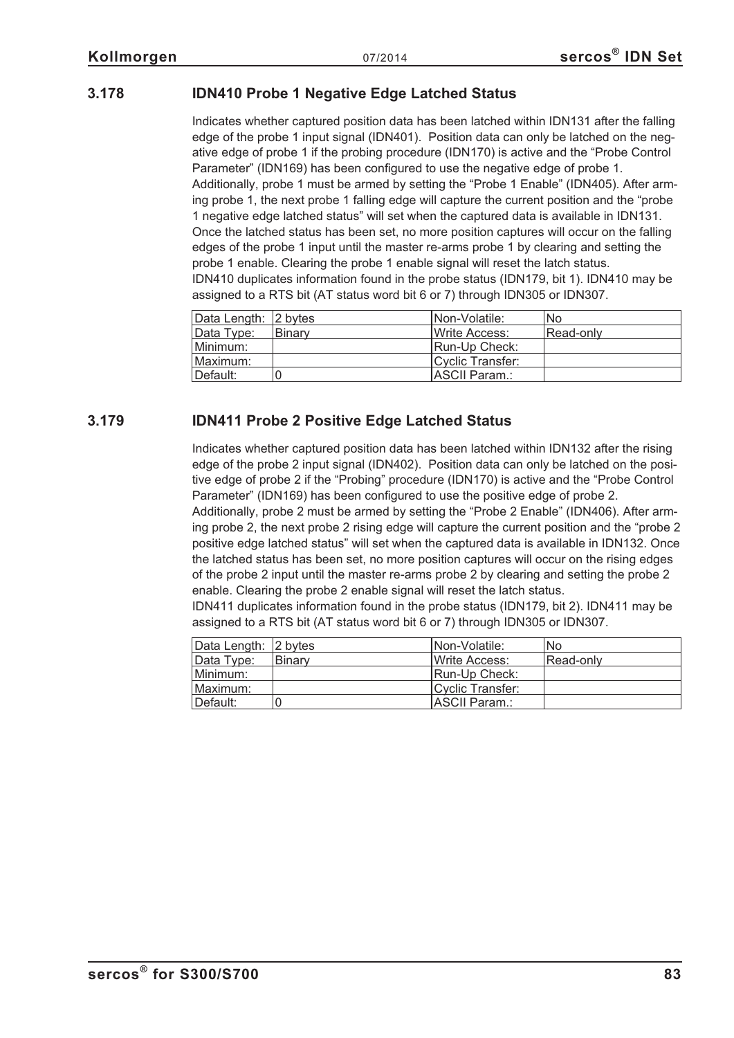#### **3.178 IDN410 Probe 1 Negative Edge Latched Status**

Indicates whether captured position data has been latched within IDN131 after the falling edge of the probe 1 input signal (IDN401). Position data can only be latched on the negative edge of probe 1 if the probing procedure (IDN170) is active and the "Probe Control Parameter" (IDN169) has been configured to use the negative edge of probe 1. Additionally, probe 1 must be armed by setting the "Probe 1 Enable" (IDN405). After arming probe 1, the next probe 1 falling edge will capture the current position and the "probe 1 negative edge latched status" will set when the captured data is available in IDN131. Once the latched status has been set, no more position captures will occur on the falling edges of the probe 1 input until the master re-arms probe 1 by clearing and setting the probe 1 enable. Clearing the probe 1 enable signal will reset the latch status. IDN410 duplicates information found in the probe status (IDN179, bit 1). IDN410 may be assigned to a RTS bit (AT status word bit 6 or 7) through IDN305 or IDN307.

| Data Length: 2 bytes |               | Non-Volatile:         | No        |
|----------------------|---------------|-----------------------|-----------|
| Data Type:           | <b>Binarv</b> | Write Access:         | Read-only |
| Minimum:             |               | Run-Up Check:         |           |
| Maximum:             |               | Cyclic Transfer:      |           |
| Default:             |               | <b>IASCII Param.:</b> |           |

#### **3.179 IDN411 Probe 2 Positive Edge Latched Status**

Indicates whether captured position data has been latched within IDN132 after the rising edge of the probe 2 input signal (IDN402). Position data can only be latched on the positive edge of probe 2 if the "Probing" procedure (IDN170) is active and the "Probe Control Parameter" (IDN169) has been configured to use the positive edge of probe 2.

Additionally, probe 2 must be armed by setting the "Probe 2 Enable" (IDN406). After arming probe 2, the next probe 2 rising edge will capture the current position and the "probe 2 positive edge latched status" will set when the captured data is available in IDN132. Once the latched status has been set, no more position captures will occur on the rising edges of the probe 2 input until the master re-arms probe 2 by clearing and setting the probe 2 enable. Clearing the probe 2 enable signal will reset the latch status.

IDN411 duplicates information found in the probe status (IDN179, bit 2). IDN411 may be assigned to a RTS bit (AT status word bit 6 or 7) through IDN305 or IDN307.

| Data Length: 2 bytes |               | INon-Volatile:        | No        |
|----------------------|---------------|-----------------------|-----------|
| Data Type:           | <b>Binary</b> | <b>IWrite Access:</b> | Read-only |
| Minimum:             |               | Run-Up Check:         |           |
| Maximum:             |               | Cyclic Transfer:      |           |
| Default:             |               | <b>IASCII Param.:</b> |           |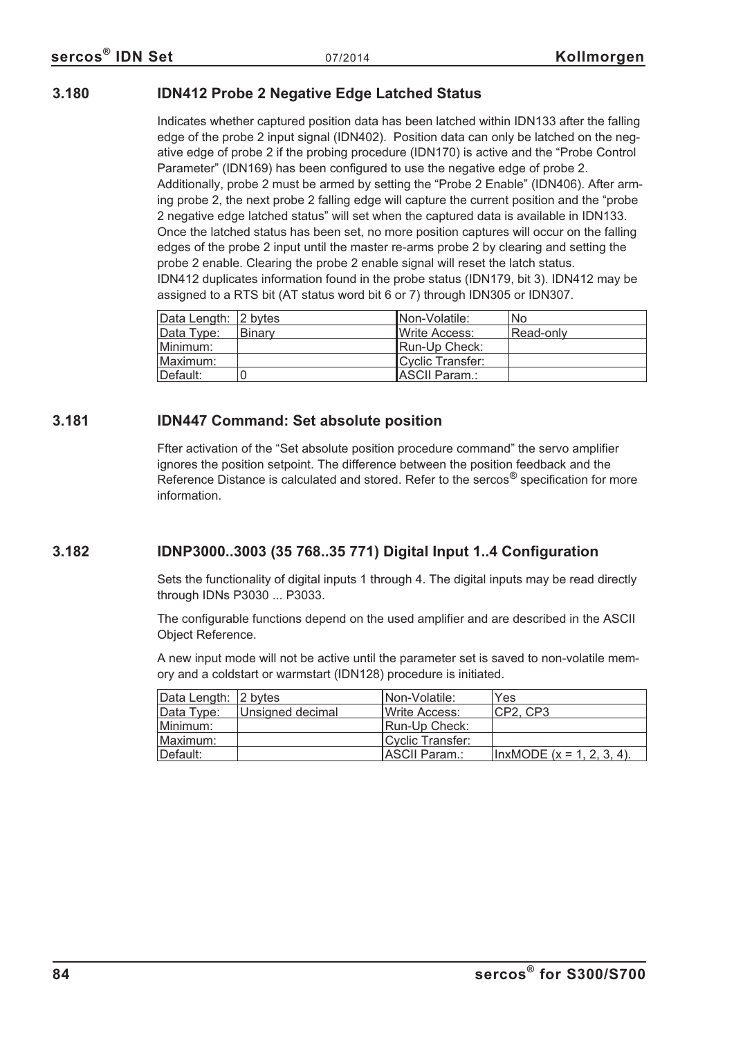#### **3.180 IDN412 Probe 2 Negative Edge Latched Status**

Indicates whether captured position data has been latched within IDN133 after the falling edge of the probe 2 input signal (IDN402). Position data can only be latched on the negative edge of probe 2 if the probing procedure (IDN170) is active and the "Probe Control Parameter" (IDN169) has been configured to use the negative edge of probe 2. Additionally, probe 2 must be armed by setting the "Probe 2 Enable" (IDN406). After arming probe 2, the next probe 2 falling edge will capture the current position and the "probe 2 negative edge latched status" will set when the captured data is available in IDN133. Once the latched status has been set, no more position captures will occur on the falling edges of the probe 2 input until the master re-arms probe 2 by clearing and setting the probe 2 enable. Clearing the probe 2 enable signal will reset the latch status. IDN412 duplicates information found in the probe status (IDN179, bit 3). IDN412 may be assigned to a RTS bit (AT status word bit 6 or 7) through IDN305 or IDN307.

| Data Length: 2 bytes |               | Non-Volatile:         | No.       |
|----------------------|---------------|-----------------------|-----------|
| Data Type:           | <b>Binary</b> | <b>IWrite Access:</b> | Read-only |
| Minimum: l           |               | Run-Up Check:         |           |
| Maximum:             |               | Cyclic Transfer:      |           |
| ⊺Default:            |               | ASCII Param.:         |           |

#### **3.181 IDN447 Command: Set absolute position**

Ffter activation of the "Set absolute position procedure command" the servo amplifier ignores the position setpoint. The difference between the position feedback and the Reference Distance is calculated and stored. Refer to the sercos<sup>®</sup> specification for more information.

#### **3.182 IDNP3000..3003 (35 768..35 771) Digital Input 1..4 Configuration**

Sets the functionality of digital inputs 1 through 4. The digital inputs may be read directly through IDNs P3030 ... P3033.

The configurable functions depend on the used amplifier and are described in the ASCII Object Reference.

A new input mode will not be active until the parameter set is saved to non-volatile memory and a coldstart or warmstart (IDN128) procedure is initiated.

| Data Length: 2 bytes |                  | INon-Volatile:   | Yes                          |
|----------------------|------------------|------------------|------------------------------|
| Data Type:           | Unsigned decimal | Write Access:    | ICP2. CP3                    |
| Minimum:             |                  | Run-Up Check:    |                              |
| Maximum:             |                  | Cyclic Transfer: |                              |
| ⊺Default:            |                  | ASCII Param.:    | $ InxMODE (x = 1, 2, 3, 4).$ |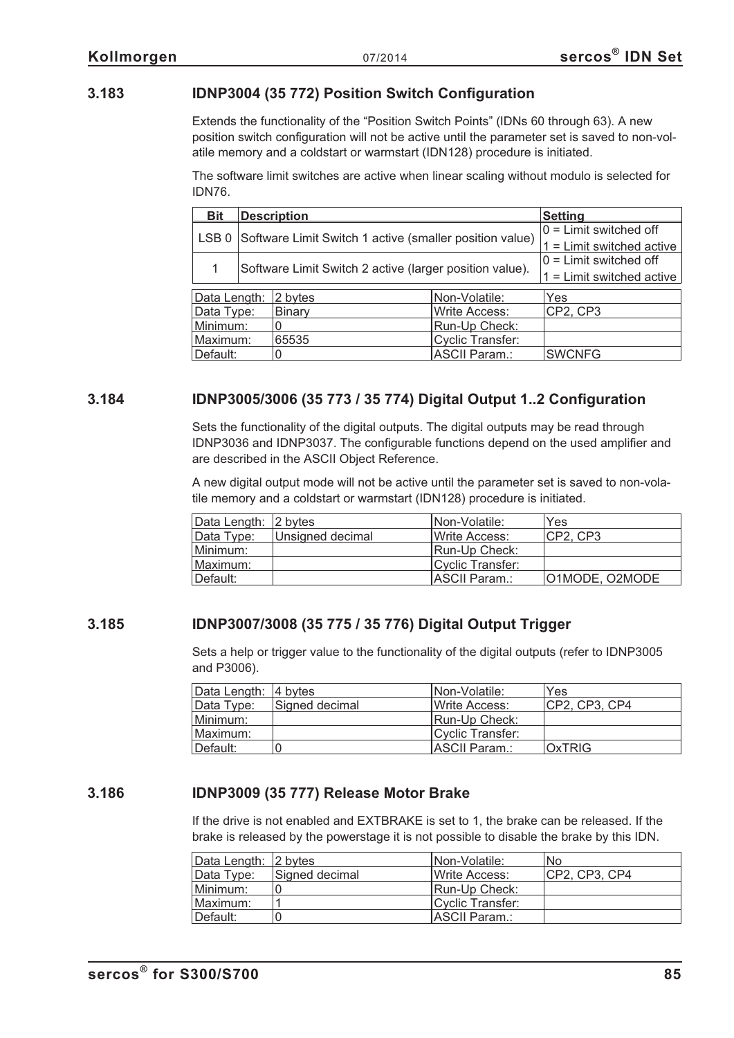#### **3.183 IDNP3004 (35 772) Position Switch Configuration**

Extends the functionality of the "Position Switch Points" (IDNs 60 through 63). A new position switch configuration will not be active until the parameter set is saved to non-volatile memory and a coldstart or warmstart (IDN128) procedure is initiated.

The software limit switches are active when linear scaling without modulo is selected for IDN76.

| <b>Bit</b>       |                                                         | <b>Description</b>                                      | <b>Setting</b>       |                             |
|------------------|---------------------------------------------------------|---------------------------------------------------------|----------------------|-----------------------------|
|                  | Software Limit Switch 1 active (smaller position value) |                                                         |                      | $0 =$ Limit switched off    |
| LSB <sub>0</sub> |                                                         |                                                         |                      | $1 =$ Limit switched active |
|                  |                                                         | Software Limit Switch 2 active (larger position value). |                      | $0 =$ Limit switched off    |
|                  |                                                         |                                                         |                      | $1 =$ Limit switched active |
| Data Length:     | 2 bytes                                                 |                                                         | Non-Volatile:        | Yes                         |
| Data Type:       |                                                         | Binary                                                  | <b>Write Access:</b> | CP2, CP3                    |
| Minimum:         | Run-Up Check:                                           |                                                         |                      |                             |
| Maximum:         | <b>Cyclic Transfer:</b><br>65535                        |                                                         |                      |                             |
| Default:         |                                                         |                                                         | <b>ASCII Param.:</b> | <b>SWCNFG</b>               |

#### **3.184 IDNP3005/3006 (35 773 / 35 774) Digital Output 1..2 Configuration**

Sets the functionality of the digital outputs. The digital outputs may be read through IDNP3036 and IDNP3037. The configurable functions depend on the used amplifier and are described in the ASCII Object Reference.

A new digital output mode will not be active until the parameter set is saved to non-volatile memory and a coldstart or warmstart (IDN128) procedure is initiated.

| Data Length: 2 bytes |                  | INon-Volatile:        | Yes            |
|----------------------|------------------|-----------------------|----------------|
| Data Type:           | Unsigned decimal | <b>IWrite Access:</b> | ICP2. CP3      |
| Minimum:             |                  | Run-Up Check:         |                |
| Maximum:             |                  | Cyclic Transfer:      |                |
| Default:             |                  | ASCII Param.:         | O1MODE, O2MODE |

#### **3.185 IDNP3007/3008 (35 775 / 35 776) Digital Output Trigger**

Sets a help or trigger value to the functionality of the digital outputs (refer to IDNP3005 and P3006).

| Data Length: 4 bytes |                | Non-Volatile:         | Yes            |
|----------------------|----------------|-----------------------|----------------|
| Data Type:           | Signed decimal | <b>IWrite Access:</b> | ICP2. CP3. CP4 |
| Minimum:             |                | Run-Up Check:         |                |
| Maximum:             |                | Cyclic Transfer:      |                |
| Default:             |                | IASCII Param.:        | <b>OxTRIG</b>  |

#### **3.186 IDNP3009 (35 777) Release Motor Brake**

If the drive is not enabled and EXTBRAKE is set to 1, the brake can be released. If the brake is released by the powerstage it is not possible to disable the brake by this IDN.

| Data Length: 2 bytes |                | INon-Volatile:         | No.            |
|----------------------|----------------|------------------------|----------------|
| Data Type:           | Signed decimal | <b>I</b> Write Access: | ICP2. CP3. CP4 |
| Minimum:             |                | Run-Up Check:          |                |
| Maximum:             |                | Cyclic Transfer:       |                |
| Default:             |                | ASCII Param.:          |                |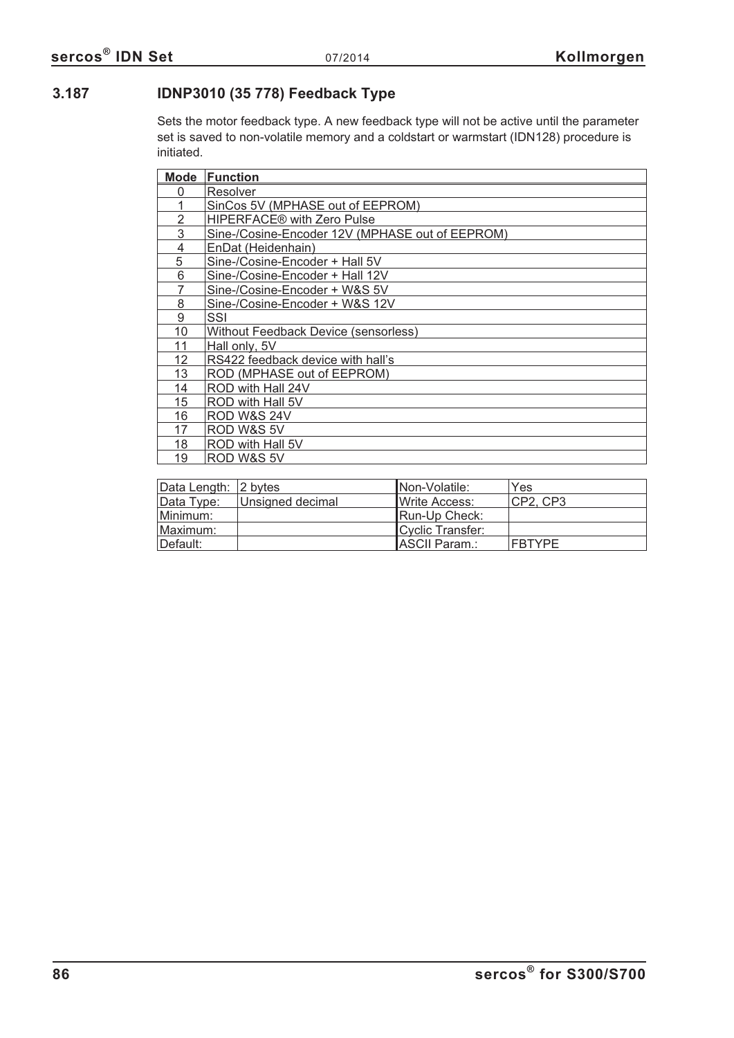### **3.187 IDNP3010 (35 778) Feedback Type**

Sets the motor feedback type. A new feedback type will not be active until the parameter set is saved to non-volatile memory and a coldstart or warmstart (IDN128) procedure is initiated.

| Mode | <b>Function</b>                                 |
|------|-------------------------------------------------|
| 0    | Resolver                                        |
|      | SinCos 5V (MPHASE out of EEPROM)                |
| 2    | <b>HIPERFACE®</b> with Zero Pulse               |
| 3    | Sine-/Cosine-Encoder 12V (MPHASE out of EEPROM) |
| 4    | EnDat (Heidenhain)                              |
| 5    | Sine-/Cosine-Encoder + Hall 5V                  |
| 6    | Sine-/Cosine-Encoder + Hall 12V                 |
| 7    | Sine-/Cosine-Encoder + W&S 5V                   |
| 8    | Sine-/Cosine-Encoder + W&S 12V                  |
| 9    | SSI                                             |
| 10   | Without Feedback Device (sensorless)            |
| 11   | Hall only, 5V                                   |
| 12   | RS422 feedback device with hall's               |
| 13   | ROD (MPHASE out of EEPROM)                      |
| 14   | ROD with Hall 24V                               |
| 15   | ROD with Hall 5V                                |
| 16   | <b>ROD W&amp;S 24V</b>                          |
| 17   | ROD W&S 5V                                      |
| 18   | ROD with Hall 5V                                |
| 19   | ROD W&S 5V                                      |

| Data Length: 2 bytes |                  | INon-Volatile:        | Yes      |
|----------------------|------------------|-----------------------|----------|
| Data Type:           | Unsigned decimal | <b>IWrite Access:</b> | CP2, CP3 |
| Minimum:             |                  | Run-Up Check:         |          |
| Maximum:             |                  | Cyclic Transfer:      |          |
| Default:             |                  | ASCII Param.:         | FBTYPE   |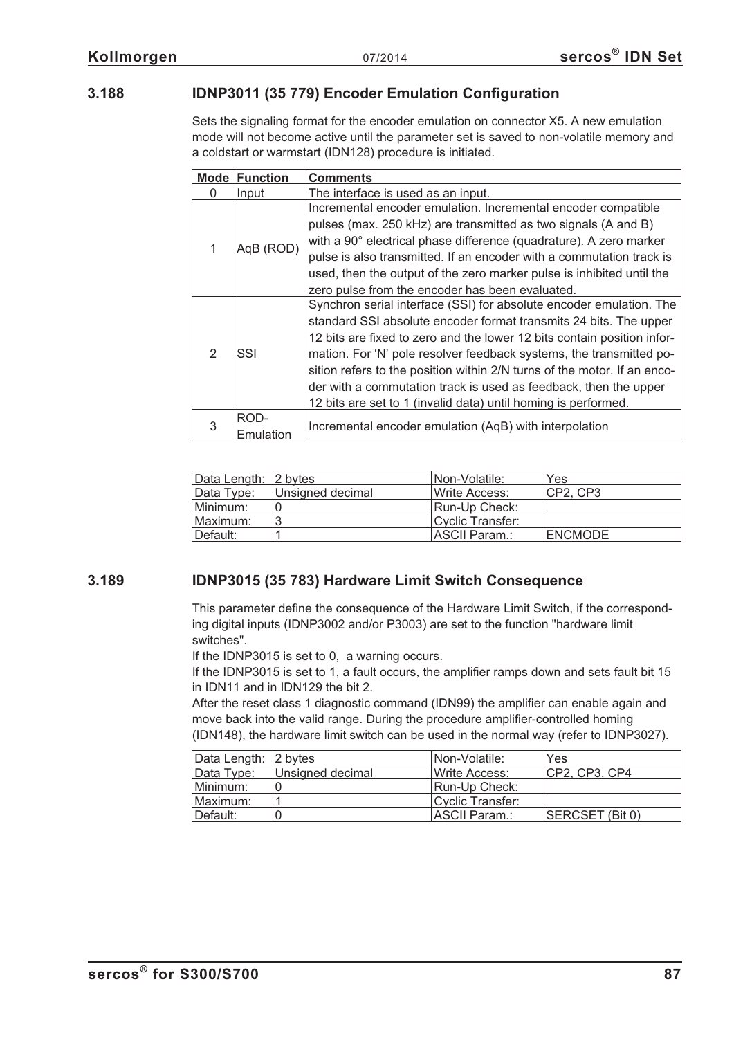#### **3.188 IDNP3011 (35 779) Encoder Emulation Configuration**

Sets the signaling format for the encoder emulation on connector X5. A new emulation mode will not become active until the parameter set is saved to non-volatile memory and a coldstart or warmstart (IDN128) procedure is initiated.

| <b>Mode</b>   | <b>Function</b>   | <b>Comments</b>                                                                                                                                                                                                                                                                                                                                                                                                                                                                                              |
|---------------|-------------------|--------------------------------------------------------------------------------------------------------------------------------------------------------------------------------------------------------------------------------------------------------------------------------------------------------------------------------------------------------------------------------------------------------------------------------------------------------------------------------------------------------------|
| $\Omega$      | Input             | The interface is used as an input.                                                                                                                                                                                                                                                                                                                                                                                                                                                                           |
|               | AqB (ROD)         | Incremental encoder emulation. Incremental encoder compatible<br>pulses (max. 250 kHz) are transmitted as two signals (A and B)<br>with a 90° electrical phase difference (quadrature). A zero marker<br>pulse is also transmitted. If an encoder with a commutation track is<br>used, then the output of the zero marker pulse is inhibited until the<br>zero pulse from the encoder has been evaluated.                                                                                                    |
| $\mathcal{P}$ | SSI               | Synchron serial interface (SSI) for absolute encoder emulation. The<br>standard SSI absolute encoder format transmits 24 bits. The upper<br>12 bits are fixed to zero and the lower 12 bits contain position infor-<br>mation. For 'N' pole resolver feedback systems, the transmitted po-<br>sition refers to the position within 2/N turns of the motor. If an enco-<br>der with a commutation track is used as feedback, then the upper<br>12 bits are set to 1 (invalid data) until homing is performed. |
| 3             | ROD-<br>Emulation | Incremental encoder emulation (AqB) with interpolation                                                                                                                                                                                                                                                                                                                                                                                                                                                       |

| Data Length: 2 bytes |                  | INon-Volatile:        | Yes            |
|----------------------|------------------|-----------------------|----------------|
| Data Type:           | Unsigned decimal | <b>IWrite Access:</b> | CP2, CP3       |
| Minimum:             |                  | <b>Run-Up Check:</b>  |                |
| Maximum:             | ◠                | Cyclic Transfer:      |                |
| Default:             |                  | ASCII Param.:         | <b>ENCMODE</b> |

#### **3.189 IDNP3015 (35 783) Hardware Limit Switch Consequence**

This parameter define the consequence of the Hardware Limit Switch, if the corresponding digital inputs (IDNP3002 and/or P3003) are set to the function "hardware limit switches".

If the IDNP3015 is set to 0, a warning occurs.

If the IDNP3015 is set to 1, a fault occurs, the amplifier ramps down and sets fault bit 15 in IDN11 and in IDN129 the bit 2.

After the reset class 1 diagnostic command (IDN99) the amplifier can enable again and move back into the valid range. During the procedure amplifier-controlled homing (IDN148), the hardware limit switch can be used in the normal way (refer to IDNP3027).

| Data Length: 2 bytes |                  | INon-Volatile:        | Yes             |
|----------------------|------------------|-----------------------|-----------------|
| Data Type:           | Unsigned decimal | <b>IWrite Access:</b> | CP2, CP3, CP4   |
| Minimum:             |                  | Run-Up Check:         |                 |
| Maximum:             |                  | Cyclic Transfer:      |                 |
| Default:             |                  | <b>IASCII Param.:</b> | SERCSET (Bit 0) |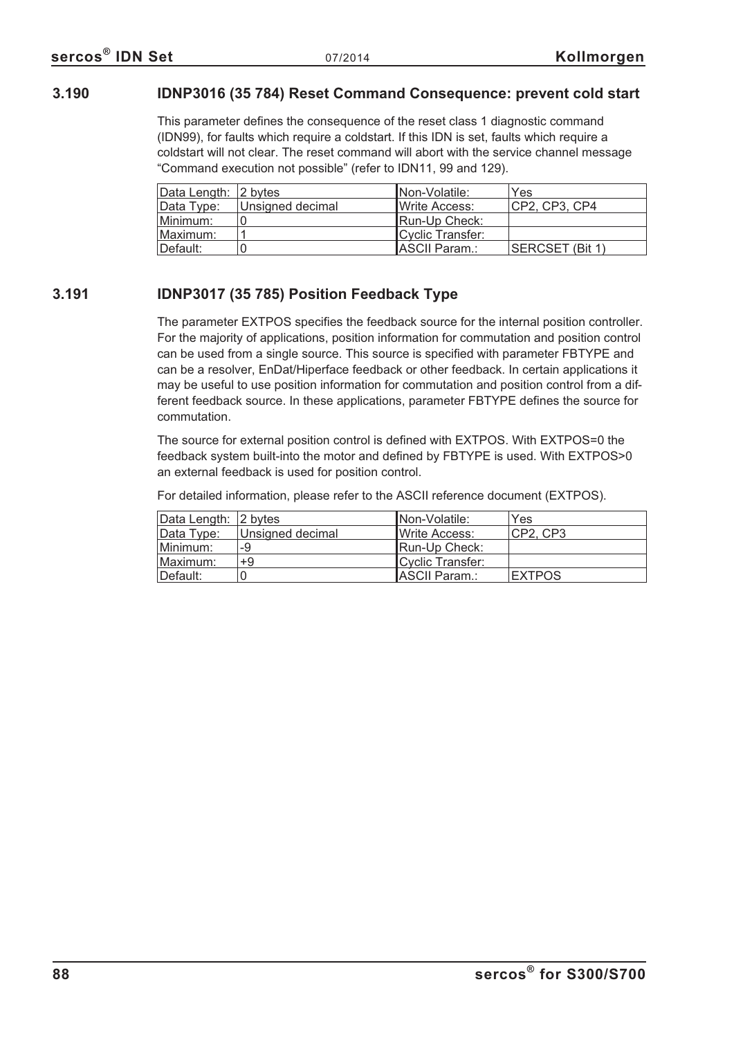#### **3.190 IDNP3016 (35 784) Reset Command Consequence: prevent cold start**

This parameter defines the consequence of the reset class 1 diagnostic command (IDN99), for faults which require a coldstart. If this IDN is set, faults which require a coldstart will not clear. The reset command will abort with the service channel message "Command execution not possible" (refer to IDN11, 99 and 129).

| Data Length: 2 bytes |                  | INon-Volatile:        | Yes             |
|----------------------|------------------|-----------------------|-----------------|
| Data Type:           | Unsigned decimal | <b>IWrite Access:</b> | CP2. CP3. CP4   |
| Minimum:             |                  | Run-Up Check:         |                 |
| Maximum:             |                  | Cyclic Transfer:      |                 |
| Default:             |                  | ASCII Param.:         | SERCSET (Bit 1) |

#### **3.191 IDNP3017 (35 785) Position Feedback Type**

The parameter EXTPOS specifies the feedback source for the internal position controller. For the majority of applications, position information for commutation and position control can be used from a single source. This source is specified with parameter FBTYPE and can be a resolver, EnDat/Hiperface feedback or other feedback. In certain applications it may be useful to use position information for commutation and position control from a different feedback source. In these applications, parameter FBTYPE defines the source for commutation.

The source for external position control is defined with EXTPOS. With EXTPOS=0 the feedback system built-into the motor and defined by FBTYPE is used. With EXTPOS>0 an external feedback is used for position control.

For detailed information, please refer to the ASCII reference document (EXTPOS).

| Data Length: 2 bytes |                  | Non-Volatile:          | Yes           |
|----------------------|------------------|------------------------|---------------|
| Data Type:           | Unsigned decimal | <b>I</b> Write Access: | CP2. CP3      |
| Minimum:             | -9               | Run-Up Check:          |               |
| Maximum:             | +9               | Cyclic Transfer:       |               |
| Default:             |                  | ASCII Param.:          | <b>EXTPOS</b> |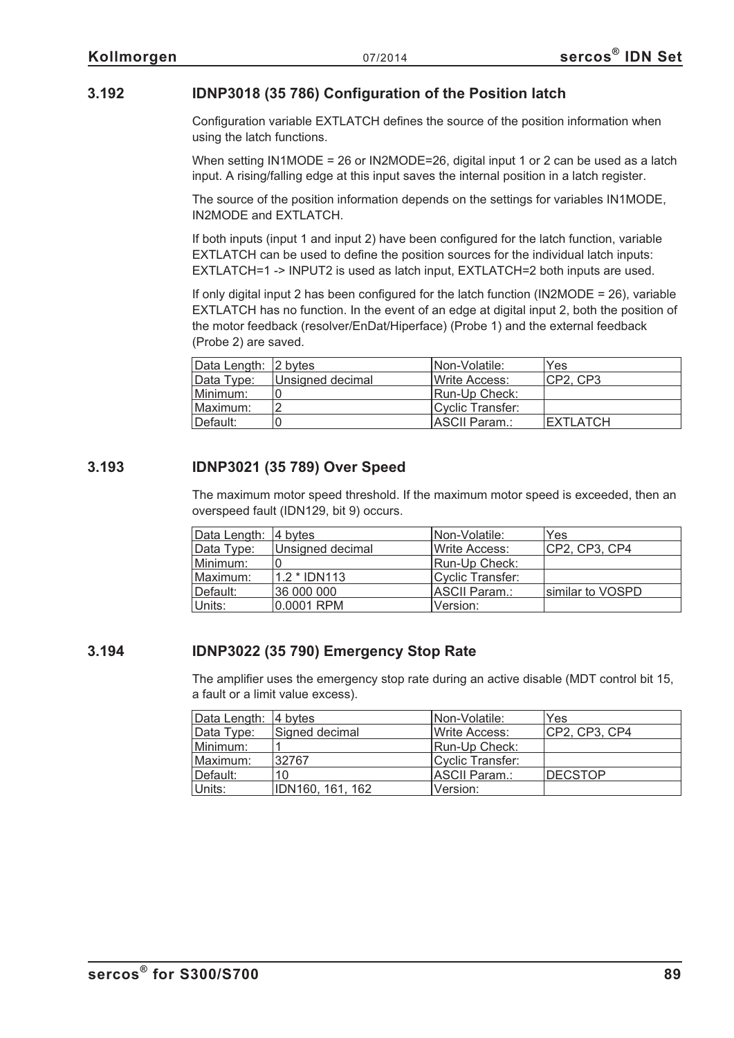#### **3.192 IDNP3018 (35 786) Configuration of the Position latch**

Configuration variable EXTLATCH defines the source of the position information when using the latch functions.

When setting IN1MODE = 26 or IN2MODE=26, digital input 1 or 2 can be used as a latch input. A rising/falling edge at this input saves the internal position in a latch register.

The source of the position information depends on the settings for variables IN1MODE, IN2MODE and EXTLATCH.

If both inputs (input 1 and input 2) have been configured for the latch function, variable EXTLATCH can be used to define the position sources for the individual latch inputs: EXTLATCH=1 -> INPUT2 is used as latch input, EXTLATCH=2 both inputs are used.

If only digital input 2 has been configured for the latch function (IN2MODE =  $26$ ), variable EXTLATCH has no function. In the event of an edge at digital input 2, both the position of the motor feedback (resolver/EnDat/Hiperface) (Probe 1) and the external feedback (Probe 2) are saved.

| Data Length: 2 bytes |                  | INon-Volatile:        | Yes             |
|----------------------|------------------|-----------------------|-----------------|
| Data Type:           | Unsigned decimal | Write Access:         | ICP2. CP3       |
| Minimum:             |                  | Run-Up Check:         |                 |
| Maximum:             |                  | Cyclic Transfer:      |                 |
| Default:             |                  | <b>IASCII Param.:</b> | <b>EXTLATCH</b> |

#### **3.193 IDNP3021 (35 789) Over Speed**

The maximum motor speed threshold. If the maximum motor speed is exceeded, then an overspeed fault (IDN129, bit 9) occurs.

| Data Length: 4 bytes |                  | INon-Volatile:   | Yes              |
|----------------------|------------------|------------------|------------------|
| Data Type:           | Unsigned decimal | Write Access:    | CP2, CP3, CP4    |
| Minimum:             |                  | Run-Up Check:    |                  |
| Maximum:             | 1.2 * IDN113     | Cyclic Transfer: |                  |
| Default:             | 36 000 000       | ASCII Param.:    | similar to VOSPD |
| Units:               | 0.0001 RPM       | Version:         |                  |

#### **3.194 IDNP3022 (35 790) Emergency Stop Rate**

The amplifier uses the emergency stop rate during an active disable (MDT control bit 15, a fault or a limit value excess).

| Data Length: 4 bytes |                  | <b>INon-Volatile:</b> | Yes           |
|----------------------|------------------|-----------------------|---------------|
| Data Type:           | Signed decimal   | Write Access:         | CP2, CP3, CP4 |
| Minimum:             |                  | Run-Up Check:         |               |
| Maximum:             | 32767            | Cyclic Transfer:      |               |
| Default:             | 10               | ASCII Param.:         | DECSTOP       |
| Units:               | IDN160, 161, 162 | Version:              |               |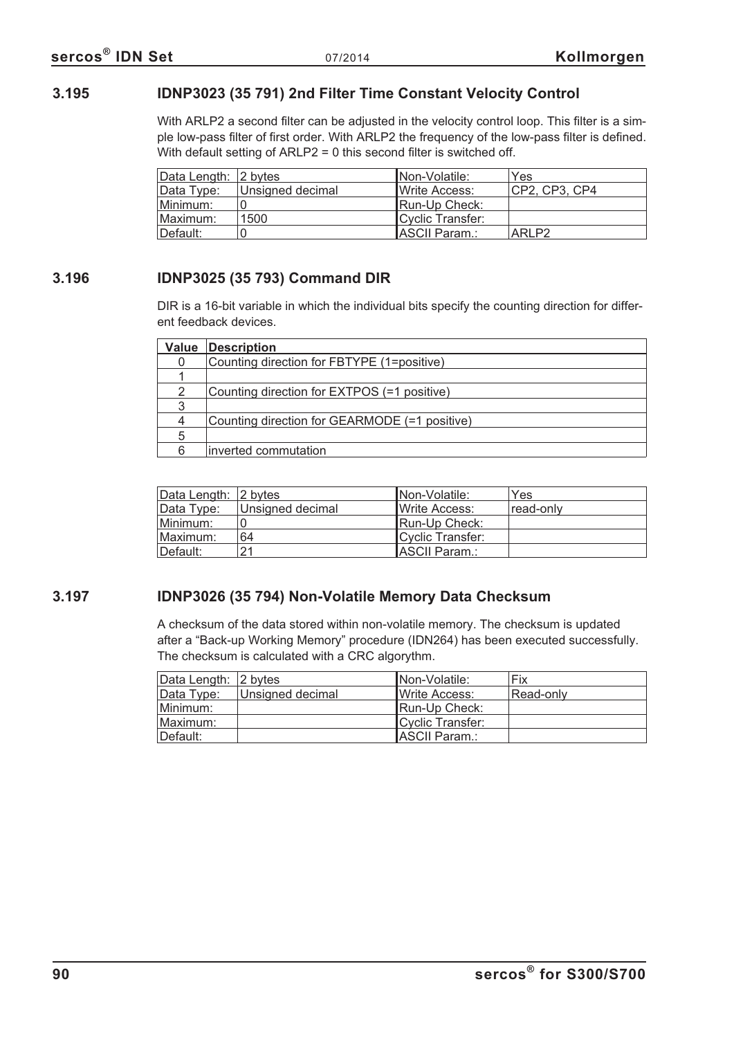#### **3.195 IDNP3023 (35 791) 2nd Filter Time Constant Velocity Control**

With ARLP2 a second filter can be adjusted in the velocity control loop. This filter is a simple low-pass filter of first order. With ARLP2 the frequency of the low-pass filter is defined. With default setting of ARLP2 = 0 this second filter is switched off.

| Data Length: 2 bytes |                  | INon-Volatile:        | Yes               |
|----------------------|------------------|-----------------------|-------------------|
| Data Type:           | Unsigned decimal | <b>IWrite Access:</b> | CP2, CP3, CP4     |
| Minimum:             |                  | Run-Up Check:         |                   |
| Maximum:             | 1500             | Cyclic Transfer:      |                   |
| ⊺Default:            |                  | ASCII Param.:         | ARLP <sub>2</sub> |

#### **3.196 IDNP3025 (35 793) Command DIR**

DIR is a 16-bit variable in which the individual bits specify the counting direction for different feedback devices.

| Value | <b>Description</b>                            |
|-------|-----------------------------------------------|
|       | Counting direction for FBTYPE (1=positive)    |
|       |                                               |
|       | Counting direction for EXTPOS (=1 positive)   |
|       |                                               |
|       | Counting direction for GEARMODE (=1 positive) |
| 5     |                                               |
|       | inverted commutation                          |

| Data Length: 2 bytes |                  | INon-Volatile:        | Yes       |
|----------------------|------------------|-----------------------|-----------|
| Data Type:           | Unsigned decimal | <b>IWrite Access:</b> | read-only |
| Minimum:             |                  | IRun-Up Check:        |           |
| Maximum:             | 64               | Cyclic Transfer:      |           |
| Default:             | 21               | ASCII Param.:         |           |

#### **3.197 IDNP3026 (35 794) Non-Volatile Memory Data Checksum**

A checksum of the data stored within non-volatile memory. The checksum is updated after a "Back-up Working Memory" procedure (IDN264) has been executed successfully. The checksum is calculated with a CRC algorythm.

| Data Length: 2 bytes |                  | Non-Volatile:         | Fix       |
|----------------------|------------------|-----------------------|-----------|
| Data Type:           | Unsigned decimal | <b>IWrite Access:</b> | Read-only |
| Minimum:             |                  | Run-Up Check:         |           |
| Maximum:             |                  | Cyclic Transfer:      |           |
| Default:             |                  | ASCII Param.:         |           |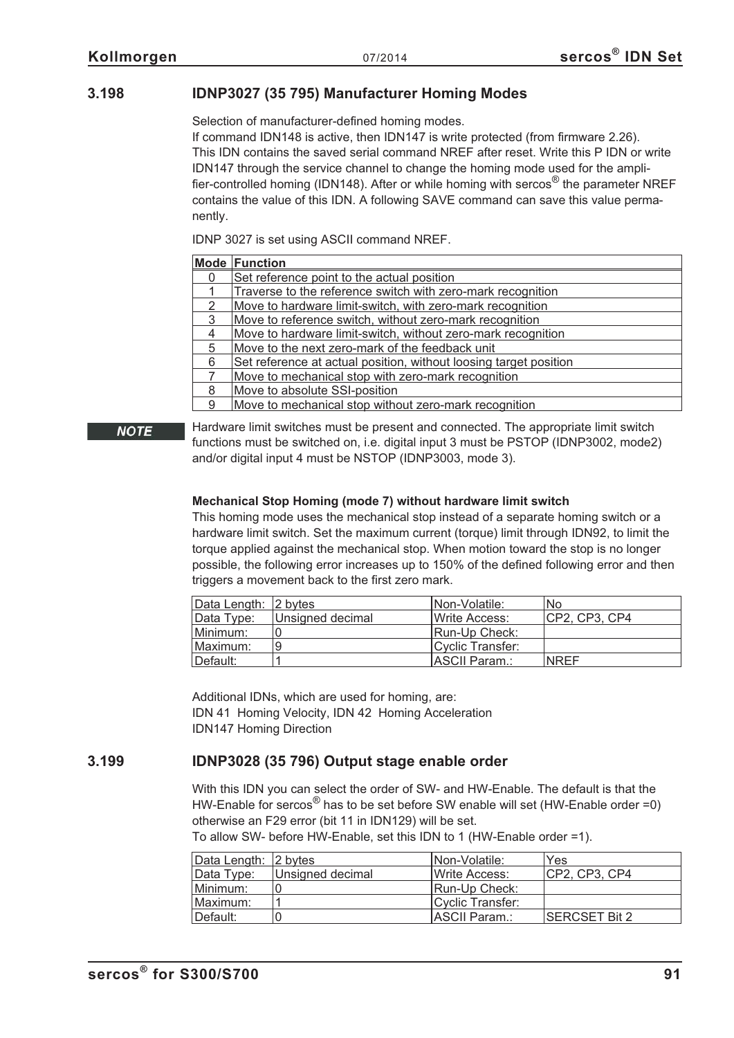#### **3.198 IDNP3027 (35 795) Manufacturer Homing Modes**

Selection of manufacturer-defined homing modes.

If command IDN148 is active, then IDN147 is write protected (from firmware 2.26). This IDN contains the saved serial command NREF after reset. Write this P IDN or write IDN147 through the service channel to change the homing mode used for the amplifier-controlled homing (IDN148). After or while homing with sercos<sup>®</sup> the parameter NREF contains the value of this IDN. A following SAVE command can save this value permanently.

IDNP 3027 is set using ASCII command NREF.

|   | <b>Mode Function</b>                                              |
|---|-------------------------------------------------------------------|
| 0 | Set reference point to the actual position                        |
|   | Traverse to the reference switch with zero-mark recognition       |
| 2 | Move to hardware limit-switch, with zero-mark recognition         |
| 3 | Move to reference switch, without zero-mark recognition           |
| 4 | Move to hardware limit-switch, without zero-mark recognition      |
| 5 | Move to the next zero-mark of the feedback unit                   |
| 6 | Set reference at actual position, without loosing target position |
|   | Move to mechanical stop with zero-mark recognition                |
| 8 | Move to absolute SSI-position                                     |
| 9 | Move to mechanical stop without zero-mark recognition             |

#### **NOTE**

Hardware limit switches must be present and connected. The appropriate limit switch functions must be switched on, i.e. digital input 3 must be PSTOP (IDNP3002, mode2) and/or digital input 4 must be NSTOP (IDNP3003, mode 3).

#### **Mechanical Stop Homing (mode 7) without hardware limit switch**

This homing mode uses the mechanical stop instead of a separate homing switch or a hardware limit switch. Set the maximum current (torque) limit through IDN92, to limit the torque applied against the mechanical stop. When motion toward the stop is no longer possible, the following error increases up to 150% of the defined following error and then triggers a movement back to the first zero mark.

| Data Length: 2 bytes |                  | INon-Volatile:        | <b>No</b>     |
|----------------------|------------------|-----------------------|---------------|
| Data Type:           | Unsigned decimal | <b>IWrite Access:</b> | CP2, CP3, CP4 |
| Minimum:             |                  | Run-Up Check:         |               |
| Maximum:             |                  | Cyclic Transfer:      |               |
| Default:             |                  | ASCII Param.:         | <b>NREF</b>   |

Additional IDNs, which are used for homing, are: IDN 41 Homing Velocity, IDN 42 Homing Acceleration IDN147 Homing Direction

#### **3.199 IDNP3028 (35 796) Output stage enable order**

With this IDN you can select the order of SW- and HW-Enable. The default is that the HW-Enable for sercos<sup>®</sup> has to be set before SW enable will set (HW-Enable order =0) otherwise an F29 error (bit 11 in IDN129) will be set.

|  |  | To allow SW- before HW-Enable, set this IDN to 1 (HW-Enable order =1). |  |
|--|--|------------------------------------------------------------------------|--|
|  |  |                                                                        |  |

| Data Length: 2 bytes |                  | INon-Volatile:        | Yes            |
|----------------------|------------------|-----------------------|----------------|
| Data Type:           | Unsigned decimal | Write Access:         | ICP2. CP3. CP4 |
| Minimum:             |                  | Run-Up Check:         |                |
| Maximum:             |                  | Cyclic Transfer:      |                |
| ∥Default:            |                  | <b>IASCII Param.:</b> | ISERCSET Bit 2 |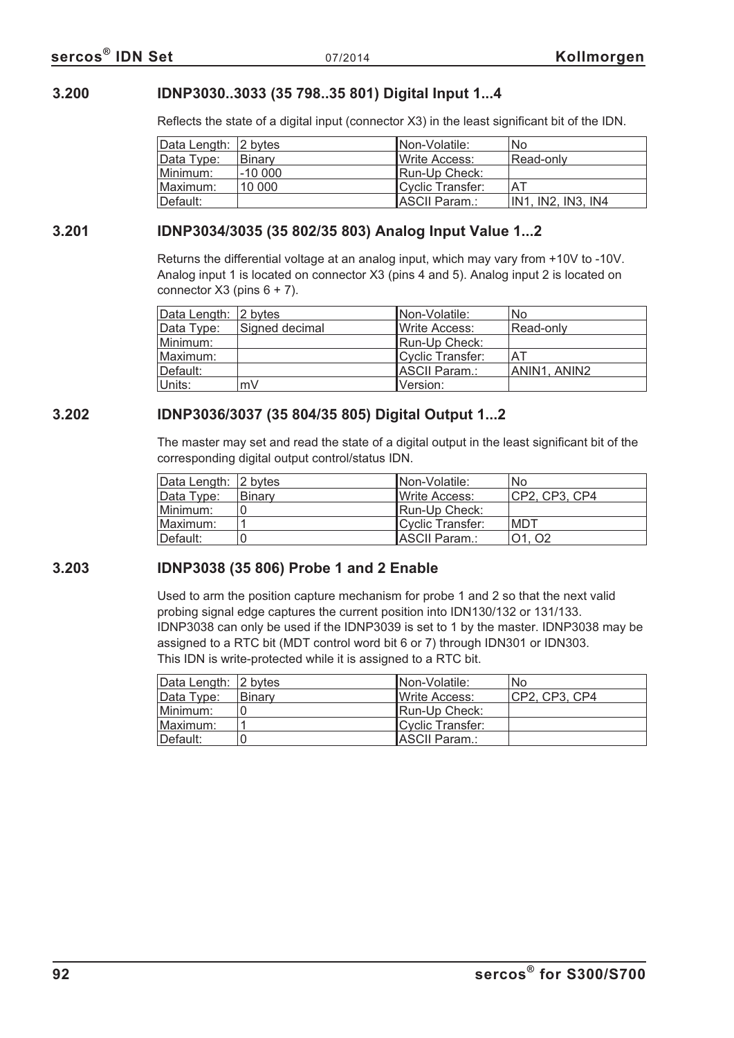#### **3.200 IDNP3030..3033 (35 798..35 801) Digital Input 1...4**

Reflects the state of a digital input (connector X3) in the least significant bit of the IDN.

| Data Length: 2 bytes |               | INon-Volatile:        | No                 |
|----------------------|---------------|-----------------------|--------------------|
| Data Type:           | <b>Binary</b> | <b>IWrite Access:</b> | Read-only          |
| Minimum:             | $-10000$      | Run-Up Check:         |                    |
| Maximum:             | 10 000        | Cyclic Transfer:      | AT                 |
| ∣Default:            |               | ASCII Param.:         | IN1, IN2, IN3, IN4 |

#### **3.201 IDNP3034/3035 (35 802/35 803) Analog Input Value 1...2**

Returns the differential voltage at an analog input, which may vary from +10V to -10V. Analog input 1 is located on connector X3 (pins 4 and 5). Analog input 2 is located on connector  $X3$  (pins  $6 + 7$ ).

| Data Length: 2 bytes |                | Non-Volatile:         | No           |
|----------------------|----------------|-----------------------|--------------|
| Data Type:           | Signed decimal | IWrite Access:        | Read-only    |
| Minimum:             |                | Run-Up Check:         |              |
| Maximum:             |                | Cyclic Transfer:      | ΑT           |
| Default:             |                | <b>IASCII Param.:</b> | ANIN1, ANIN2 |
| Units:               | mV             | lVersion:             |              |

#### **3.202 IDNP3036/3037 (35 804/35 805) Digital Output 1...2**

The master may set and read the state of a digital output in the least significant bit of the corresponding digital output control/status IDN.

| Data Length: 2 bytes |               | INon-Volatile:        | No             |
|----------------------|---------------|-----------------------|----------------|
| Data Type:           | <b>Binary</b> | <b>IWrite Access:</b> | ICP2. CP3. CP4 |
| Minimum:             |               | <b>IRun-Up Check:</b> |                |
| Maximum:             |               | Cyclic Transfer:      | MDT            |
| Default:             |               | ASCII Param.:         | 01.02          |

#### **3.203 IDNP3038 (35 806) Probe 1 and 2 Enable**

Used to arm the position capture mechanism for probe 1 and 2 so that the next valid probing signal edge captures the current position into IDN130/132 or 131/133. IDNP3038 can only be used if the IDNP3039 is set to 1 by the master. IDNP3038 may be assigned to a RTC bit (MDT control word bit 6 or 7) through IDN301 or IDN303. This IDN is write-protected while it is assigned to a RTC bit.

| Data Length: 2 bytes |               | INon-Volatile:         | No.           |
|----------------------|---------------|------------------------|---------------|
| Data Type:           | <b>Binary</b> | <b>I</b> Write Access: | CP2, CP3, CP4 |
| Minimum:             |               | <b>IRun-Up Check:</b>  |               |
| Maximum:             |               | Cyclic Transfer:       |               |
| ⊺Default:            |               | ASCII Param.:          |               |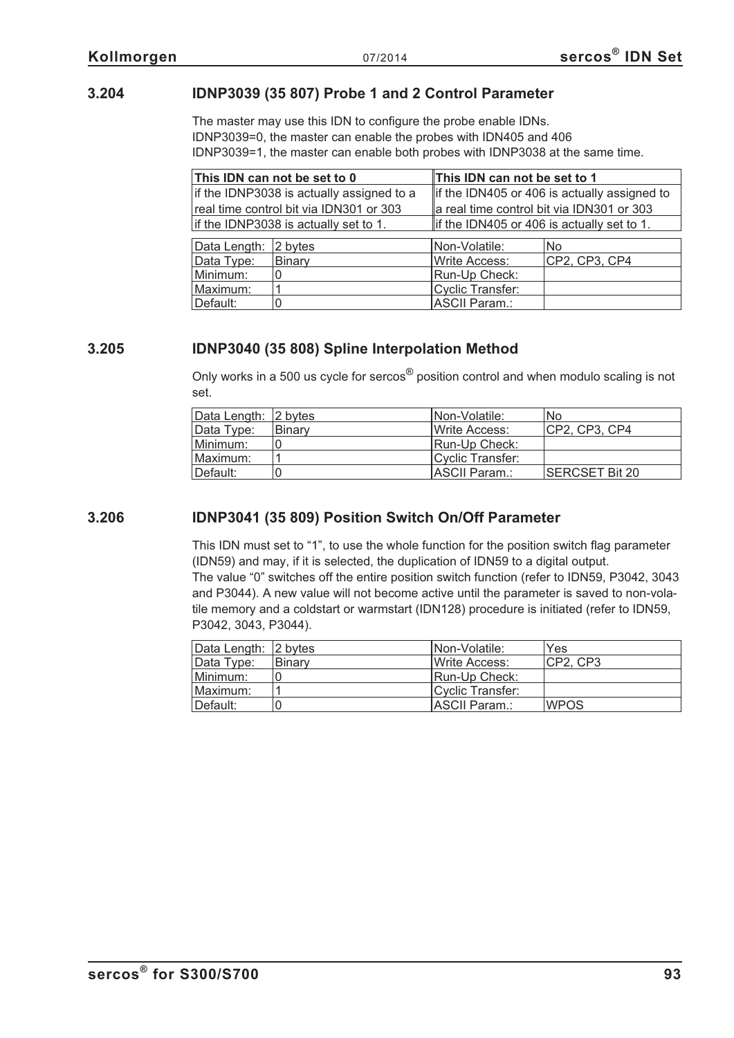#### **3.204 IDNP3039 (35 807) Probe 1 and 2 Control Parameter**

The master may use this IDN to configure the probe enable IDNs. IDNP3039=0, the master can enable the probes with IDN405 and 406 IDNP3039=1, the master can enable both probes with IDNP3038 at the same time.

|                                       | This IDN can not be set to 0              | This IDN can not be set to 1                 |               |
|---------------------------------------|-------------------------------------------|----------------------------------------------|---------------|
|                                       | if the IDNP3038 is actually assigned to a | if the IDN405 or 406 is actually assigned to |               |
|                                       | real time control bit via IDN301 or 303   | a real time control bit via IDN301 or 303    |               |
| if the IDNP3038 is actually set to 1. |                                           | lif the IDN405 or 406 is actually set to 1.  |               |
| Data Length:                          | 2 bytes                                   | Non-Volatile:                                | <b>No</b>     |
| Data Type:                            | Binary                                    | <b>Write Access:</b>                         | CP2, CP3, CP4 |
| Minimum:                              |                                           | Run-Up Check:                                |               |
| Maximum:                              |                                           | <b>Cyclic Transfer:</b>                      |               |
| Default:                              |                                           | ASCII Param.:                                |               |

#### **3.205 IDNP3040 (35 808) Spline Interpolation Method**

Only works in a 500 us cycle for sercos® position control and when modulo scaling is not set.

| Data Length: 2 bytes |        | INon-Volatile:   | <b>No</b>       |
|----------------------|--------|------------------|-----------------|
| Data Type:           | Binary | Write Access:    | ICP2. CP3. CP4  |
| Minimum:             |        | Run-Up Check:    |                 |
| Maximum:             |        | Cyclic Transfer: |                 |
| ∥Default:            |        | IASCII Param.:   | ISERCSET Bit 20 |

#### **3.206 IDNP3041 (35 809) Position Switch On/Off Parameter**

This IDN must set to "1", to use the whole function for the position switch flag parameter (IDN59) and may, if it is selected, the duplication of IDN59 to a digital output. The value "0" switches off the entire position switch function (refer to IDN59, P3042, 3043 and P3044). A new value will not become active until the parameter is saved to non-volatile memory and a coldstart or warmstart (IDN128) procedure is initiated (refer to IDN59, P3042, 3043, P3044).

| Data Length: 2 bytes |               | INon-Volatile:         | Yes         |
|----------------------|---------------|------------------------|-------------|
| Data Type:           | <b>Binarv</b> | <b>I</b> Write Access: | ICP2. CP3   |
| Minimum:             |               | Run-Up Check:          |             |
| Maximum:             |               | Cyclic Transfer:       |             |
| Default:             |               | ASCII Param.:          | <b>WPOS</b> |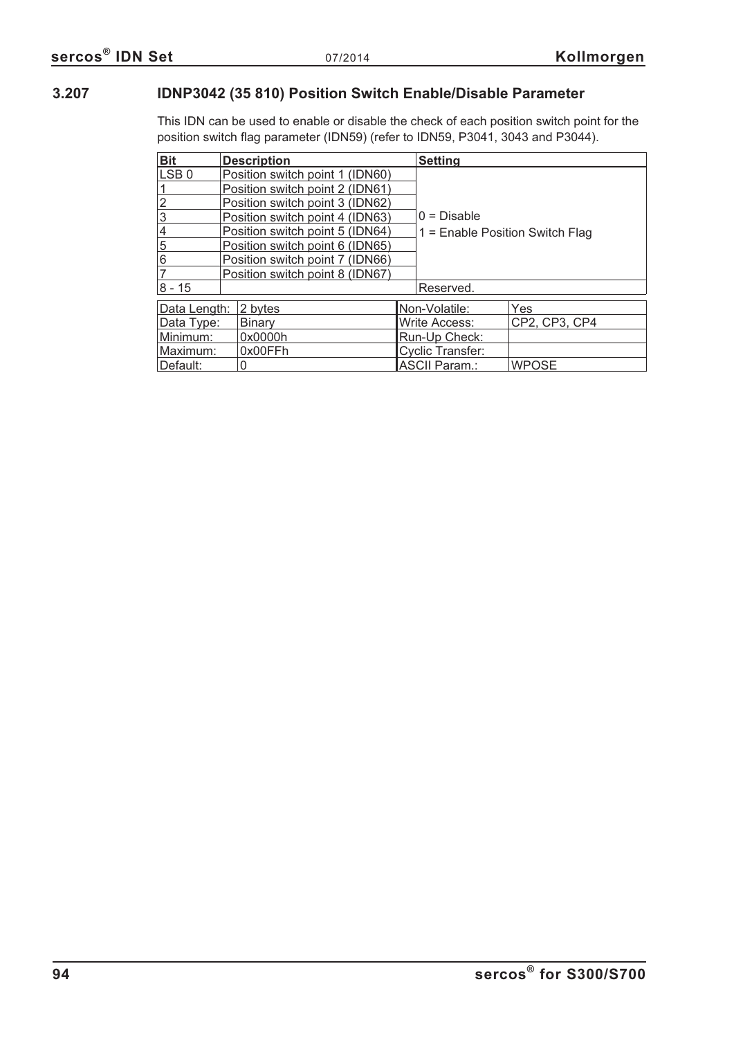### **3.207 IDNP3042 (35 810) Position Switch Enable/Disable Parameter**

This IDN can be used to enable or disable the check of each position switch point for the position switch flag parameter (IDN59) (refer to IDN59, P3041, 3043 and P3044).

| <b>Bit</b>       | <b>Description</b>              | <b>Setting</b>                    |               |
|------------------|---------------------------------|-----------------------------------|---------------|
| LSB <sub>0</sub> | Position switch point 1 (IDN60) |                                   |               |
|                  | Position switch point 2 (IDN61) |                                   |               |
| $\frac{2}{3}$    | Position switch point 3 (IDN62) |                                   |               |
|                  | Position switch point 4 (IDN63) | $0 = Disable$                     |               |
| $\overline{4}$   | Position switch point 5 (IDN64) | $1 =$ Enable Position Switch Flag |               |
| $\overline{5}$   | Position switch point 6 (IDN65) |                                   |               |
| 6                | Position switch point 7 (IDN66) |                                   |               |
| $\overline{7}$   | Position switch point 8 (IDN67) |                                   |               |
| $ 8 - 15 $       |                                 | Reserved.                         |               |
| Data Length:     | 2 bytes                         | Non-Volatile:                     | Yes           |
| Data Type:       | <b>Binary</b>                   | Write Access:                     | CP2, CP3, CP4 |
| Minimum:         | 0x0000h                         | Run-Up Check:                     |               |
| Maximum:         | 0x00FFh                         | <b>Cyclic Transfer:</b>           |               |
| Default:         |                                 | <b>ASCII Param.:</b>              | <b>WPOSE</b>  |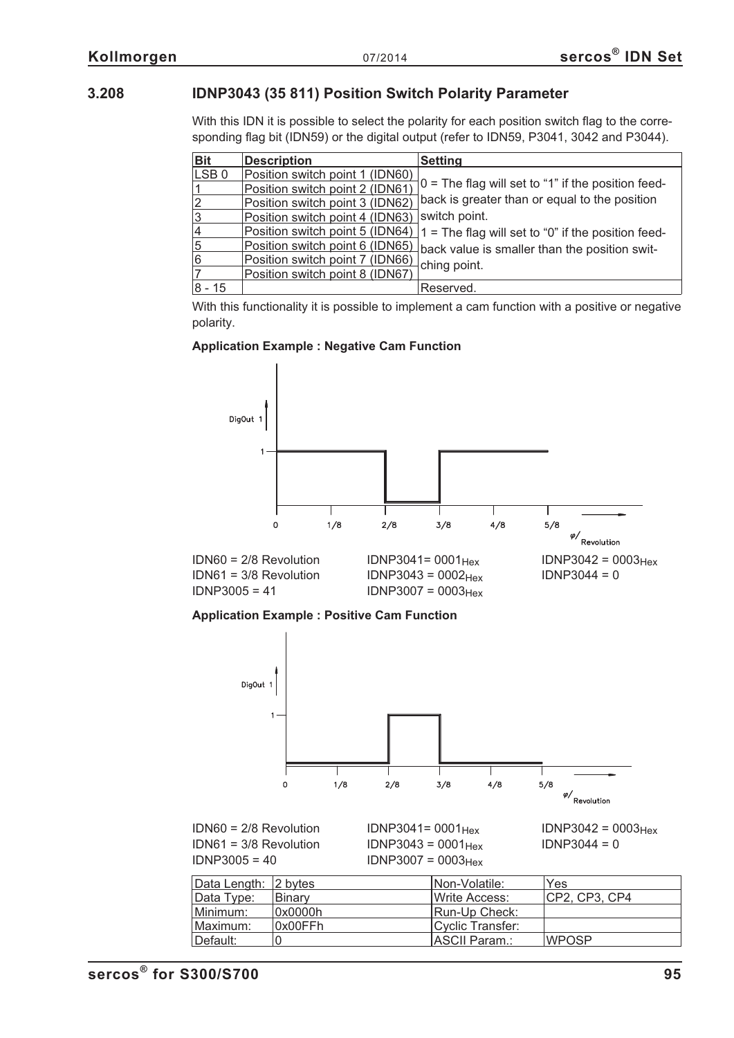#### **3.208 IDNP3043 (35 811) Position Switch Polarity Parameter**

With this IDN it is possible to select the polarity for each position switch flag to the corresponding flag bit (IDN59) or the digital output (refer to IDN59, P3041, 3042 and P3044).

| <b>Bit</b>       | <b>Description</b>              | <b>Setting</b>                                       |
|------------------|---------------------------------|------------------------------------------------------|
| LSB <sub>0</sub> | Position switch point 1 (IDN60) |                                                      |
| ∣1               | Position switch point 2 (IDN61) | $0 =$ The flag will set to "1" if the position feed- |
| $\overline{2}$   | Position switch point 3 (IDN62) | back is greater than or equal to the position        |
| $\overline{3}$   | Position switch point 4 (IDN63) | switch point.                                        |
| 4                | Position switch point 5 (IDN64) | $1 =$ The flag will set to "0" if the position feed- |
| $\overline{5}$   | Position switch point 6 (IDN65) | back value is smaller than the position swit-        |
| 6                | Position switch point 7 (IDN66) | ching point.                                         |
| $\overline{7}$   | Position switch point 8 (IDN67) |                                                      |
| 8 - 15           |                                 | Reserved.                                            |

With this functionality it is possible to implement a cam function with a positive or negative polarity.

#### **Application Example : Negative Cam Function**



**Application Example : Positive Cam Function**



 $IDN60 = 2/8$  Revolution  $IDNP3041 = 0001_{Hex}$   $IDNP3042 = 0003_{Hex}$ <br> $IDN61 = 3/8$  Revolution  $IDNP3043 = 0001_{Hex}$   $IDNP3044 = 0$  $IDN61 = 3/8$  Revolution  $IDNP3043 = 0001_{Hex}$ <br> $IDNP3005 = 40$   $IDNP3007 = 0003_{Hex}$  $IDNP3007 = 0003$ Hex

| Data Length: 2 bytes |               | INon-Volatile:   | Yes            |
|----------------------|---------------|------------------|----------------|
| Data Type:           | <b>Binary</b> | Write Access:    | ICP2. CP3. CP4 |
| Minimum:             | 0x0000h       | Run-Up Check:    |                |
| Maximum:             | l0x00FFh      | Cyclic Transfer: |                |
| ∥Default:            |               | ASCII Param.:    | <b>WPOSP</b>   |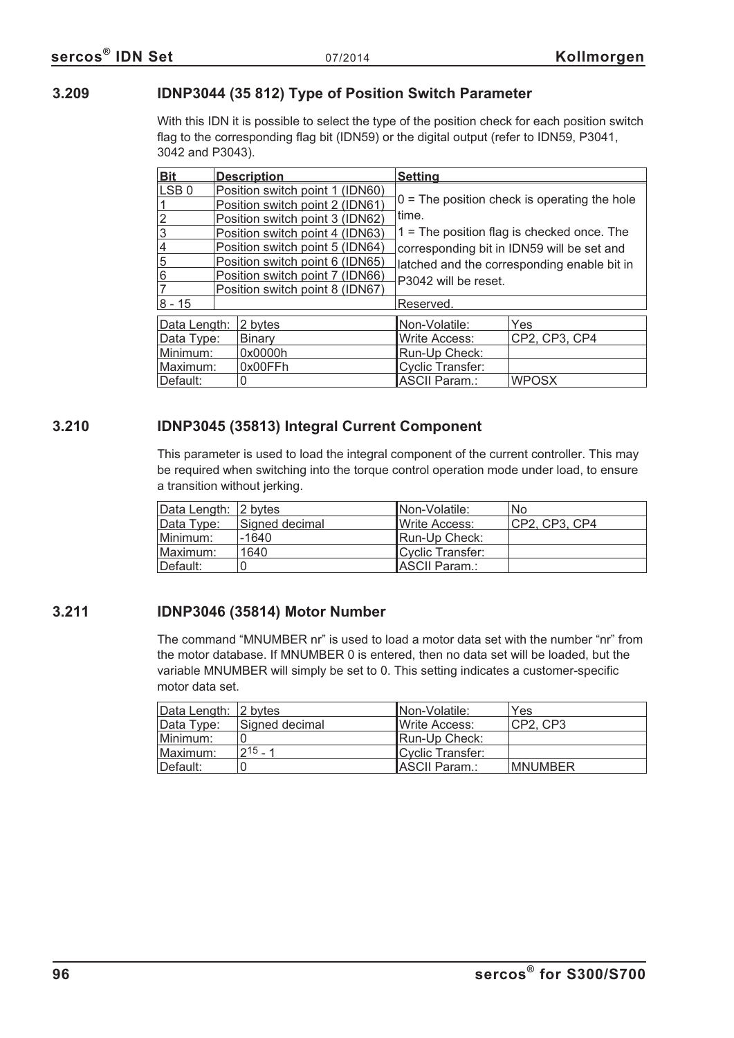#### **3.209 IDNP3044 (35 812) Type of Position Switch Parameter**

With this IDN it is possible to select the type of the position check for each position switch flag to the corresponding flag bit (IDN59) or the digital output (refer to IDN59, P3041, 3042 and P3043).

| <b>Bit</b>       |  | <b>Description</b>              | <b>Setting</b>                                 |                                              |
|------------------|--|---------------------------------|------------------------------------------------|----------------------------------------------|
| LSB <sub>0</sub> |  | Position switch point 1 (IDN60) |                                                |                                              |
|                  |  | Position switch point 2 (IDN61) | $0 =$ The position check is operating the hole |                                              |
|                  |  | Position switch point 3 (IDN62) | time.                                          |                                              |
| 3                |  | Position switch point 4 (IDN63) |                                                | $1 =$ The position flag is checked once. The |
| 4                |  | Position switch point 5 (IDN64) |                                                | corresponding bit in IDN59 will be set and   |
| 5                |  | Position switch point 6 (IDN65) | latched and the corresponding enable bit in    |                                              |
| 6                |  | Position switch point 7 (IDN66) | P3042 will be reset.                           |                                              |
|                  |  | Position switch point 8 (IDN67) |                                                |                                              |
| $8 - 15$         |  |                                 | Reserved.                                      |                                              |
| Data Length:     |  | 2 bytes                         | Non-Volatile:                                  | Yes                                          |
| Data Type:       |  | <b>Binary</b>                   | <b>Write Access:</b>                           | CP2, CP3, CP4                                |
| Minimum:         |  | 0x0000h                         | Run-Up Check:                                  |                                              |
| Maximum:         |  | 0x00FFh                         | <b>Cyclic Transfer:</b>                        |                                              |
| Default:         |  |                                 | <b>ASCII Param.:</b>                           | <b>WPOSX</b>                                 |

#### **3.210 IDNP3045 (35813) Integral Current Component**

This parameter is used to load the integral component of the current controller. This may be required when switching into the torque control operation mode under load, to ensure a transition without jerking.

| Data Length: 2 bytes |                | <b>INon-Volatile:</b> | <b>No</b>     |
|----------------------|----------------|-----------------------|---------------|
| Data Type:           | Signed decimal | Write Access:         | CP2, CP3, CP4 |
| Minimum:             | -1640          | Run-Up Check:         |               |
| Maximum:             | 1640           | Cyclic Transfer:      |               |
| Default:             |                | ASCII Param.:         |               |

#### **3.211 IDNP3046 (35814) Motor Number**

The command "MNUMBER nr" is used to load a motor data set with the number "nr" from the motor database. If MNUMBER 0 is entered, then no data set will be loaded, but the variable MNUMBER will simply be set to 0. This setting indicates a customer-specific motor data set.

| Data Length: 2 bytes |                | INon-Volatile:        | Yes             |
|----------------------|----------------|-----------------------|-----------------|
| Data Type:           | Signed decimal | <b>IWrite Access:</b> | CP2, CP3        |
| Minimum:             |                | Run-Up Check:         |                 |
| Maximum:             | $1215 - 1$     | Cyclic Transfer:      |                 |
| ⊺Default:            |                | <b>IASCII Param.:</b> | <b>IMNUMBER</b> |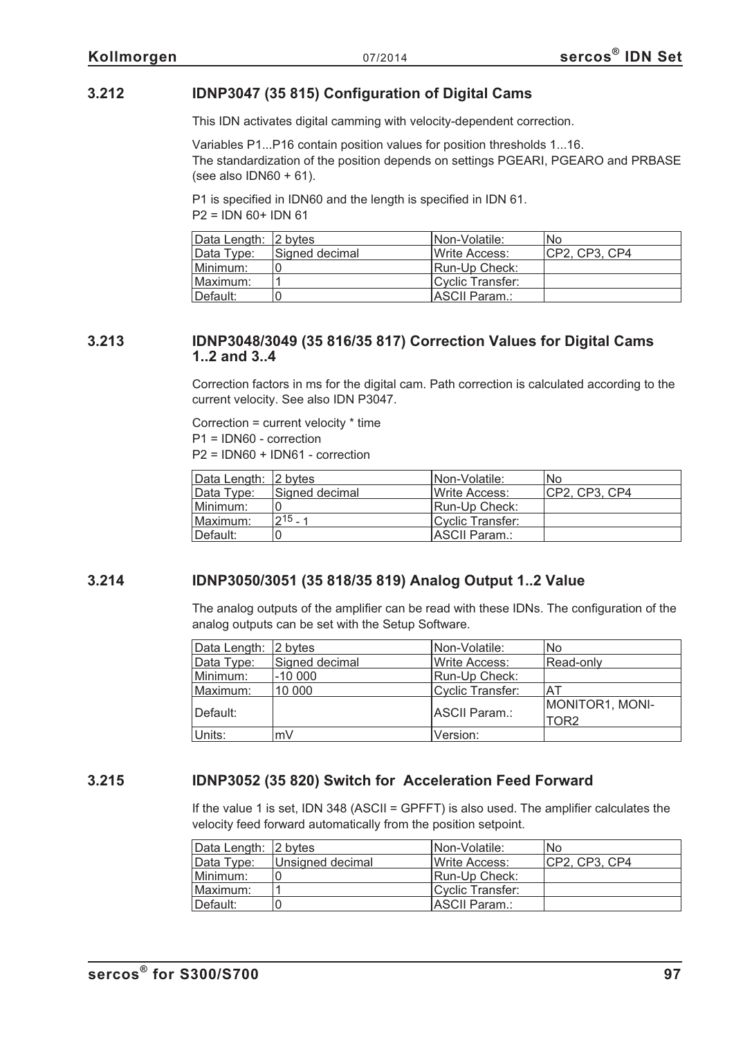#### **3.212 IDNP3047 (35 815) Configuration of Digital Cams**

This IDN activates digital camming with velocity-dependent correction.

Variables P1...P16 contain position values for position thresholds 1...16. The standardization of the position depends on settings PGEARI, PGEARO and PRBASE (see also  $IDN60 + 61$ ).

P1 is specified in IDN60 and the length is specified in IDN 61.  $P2 = IDN 60 + IDN 61$ 

| Data Length: 2 bytes |                | INon-Volatile:       | <b>No</b>     |
|----------------------|----------------|----------------------|---------------|
| Data Type:           | Signed decimal | Write Access:        | CP2, CP3, CP4 |
| Minimum:             |                | <b>Run-Up Check:</b> |               |
| Maximum:             |                | Cyclic Transfer:     |               |
| Default:             |                | IASCII Param.:       |               |

#### **3.213 IDNP3048/3049 (35 816/35 817) Correction Values for Digital Cams 1..2 and 3..4**

Correction factors in ms for the digital cam. Path correction is calculated according to the current velocity. See also IDN P3047.

Correction = current velocity \* time P1 = IDN60 - correction P2 = IDN60 + IDN61 - correction

| Data Length: 2 bytes |                | INon-Volatile:        | No            |
|----------------------|----------------|-----------------------|---------------|
| Data Type:           | Signed decimal | Write Access:         | CP2, CP3, CP4 |
| Minimum:             |                | <b>IRun-Up Check:</b> |               |
| Maximum:             | $215 - 1$      | Cyclic Transfer:      |               |
| Default:             |                | <b>IASCII Param.:</b> |               |

#### **3.214 IDNP3050/3051 (35 818/35 819) Analog Output 1..2 Value**

The analog outputs of the amplifier can be read with these IDNs. The configuration of the analog outputs can be set with the Setup Software.

| Data Length: 2 bytes |                | Non-Volatile:    | No.              |
|----------------------|----------------|------------------|------------------|
| Data Type:           | Signed decimal | Write Access:    | Read-only        |
| Minimum:             | $-10000$       | Run-Up Check:    |                  |
| Maximum:             | 10 000         | Cyclic Transfer: | AT               |
|                      |                |                  | MONITOR1, MONI-  |
| Default:             |                | ASCII Param.:    | TOR <sub>2</sub> |
| Units:               | mV             | Version:         |                  |

#### **3.215 IDNP3052 (35 820) Switch for Acceleration Feed Forward**

If the value 1 is set, IDN 348 (ASCII = GPFFT) is also used. The amplifier calculates the velocity feed forward automatically from the position setpoint.

| Data Length: 2 bytes |                  | INon-Volatile:        | No             |
|----------------------|------------------|-----------------------|----------------|
| Data Type:           | Unsigned decimal | <b>IWrite Access:</b> | ICP2. CP3. CP4 |
| Minimum:             |                  | Run-Up Check:         |                |
| ⊺Maximum:            |                  | Cyclic Transfer:      |                |
| Default:             |                  | <b>IASCII Param.:</b> |                |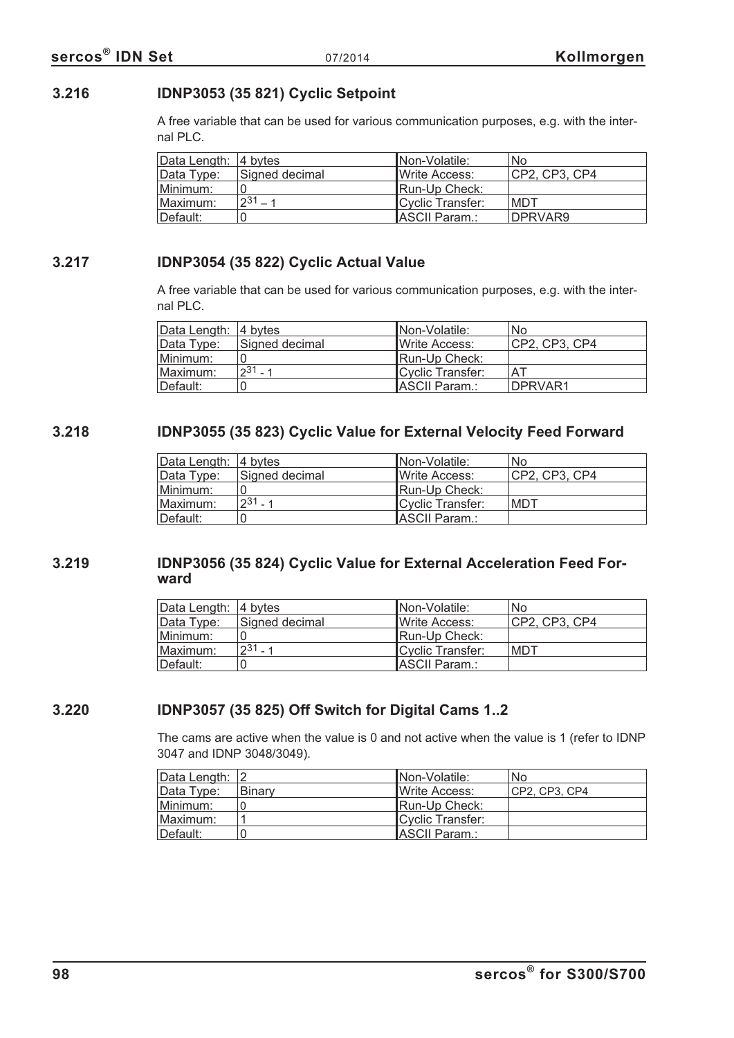# **3.216 IDNP3053 (35 821) Cyclic Setpoint**

A free variable that can be used for various communication purposes, e.g. with the internal PLC.

| Data Length: 4 bytes |                | INon-Volatile:        | <b>No</b>     |
|----------------------|----------------|-----------------------|---------------|
| Data Type:           | Signed decimal | <b>IWrite Access:</b> | CP2, CP3, CP4 |
| Minimum:             |                | Run-Up Check:         |               |
| Maximum:             | $2^{31} - 1$   | Cyclic Transfer:      | IMDT          |
| Default:             |                | ASCII Param.:         | DPRVAR9       |

#### **3.217 IDNP3054 (35 822) Cyclic Actual Value**

A free variable that can be used for various communication purposes, e.g. with the internal PLC.

| Data Length: 4 bytes |                | INon-Volatile:         | 'No             |
|----------------------|----------------|------------------------|-----------------|
| Data Type:           | Signed decimal | <b>I</b> Write Access: | ICP2. CP3. CP4  |
| Minimum:             |                | Run-Up Check:          |                 |
| Maximum:             | $231 - 1$      | Cyclic Transfer:       | ΑT              |
| Default:             |                | ASCII Param.:          | <b>IDPRVAR1</b> |

#### **3.218 IDNP3055 (35 823) Cyclic Value for External Velocity Feed Forward**

| Data Length: 4 bytes |                | INon-Volatile:   | No             |
|----------------------|----------------|------------------|----------------|
| Data Type:           | Signed decimal | Write Access:    | ICP2. CP3. CP4 |
| Minimum:             |                | Run-Up Check:    |                |
| Maximum:             | $231 - 1$      | Cyclic Transfer: | MDT            |
| Default:             |                | ASCII Param.:    |                |

#### **3.219 IDNP3056 (35 824) Cyclic Value for External Acceleration Feed Forward**

| Data Length: 4 bytes |                | Non-Volatile:         | No.           |
|----------------------|----------------|-----------------------|---------------|
| Data Type:           | Signed decimal | <b>IWrite Access:</b> | CP2. CP3. CP4 |
| Minimum:             |                | Run-Up Check:         |               |
| Maximum:             | $231 - 1$      | Cyclic Transfer:      | MDT           |
| ⊥Default:            |                | ASCII Param.:         |               |

#### **3.220 IDNP3057 (35 825) Off Switch for Digital Cams 1..2**

The cams are active when the value is 0 and not active when the value is 1 (refer to IDNP 3047 and IDNP 3048/3049).

| Data Length: 2 |        | <b>INon-Volatile:</b> | No             |
|----------------|--------|-----------------------|----------------|
| Data Type:     | Binary | <b>IWrite Access:</b> | ICP2. CP3. CP4 |
| Minimum:       |        | Run-Up Check:         |                |
| Maximum:       |        | Cyclic Transfer:      |                |
| Default:       |        | ASCII Param.:         |                |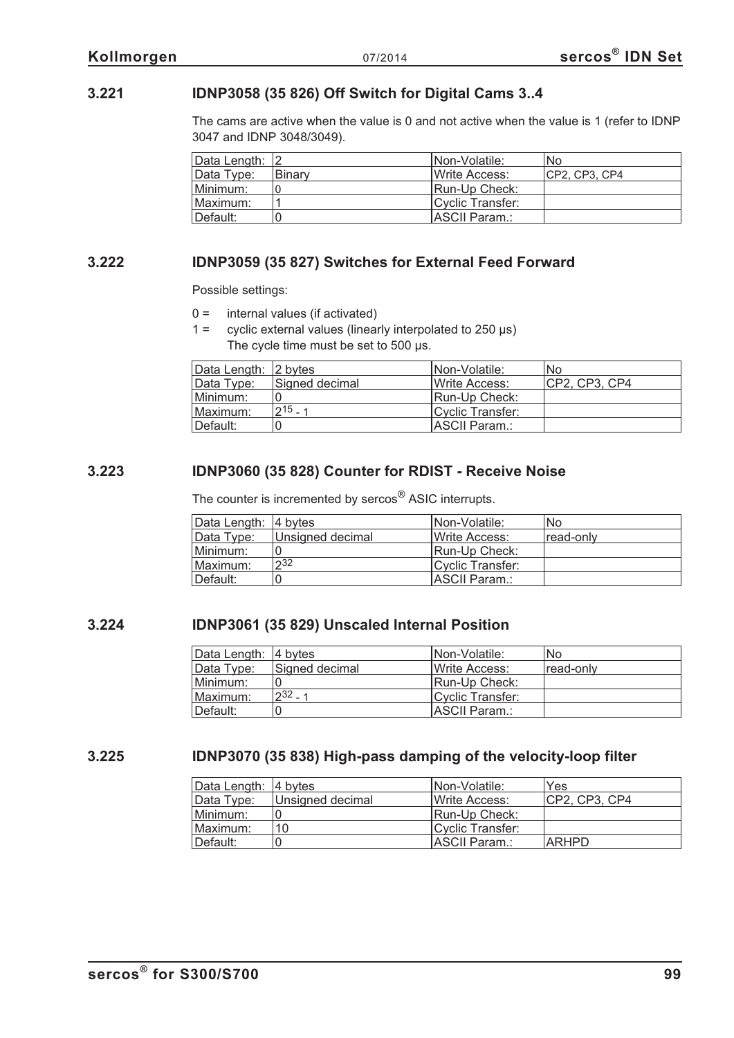### **3.221 IDNP3058 (35 826) Off Switch for Digital Cams 3..4**

The cams are active when the value is 0 and not active when the value is 1 (refer to IDNP 3047 and IDNP 3048/3049).

| Data Length: 2 |         | INon-Volatile:        | No             |
|----------------|---------|-----------------------|----------------|
| Data Type:     | lBinar∨ | <b>IWrite Access:</b> | ICP2. CP3. CP4 |
| Minimum:       |         | Run-Up Check:         |                |
| Maximum:       |         | Cyclic Transfer:      |                |
| Default:       |         | ASCII Param.:         |                |

#### **3.222 IDNP3059 (35 827) Switches for External Feed Forward**

Possible settings:

- $0 =$  internal values (if activated)
- $1 =$  cyclic external values (linearly interpolated to 250  $\mu$ s) The cycle time must be set to 500 us.

| Data Length: 2 bytes |                | INon-Volatile:         | No            |
|----------------------|----------------|------------------------|---------------|
| Data Type:           | Signed decimal | <b>I</b> Write Access: | CP2, CP3, CP4 |
| Minimum:             |                | Run-Up Check:          |               |
| Maximum:             | $215 - 1$      | Cyclic Transfer:       |               |
| ⊺Default:            |                | ASCII Param.:          |               |

#### **3.223 IDNP3060 (35 828) Counter for RDIST - Receive Noise**

The counter is incremented by sercos® ASIC interrupts.

| Data Length: 4 bytes |                  | Non-Volatile:          | No        |
|----------------------|------------------|------------------------|-----------|
| Data Type:           | Unsigned decimal | <b>I</b> Write Access: | read-only |
| Minimum:             |                  | Run-Up Check:          |           |
| Maximum:             | 232              | Cyclic Transfer:       |           |
| Default:             |                  | ASCII Param.:          |           |

#### **3.224 IDNP3061 (35 829) Unscaled Internal Position**

| Data Length: 4 bytes |                | Non-Volatile:         | No         |
|----------------------|----------------|-----------------------|------------|
| Data Type:           | Signed decimal | <b>IWrite Access:</b> | ⊺read-onlv |
| Minimum:             |                | Run-Up Check:         |            |
| <b>Maximum:</b>      | $232 - 1$      | Cyclic Transfer:      |            |
| Default:             |                | ASCII Param.:         |            |

#### **3.225 IDNP3070 (35 838) High-pass damping of the velocity-loop filter**

| Data Length:  4 bytes |                  | Non-Volatile:         | Yes            |
|-----------------------|------------------|-----------------------|----------------|
| Data Type:            | Unsigned decimal | <b>IWrite Access:</b> | ICP2. CP3. CP4 |
| Minimum:              |                  | <b>IRun-Up Check:</b> |                |
| Maximum:              | 10               | Cyclic Transfer:      |                |
| Default:              |                  | ASCII Param.:         | ARHPD          |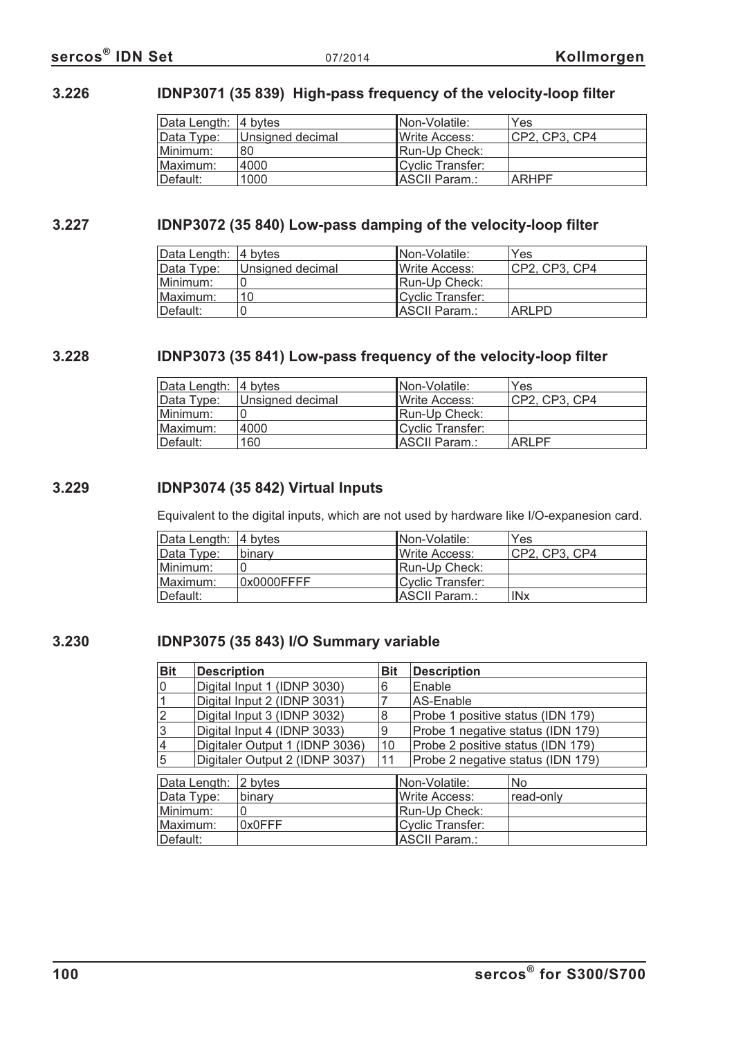### **3.226 IDNP3071 (35 839) High-pass frequency of the velocity-loop filter**

| Data Length: 4 bytes |                  | INon-Volatile:        | Yes           |
|----------------------|------------------|-----------------------|---------------|
| Data Type:           | Unsigned decimal | <b>IWrite Access:</b> | CP2, CP3, CP4 |
| Minimum:             | 80               | Run-Up Check:         |               |
| ⊺Maximum:            | 4000             | Cyclic Transfer:      |               |
| ⊺Default:            | 1000             | IASCII Param.:        | <b>ARHPF</b>  |

### **3.227 IDNP3072 (35 840) Low-pass damping of the velocity-loop filter**

| Data Length: 4 bytes |                  | INon-Volatile:   | Yes           |
|----------------------|------------------|------------------|---------------|
| Data Type:           | Unsigned decimal | lWrite Access:   | CP2, CP3, CP4 |
| Minimum:             |                  | Run-Up Check:    |               |
| Maximum:             | 10               | Cyclic Transfer: |               |
| ⊺Default:            |                  | ASCII Param.:    | <b>ARLPD</b>  |

#### **3.228 IDNP3073 (35 841) Low-pass frequency of the velocity-loop filter**

| Data Length: 4 bytes |                  | INon-Volatile:        | Yes            |
|----------------------|------------------|-----------------------|----------------|
| Data Type:           | Unsigned decimal | Write Access:         | ICP2. CP3. CP4 |
| Minimum:             |                  | Run-Up Check:         |                |
| Maximum:             | 4000             | Cyclic Transfer:      |                |
| Default:             | 160              | <b>IASCII Param.:</b> | <b>ARLPF</b>   |

#### **3.229 IDNP3074 (35 842) Virtual Inputs**

Equivalent to the digital inputs, which are not used by hardware like I/O-expanesion card.

| Data Length: 4 bytes |            | <b>INon-Volatile:</b> | Yes            |
|----------------------|------------|-----------------------|----------------|
| Data Type:           | binary     | <b>IWrite Access:</b> | ICP2. CP3. CP4 |
| Minimum:             |            | <b>Run-Up Check:</b>  |                |
| ⊺Maximum:            | 0x0000FFFF | Cyclic Transfer:      |                |
| ⊺Default:            |            | ASCII Param.:         | <b>INx</b>     |

#### **3.230 IDNP3075 (35 843) I/O Summary variable**

| <b>Bit</b> | <b>Description</b>             |                                | <b>Bit</b>    | <b>Description</b>                |                                   |
|------------|--------------------------------|--------------------------------|---------------|-----------------------------------|-----------------------------------|
| 0          |                                | Digital Input 1 (IDNP 3030)    | 6             | Enable                            |                                   |
|            |                                | Digital Input 2 (IDNP 3031)    |               | AS-Enable                         |                                   |
| 2          |                                | Digital Input 3 (IDNP 3032)    | 8             | Probe 1 positive status (IDN 179) |                                   |
| 3          |                                | Digital Input 4 (IDNP 3033)    | 9             |                                   | Probe 1 negative status (IDN 179) |
| 4          |                                | Digitaler Output 1 (IDNP 3036) | 10            | Probe 2 positive status (IDN 179) |                                   |
| 5          | Digitaler Output 2 (IDNP 3037) |                                | 11            |                                   | Probe 2 negative status (IDN 179) |
|            | Data Length:                   | 2 bytes                        |               | Non-Volatile:                     | <b>No</b>                         |
| Data Type: |                                | binary                         |               | Write Access:                     | read-only                         |
| Minimum:   |                                |                                | Run-Up Check: |                                   |                                   |
| Maximum:   |                                | 0x0FFF                         |               | <b>Cyclic Transfer:</b>           |                                   |
| Default:   |                                |                                |               | <b>ASCII Param.:</b>              |                                   |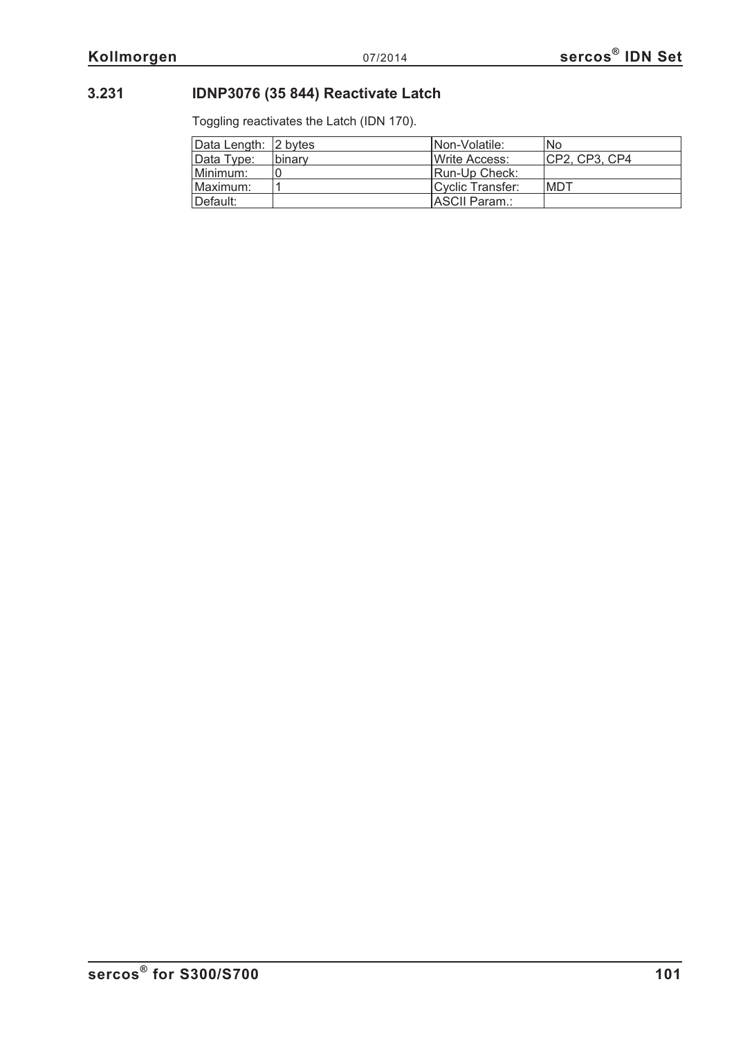# **3.231 IDNP3076 (35 844) Reactivate Latch**

Toggling reactivates the Latch (IDN 170).

| Data Length: 2 bytes |               | INon-Volatile:        | No             |
|----------------------|---------------|-----------------------|----------------|
| Data Type:           | <b>binarv</b> | Write Access:         | ICP2. CP3. CP4 |
| Minimum:             |               | Run-Up Check:         |                |
| Maximum:             |               | Cyclic Transfer:      | MDT            |
| Default:             |               | <b>IASCII Param.:</b> |                |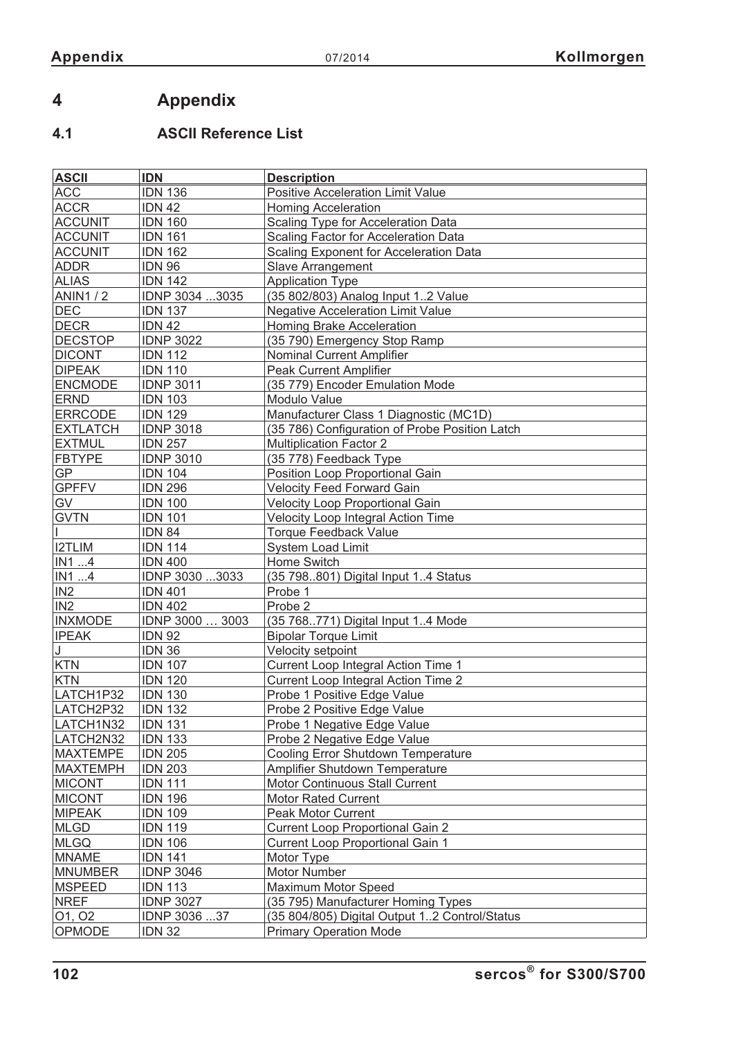# **4 Appendix**

# **4.1 ASCII Reference List**

| <b>ASCII</b>    | <b>IDN</b>       | <b>Description</b>                             |
|-----------------|------------------|------------------------------------------------|
| <b>ACC</b>      | <b>IDN 136</b>   | Positive Acceleration Limit Value              |
| <b>ACCR</b>     | <b>IDN 42</b>    | <b>Homing Acceleration</b>                     |
| <b>ACCUNIT</b>  | <b>IDN 160</b>   | <b>Scaling Type for Acceleration Data</b>      |
| <b>ACCUNIT</b>  | <b>IDN 161</b>   | Scaling Factor for Acceleration Data           |
| <b>ACCUNIT</b>  | <b>IDN 162</b>   | <b>Scaling Exponent for Acceleration Data</b>  |
| <b>ADDR</b>     | <b>IDN 96</b>    | Slave Arrangement                              |
| <b>ALIAS</b>    | <b>IDN 142</b>   | <b>Application Type</b>                        |
| <b>ANIN1/2</b>  | IDNP 3034 3035   | (35 802/803) Analog Input 12 Value             |
| <b>DEC</b>      | <b>IDN 137</b>   | <b>Negative Acceleration Limit Value</b>       |
| <b>DECR</b>     | <b>IDN 42</b>    | Homing Brake Acceleration                      |
| <b>DECSTOP</b>  | <b>IDNP 3022</b> | (35 790) Emergency Stop Ramp                   |
| <b>DICONT</b>   | <b>IDN 112</b>   | Nominal Current Amplifier                      |
| <b>DIPEAK</b>   | <b>IDN 110</b>   | <b>Peak Current Amplifier</b>                  |
| <b>ENCMODE</b>  | <b>IDNP 3011</b> | (35 779) Encoder Emulation Mode                |
| <b>ERND</b>     | <b>IDN 103</b>   | Modulo Value                                   |
| <b>ERRCODE</b>  | <b>IDN 129</b>   | Manufacturer Class 1 Diagnostic (MC1D)         |
| <b>EXTLATCH</b> | <b>IDNP</b> 3018 | (35 786) Configuration of Probe Position Latch |
| <b>EXTMUL</b>   | <b>IDN 257</b>   | <b>Multiplication Factor 2</b>                 |
| <b>FBTYPE</b>   | <b>IDNP 3010</b> | (35 778) Feedback Type                         |
| GP              | <b>IDN 104</b>   | Position Loop Proportional Gain                |
| <b>GPFFV</b>    | <b>IDN 296</b>   | <b>Velocity Feed Forward Gain</b>              |
| GV              | <b>IDN 100</b>   | Velocity Loop Proportional Gain                |
| <b>GVTN</b>     | <b>IDN 101</b>   | Velocity Loop Integral Action Time             |
|                 | <b>IDN 84</b>    | <b>Torque Feedback Value</b>                   |
| <b>I2TLIM</b>   | <b>IDN 114</b>   | <b>System Load Limit</b>                       |
| IN1 4           | <b>IDN 400</b>   | Home Switch                                    |
| IN1 4           | IDNP 3030 3033   | (35 798801) Digital Input 14 Status            |
| IN <sub>2</sub> | <b>IDN 401</b>   | Probe 1                                        |
| IN <sub>2</sub> | <b>IDN 402</b>   | Probe 2                                        |
| <b>INXMODE</b>  | IDNP 3000  3003  | (35 768771) Digital Input 14 Mode              |
| <b>IPEAK</b>    | <b>IDN 92</b>    | <b>Bipolar Torque Limit</b>                    |
| J               | <b>IDN 36</b>    | Velocity setpoint                              |
| <b>KTN</b>      | <b>IDN 107</b>   | Current Loop Integral Action Time 1            |
| <b>KTN</b>      | <b>IDN 120</b>   | <b>Current Loop Integral Action Time 2</b>     |
| LATCH1P32       | <b>IDN 130</b>   | Probe 1 Positive Edge Value                    |
| LATCH2P32       | <b>IDN 132</b>   | Probe 2 Positive Edge Value                    |
| LATCH1N32       | <b>IDN 131</b>   | Probe 1 Negative Edge Value                    |
| LATCH2N32       | <b>IDN 133</b>   | Probe 2 Negative Edge Value                    |
| <b>MAXTEMPE</b> | <b>IDN 205</b>   | <b>Cooling Error Shutdown Temperature</b>      |
| <b>MAXTEMPH</b> | <b>IDN 203</b>   | Amplifier Shutdown Temperature                 |
| <b>MICONT</b>   | <b>IDN 111</b>   | <b>Motor Continuous Stall Current</b>          |
| <b>MICONT</b>   | <b>IDN 196</b>   | <b>Motor Rated Current</b>                     |
| <b>MIPEAK</b>   | <b>IDN 109</b>   | <b>Peak Motor Current</b>                      |
| <b>MLGD</b>     | <b>IDN 119</b>   | <b>Current Loop Proportional Gain 2</b>        |
| <b>MLGQ</b>     | <b>IDN 106</b>   | <b>Current Loop Proportional Gain 1</b>        |
| <b>MNAME</b>    | <b>IDN 141</b>   | Motor Type                                     |
| <b>MNUMBER</b>  | <b>IDNP 3046</b> | Motor Number                                   |
| <b>MSPEED</b>   | <b>IDN 113</b>   | <b>Maximum Motor Speed</b>                     |
| <b>NREF</b>     | <b>IDNP 3027</b> | (35 795) Manufacturer Homing Types             |
| 01, 02          | IDNP 3036 37     | (35 804/805) Digital Output 12 Control/Status  |
| <b>OPMODE</b>   | <b>IDN 32</b>    | <b>Primary Operation Mode</b>                  |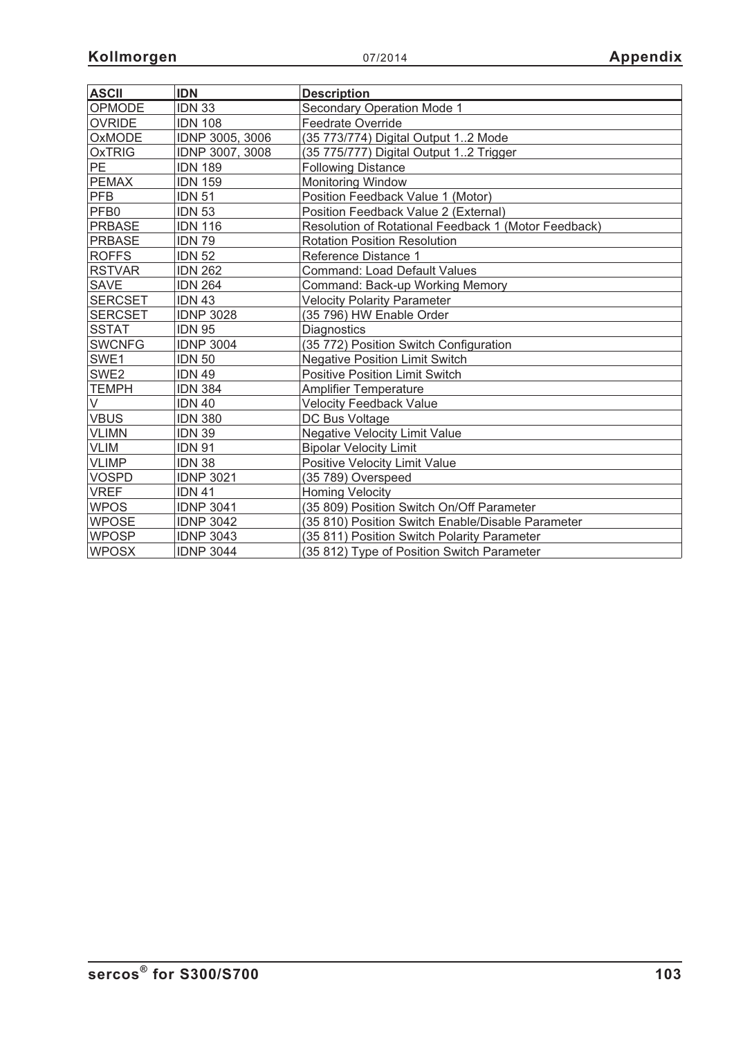| <b>ASCII</b>     | <b>IDN</b>       | <b>Description</b>                                   |
|------------------|------------------|------------------------------------------------------|
| OPMODE           | <b>IDN 33</b>    | Secondary Operation Mode 1                           |
| <b>OVRIDE</b>    | <b>IDN 108</b>   | <b>Feedrate Override</b>                             |
| OxMODE           | IDNP 3005, 3006  | (35 773/774) Digital Output 12 Mode                  |
| <b>OxTRIG</b>    | IDNP 3007, 3008  | (35 775/777) Digital Output 12 Trigger               |
| PE               | <b>IDN 189</b>   | <b>Following Distance</b>                            |
| <b>PEMAX</b>     | <b>IDN 159</b>   | <b>Monitoring Window</b>                             |
| <b>PFB</b>       | <b>IDN 51</b>    | Position Feedback Value 1 (Motor)                    |
| PFB <sub>0</sub> | <b>IDN 53</b>    | Position Feedback Value 2 (External)                 |
| <b>PRBASE</b>    | <b>IDN 116</b>   | Resolution of Rotational Feedback 1 (Motor Feedback) |
| <b>PRBASE</b>    | <b>IDN 79</b>    | <b>Rotation Position Resolution</b>                  |
| <b>ROFFS</b>     | <b>IDN 52</b>    | Reference Distance 1                                 |
| <b>RSTVAR</b>    | <b>IDN 262</b>   | <b>Command: Load Default Values</b>                  |
| <b>SAVE</b>      | <b>IDN 264</b>   | Command: Back-up Working Memory                      |
| <b>SERCSET</b>   | <b>IDN 43</b>    | <b>Velocity Polarity Parameter</b>                   |
| <b>SERCSET</b>   | <b>IDNP 3028</b> | (35 796) HW Enable Order                             |
| <b>SSTAT</b>     | <b>IDN 95</b>    | <b>Diagnostics</b>                                   |
| <b>SWCNFG</b>    | <b>IDNP 3004</b> | (35 772) Position Switch Configuration               |
| SWE1             | <b>IDN 50</b>    | <b>Negative Position Limit Switch</b>                |
| SWE2             | <b>IDN 49</b>    | <b>Positive Position Limit Switch</b>                |
| <b>TEMPH</b>     | <b>IDN 384</b>   | <b>Amplifier Temperature</b>                         |
| V                | <b>IDN 40</b>    | <b>Velocity Feedback Value</b>                       |
| <b>VBUS</b>      | <b>IDN 380</b>   | DC Bus Voltage                                       |
| <b>VLIMN</b>     | <b>IDN 39</b>    | <b>Negative Velocity Limit Value</b>                 |
| <b>VLIM</b>      | <b>IDN 91</b>    | <b>Bipolar Velocity Limit</b>                        |
| <b>VLIMP</b>     | <b>IDN 38</b>    | Positive Velocity Limit Value                        |
| <b>VOSPD</b>     | <b>IDNP 3021</b> | (35 789) Overspeed                                   |
| <b>VREF</b>      | <b>IDN 41</b>    | <b>Homing Velocity</b>                               |
| <b>WPOS</b>      | <b>IDNP 3041</b> | (35 809) Position Switch On/Off Parameter            |
| <b>WPOSE</b>     | <b>IDNP 3042</b> | (35 810) Position Switch Enable/Disable Parameter    |
| <b>WPOSP</b>     | <b>IDNP 3043</b> | (35 811) Position Switch Polarity Parameter          |
| <b>WPOSX</b>     | <b>IDNP 3044</b> | (35 812) Type of Position Switch Parameter           |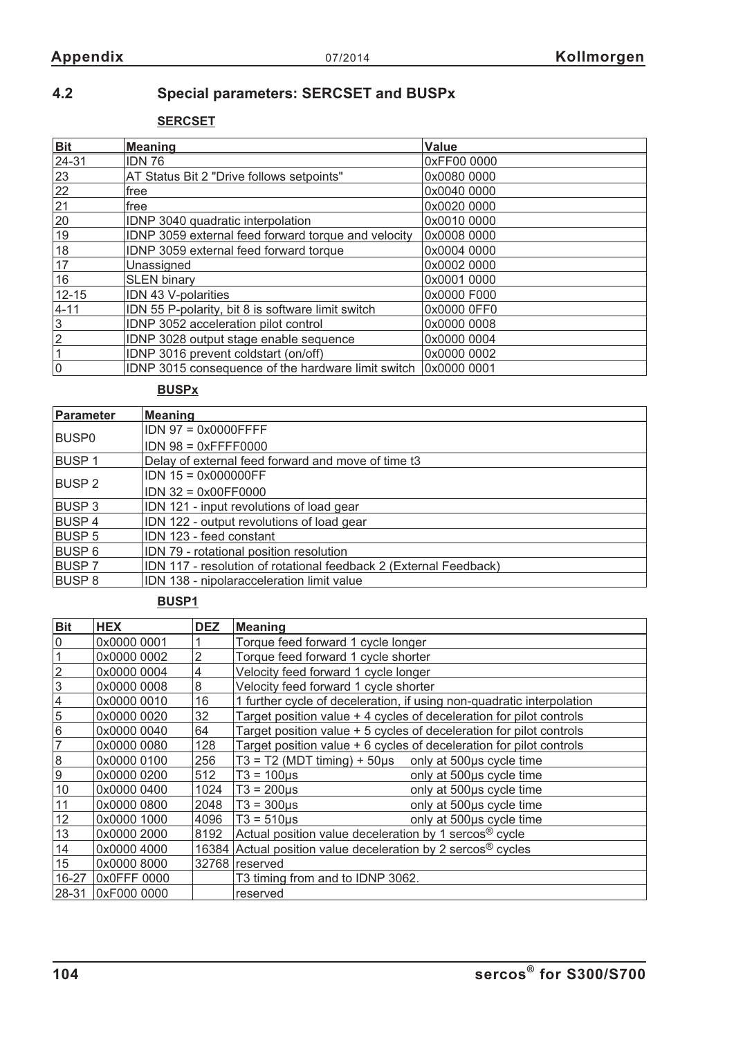# **4.2 Special parameters: SERCSET and BUSPx**

**SERCSET**

| <b>Bit</b>     | <b>Meaning</b>                                      | <b>Value</b> |
|----------------|-----------------------------------------------------|--------------|
| 24-31          | <b>IDN 76</b>                                       | 0xFF00 0000  |
| 23             | AT Status Bit 2 "Drive follows setpoints"           | 0x0080 0000  |
| 22             | free                                                | 0x0040 0000  |
| 21             | free                                                | 0x0020 0000  |
| 20             | IDNP 3040 quadratic interpolation                   | 0x0010 0000  |
| 19             | IDNP 3059 external feed forward torque and velocity | 0x0008 0000  |
| 18             | IDNP 3059 external feed forward torque              | 0x0004 0000  |
| 17             | Unassigned                                          | 0x0002 0000  |
| 16             | <b>SLEN</b> binary                                  | 0x0001 0000  |
| $12 - 15$      | IDN 43 V-polarities                                 | 0x0000 F000  |
| $ 4 - 11 $     | IDN 55 P-polarity, bit 8 is software limit switch   | 0x0000 0FF0  |
| $\overline{3}$ | IDNP 3052 acceleration pilot control                | 0x0000 0008  |
| $\overline{2}$ | IDNP 3028 output stage enable sequence              | 0x0000 0004  |
|                | IDNP 3016 prevent coldstart (on/off)                | 0x0000 0002  |
| 0              | IDNP 3015 consequence of the hardware limit switch  | 0x0000 0001  |

**BUSPx**

| Parameter     | <b>Meaning</b>                                                    |  |  |
|---------------|-------------------------------------------------------------------|--|--|
| <b>BUSP0</b>  | $IDN$ 97 = 0x0000FFFF                                             |  |  |
|               | $IDN 98 = 0xFFFF0000$                                             |  |  |
| <b>BUSP1</b>  | Delay of external feed forward and move of time t3                |  |  |
| <b>BUSP 2</b> | $IDN$ 15 = 0x000000FF                                             |  |  |
|               | $IDN$ 32 = $0x00FF0000$                                           |  |  |
| <b>BUSP3</b>  | IDN 121 - input revolutions of load gear                          |  |  |
| BUSP 4        | IDN 122 - output revolutions of load gear                         |  |  |
| <b>BUSP 5</b> | IDN 123 - feed constant                                           |  |  |
| BUSP 6        | IDN 79 - rotational position resolution                           |  |  |
| <b>BUSP7</b>  | IDN 117 - resolution of rotational feedback 2 (External Feedback) |  |  |
| <b>BUSP 8</b> | IDN 138 - nipolaracceleration limit value                         |  |  |

#### **BUSP1**

| <b>Bit</b>      | <b>HEX</b>  | <b>DEZ</b> | <b>Meaning</b>                                                        |  |
|-----------------|-------------|------------|-----------------------------------------------------------------------|--|
| 0               | 0x0000 0001 |            | Torque feed forward 1 cycle longer                                    |  |
| 1               | 0x0000 0002 | 2          | Torque feed forward 1 cycle shorter                                   |  |
| $\overline{2}$  | 0x0000 0004 | 4          | Velocity feed forward 1 cycle longer                                  |  |
| 3               | 0x0000 0008 | 8          | Velocity feed forward 1 cycle shorter                                 |  |
| 4               | 0x0000 0010 | 16         | 1 further cycle of deceleration, if using non-quadratic interpolation |  |
| $\overline{5}$  | 0x0000 0020 | 32         | Target position value + 4 cycles of deceleration for pilot controls   |  |
| $6\phantom{1}6$ | 0x0000 0040 | 64         | Target position value + 5 cycles of deceleration for pilot controls   |  |
| 7               | 0x0000 0080 | 128        | Target position value + 6 cycles of deceleration for pilot controls   |  |
| 8               | 0x0000 0100 | 256        | $T3 = T2$ (MDT timing) + 50 $\mu$ s only at 500 $\mu$ s cycle time    |  |
| 9               | 0x0000 0200 | 512        | only at 500us cycle time<br>$T3 = 100 \mu s$                          |  |
| 10              | 0x0000 0400 | 1024       | only at 500us cycle time<br>$T3 = 200 \mu s$                          |  |
| 11              | 0x0000 0800 | 2048       | only at 500us cycle time<br>$T3 = 300 \mu s$                          |  |
| 12              | 0x0000 1000 | 4096       | $T3 = 510 \mu s$<br>only at 500us cycle time                          |  |
| 13              | 0x0000 2000 | 8192       | Actual position value deceleration by 1 sercos <sup>®</sup> cycle     |  |
| 14              | 0x0000 4000 | 16384      | Actual position value deceleration by 2 sercos <sup>®</sup> cycles    |  |
| 15              | 0x0000 8000 | 32768      | reserved                                                              |  |
| 16-27           | 0x0FFF 0000 |            | T3 timing from and to IDNP 3062.                                      |  |
| 28-31           | 0xF000 0000 |            | reserved                                                              |  |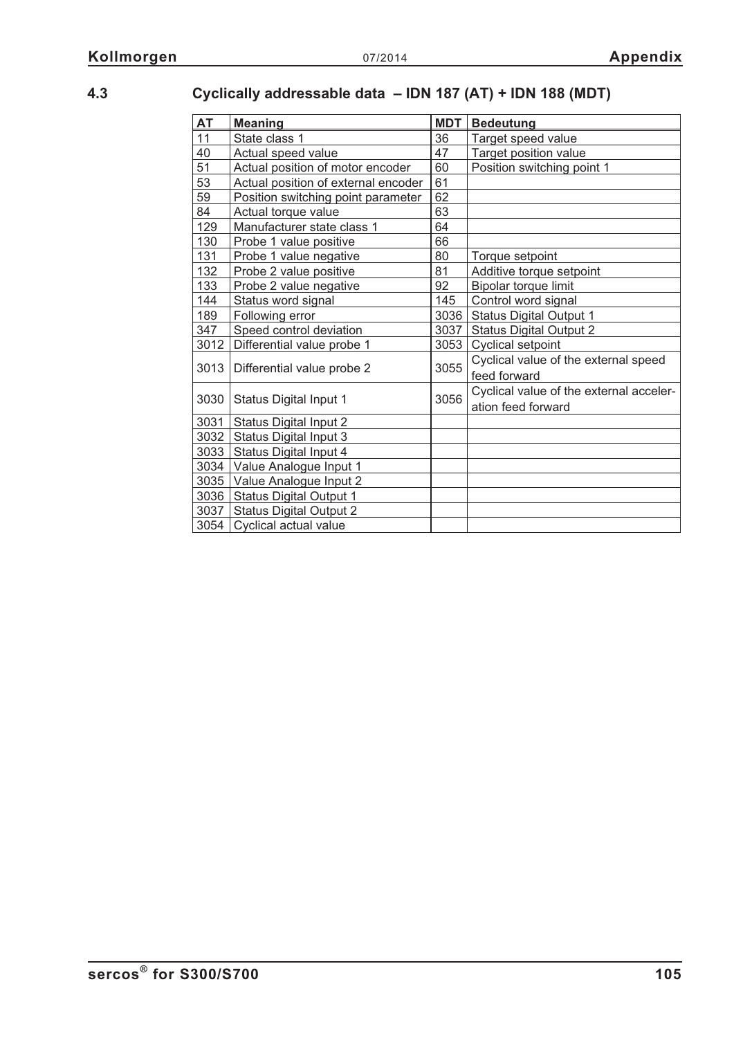# **4.3 Cyclically addressable data – IDN 187 (AT) + IDN 188 (MDT)**

| <b>AT</b> | <b>Meaning</b>                      |      | <b>Bedeutung</b>                        |
|-----------|-------------------------------------|------|-----------------------------------------|
| 11        | State class 1                       |      | Target speed value                      |
| 40        | 47<br>Actual speed value            |      | Target position value                   |
| 51        | Actual position of motor encoder    | 60   | Position switching point 1              |
| 53        | Actual position of external encoder | 61   |                                         |
| 59        | Position switching point parameter  | 62   |                                         |
| 84        | Actual torque value                 | 63   |                                         |
| 129       | Manufacturer state class 1          | 64   |                                         |
| 130       | Probe 1 value positive              | 66   |                                         |
| 131       | Probe 1 value negative              | 80   | Torque setpoint                         |
| 132       | Probe 2 value positive              | 81   | Additive torque setpoint                |
| 133       | Probe 2 value negative              | 92   | Bipolar torque limit                    |
| 144       | Status word signal                  | 145  | Control word signal                     |
| 189       | Following error                     | 3036 | <b>Status Digital Output 1</b>          |
| 347       | Speed control deviation             | 3037 | <b>Status Digital Output 2</b>          |
| 3012      | Differential value probe 1          | 3053 | <b>Cyclical setpoint</b>                |
|           |                                     | 3055 | Cyclical value of the external speed    |
| 3013      | Differential value probe 2          |      | feed forward                            |
|           | Status Digital Input 1              | 3056 | Cyclical value of the external acceler- |
| 3030      |                                     |      | ation feed forward                      |
| 3031      | <b>Status Digital Input 2</b>       |      |                                         |
| 3032      | Status Digital Input 3              |      |                                         |
| 3033      | Status Digital Input 4              |      |                                         |
|           | 3034 Value Analogue Input 1         |      |                                         |
|           | 3035 Value Analogue Input 2         |      |                                         |
| 3036      | <b>Status Digital Output 1</b>      |      |                                         |
| 3037      | <b>Status Digital Output 2</b>      |      |                                         |
| 3054      | Cyclical actual value               |      |                                         |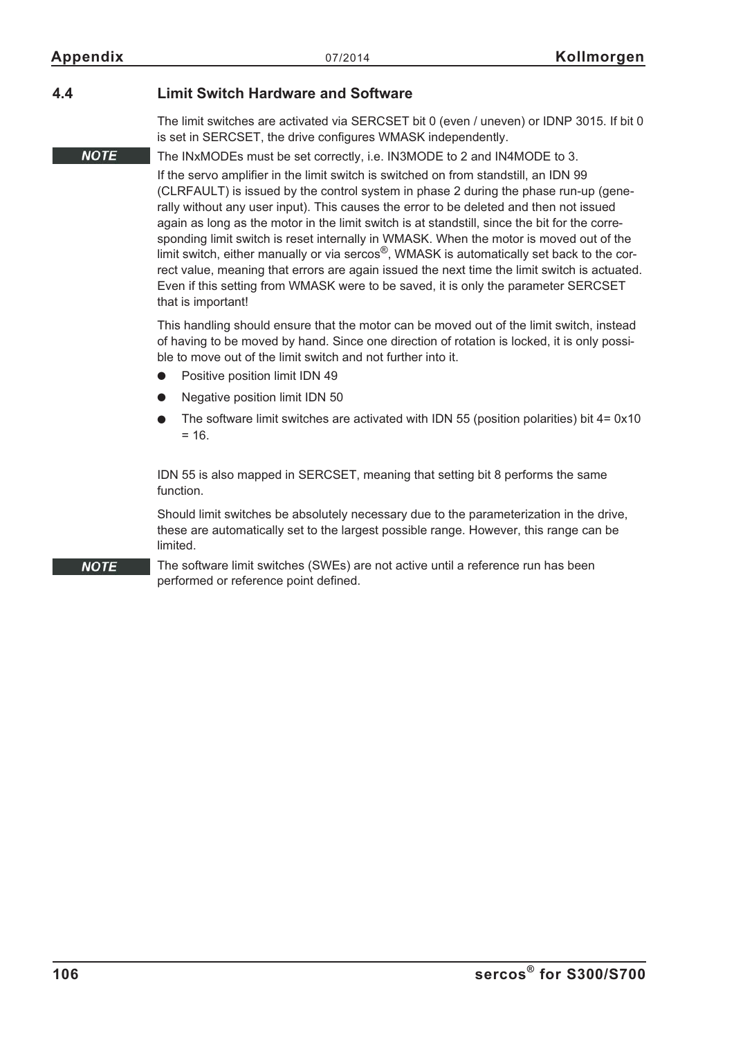**NOTE** 

**NOTE** 

#### **4.4 Limit Switch Hardware and Software**

The limit switches are activated via SERCSET bit 0 (even / uneven) or IDNP 3015. If bit 0 is set in SERCSET, the drive configures WMASK independently.

#### The INxMODEs must be set correctly, i.e. IN3MODE to 2 and IN4MODE to 3.

If the servo amplifier in the limit switch is switched on from standstill, an IDN 99 (CLRFAULT) is issued by the control system in phase 2 during the phase run-up (generally without any user input). This causes the error to be deleted and then not issued again as long as the motor in the limit switch is at standstill, since the bit for the corresponding limit switch is reset internally in WMASK. When the motor is moved out of the limit switch, either manually or via sercos<sup>®</sup>, WMASK is automatically set back to the correct value, meaning that errors are again issued the next time the limit switch is actuated. Even if this setting from WMASK were to be saved, it is only the parameter SERCSET that is important!

This handling should ensure that the motor can be moved out of the limit switch, instead of having to be moved by hand. Since one direction of rotation is locked, it is only possible to move out of the limit switch and not further into it.

- $\bullet$ Positive position limit IDN 49
- $\bullet$ Negative position limit IDN 50
- $\bullet$ The software limit switches are activated with IDN 55 (position polarities) bit  $4 = 0 \times 10$  $= 16.$

IDN 55 is also mapped in SERCSET, meaning that setting bit 8 performs the same function.

Should limit switches be absolutely necessary due to the parameterization in the drive, these are automatically set to the largest possible range. However, this range can be limited.

The software limit switches (SWEs) are not active until a reference run has been performed or reference point defined.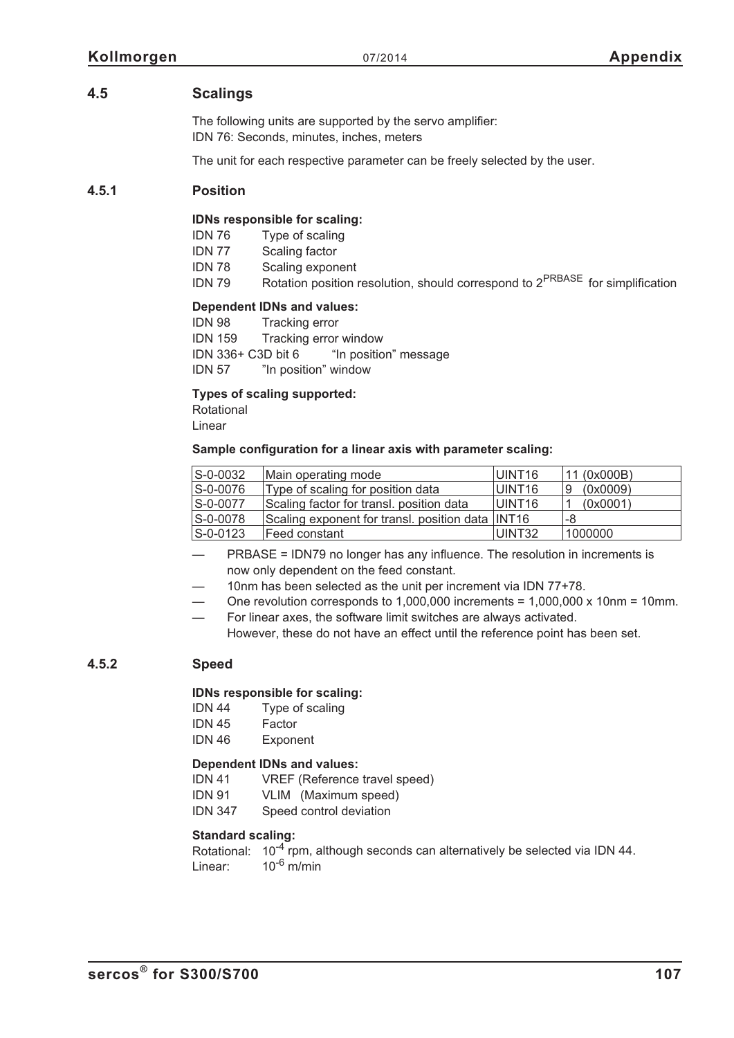#### **4.5 Scalings**

The following units are supported by the servo amplifier: IDN 76: Seconds, minutes, inches, meters

The unit for each respective parameter can be freely selected by the user.

#### **4.5.1 Position**

#### **IDNs responsible for scaling:**

IDN 76 Type of scaling

IDN 77 Scaling factor

IDN 78 Scaling exponent

IDN 79 Rotation position resolution, should correspond to 2<sup>PRBASE</sup> for simplification

#### **Dependent IDNs and values:**

IDN 98 Tracking error IDN 159 Tracking error window IDN 336+ C3D bit 6 "In position" message IDN 57 "In position" window

#### **Types of scaling supported:**

Rotational Linear

#### **Sample configuration for a linear axis with parameter scaling:**

| S-0-0032       | Main operating mode                              | UINT16 | 11 (0x000B)   |
|----------------|--------------------------------------------------|--------|---------------|
| S-0-0076       | Type of scaling for position data                | UINT16 | (0x0009)<br>9 |
| S-0-0077       | Scaling factor for transl. position data         | UINT16 | (0x0001)      |
| S-0-0078       | Scaling exponent for transl. position data INT16 |        | -8            |
| $S - 0 - 0123$ | Feed constant                                    | UINT32 | 1000000       |

- PRBASE = IDN79 no longer has any influence. The resolution in increments is now only dependent on the feed constant.
- 10nm has been selected as the unit per increment via IDN 77+78.
- One revolution corresponds to  $1,000,000$  increments =  $1,000,000 \times 10$ nm = 10mm.
- For linear axes, the software limit switches are always activated.

However, these do not have an effect until the reference point has been set.

#### **4.5.2 Speed**

#### **IDNs responsible for scaling:**

- IDN 44 Type of scaling
- IDN 45 Factor
- IDN 46 Exponent

#### **Dependent IDNs and values:**

IDN 41 VREF (Reference travel speed)

- IDN 91 VLIM (Maximum speed)
- IDN 347 Speed control deviation

#### **Standard scaling:**

Rotational:  $10^{-4}$  rpm, although seconds can alternatively be selected via IDN 44. Linear:  $10^{-6}$  m/min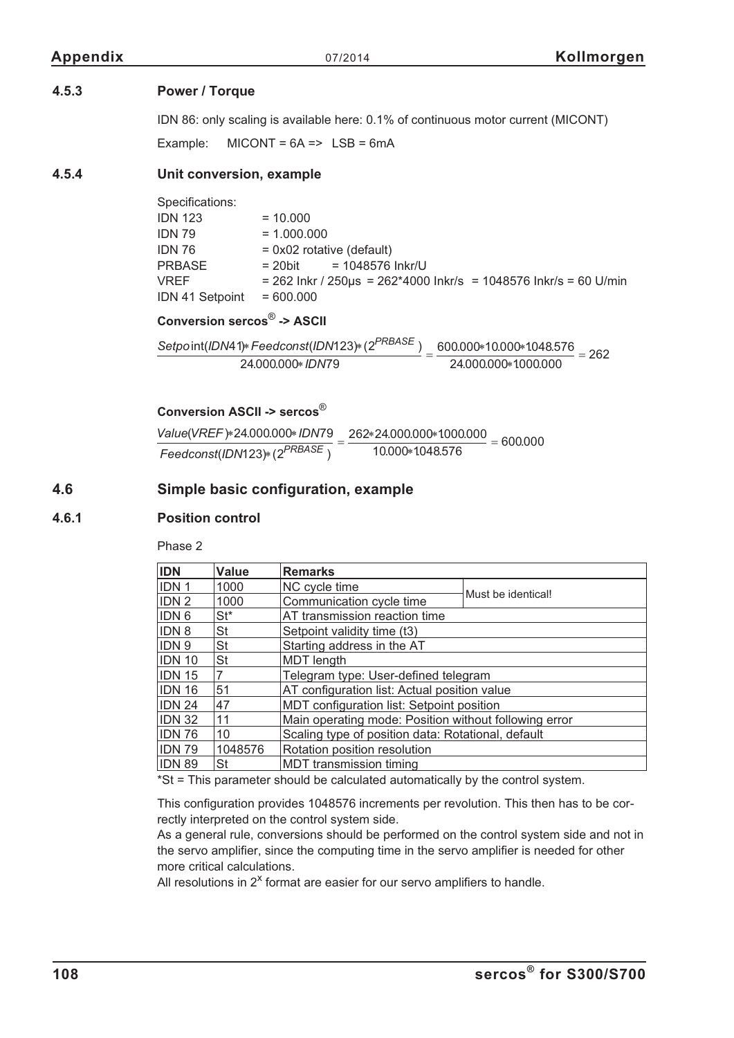#### **4.5.3 Power / Torque**

IDN 86: only scaling is available here: 0.1% of continuous motor current (MICONT)

Example:  $MICONT = 6A \implies LSB = 6mA$ 

#### **4.5.4 Unit conversion, example**

Specifications:  $IDN 123 = 10.000$  $IDN 79 = 1.000.000$  $IDN 76 = 0x02$  rotative (default)  $PRBASE$  = 20bit = 1048576 Inkr/U  $VREF$  = 262 Inkr / 250 us = 262\*4000 Inkr/s = 1048576 Inkr/s = 60 U/min  $IDN 41$  Setpoint = 600.000

**Conversion sercos**® **-> ASCII**

 $\frac{\text{Setpoint}(\text{IDN41})* \text{Feedconst}(\text{IDN123})* (2^{\text{PRBASE}})}{24.000.000*10000*1000.000} = 262$ 24.000.000\* IDN79 24000000<sup>\*</sup>1000000

#### **Conversion ASCII -> sercos**®

Value(VREF) \* 24.000.000 \* IDN79  $Feedconst (IDN123) * (2^{PRBASE})$  $=\displaystyle\frac{262*24.000.000*1000.000}{10.000*1048.576}=600.000$ 10.000\*1048.576

#### **4.6 Simple basic configuration, example**

#### **4.6.1 Position control**

Phase 2

| <b>IDN</b>       | Value     | <b>Remarks</b>                                        |                    |  |
|------------------|-----------|-------------------------------------------------------|--------------------|--|
| IDN <sub>1</sub> | 1000      | NC cycle time                                         | Must be identical! |  |
| IDN <sub>2</sub> | 1000      | Communication cycle time                              |                    |  |
| IDN <sub>6</sub> | $St*$     | AT transmission reaction time                         |                    |  |
| IDN 8            | <b>St</b> | Setpoint validity time (t3)                           |                    |  |
| IDN <sub>9</sub> | <b>St</b> | Starting address in the AT                            |                    |  |
| <b>IDN 10</b>    | <b>St</b> | <b>MDT</b> length                                     |                    |  |
| <b>IDN 15</b>    |           | Telegram type: User-defined telegram                  |                    |  |
| <b>IDN 16</b>    | 51        | AT configuration list: Actual position value          |                    |  |
| <b>IDN 24</b>    | 47        | MDT configuration list: Setpoint position             |                    |  |
| <b>IDN 32</b>    | 11        | Main operating mode: Position without following error |                    |  |
| <b>IDN 76</b>    | 10        | Scaling type of position data: Rotational, default    |                    |  |
| <b>IDN 79</b>    | 1048576   | Rotation position resolution                          |                    |  |
| <b>IDN 89</b>    | St        | MDT transmission timing                               |                    |  |

\*St = This parameter should be calculated automatically by the control system.

This configuration provides 1048576 increments per revolution. This then has to be correctly interpreted on the control system side.

As a general rule, conversions should be performed on the control system side and not in the servo amplifier, since the computing time in the servo amplifier is needed for other more critical calculations.

All resolutions in  $2^x$  format are easier for our servo amplifiers to handle.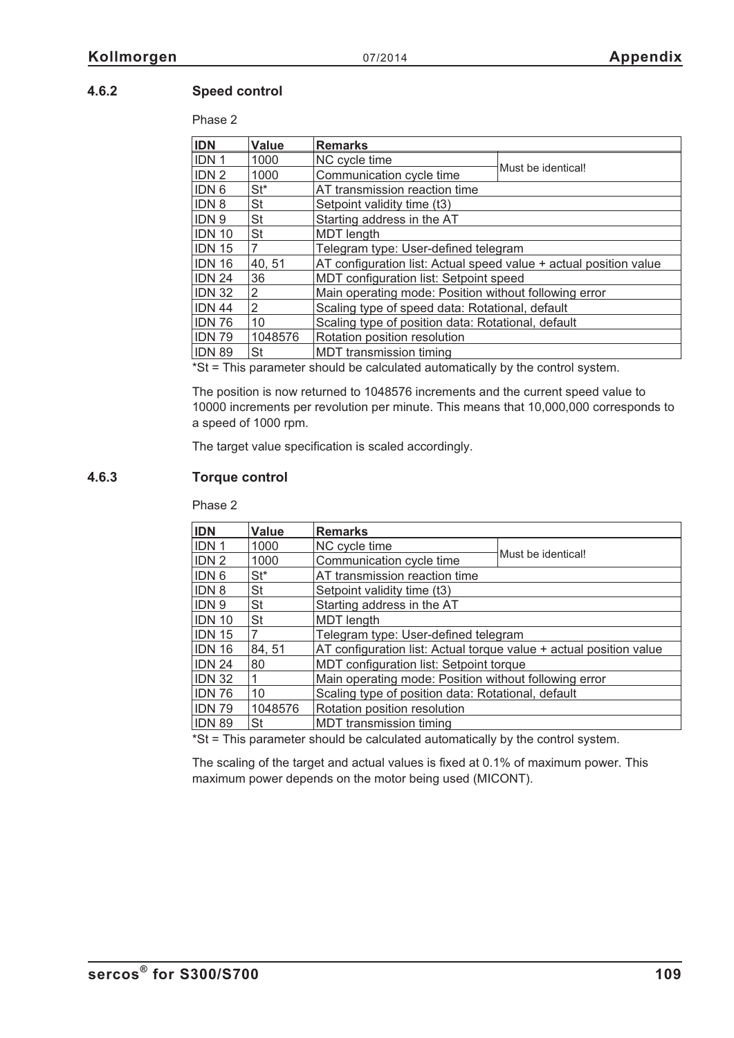## **4.6.2 Speed control**

Phase 2

| <b>IDN</b>       | Value     | <b>Remarks</b>                                                    |                    |  |
|------------------|-----------|-------------------------------------------------------------------|--------------------|--|
| IDN <sub>1</sub> | 1000      | NC cycle time                                                     |                    |  |
| IDN <sub>2</sub> | 1000      | Communication cycle time                                          | Must be identical! |  |
| <b>IDN 6</b>     | $St^*$    | AT transmission reaction time                                     |                    |  |
| <b>IDN 8</b>     | St        | Setpoint validity time (t3)                                       |                    |  |
| <b>IDN9</b>      | <b>St</b> | Starting address in the AT                                        |                    |  |
| <b>IDN 10</b>    | <b>St</b> | <b>MDT</b> length                                                 |                    |  |
| <b>IDN 15</b>    | 7         | Telegram type: User-defined telegram                              |                    |  |
| <b>IDN 16</b>    | 40, 51    | AT configuration list: Actual speed value + actual position value |                    |  |
| <b>IDN 24</b>    | 36        | MDT configuration list: Setpoint speed                            |                    |  |
| <b>IDN 32</b>    | 2         | Main operating mode: Position without following error             |                    |  |
| <b>IDN 44</b>    | 2         | Scaling type of speed data: Rotational, default                   |                    |  |
| <b>IDN 76</b>    | 10        | Scaling type of position data: Rotational, default                |                    |  |
| <b>IDN 79</b>    | 1048576   | Rotation position resolution                                      |                    |  |
| <b>IDN 89</b>    | St        | MDT transmission timing                                           |                    |  |

\*St = This parameter should be calculated automatically by the control system.

The position is now returned to 1048576 increments and the current speed value to 10000 increments per revolution per minute. This means that 10,000,000 corresponds to a speed of 1000 rpm.

The target value specification is scaled accordingly.

### **4.6.3 Torque control**

Phase 2

| <b>IDN</b>    | Value           | <b>Remarks</b>                                                     |                    |  |
|---------------|-----------------|--------------------------------------------------------------------|--------------------|--|
| <b>IDN1</b>   | 1000            | NC cycle time                                                      |                    |  |
| <b>IDN2</b>   | 1000            | Communication cycle time                                           | Must be identical! |  |
| <b>IDN 6</b>  | St <sup>*</sup> | AT transmission reaction time                                      |                    |  |
| <b>IDN8</b>   | St              | Setpoint validity time (t3)                                        |                    |  |
| <b>IDN9</b>   | St              | Starting address in the AT                                         |                    |  |
| <b>IDN 10</b> | St              | MDT length                                                         |                    |  |
| IDN 15        |                 | Telegram type: User-defined telegram                               |                    |  |
| <b>IDN 16</b> | 84, 51          | AT configuration list: Actual torque value + actual position value |                    |  |
| <b>IDN 24</b> | 80              | MDT configuration list: Setpoint torque                            |                    |  |
| <b>IDN 32</b> |                 | Main operating mode: Position without following error              |                    |  |
| <b>IDN 76</b> | 10              | Scaling type of position data: Rotational, default                 |                    |  |
| IDN 79        | 1048576         | Rotation position resolution                                       |                    |  |
| <b>IDN 89</b> | St              | MDT transmission timing                                            |                    |  |

 $*$ St = This parameter should be calculated automatically by the control system.

The scaling of the target and actual values is fixed at 0.1% of maximum power. This maximum power depends on the motor being used (MICONT).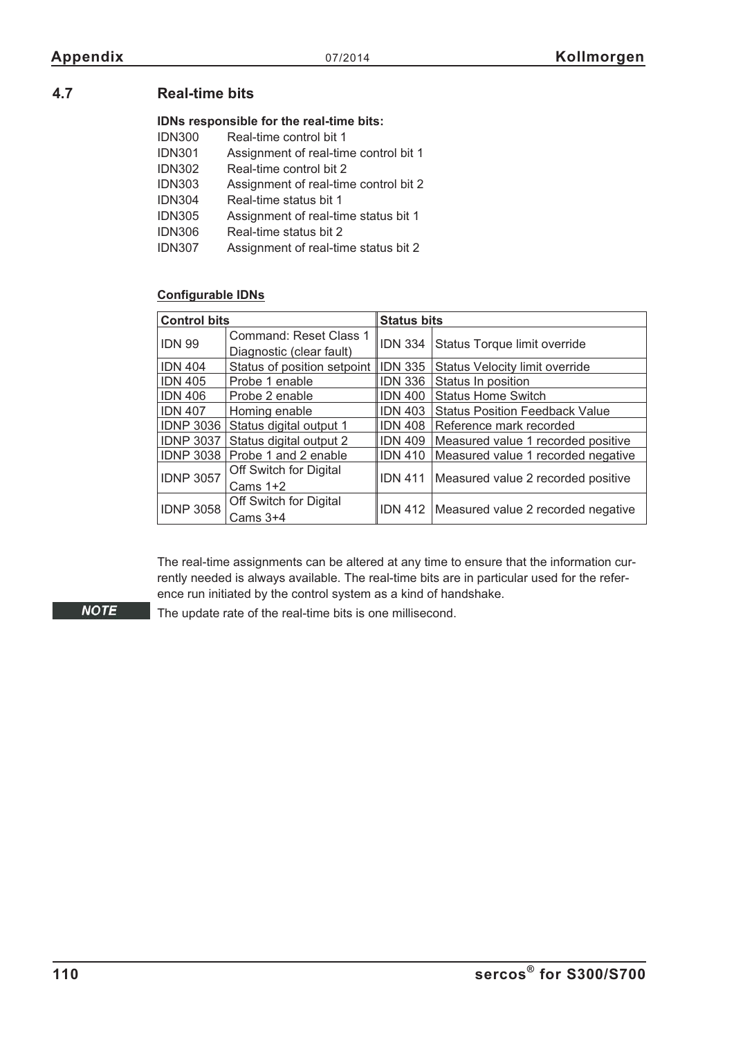# **4.7 Real-time bits**

### **IDNs responsible for the real-time bits:**

| Real-time control bit 1               |
|---------------------------------------|
| Assignment of real-time control bit 1 |
| Real-time control bit 2               |
| Assignment of real-time control bit 2 |
| Real-time status bit 1                |
| Assignment of real-time status bit 1  |
| Real-time status bit 2                |
| Assignment of real-time status bit 2  |
|                                       |

### **Configurable IDNs**

| <b>Control bits</b> |                               | <b>Status bits</b> |                                              |  |
|---------------------|-------------------------------|--------------------|----------------------------------------------|--|
| <b>IDN 99</b>       | <b>Command: Reset Class 1</b> | <b>IDN 334</b>     | Status Torque limit override                 |  |
|                     | Diagnostic (clear fault)      |                    |                                              |  |
| <b>IDN 404</b>      | Status of position setpoint   | <b>IDN 335</b>     | Status Velocity limit override               |  |
| <b>IDN 405</b>      | Probe 1 enable                | <b>IDN 336</b>     | Status In position                           |  |
| <b>IDN 406</b>      | Probe 2 enable                | <b>IDN 400</b>     | <b>Status Home Switch</b>                    |  |
| <b>IDN 407</b>      | Homing enable                 | <b>IDN 403</b>     | <b>Status Position Feedback Value</b>        |  |
| <b>IDNP 3036</b>    | Status digital output 1       | <b>IDN 408</b>     | Reference mark recorded                      |  |
| <b>IDNP 3037</b>    | Status digital output 2       | <b>IDN 409</b>     | Measured value 1 recorded positive           |  |
| <b>IDNP 3038</b>    | Probe 1 and 2 enable          | <b>IDN 410</b>     | Measured value 1 recorded negative           |  |
|                     | Off Switch for Digital        | <b>IDN 411</b>     |                                              |  |
| <b>IDNP 3057</b>    | Cams $1+2$                    |                    | Measured value 2 recorded positive           |  |
|                     | Off Switch for Digital        |                    |                                              |  |
| <b>IDNP 3058</b>    | Cams $3+4$                    |                    | IDN 412   Measured value 2 recorded negative |  |

The real-time assignments can be altered at any time to ensure that the information currently needed is always available. The real-time bits are in particular used for the reference run initiated by the control system as a kind of handshake.

**NOTE** 

The update rate of the real-time bits is one millisecond.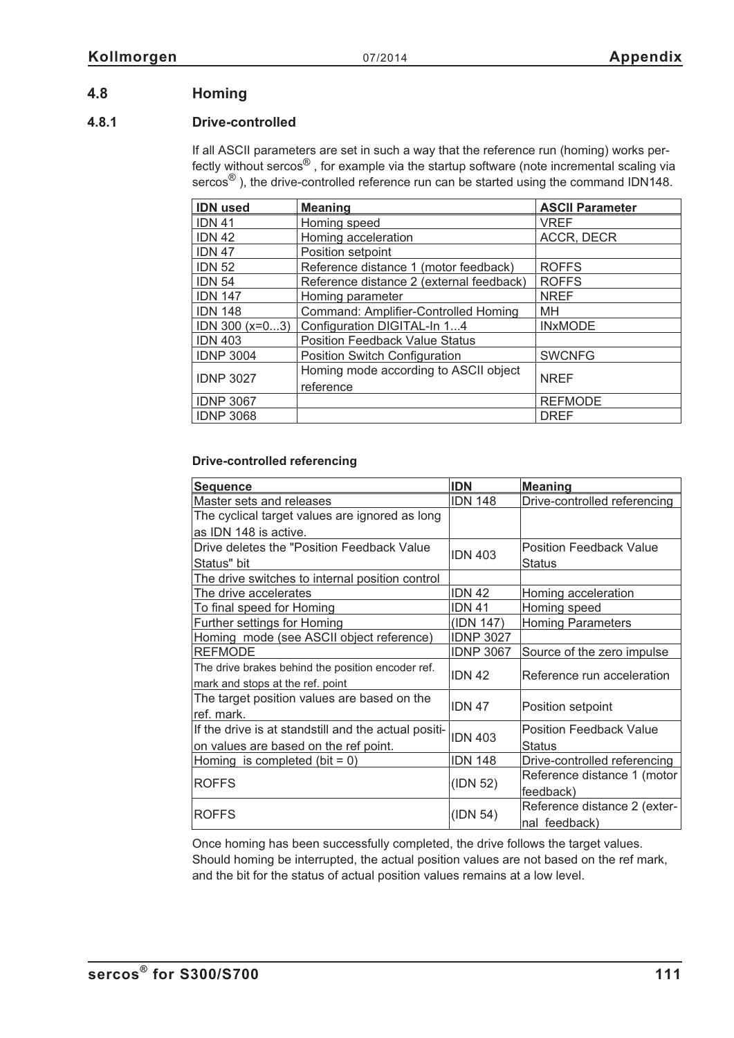# **4.8 Homing**

### **4.8.1 Drive-controlled**

If all ASCII parameters are set in such a way that the reference run (homing) works perfectly without sercos® , for example via the startup software (note incremental scaling via sercos<sup>®</sup>), the drive-controlled reference run can be started using the command IDN148.

| <b>IDN</b> used      | <b>Meaning</b>                           | <b>ASCII Parameter</b> |  |
|----------------------|------------------------------------------|------------------------|--|
| <b>IDN 41</b>        | Homing speed                             | <b>VREF</b>            |  |
| <b>IDN 42</b>        | Homing acceleration                      | ACCR, DECR             |  |
| <b>IDN 47</b>        | Position setpoint                        |                        |  |
| <b>IDN 52</b>        | Reference distance 1 (motor feedback)    | <b>ROFFS</b>           |  |
| <b>IDN 54</b>        | Reference distance 2 (external feedback) | <b>ROFFS</b>           |  |
| <b>IDN 147</b>       | Homing parameter                         | <b>NREF</b>            |  |
| <b>IDN 148</b>       | Command: Amplifier-Controlled Homing     | MH                     |  |
| $IDN$ 300 ( $x=03$ ) | Configuration DIGITAL-In 14              | <b>INxMODE</b>         |  |
| <b>IDN 403</b>       | <b>Position Feedback Value Status</b>    |                        |  |
| <b>IDNP 3004</b>     | <b>Position Switch Configuration</b>     | <b>SWCNFG</b>          |  |
|                      | Homing mode according to ASCII object    |                        |  |
| <b>IDNP 3027</b>     | reference                                | <b>NREF</b>            |  |
| <b>IDNP 3067</b>     |                                          | <b>REFMODE</b>         |  |
| <b>IDNP 3068</b>     |                                          | <b>DREF</b>            |  |

### **Drive-controlled referencing**

| <b>Sequence</b>                                      | <b>IDN</b>       | <b>Meaning</b>                 |
|------------------------------------------------------|------------------|--------------------------------|
| Master sets and releases                             | <b>IDN 148</b>   | Drive-controlled referencing   |
| The cyclical target values are ignored as long       |                  |                                |
| as IDN 148 is active.                                |                  |                                |
| Drive deletes the "Position Feedback Value           |                  | <b>Position Feedback Value</b> |
| Status" bit                                          | <b>IDN 403</b>   | <b>Status</b>                  |
| The drive switches to internal position control      |                  |                                |
| The drive accelerates                                | <b>IDN 42</b>    | Homing acceleration            |
| To final speed for Homing                            | <b>IDN 41</b>    | Homing speed                   |
| Further settings for Homing                          | (IDN 147)        | <b>Homing Parameters</b>       |
| Homing mode (see ASCII object reference)             | <b>IDNP 3027</b> |                                |
| <b>REFMODE</b>                                       | <b>IDNP 3067</b> | Source of the zero impulse     |
| The drive brakes behind the position encoder ref.    | <b>IDN 42</b>    | Reference run acceleration     |
| mark and stops at the ref. point                     |                  |                                |
| The target position values are based on the          | <b>IDN 47</b>    | Position setpoint              |
| ref. mark.                                           |                  |                                |
| If the drive is at standstill and the actual positi- | <b>IDN 403</b>   | <b>Position Feedback Value</b> |
| on values are based on the ref point.                |                  | Status                         |
| Homing is completed (bit = $0$ )                     | <b>IDN 148</b>   | Drive-controlled referencing   |
|                                                      |                  | Reference distance 1 (motor    |
| <b>ROFFS</b>                                         | (IDN 52)         | feedback)                      |
|                                                      |                  | Reference distance 2 (exter-   |
| <b>ROFFS</b>                                         | (IDN 54)         | nal feedback)                  |

Once homing has been successfully completed, the drive follows the target values. Should homing be interrupted, the actual position values are not based on the ref mark, and the bit for the status of actual position values remains at a low level.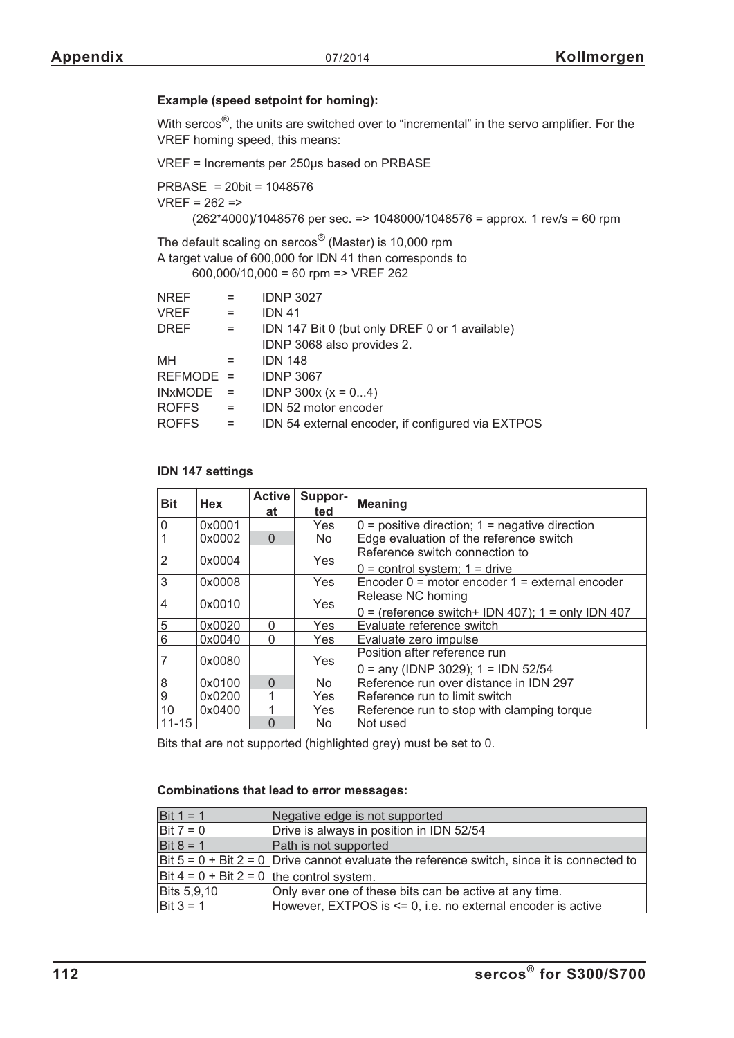### **Example (speed setpoint for homing):**

With sercos<sup>®</sup>, the units are switched over to "incremental" in the servo amplifier. For the VREF homing speed, this means:

VREF = Increments per 250µs based on PRBASE

```
PRBASE = 20bit = 1048576
VREF = 262 =>(262*4000)/1048576 per sec. => 1048000/1048576 = approx. 1 rev/s = 60 rpm
```
The default scaling on sercos® (Master) is 10,000 rpm A target value of 600,000 for IDN 41 then corresponds to

600,000/10,000 = 60 rpm => VREF 262

| $=$       | <b>IDNP 3027</b>                                  |
|-----------|---------------------------------------------------|
| $=$       | <b>IDN 41</b>                                     |
| $=$       | IDN 147 Bit 0 (but only DREF 0 or 1 available)    |
|           | IDNP 3068 also provides 2.                        |
| $=$       | <b>IDN 148</b>                                    |
| REFMODE = | <b>IDNP 3067</b>                                  |
| $=$       | IDNP 300x ( $x = 04$ )                            |
| $=$       | IDN 52 motor encoder                              |
| $=$       | IDN 54 external encoder, if configured via EXTPOS |
|           |                                                   |

### **IDN 147 settings**

| <b>Bit</b>     | <b>Hex</b> | <b>Active</b><br>at | Suppor-<br>ted | <b>Meaning</b>                                      |
|----------------|------------|---------------------|----------------|-----------------------------------------------------|
| 0              | 0x0001     |                     | Yes            | $0 =$ positive direction; $1 =$ negative direction  |
|                | 0x0002     | $\Omega$            | No.            | Edge evaluation of the reference switch             |
| 2              | 0x0004     |                     | Yes            | Reference switch connection to                      |
|                |            |                     |                | $0 =$ control system; $1 =$ drive                   |
| 3              | 0x0008     |                     | Yes            | Encoder $0 =$ motor encoder $1 =$ external encoder  |
| 4              | 0x0010     |                     | Yes            | Release NC homing                                   |
|                |            |                     |                | $0 =$ (reference switch+ IDN 407); 1 = only IDN 407 |
| $\overline{5}$ | 0x0020     | $\Omega$            | Yes            | Evaluate reference switch                           |
| 6              | 0x0040     | ∩                   | Yes            | Evaluate zero impulse                               |
|                | 0x0080     |                     | Yes            | Position after reference run                        |
|                |            |                     |                | $0 =$ any (IDNP 3029); 1 = IDN 52/54                |
| 8              | 0x0100     | ∩                   | No.            | Reference run over distance in IDN 297              |
| 9              | 0x0200     |                     | Yes            | Reference run to limit switch                       |
| 10             | 0x0400     |                     | Yes            | Reference run to stop with clamping torque          |
| $11 - 15$      |            |                     | No             | Not used                                            |

Bits that are not supported (highlighted grey) must be set to 0.

### **Combinations that lead to error messages:**

| Bit $1 = 1$                                                                                          | Negative edge is not supported                         |
|------------------------------------------------------------------------------------------------------|--------------------------------------------------------|
| Drive is always in position in IDN 52/54<br>Bit $7 = 0$                                              |                                                        |
| Bit $8 = 1$                                                                                          | Path is not supported                                  |
| Bit $5 = 0 + \text{Bit } 2 = 0$ Drive cannot evaluate the reference switch, since it is connected to |                                                        |
| Bit $4 = 0 + \text{Bit } 2 = 0$ the control system.                                                  |                                                        |
| Bits 5,9,10                                                                                          | Only ever one of these bits can be active at any time. |
| Bit $3 = 1$<br>However, EXTPOS is <= 0, i.e. no external encoder is active                           |                                                        |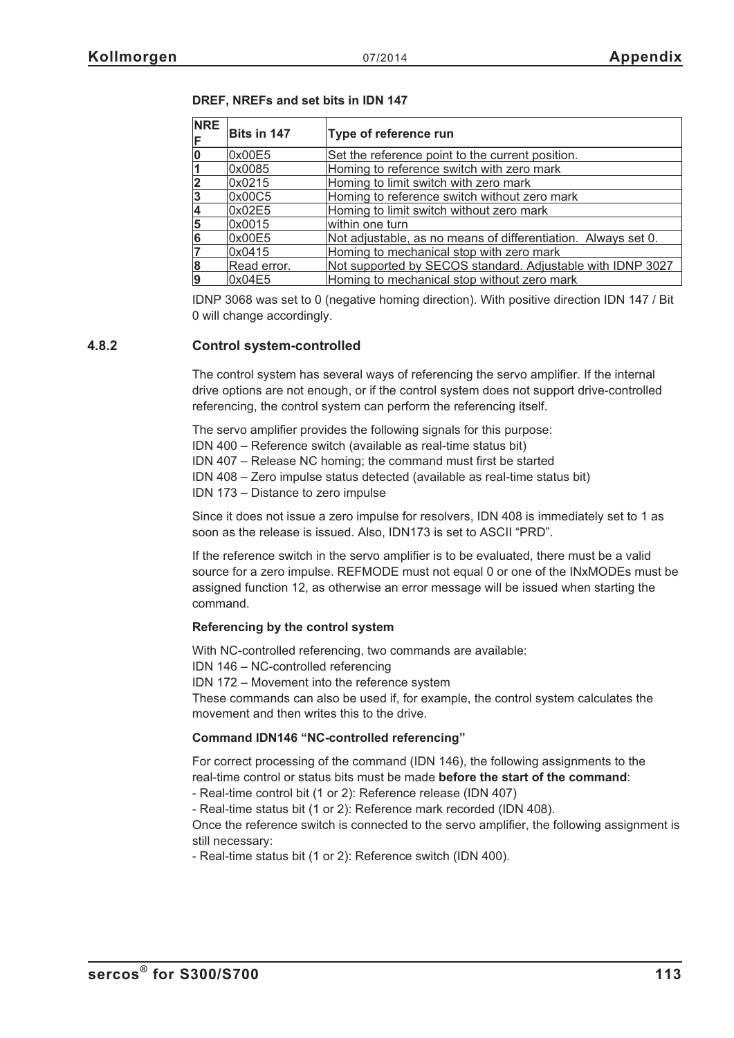| <b>NRE</b> | Bits in 147 | Type of reference run                                         |  |
|------------|-------------|---------------------------------------------------------------|--|
|            | 0x00E5      | Set the reference point to the current position.              |  |
|            | 0x0085      | Homing to reference switch with zero mark                     |  |
|            | 0x0215      | Homing to limit switch with zero mark                         |  |
|            | 0x00C5      | Homing to reference switch without zero mark                  |  |
|            | 0x02E5      | Homing to limit switch without zero mark                      |  |
| 5          | 0x0015      | within one turn                                               |  |
|            | 0x00E5      | Not adjustable, as no means of differentiation. Always set 0. |  |
|            | 0x0415      | Homing to mechanical stop with zero mark                      |  |
|            | Read error. | Not supported by SECOS standard. Adjustable with IDNP 3027    |  |
|            | 0x04E5      | Homing to mechanical stop without zero mark                   |  |

**DREF, NREFs and set bits in IDN 147**

IDNP 3068 was set to 0 (negative homing direction). With positive direction IDN 147 / Bit 0 will change accordingly.

### **4.8.2 Control system-controlled**

The control system has several ways of referencing the servo amplifier. If the internal drive options are not enough, or if the control system does not support drive-controlled referencing, the control system can perform the referencing itself.

The servo amplifier provides the following signals for this purpose: IDN 400 – Reference switch (available as real-time status bit) IDN 407 – Release NC homing; the command must first be started IDN 408 – Zero impulse status detected (available as real-time status bit) IDN 173 – Distance to zero impulse

Since it does not issue a zero impulse for resolvers, IDN 408 is immediately set to 1 as soon as the release is issued. Also, IDN173 is set to ASCII "PRD".

If the reference switch in the servo amplifier is to be evaluated, there must be a valid source for a zero impulse. REFMODE must not equal 0 or one of the INxMODEs must be assigned function 12, as otherwise an error message will be issued when starting the command.

### **Referencing by the control system**

With NC-controlled referencing, two commands are available:

IDN 146 – NC-controlled referencing

IDN 172 – Movement into the reference system

These commands can also be used if, for example, the control system calculates the movement and then writes this to the drive.

### **Command IDN146 "NC-controlled referencing"**

For correct processing of the command (IDN 146), the following assignments to the real-time control or status bits must be made **before the start of the command**:

- Real-time control bit (1 or 2): Reference release (IDN 407)

- Real-time status bit (1 or 2): Reference mark recorded (IDN 408).

Once the reference switch is connected to the servo amplifier, the following assignment is still necessary:

- Real-time status bit (1 or 2): Reference switch (IDN 400).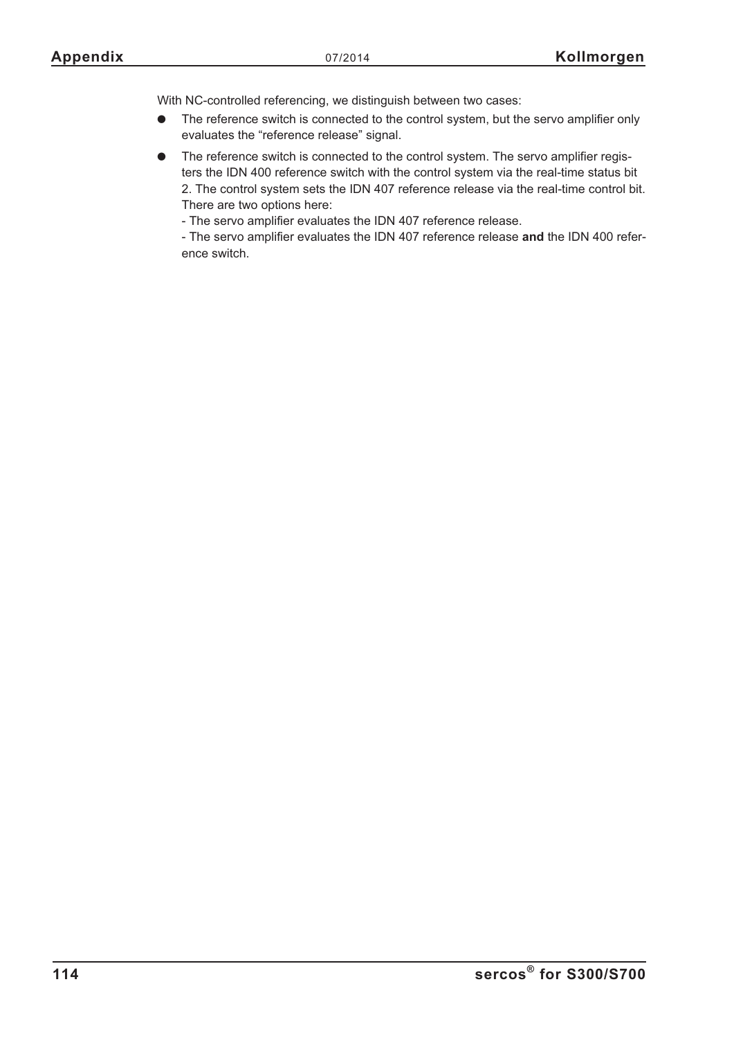With NC-controlled referencing, we distinguish between two cases:

- $\bullet$  The reference switch is connected to the control system, but the servo amplifier only evaluates the "reference release" signal.
- $\bullet$  The reference switch is connected to the control system. The servo amplifier registers the IDN 400 reference switch with the control system via the real-time status bit 2. The control system sets the IDN 407 reference release via the real-time control bit. There are two options here:
	- The servo amplifier evaluates the IDN 407 reference release.

- The servo amplifier evaluates the IDN 407 reference release **and** the IDN 400 reference switch.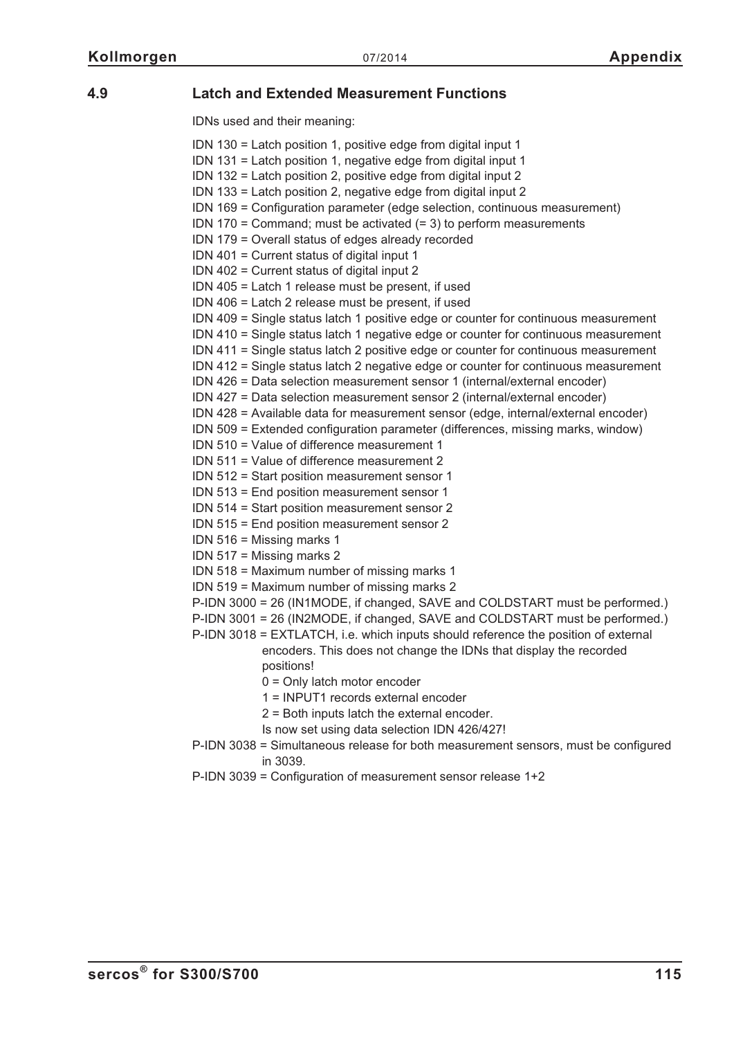# **4.9 Latch and Extended Measurement Functions**

IDNs used and their meaning:

| IDN 130 = Latch position 1, positive edge from digital input 1                      |
|-------------------------------------------------------------------------------------|
| IDN 131 = Latch position 1, negative edge from digital input 1                      |
| IDN 132 = Latch position 2, positive edge from digital input 2                      |
| IDN 133 = Latch position 2, negative edge from digital input 2                      |
| IDN 169 = Configuration parameter (edge selection, continuous measurement)          |
|                                                                                     |
| IDN 170 = Command; must be activated $(= 3)$ to perform measurements                |
| IDN 179 = Overall status of edges already recorded                                  |
| IDN 401 = Current status of digital input 1                                         |
| IDN 402 = Current status of digital input 2                                         |
| IDN 405 = Latch 1 release must be present, if used                                  |
| IDN 406 = Latch 2 release must be present, if used                                  |
| IDN 409 = Single status latch 1 positive edge or counter for continuous measurement |
| IDN 410 = Single status latch 1 negative edge or counter for continuous measurement |
| IDN 411 = Single status latch 2 positive edge or counter for continuous measurement |
| IDN 412 = Single status latch 2 negative edge or counter for continuous measurement |
| IDN 426 = Data selection measurement sensor 1 (internal/external encoder)           |
| IDN 427 = Data selection measurement sensor 2 (internal/external encoder)           |
| IDN 428 = Available data for measurement sensor (edge, internal/external encoder)   |
| IDN 509 = Extended configuration parameter (differences, missing marks, window)     |
| IDN 510 = Value of difference measurement 1                                         |
| IDN 511 = Value of difference measurement 2                                         |
| IDN 512 = Start position measurement sensor 1                                       |
| IDN 513 = End position measurement sensor 1                                         |
| IDN 514 = Start position measurement sensor 2                                       |
| IDN 515 = End position measurement sensor 2                                         |
| IDN 516 = Missing marks 1                                                           |
| IDN 517 = Missing marks 2                                                           |
| IDN 518 = Maximum number of missing marks 1                                         |
| IDN 519 = Maximum number of missing marks 2                                         |
| P-IDN 3000 = 26 (IN1MODE, if changed, SAVE and COLDSTART must be performed.)        |
| P-IDN 3001 = 26 (IN2MODE, if changed, SAVE and COLDSTART must be performed.)        |
| P-IDN 3018 = EXTLATCH, i.e. which inputs should reference the position of external  |
| encoders. This does not change the IDNs that display the recorded                   |
| positions!                                                                          |
| $0 =$ Only latch motor encoder                                                      |
| 1 = INPUT1 records external encoder                                                 |
| 2 = Both inputs latch the external encoder.                                         |
| Is now set using data selection IDN 426/427!                                        |
|                                                                                     |
| P-IDN 3038 = Simultaneous release for both measurement sensors, must be configured  |
| in 3039.                                                                            |
| P-IDN 3039 = Configuration of measurement sensor release 1+2                        |
|                                                                                     |
|                                                                                     |
|                                                                                     |
|                                                                                     |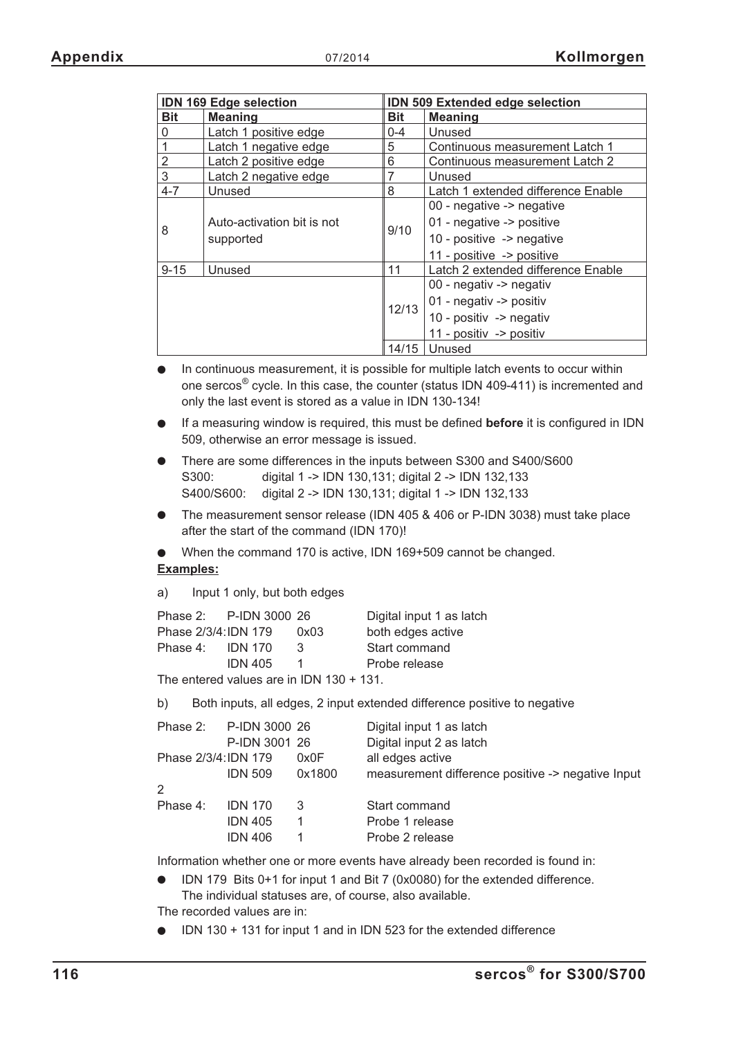| <b>IDN 169 Edge selection</b> |                            | <b>IDN 509 Extended edge selection</b> |                                    |
|-------------------------------|----------------------------|----------------------------------------|------------------------------------|
| <b>Bit</b>                    | <b>Meaning</b>             | <b>Bit</b>                             | <b>Meaning</b>                     |
| 0                             | Latch 1 positive edge      | $0 - 4$                                | Unused                             |
|                               | Latch 1 negative edge      | 5                                      | Continuous measurement Latch 1     |
| $\overline{2}$                | Latch 2 positive edge      | 6                                      | Continuous measurement Latch 2     |
| 3                             | Latch 2 negative edge      |                                        | Unused                             |
| $4 - 7$                       | Unused                     | 8                                      | Latch 1 extended difference Enable |
|                               |                            |                                        | 00 - negative -> negative          |
| 8                             | Auto-activation bit is not | 9/10                                   | 01 - negative -> positive          |
|                               | supported                  |                                        | 10 - positive -> negative          |
|                               |                            |                                        | 11 - positive -> positive          |
| $9 - 15$                      | Unused                     | 11                                     | Latch 2 extended difference Enable |
|                               |                            | 12/13                                  | 00 - negativ -> negativ            |
|                               |                            |                                        | 01 - negativ -> positiv            |
|                               |                            |                                        | 10 - positiv -> negativ            |
|                               |                            |                                        | 11 - positiv -> positiv            |
|                               |                            | 14/15                                  | Unused                             |

- $\bullet$  In continuous measurement, it is possible for multiple latch events to occur within one sercos® cycle. In this case, the counter (status IDN 409-411) is incremented and only the last event is stored as a value in IDN 130-134!
- $\bullet$  If a measuring window is required, this must be defined **before** it is configured in IDN 509, otherwise an error message is issued.
- $\bullet$  There are some differences in the inputs between S300 and S400/S600 S300: digital 1 -> IDN 130,131; digital 2 -> IDN 132,133 S400/S600: digital 2 -> IDN 130,131; digital 1 -> IDN 132,133
- $\bullet$  The measurement sensor release (IDN 405 & 406 or P-IDN 3038) must take place after the start of the command (IDN 170)!
- $\bullet$  When the command 170 is active, IDN 169+509 cannot be changed. **Examples:**

a) Input 1 only, but both edges

|                      |                | Phase 2: P-IDN 3000 26 |      | Digital input 1 as latch |
|----------------------|----------------|------------------------|------|--------------------------|
| Phase 2/3/4: IDN 179 |                |                        | 0x03 | both edges active        |
| Phase 4:             | <b>IDN 170</b> |                        | З    | Start command            |
|                      | <b>IDN 405</b> |                        |      | Probe release            |
|                      |                |                        |      |                          |

The entered values are in IDN 130 + 131.

b) Both inputs, all edges, 2 input extended difference positive to negative

| Phase 2: P-IDN 3000 26 |                |        | Digital input 1 as latch                          |
|------------------------|----------------|--------|---------------------------------------------------|
|                        | P-IDN 3001 26  |        | Digital input 2 as latch                          |
| Phase 2/3/4:IDN 179    |                | 0x0F   | all edges active                                  |
|                        | <b>IDN 509</b> | 0x1800 | measurement difference positive -> negative Input |
| 2                      |                |        |                                                   |
| Phase 4:               | <b>IDN 170</b> | 3      | Start command                                     |
|                        | <b>IDN 405</b> |        | Probe 1 release                                   |
|                        | <b>IDN 406</b> |        | Probe 2 release                                   |

Information whether one or more events have already been recorded is found in:

- IDN 179 Bits 0+1 for input 1 and Bit 7 (0x0080) for the extended difference. The individual statuses are, of course, also available. The recorded values are in:

 $\bullet$ IDN 130 + 131 for input 1 and in IDN 523 for the extended difference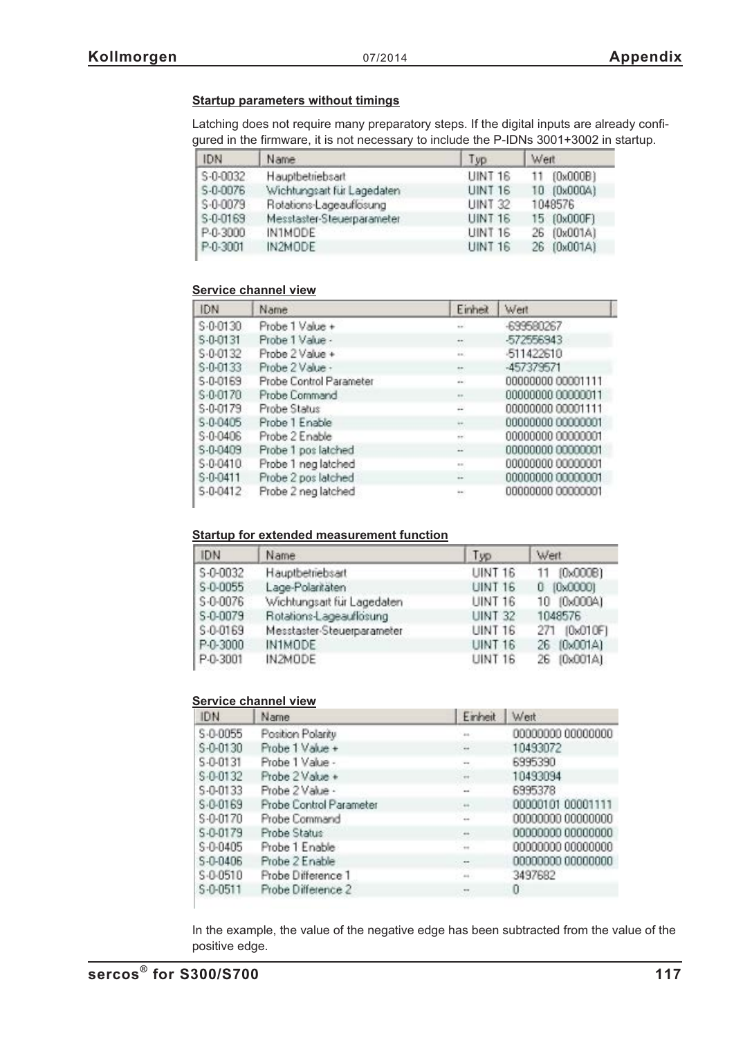### **Startup parameters without timings**

Latching does not require many preparatory steps. If the digital inputs are already configured in the firmware, it is not necessary to include the P-IDNs 3001+3002 in startup.

| IDN          | Name                       | Typ            | Weit                    |
|--------------|----------------------------|----------------|-------------------------|
| S-0-0032     | Hauptbetriebsart           | <b>UINT 16</b> | $(0 \times 000B)$<br>11 |
| S-0-0076     | Wichtungsart für Lagedaten | <b>UINT 16</b> | 10 (0x000A)             |
| $S - 0.0079$ | Rotations-Lageauflosung    | <b>UINT 32</b> | 1048576                 |
| S-0-0169     | Messtaster-Steuerparameter | <b>UINT 16</b> | 15 (0x000F)             |
| P-0-3000     | IN1MODE                    | <b>UINT 16</b> | 26 (0x001A)             |
| P-0-3001     | IN2MODE                    | <b>UINT 16</b> | 26 (0x001A)             |

#### **Service channel view**

| IDN            | Name                    | Einheit              | Wert              |
|----------------|-------------------------|----------------------|-------------------|
| S-0-0130       | Probe 1 Value +         | ex.                  | -699580267        |
| 5-0-0131       | Probe 1 Value -         |                      | -572556943        |
| S-0-0132       | Probe 2 Value +         | ia.                  | -511422610        |
| $S - 0 - 0133$ | Probe 2 Value -         | $\scriptstyle\cdots$ | -457379571        |
| S-0-0169       | Probe Control Parameter | w                    | 00000000 00001111 |
| \$-0-0170      | Probe Command           | $\mathbb{R}^n$       | 00000000 00000011 |
| S-0-0179       | Probe Status            | w                    | 00000000 00001111 |
| S-0-0405       | Probe 1 Enable          | ×,                   | 00000000 00000001 |
| S-0-0406       | Probe 2 Enable          | $\sim$               | 00000000 00000001 |
| S-0-0409       | Probe 1 pos latched     | $\overline{a}$       | 00000000 00000001 |
| S-0-0410       | Probe 1 neg latched     | <b>ALC</b>           | 00000000 00000001 |
| $S - 0 - 0411$ | Probe 2 pos latched     | a                    | 00000000 00000001 |
| S-0-0412       | Probe 2 neg latched     | ×                    | 00000000 00000001 |

### **Startup for extended measurement function**

| IDN          | Name                       | Typ            | Wert                  |
|--------------|----------------------------|----------------|-----------------------|
| S-0-0032     | Hauptbetriebsart           | UINT 16        | [0x000B]<br>11        |
| $S - 0.0055$ | Lage-Polaritäten           | <b>UINT 16</b> | [0,0000]<br>O         |
| S-0-0076     | Wichtungsart für Lagedaten | <b>UINT 16</b> | [0x000A]<br>$10^{-1}$ |
| S-0-0079     | Rotations-Lageauflosung    | <b>UINT 32</b> | 1048576               |
| S-0-0169     | Messtaster-Steuerparameter | <b>UINT 16</b> | [0x010F]<br>271       |
| P-0-3000     | IN1MODE                    | <b>UINT 16</b> | 26 (0x001A)           |
| P-0-3001     | IN2MODE                    | <b>UINT 16</b> | [0x001A]<br>26.       |

### **Service channel view**

| <b>IDN</b>   | Name                    | Einheit           | Wert              |
|--------------|-------------------------|-------------------|-------------------|
| S-0-0055     | Position Polarity       | $\frac{1}{2}$     | 00000000 00000000 |
| S-0-0130     | Probe 1 Value +         | $\leftrightarrow$ | 10493072          |
| S-0-0131     | Probe 1 Value -         |                   | 6995390           |
| $S - 0.0132$ | Probe 2 Value +         | $-14$             | 10493094          |
| S-0-0133     | Probe 2 Value -         |                   | 6995378           |
| S-0-0169     | Probe Control Parameter | 44.               | 00000101 00001111 |
| S-0-0170     | Probe Command           | ÷                 | 00000000 00000000 |
| S-0-0179     | Probe Status            | $\leftrightarrow$ | 00000000 00000000 |
| \$-0-0405    | Probe 1 Enable          | $+1$              | 00000000 00000000 |
| S-0-0406     | Probe 2 Enable          | $-$ 400 $-$       | 00000000 00000000 |
| S-0-0510     | Probe Difference 1      | $^{2+}$           | 3497682           |
| $S - 0.0511$ | Probe Difference 2      | $\sim$            | U                 |

In the example, the value of the negative edge has been subtracted from the value of the positive edge.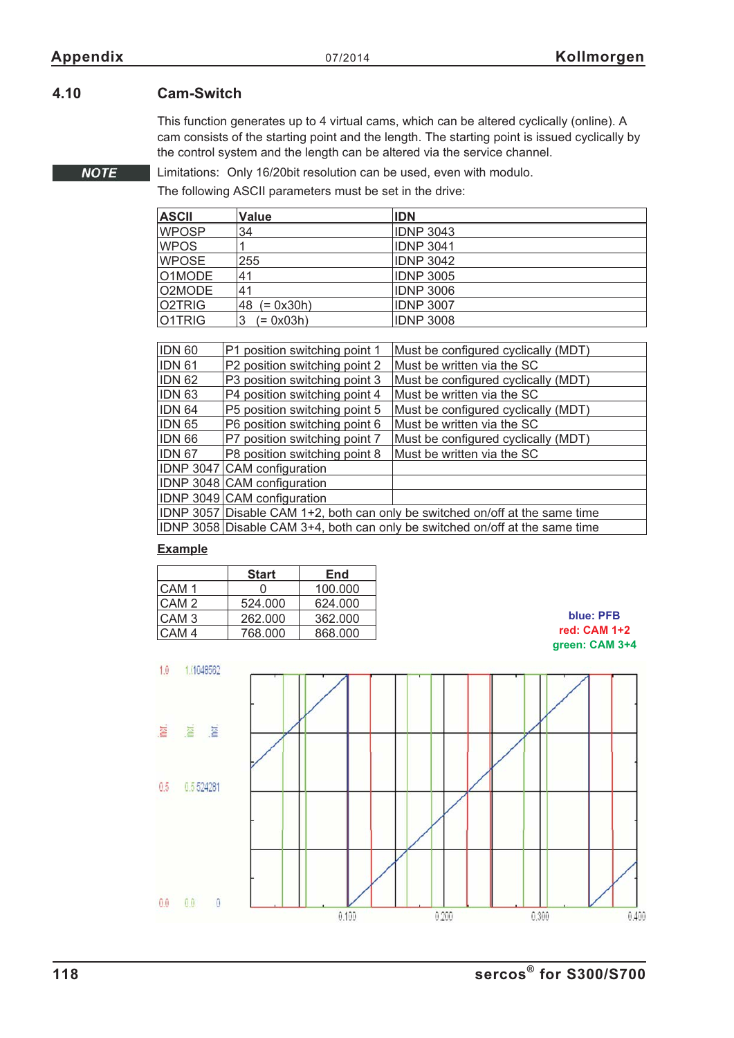**NOTE** 

# **4.10 Cam-Switch**

This function generates up to 4 virtual cams, which can be altered cyclically (online). A cam consists of the starting point and the length. The starting point is issued cyclically by the control system and the length can be altered via the service channel.

Limitations: Only 16/20bit resolution can be used, even with modulo.

The following ASCII parameters must be set in the drive:

| ASCII  | Value          | <b>IDN</b>       |
|--------|----------------|------------------|
| WPOSP  | 34             | <b>IDNP 3043</b> |
| WPOS   |                | <b>IDNP 3041</b> |
| WPOSE. | 255            | <b>IDNP 3042</b> |
| O1MODE | 41             | <b>IDNP 3005</b> |
| O2MODE | 41             | <b>IDNP 3006</b> |
| O2TRIG | 48 $(= 0x30h)$ | <b>IDNP 3007</b> |
| 01TRIG | (= 0x03h)<br>3 | <b>IDNP 3008</b> |

| <b>IDN 60</b> | P1 position switching point 1                                                | Must be configured cyclically (MDT)                                          |  |
|---------------|------------------------------------------------------------------------------|------------------------------------------------------------------------------|--|
| <b>IDN 61</b> | P2 position switching point 2                                                | Must be written via the SC                                                   |  |
| <b>IDN 62</b> | P3 position switching point 3                                                | Must be configured cyclically (MDT)                                          |  |
| <b>IDN 63</b> | P4 position switching point 4                                                | Must be written via the SC                                                   |  |
| <b>IDN 64</b> | P5 position switching point 5                                                | Must be configured cyclically (MDT)                                          |  |
| <b>IDN 65</b> | P6 position switching point 6                                                | Must be written via the SC                                                   |  |
| <b>IDN 66</b> | P7 position switching point 7                                                | Must be configured cyclically (MDT)                                          |  |
| <b>IDN 67</b> | P8 position switching point 8                                                | Must be written via the SC                                                   |  |
|               | IDNP 3047 CAM configuration                                                  |                                                                              |  |
|               | IDNP 3048 CAM configuration                                                  |                                                                              |  |
|               | IDNP 3049 CAM configuration                                                  |                                                                              |  |
|               | IDNP 3057 Disable CAM 1+2, both can only be switched on/off at the same time |                                                                              |  |
|               |                                                                              | IDNP 3058 Disable CAM 3+4, both can only be switched on/off at the same time |  |

### **Example**

|                  | <b>Start</b> | End     |
|------------------|--------------|---------|
| CAM <sub>1</sub> |              | 100.000 |
| CAM <sub>2</sub> | 524.000      | 624.000 |
| CAM <sub>3</sub> | 262.000      | 362,000 |
| CAM <sub>4</sub> | 768.000      | 868.000 |



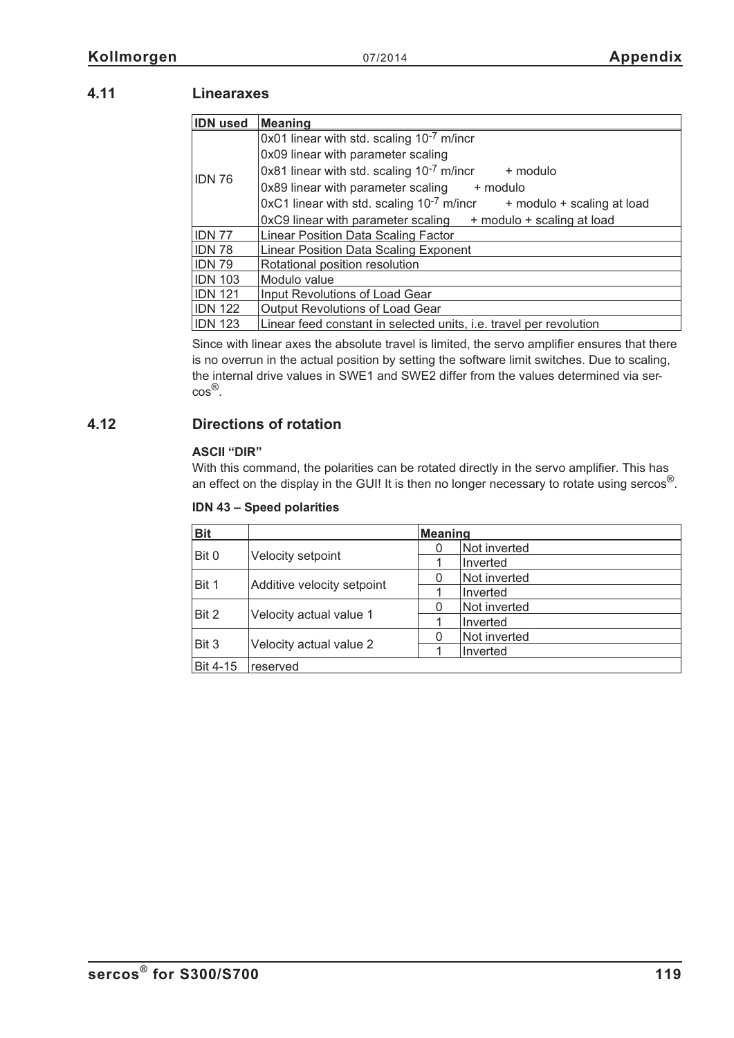# **4.11 Linearaxes**

| <b>IDN</b> used | <b>Meaning</b>                                                                 |  |  |  |
|-----------------|--------------------------------------------------------------------------------|--|--|--|
|                 | 0x01 linear with std. scaling 10 <sup>-7</sup> m/incr                          |  |  |  |
|                 | 0x09 linear with parameter scaling                                             |  |  |  |
| <b>IDN 76</b>   | 0x81 linear with std. scaling $10^{-7}$ m/incr<br>+ modulo                     |  |  |  |
|                 | 0x89 linear with parameter scaling + modulo                                    |  |  |  |
|                 | $0xC1$ linear with std. scaling $10^{-7}$ m/incr<br>+ modulo + scaling at load |  |  |  |
|                 | 0xC9 linear with parameter scaling + modulo + scaling at load                  |  |  |  |
| <b>IDN 77</b>   | <b>Linear Position Data Scaling Factor</b>                                     |  |  |  |
| <b>IDN 78</b>   | <b>Linear Position Data Scaling Exponent</b>                                   |  |  |  |
| <b>IDN 79</b>   | Rotational position resolution                                                 |  |  |  |
| <b>IDN 103</b>  | Modulo value                                                                   |  |  |  |
| <b>IDN 121</b>  | Input Revolutions of Load Gear                                                 |  |  |  |
| <b>IDN 122</b>  | Output Revolutions of Load Gear                                                |  |  |  |
| <b>IDN 123</b>  | Linear feed constant in selected units, i.e. travel per revolution             |  |  |  |

Since with linear axes the absolute travel is limited, the servo amplifier ensures that there is no overrun in the actual position by setting the software limit switches. Due to scaling, the internal drive values in SWE1 and SWE2 differ from the values determined via sercos®.

# **4.12 Directions of rotation**

### **ASCII "DIR"**

With this command, the polarities can be rotated directly in the servo amplifier. This has an effect on the display in the GUI! It is then no longer necessary to rotate using sercos<sup>®</sup>.

| <b>Bit</b>      |                            | Meaning |              |
|-----------------|----------------------------|---------|--------------|
|                 |                            |         | Not inverted |
| Bit 0           | Velocity setpoint          |         | Inverted     |
|                 |                            |         | Not inverted |
| Bit 1           | Additive velocity setpoint |         | Inverted     |
|                 |                            |         | Not inverted |
| Bit 2           | Velocity actual value 1    |         | Inverted     |
| Bit 3           | Velocity actual value 2    |         | Not inverted |
|                 |                            |         | Inverted     |
| <b>Bit 4-15</b> | reserved                   |         |              |

### **IDN 43 – Speed polarities**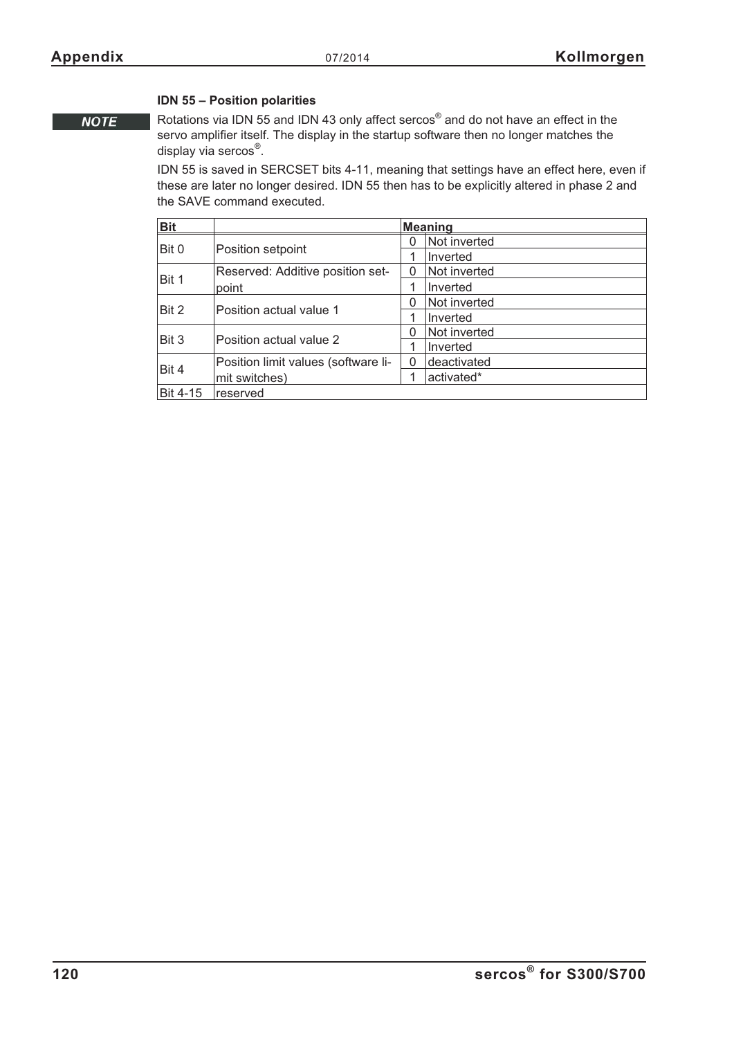### **IDN 55 – Position polarities**

**NOTE** 

Rotations via IDN 55 and IDN 43 only affect sercos® and do not have an effect in the servo amplifier itself. The display in the startup software then no longer matches the display via sercos®.

IDN 55 is saved in SERCSET bits 4-11, meaning that settings have an effect here, even if these are later no longer desired. IDN 55 then has to be explicitly altered in phase 2 and the SAVE command executed.

| <b>Bit</b>      |                                     |   | <b>Meaning</b> |
|-----------------|-------------------------------------|---|----------------|
|                 |                                     | 0 | Not inverted   |
| Bit 0           | Position setpoint                   |   | Inverted       |
|                 | Reserved: Additive position set-    | 0 | Not inverted   |
| Bit 1           | point                               |   | Inverted       |
| Bit 2           |                                     | 0 | Not inverted   |
|                 | Position actual value 1             |   | Inverted       |
| Bit 3           | Position actual value 2             | 0 | Not inverted   |
|                 |                                     |   | Inverted       |
|                 | Position limit values (software li- | 0 | deactivated    |
| Bit 4           | mit switches)                       |   | activated*     |
| <b>Bit 4-15</b> | reserved                            |   |                |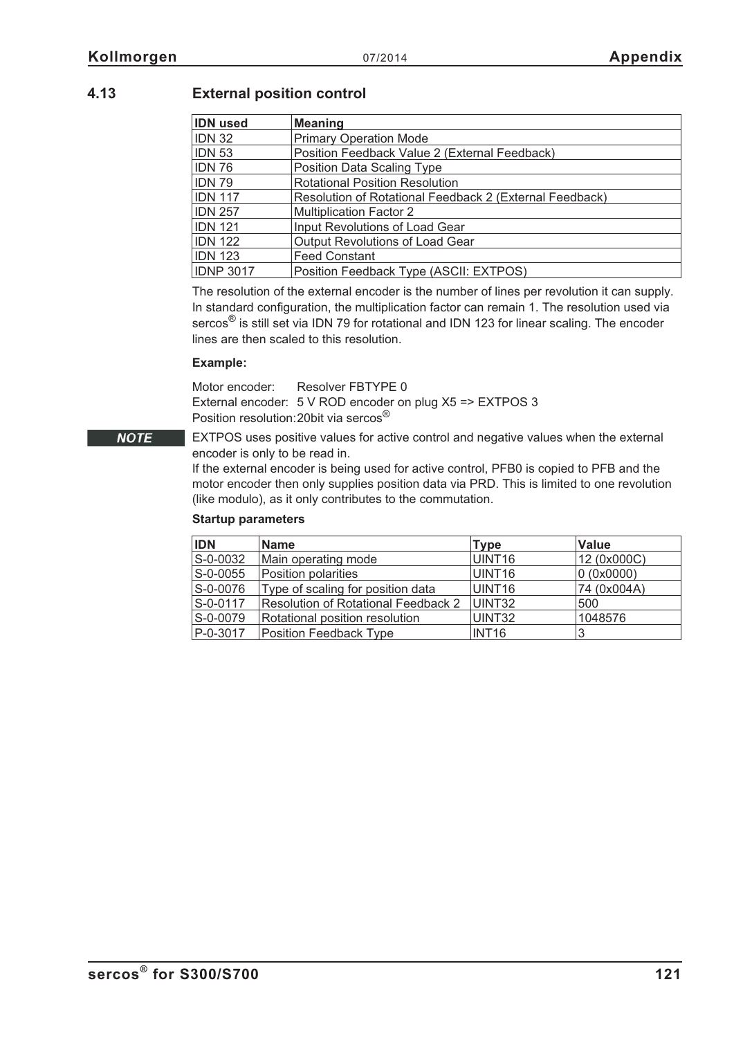# **4.13 External position control**

| <b>IDN</b> used                                                           | <b>Meaning</b>                         |
|---------------------------------------------------------------------------|----------------------------------------|
| <b>IDN 32</b>                                                             | <b>Primary Operation Mode</b>          |
| <b>IDN 53</b><br>Position Feedback Value 2 (External Feedback)            |                                        |
| <b>IDN 76</b><br>Position Data Scaling Type                               |                                        |
| <b>IDN 79</b>                                                             | <b>Rotational Position Resolution</b>  |
| <b>IDN 117</b><br>Resolution of Rotational Feedback 2 (External Feedback) |                                        |
| <b>IDN 257</b>                                                            | <b>Multiplication Factor 2</b>         |
| <b>IDN 121</b>                                                            | Input Revolutions of Load Gear         |
| <b>IDN 122</b>                                                            | <b>Output Revolutions of Load Gear</b> |
| <b>IDN 123</b>                                                            | <b>Feed Constant</b>                   |
| <b>IDNP 3017</b>                                                          | Position Feedback Type (ASCII: EXTPOS) |

The resolution of the external encoder is the number of lines per revolution it can supply. In standard configuration, the multiplication factor can remain 1. The resolution used via sercos<sup>®</sup> is still set via IDN 79 for rotational and IDN 123 for linear scaling. The encoder lines are then scaled to this resolution.

### **Example:**

Motor encoder: Resolver FBTYPE 0 External encoder: 5 V ROD encoder on plug X5 => EXTPOS 3 Position resolution:20bit via sercos®

EXTPOS uses positive values for active control and negative values when the external encoder is only to be read in.

If the external encoder is being used for active control, PFB0 is copied to PFB and the motor encoder then only supplies position data via PRD. This is limited to one revolution (like modulo), as it only contributes to the commutation.

### **Startup parameters**

| <b>IDN</b>     | <b>Name</b>                                | <b>Type</b>        | <b>Value</b> |
|----------------|--------------------------------------------|--------------------|--------------|
| S-0-0032       | Main operating mode                        | UINT <sub>16</sub> | 12 (0x000C)  |
| $S - 0 - 0055$ | Position polarities                        | UINT <sub>16</sub> | 0 (0x0000)   |
| S-0-0076       | Type of scaling for position data          | UINT16             | 74 (0x004A)  |
| S-0-0117       | <b>Resolution of Rotational Feedback 2</b> | UINT32             | 500          |
| S-0-0079       | Rotational position resolution             | UINT32             | 1048576      |
| P-0-3017       | Position Feedback Type                     | INT <sub>16</sub>  |              |

**NOTE**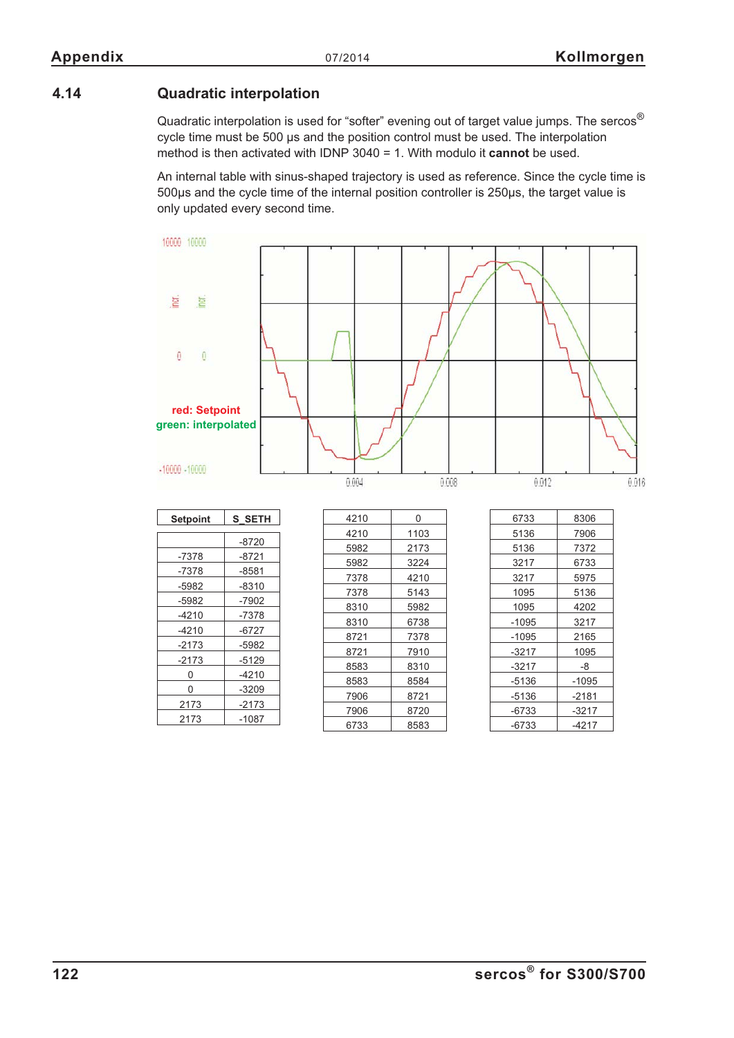# **4.14 Quadratic interpolation**

-4210 -6727 -2173 -5982 -2173 -5129  $0 \t -4210$ 0 -3209 2173 -2173 2173 -1087

Quadratic interpolation is used for "softer" evening out of target value jumps. The sercos<sup>®</sup> cycle time must be 500 µs and the position control must be used. The interpolation method is then activated with IDNP 3040 = 1. With modulo it **cannot** be used.

An internal table with sinus-shaped trajectory is used as reference. Since the cycle time is 500µs and the cycle time of the internal position controller is 250µs, the target value is only updated every second time.



-1095 3217  $-1095$  2165 -3217 1095  $-3217$   $-8$  $-5136$   $-1095$  $-5136$   $-2181$  $-6733$   $-3217$  $-6733$   $-4217$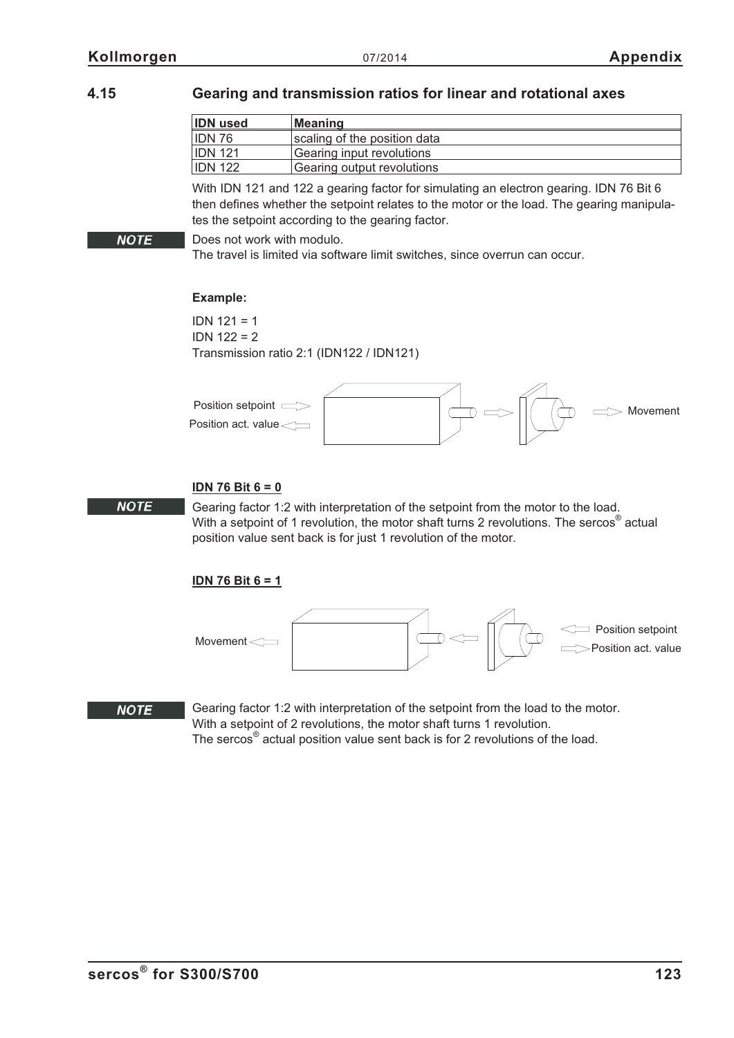**NOTE** 

# **4.15 Gearing and transmission ratios for linear and rotational axes**

| <b>IDN</b> used | <b>Meaning</b>               |
|-----------------|------------------------------|
| IDN 76          | scaling of the position data |
| <b>IDN 121</b>  | Gearing input revolutions    |
| <b>IDN 122</b>  | Gearing output revolutions   |

With IDN 121 and 122 a gearing factor for simulating an electron gearing. IDN 76 Bit 6 then defines whether the setpoint relates to the motor or the load. The gearing manipulates the setpoint according to the gearing factor.

Does not work with modulo.

The travel is limited via software limit switches, since overrun can occur.

### **Example:**

IDN 121 = 1 IDN 122 = 2 Transmission ratio 2:1 (IDN122 / IDN121)



### **IDN 76 Bit 6 = 0**

Gearing factor 1:2 with interpretation of the setpoint from the motor to the load. With a setpoint of 1 revolution, the motor shaft turns 2 revolutions. The sercos<sup>®</sup> actual position value sent back is for just 1 revolution of the motor.

## **IDN 76 Bit 6 = 1**



### **NOTE**

**NOTE** 

Gearing factor 1:2 with interpretation of the setpoint from the load to the motor. With a setpoint of 2 revolutions, the motor shaft turns 1 revolution. The sercos® actual position value sent back is for 2 revolutions of the load.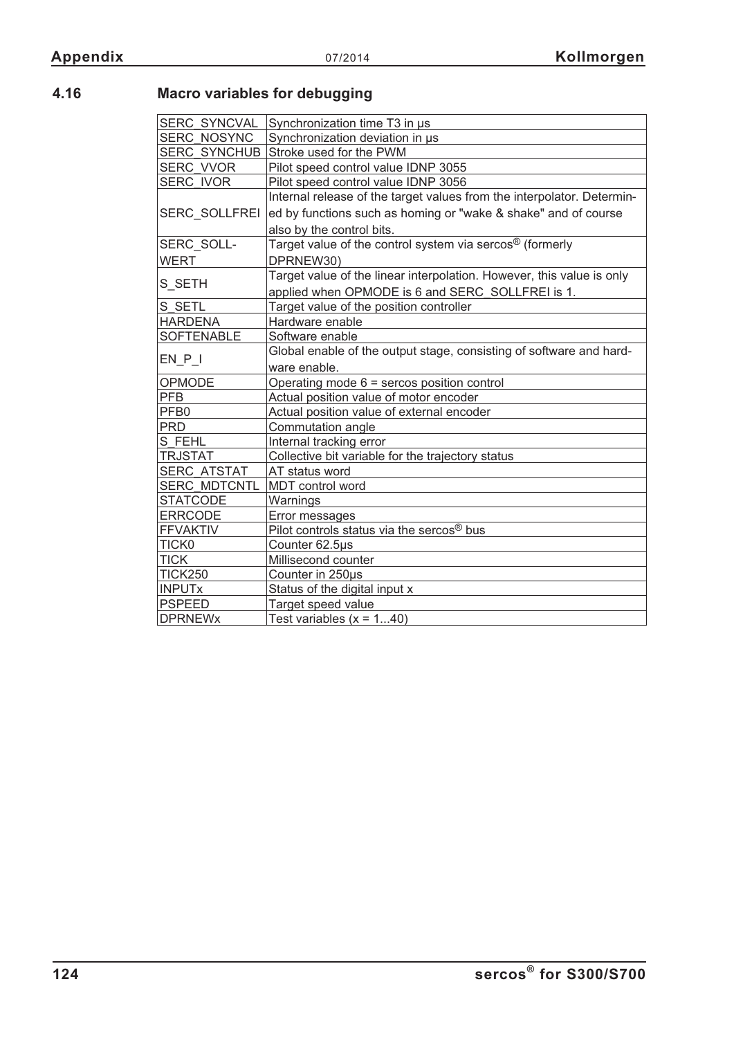# **4.16 Macro variables for debugging**

| <b>SERC SYNCVAL</b>  | Synchronization time T3 in us                                          |
|----------------------|------------------------------------------------------------------------|
| <b>SERC NOSYNC</b>   | Synchronization deviation in us                                        |
| <b>SERC SYNCHUB</b>  | Stroke used for the PWM                                                |
| SERC VVOR            | Pilot speed control value IDNP 3055                                    |
| <b>SERC IVOR</b>     | Pilot speed control value IDNP 3056                                    |
|                      | Internal release of the target values from the interpolator. Determin- |
| <b>SERC SOLLFREI</b> | ed by functions such as homing or "wake & shake" and of course         |
|                      | also by the control bits.                                              |
| SERC_SOLL-           | Target value of the control system via sercos <sup>®</sup> (formerly   |
| <b>WERT</b>          | DPRNEW30)                                                              |
|                      | Target value of the linear interpolation. However, this value is only  |
| S_SETH               | applied when OPMODE is 6 and SERC SOLLFREI is 1.                       |
| S SETL               | Target value of the position controller                                |
| <b>HARDENA</b>       | Hardware enable                                                        |
| <b>SOFTENABLE</b>    | Software enable                                                        |
|                      | Global enable of the output stage, consisting of software and hard-    |
| $EN_P$               | ware enable.                                                           |
| OPMODE               | Operating mode $6 =$ sercos position control                           |
| <b>PFB</b>           | Actual position value of motor encoder                                 |
| PFB <sub>0</sub>     | Actual position value of external encoder                              |
| <b>PRD</b>           | Commutation angle                                                      |
| S FEHL               | Internal tracking error                                                |
| <b>TRJSTAT</b>       | Collective bit variable for the trajectory status                      |
| <b>SERC ATSTAT</b>   | AT status word                                                         |
| <b>SERC MDTCNTL</b>  | MDT control word                                                       |
| <b>STATCODE</b>      | Warnings                                                               |
| <b>ERRCODE</b>       | Error messages                                                         |
| <b>FFVAKTIV</b>      | Pilot controls status via the sercos <sup>®</sup> bus                  |
| TICK0                | Counter 62.5µs                                                         |
| <b>TICK</b>          | Millisecond counter                                                    |
| <b>TICK250</b>       | Counter in 250µs                                                       |
| <b>INPUTx</b>        | Status of the digital input x                                          |
| <b>PSPEED</b>        | Target speed value                                                     |
| <b>DPRNEWx</b>       | Test variables $(x = 140)$                                             |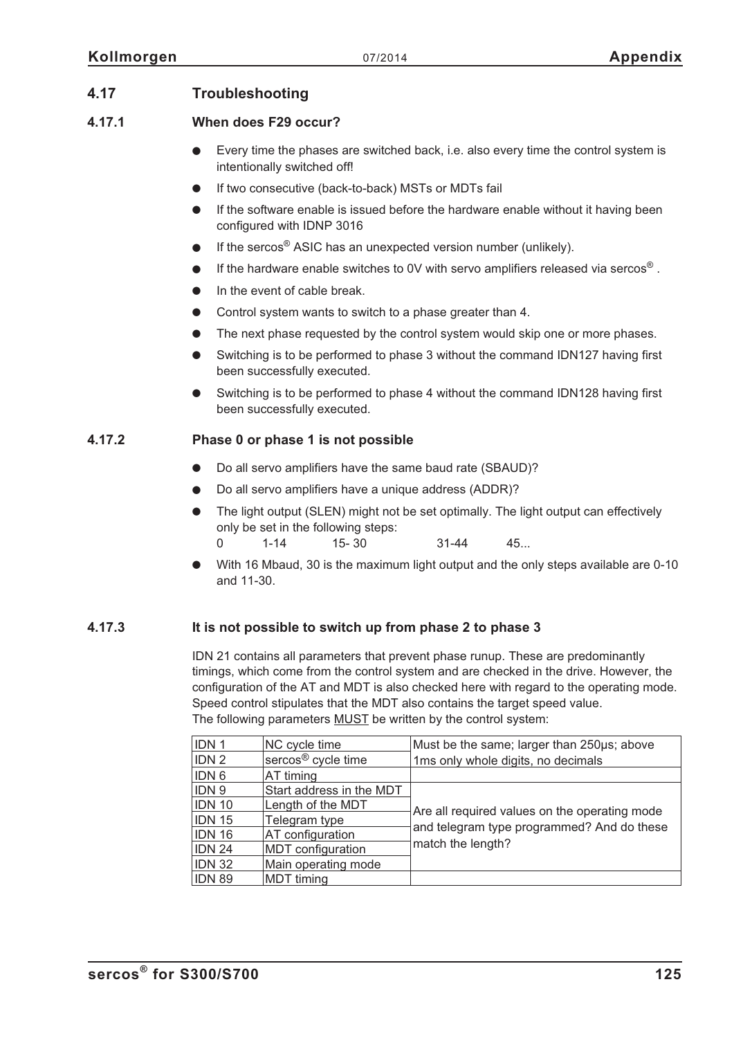# **4.17 Troubleshooting**

## **4.17.1 When does F29 occur?**

- $\bullet$  Every time the phases are switched back, i.e. also every time the control system is intentionally switched off!
- $\bullet$ If two consecutive (back-to-back) MSTs or MDTs fail
- $\bullet$  If the software enable is issued before the hardware enable without it having been configured with IDNP 3016
- $\bullet$ If the sercos® ASIC has an unexpected version number (unlikely).
- $\bullet$ If the hardware enable switches to 0V with servo amplifiers released via sercos® .
- $\bullet$ In the event of cable break.
- $\bullet$ Control system wants to switch to a phase greater than 4.
- $\bullet$ The next phase requested by the control system would skip one or more phases.
- $\bullet$  Switching is to be performed to phase 3 without the command IDN127 having first been successfully executed.
- $\bullet$  Switching is to be performed to phase 4 without the command IDN128 having first been successfully executed.

# **4.17.2 Phase 0 or phase 1 is not possible**

- $\bullet$ Do all servo amplifiers have the same baud rate (SBAUD)?
- $\bullet$ Do all servo amplifiers have a unique address (ADDR)?
- $\bullet$  The light output (SLEN) might not be set optimally. The light output can effectively only be set in the following steps: 0 1-14 15- 30 31-44 45...
- $\bullet$  With 16 Mbaud, 30 is the maximum light output and the only steps available are 0-10 and 11-30.

## **4.17.3 It is not possible to switch up from phase 2 to phase 3**

IDN 21 contains all parameters that prevent phase runup. These are predominantly timings, which come from the control system and are checked in the drive. However, the configuration of the AT and MDT is also checked here with regard to the operating mode. Speed control stipulates that the MDT also contains the target speed value. The following parameters MUST be written by the control system:

| <b>IDN1</b>                                                                                                                            | NC cycle time                  | Must be the same; larger than 250µs; above                      |
|----------------------------------------------------------------------------------------------------------------------------------------|--------------------------------|-----------------------------------------------------------------|
| <b>IDN2</b>                                                                                                                            | sercos <sup>®</sup> cycle time | 1ms only whole digits, no decimals                              |
| <b>IDN 6</b>                                                                                                                           | AT timing                      |                                                                 |
| <b>IDN9</b><br>Start address in the MDT<br>IDN 10<br>Length of the MDT<br><b>IDN 15</b><br>Telegram type<br>IDN 16<br>AT configuration |                                |                                                                 |
|                                                                                                                                        |                                | Are all required values on the operating mode                   |
|                                                                                                                                        |                                |                                                                 |
|                                                                                                                                        |                                |                                                                 |
|                                                                                                                                        | <b>MDT</b> configuration       |                                                                 |
|                                                                                                                                        | Main operating mode            |                                                                 |
|                                                                                                                                        | <b>MDT</b> timing              |                                                                 |
| IDN 24<br><b>IDN 32</b><br><b>IDN 89</b>                                                                                               |                                | and telegram type programmed? And do these<br>match the length? |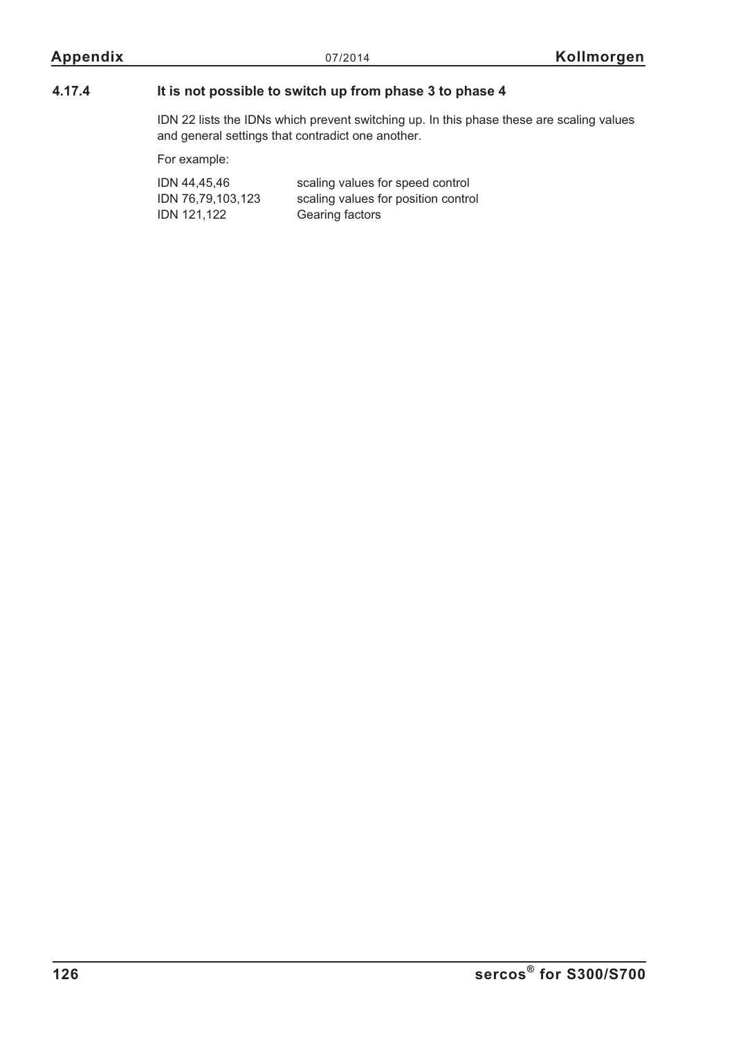## **4.17.4 It is not possible to switch up from phase 3 to phase 4**

IDN 22 lists the IDNs which prevent switching up. In this phase these are scaling values and general settings that contradict one another.

For example:

| IDN 44,45,46      | scaling values for speed control    |
|-------------------|-------------------------------------|
| IDN 76,79,103,123 | scaling values for position control |
| IDN 121.122       | Gearing factors                     |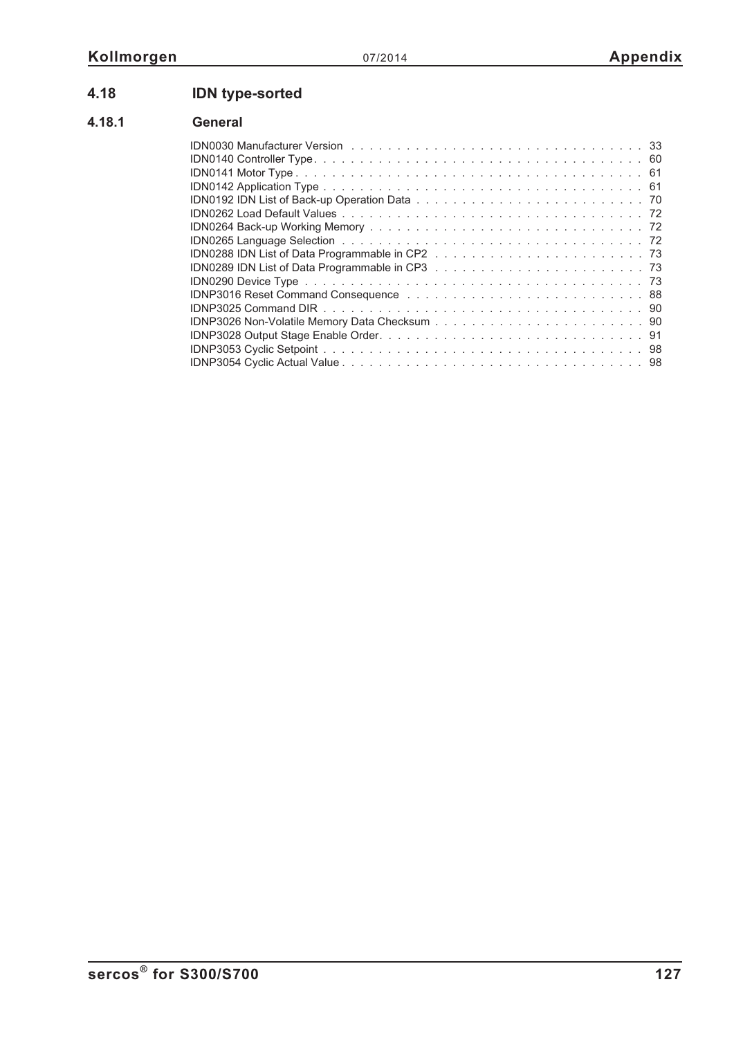# **4.18 IDN type-sorted**

# **4.18.1 General**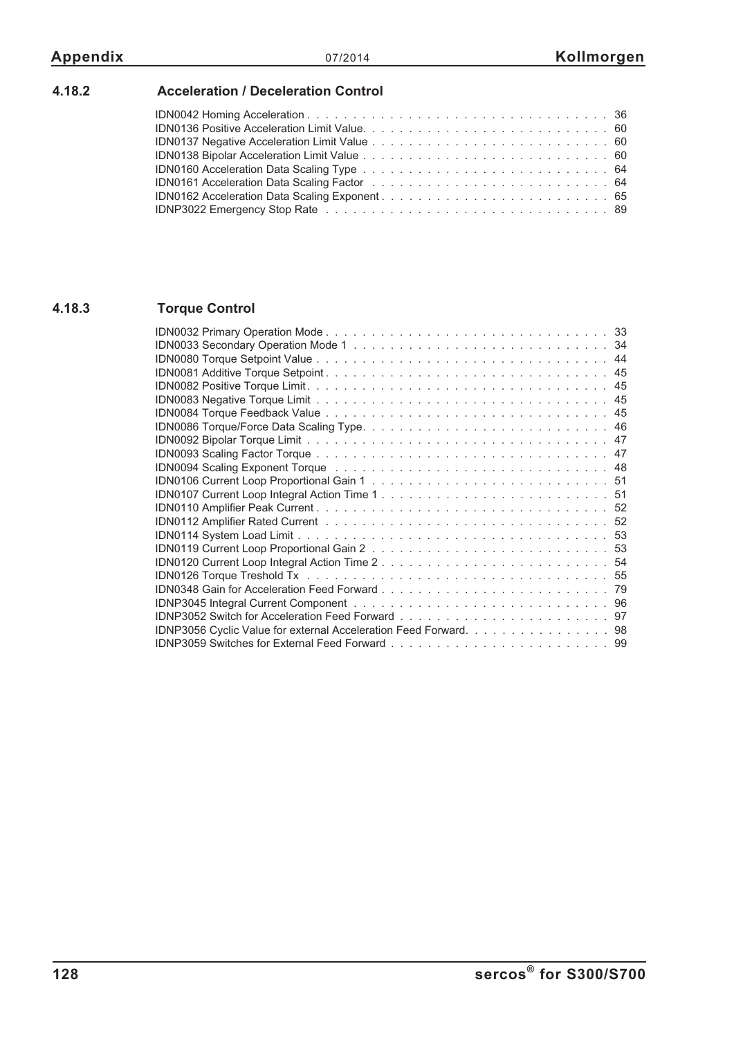# **4.18.2 Acceleration / Deceleration Control**

# **4.18.3 Torque Control**

| IDN0120 Current Loop Integral Action Time 254                    |
|------------------------------------------------------------------|
|                                                                  |
|                                                                  |
|                                                                  |
|                                                                  |
| IDNP3056 Cyclic Value for external Acceleration Feed Forward. 98 |
|                                                                  |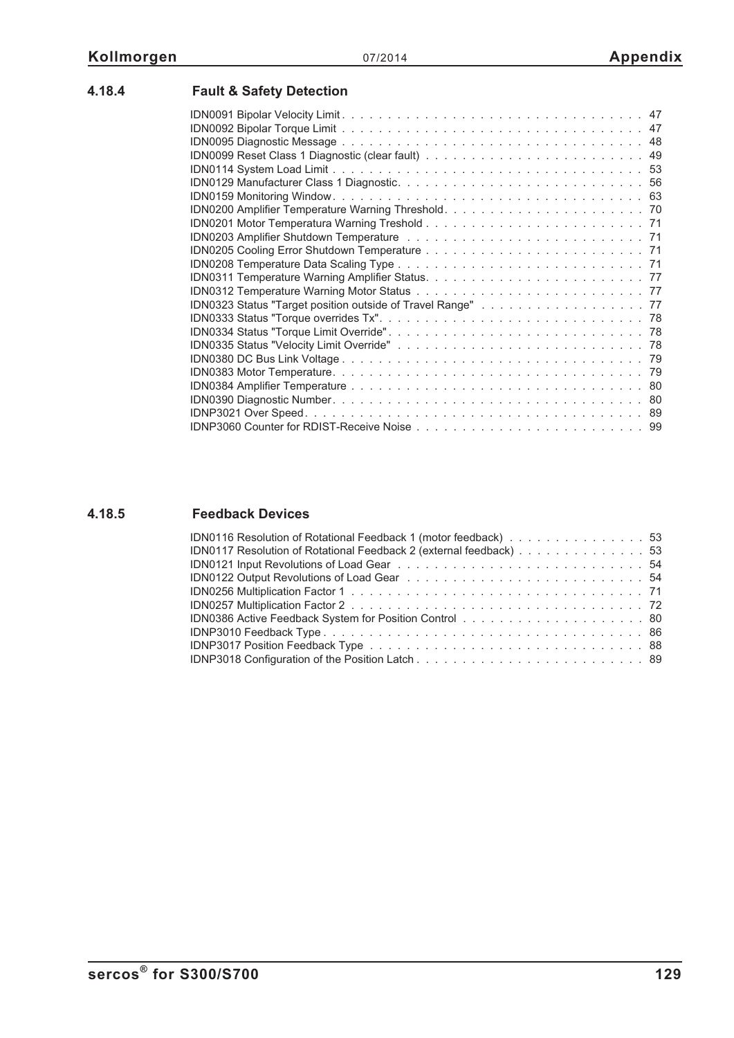| <b>Fault &amp; Safety Detection</b> |  |
|-------------------------------------|--|
|                                     |  |
|                                     |  |
|                                     |  |
|                                     |  |
|                                     |  |
|                                     |  |
|                                     |  |
|                                     |  |
|                                     |  |
|                                     |  |
|                                     |  |
|                                     |  |
|                                     |  |
|                                     |  |
|                                     |  |
|                                     |  |
|                                     |  |
|                                     |  |

# **4.18.4 Fault & Safety Detection**

# **4.18.5 Feedback Devices**

| IDN0116 Resolution of Rotational Feedback 1 (motor feedback) 53    |  |
|--------------------------------------------------------------------|--|
| IDN0117 Resolution of Rotational Feedback 2 (external feedback) 53 |  |
|                                                                    |  |
|                                                                    |  |
|                                                                    |  |
|                                                                    |  |
|                                                                    |  |
|                                                                    |  |
|                                                                    |  |
|                                                                    |  |
|                                                                    |  |

IDN0380 DC Bus Link Voltage [. . . . . . . . . . . . . . . . . . . . . . . . . . . . . . . . . 79](#page-78-0) [IDN0383 Motor Temperature. . . . . . . . . . . . . . . . . . . . . . . . . . . . . . . . . . 79](#page-78-0) IDN0384 Amplifier Temperature [. . . . . . . . . . . . . . . . . . . . . . . . . . . . . . . . 80](#page-79-0) [IDN0390 Diagnostic Number. . . . . . . . . . . . . . . . . . . . . . . . . . . . . . . . . . 80](#page-79-0) [IDNP3021 Over Speed. . . . . . . . . . . . . . . . . . . . . . . . . . . . . . . . . . . . . 89](#page-88-0) IDNP3060 Counter for RDIST-Receive Noise [. . . . . . . . . . . . . . . . . . . . . . . . . 99](#page-98-0)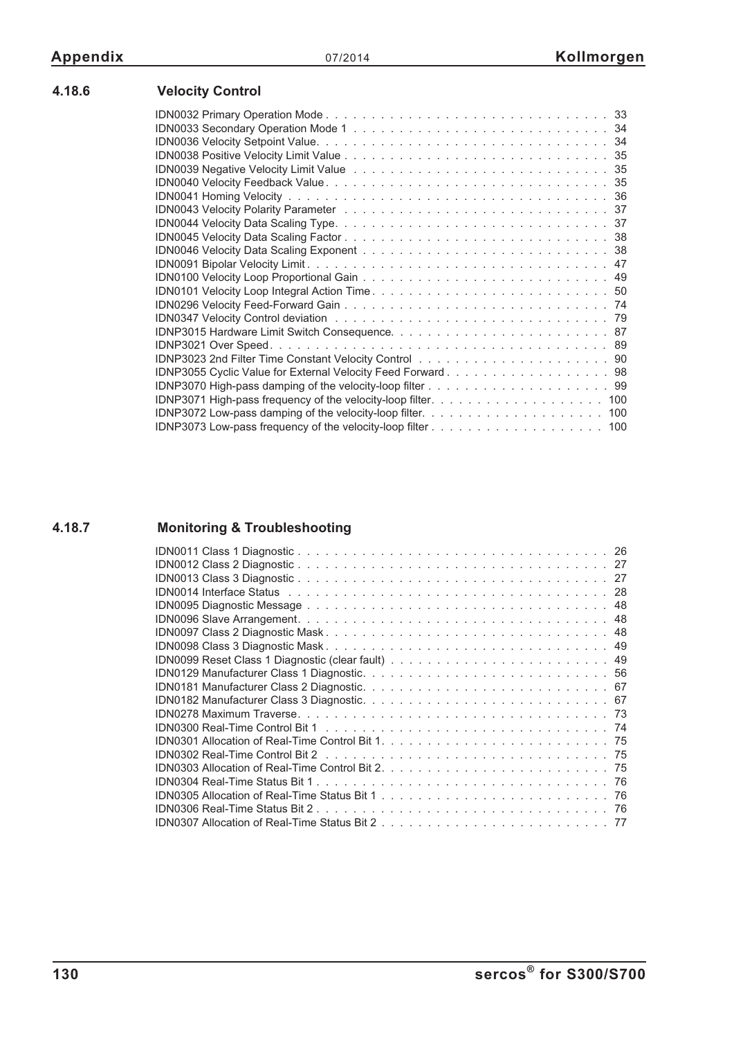# **4.18.6 Velocity Control**

| IDN0039 Negative Velocity Limit Value National Account Account Account Account Account Account Account Account |
|----------------------------------------------------------------------------------------------------------------|
|                                                                                                                |
|                                                                                                                |
|                                                                                                                |
|                                                                                                                |
|                                                                                                                |
|                                                                                                                |
|                                                                                                                |
|                                                                                                                |
|                                                                                                                |
|                                                                                                                |
|                                                                                                                |
|                                                                                                                |
|                                                                                                                |
|                                                                                                                |
|                                                                                                                |
|                                                                                                                |
|                                                                                                                |
|                                                                                                                |
|                                                                                                                |
|                                                                                                                |
|                                                                                                                |

# **4.18.7 Monitoring & Troubleshooting**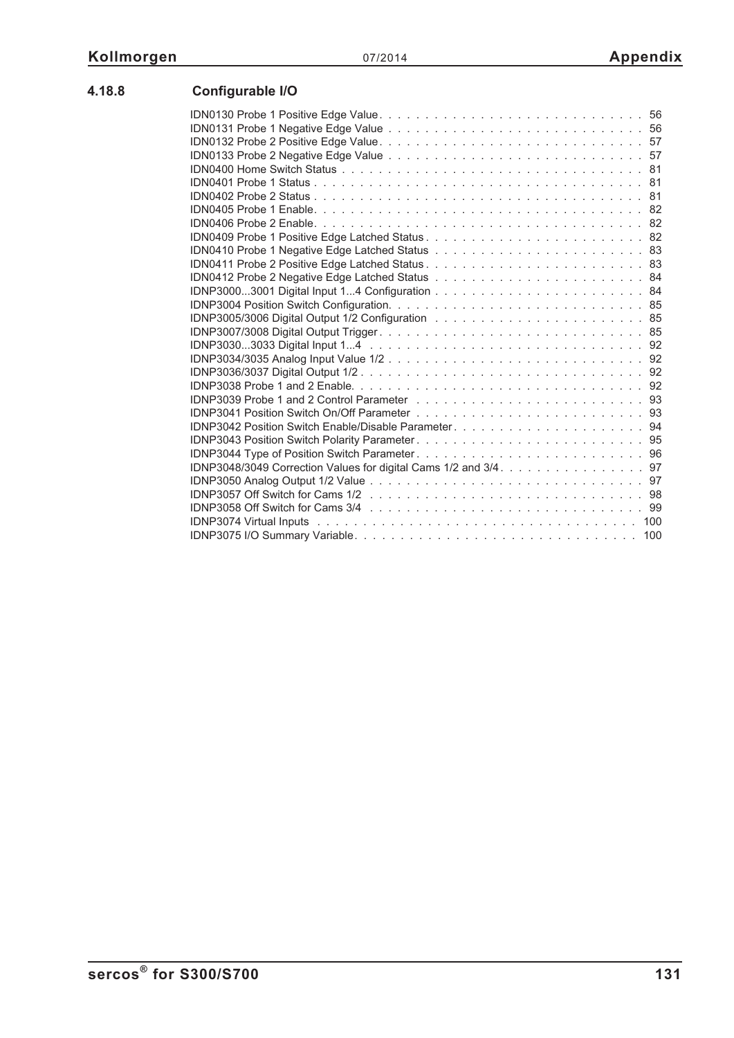| IDNP3038 Probe 1 and 2 Enable. $\ldots$ , $\ldots$ , $\ldots$ , $\ldots$ , $\ldots$ , $\ldots$ , $\ldots$ , $\ldots$ , $\ldots$ , $\ldots$ |  |
|--------------------------------------------------------------------------------------------------------------------------------------------|--|
| IDNP3039 Probe 1 and 2 Control Parameter $\ldots \ldots \ldots \ldots \ldots \ldots \ldots \ldots \ldots \ldots \ldots$                    |  |
|                                                                                                                                            |  |
|                                                                                                                                            |  |
|                                                                                                                                            |  |
|                                                                                                                                            |  |
| IDNP3048/3049 Correction Values for digital Cams 1/2 and 3/4. 97                                                                           |  |
|                                                                                                                                            |  |
| IDNP3057 Off Switch for Cams 1/2 response to the contract of the state of the State of the State of the State o                            |  |
|                                                                                                                                            |  |
|                                                                                                                                            |  |
|                                                                                                                                            |  |
|                                                                                                                                            |  |

# **4.18.8 Configurable I/O**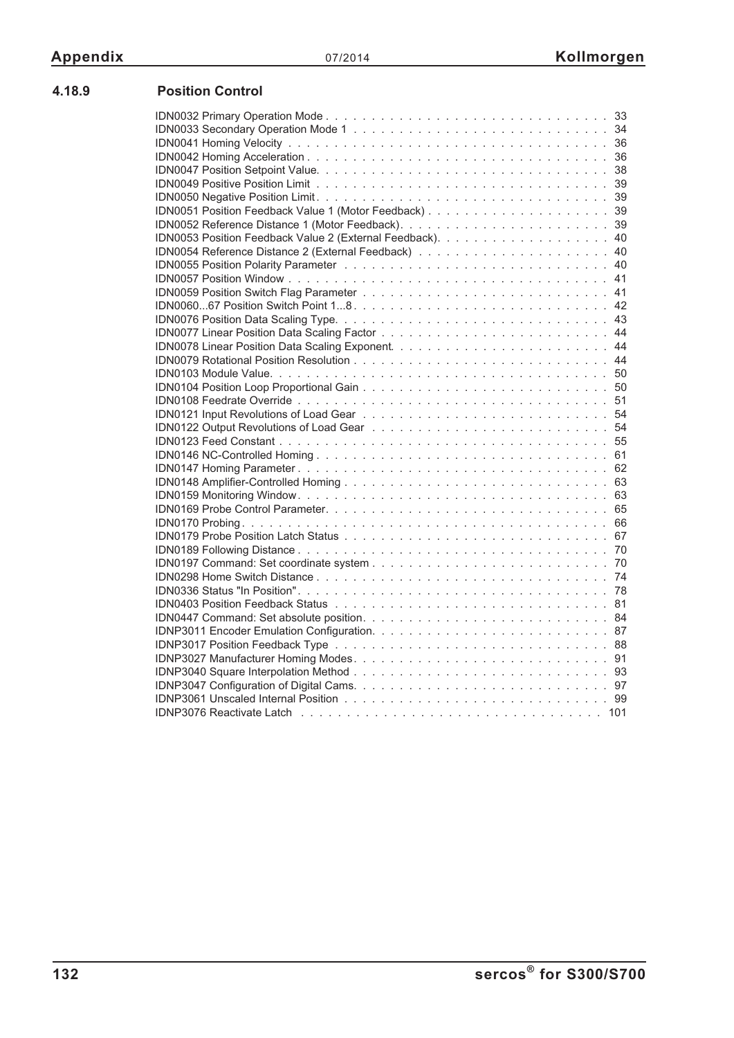| 4.18.9 | <b>Position Control</b> |
|--------|-------------------------|
|        |                         |

| 67 |
|----|
|    |
|    |
|    |
|    |
|    |
|    |
|    |
|    |
|    |
|    |
|    |
|    |
|    |
|    |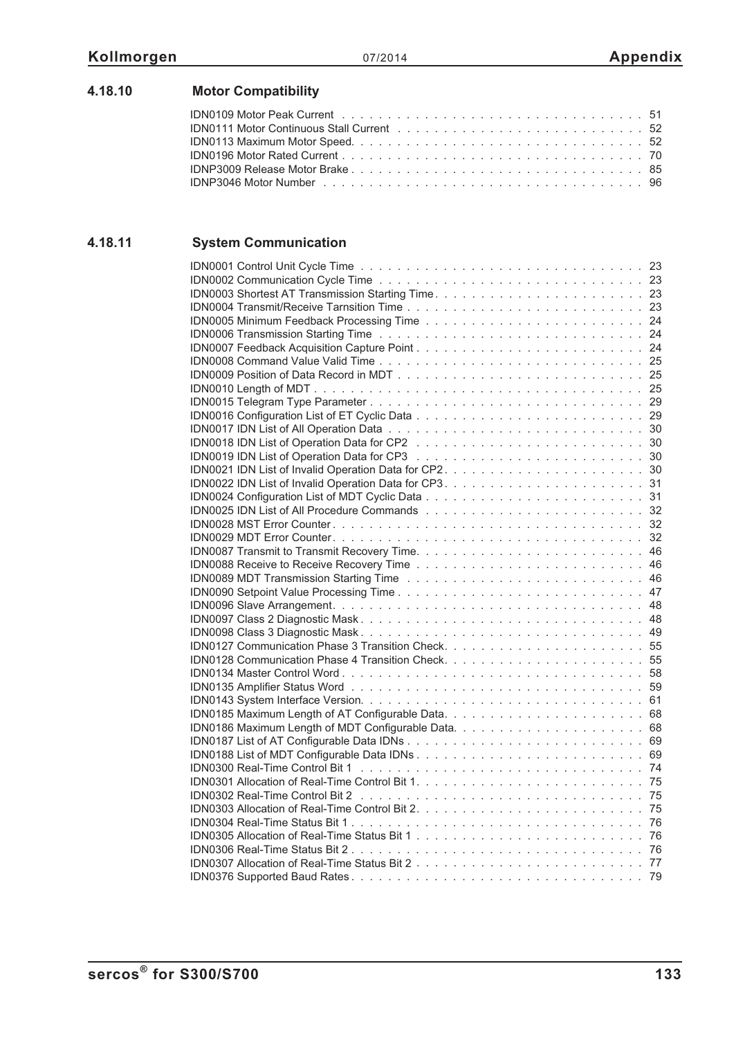| 4.18.10 | <b>Motor Compatibility</b> |
|---------|----------------------------|
|         |                            |

# **4.18.11 System Communication**